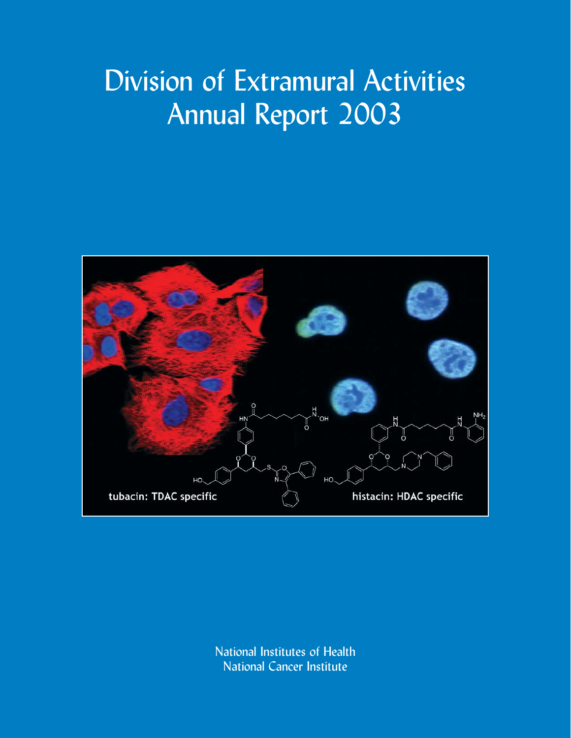# Division of Extramural Activities Annual Report 2003



National Institutes of Health National Cancer Institute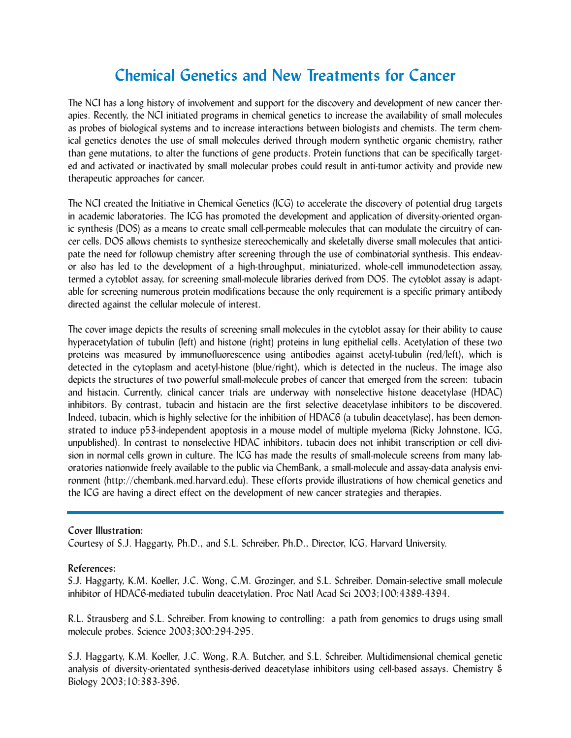# **Chemical Genetics and New Treatments for Cancer**

The NCI has a long history of involvement and support for the discovery and development of new cancer therapies. Recently, the NCI initiated programs in chemical genetics to increase the availability of small molecules as probes of biological systems and to increase interactions between biologists and chemists. The term chemical genetics denotes the use of small molecules derived through modern synthetic organic chemistry, rather than gene mutations, to alter the functions of gene products. Protein functions that can be specifically targeted and activated or inactivated by small molecular probes could result in anti-tumor activity and provide new therapeutic approaches for cancer.

The NCI created the Initiative in Chemical Genetics (ICG) to accelerate the discovery of potential drug targets in academic laboratories. The ICG has promoted the development and application of diversity-oriented organic synthesis (DOS) as a means to create small cell-permeable molecules that can modulate the circuitry of cancer cells. DOS allows chemists to synthesize stereochemically and skeletally diverse small molecules that anticipate the need for followup chemistry after screening through the use of combinatorial synthesis. This endeavor also has led to the development of a high-throughput, miniaturized, whole-cell immunodetection assay, termed a cytoblot assay, for screening small-molecule libraries derived from DOS. The cytoblot assay is adaptable for screening numerous protein modifications because the only requirement is a specific primary antibody directed against the cellular molecule of interest.

The cover image depicts the results of screening small molecules in the cytoblot assay for their ability to cause hyperacetylation of tubulin (left) and histone (right) proteins in lung epithelial cells. Acetylation of these two proteins was measured by immunofluorescence using antibodies against acetyl-tubulin (red/left), which is detected in the cytoplasm and acetyl-histone (blue/right), which is detected in the nucleus. The image also depicts the structures of two powerful small-molecule probes of cancer that emerged from the screen: tubacin and histacin. Currently, clinical cancer trials are underway with nonselective histone deacetylase (HDAC) inhibitors. By contrast, tubacin and histacin are the first selective deacetylase inhibitors to be discovered. Indeed, tubacin, which is highly selective for the inhibition of HDAC6 (a tubulin deacetylase), has been demonstrated to induce p53-independent apoptosis in a mouse model of multiple myeloma (Ricky Johnstone, ICG, unpublished). In contrast to nonselective HDAC inhibitors, tubacin does not inhibit transcription or cell division in normal cells grown in culture. The ICG has made the results of small-molecule screens from many laboratories nationwide freely available to the public via ChemBank, a small-molecule and assay-data analysis environment (http://chembank.med.harvard.edu). These efforts provide illustrations of how chemical genetics and the ICG are having a direct effect on the development of new cancer strategies and therapies.

#### **Cover Illustration:**

Courtesy of S.J. Haggarty, Ph.D., and S.L. Schreiber, Ph.D., Director, ICG, Harvard University.

#### **References:**

S.J. Haggarty, K.M. Koeller, J.C. Wong, C.M. Grozinger, and S.L. Schreiber. Domain-selective small molecule inhibitor of HDAC6-mediated tubulin deacetylation. Proc Natl Acad Sci 2003;100:4389-4394.

R.L. Strausberg and S.L. Schreiber. From knowing to controlling: a path from genomics to drugs using small molecule probes. Science 2003;300:294-295.

S.J. Haggarty, K.M. Koeller, J.C. Wong, R.A. Butcher, and S.L. Schreiber. Multidimensional chemical genetic analysis of diversity-orientated synthesis-derived deacetylase inhibitors using cell-based assays. Chemistry & Biology 2003;10:383-396.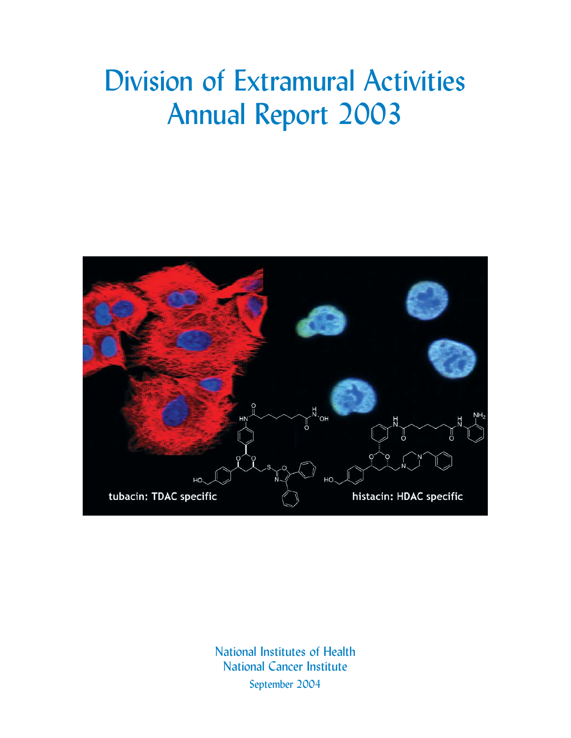# Division of Extramural Activities Annual Report 2003



National Institutes of Health National Cancer Institute September 2004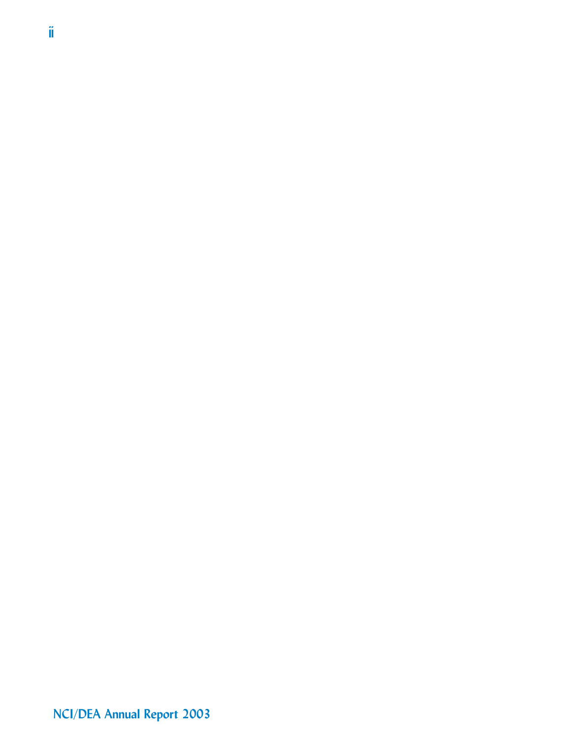ii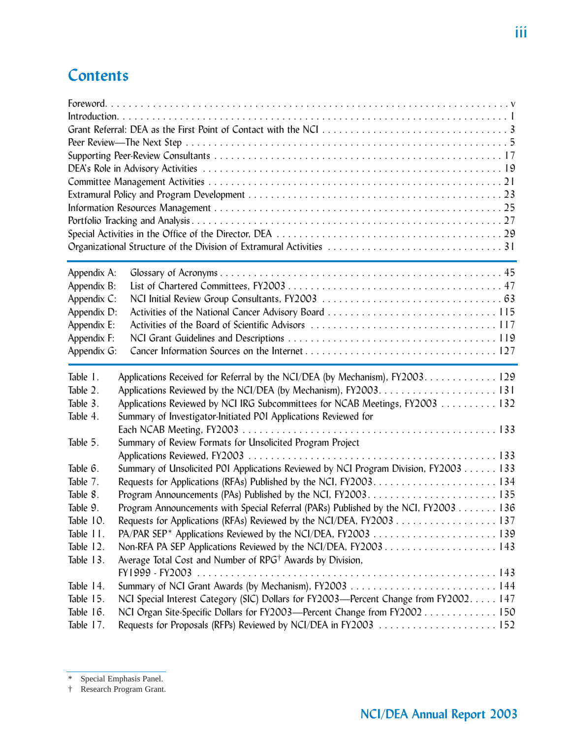# **Contents**

| Appendix A: |                                                                                        |  |  |
|-------------|----------------------------------------------------------------------------------------|--|--|
| Appendix B: |                                                                                        |  |  |
| Appendix C: |                                                                                        |  |  |
| Appendix D: |                                                                                        |  |  |
| Appendix E: |                                                                                        |  |  |
| Appendix F: |                                                                                        |  |  |
| Appendix G: |                                                                                        |  |  |
| Table 1.    | Applications Received for Referral by the NCI/DEA (by Mechanism), FY2003. 129          |  |  |
| Table 2.    |                                                                                        |  |  |
| Table 3.    | Applications Reviewed by NCI IRG Subcommittees for NCAB Meetings, FY2003 132           |  |  |
| Table 4.    | Summary of Investigator-Initiated POI Applications Reviewed for                        |  |  |
|             |                                                                                        |  |  |
| Table 5.    | Summary of Review Formats for Unsolicited Program Project                              |  |  |
|             |                                                                                        |  |  |
| Table 6.    | Summary of Unsolicited POI Applications Reviewed by NCI Program Division, FY2003 133   |  |  |
| Table 7.    |                                                                                        |  |  |
| Table 8.    |                                                                                        |  |  |
| Table 9.    | Program Announcements with Special Referral (PARs) Published by the NCI, FY2003 136    |  |  |
| Table 10.   | Requests for Applications (RFAs) Reviewed by the NCI/DEA, FY2003 137                   |  |  |
| Table 11.   |                                                                                        |  |  |
| Table 12.   | Non-RFA PA SEP Applications Reviewed by the NCI/DEA, FY2003143                         |  |  |
| Table 13.   | Average Total Cost and Number of RPG <sup>+</sup> Awards by Division,                  |  |  |
|             |                                                                                        |  |  |
| Table 14.   | Summary of NCI Grant Awards (by Mechanism), FY2003 144                                 |  |  |
| Table 15.   | NCI Special Interest Category (SIC) Dollars for FY2003—Percent Change from FY2002. 147 |  |  |
| Table 16.   | NCI Organ Site-Specific Dollars for FY2003-Percent Change from FY2002 150              |  |  |
| Table 17.   |                                                                                        |  |  |

<sup>\*</sup> Special Emphasis Panel.

<sup>†</sup> Research Program Grant.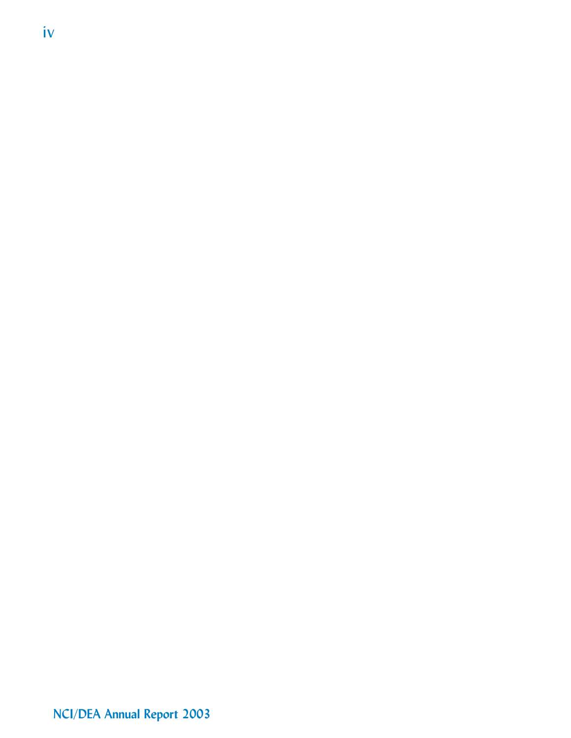iv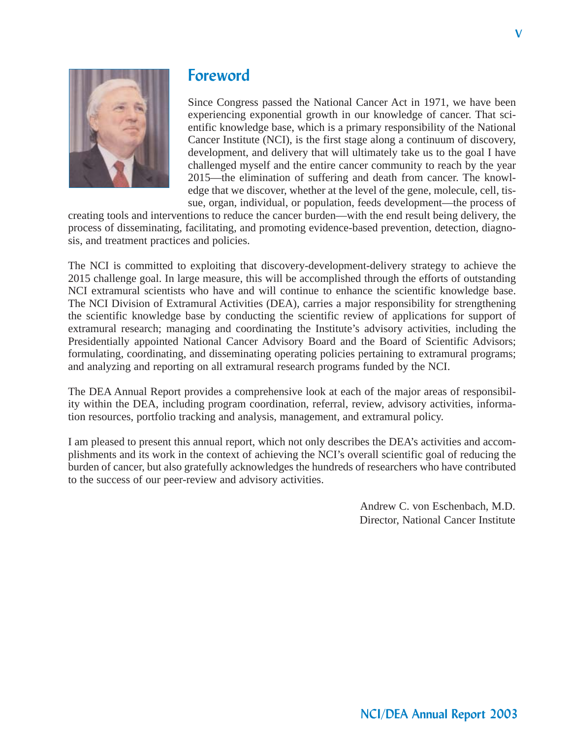

# **Foreword**

Since Congress passed the National Cancer Act in 1971, we have been experiencing exponential growth in our knowledge of cancer. That scientific knowledge base, which is a primary responsibility of the National Cancer Institute (NCI), is the first stage along a continuum of discovery, development, and delivery that will ultimately take us to the goal I have challenged myself and the entire cancer community to reach by the year 2015—the elimination of suffering and death from cancer. The knowledge that we discover, whether at the level of the gene, molecule, cell, tissue, organ, individual, or population, feeds development—the process of

creating tools and interventions to reduce the cancer burden—with the end result being delivery, the process of disseminating, facilitating, and promoting evidence-based prevention, detection, diagnosis, and treatment practices and policies.

The NCI is committed to exploiting that discovery-development-delivery strategy to achieve the 2015 challenge goal. In large measure, this will be accomplished through the efforts of outstanding NCI extramural scientists who have and will continue to enhance the scientific knowledge base. The NCI Division of Extramural Activities (DEA), carries a major responsibility for strengthening the scientific knowledge base by conducting the scientific review of applications for support of extramural research; managing and coordinating the Institute's advisory activities, including the Presidentially appointed National Cancer Advisory Board and the Board of Scientific Advisors; formulating, coordinating, and disseminating operating policies pertaining to extramural programs; and analyzing and reporting on all extramural research programs funded by the NCI.

The DEA Annual Report provides a comprehensive look at each of the major areas of responsibility within the DEA, including program coordination, referral, review, advisory activities, information resources, portfolio tracking and analysis, management, and extramural policy.

I am pleased to present this annual report, which not only describes the DEA's activities and accomplishments and its work in the context of achieving the NCI's overall scientific goal of reducing the burden of cancer, but also gratefully acknowledges the hundreds of researchers who have contributed to the success of our peer-review and advisory activities.

> Andrew C. von Eschenbach, M.D. Director, National Cancer Institute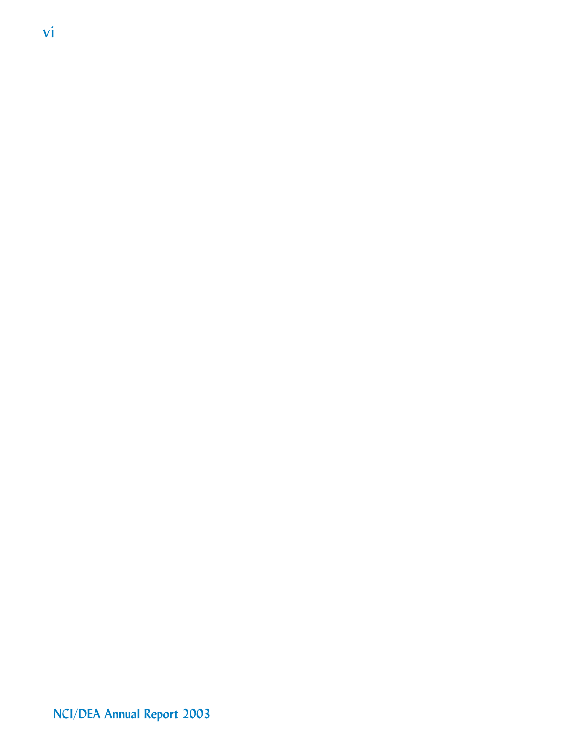vi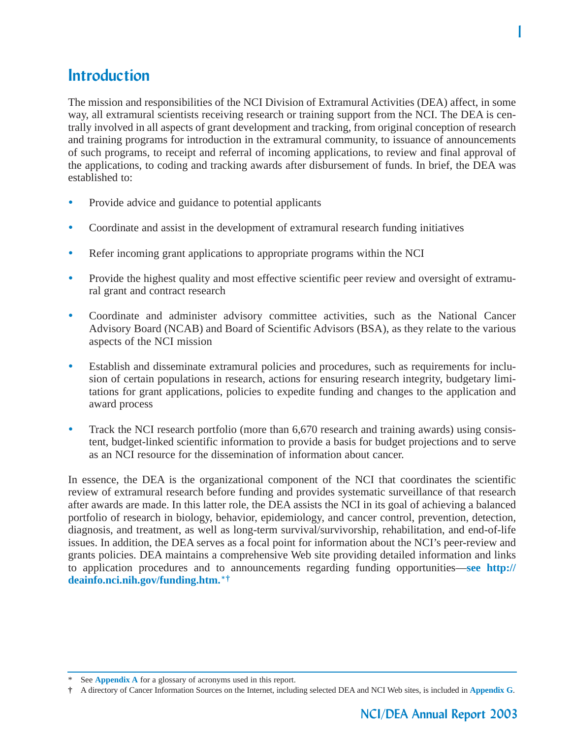The mission and responsibilities of the NCI Division of Extramural Activities (DEA) affect, in some way, all extramural scientists receiving research or training support from the NCI. The DEA is centrally involved in all aspects of grant development and tracking, from original conception of research and training programs for introduction in the extramural community, to issuance of announcements of such programs, to receipt and referral of incoming applications, to review and final approval of the applications, to coding and tracking awards after disbursement of funds. In brief, the DEA was established to:

- Provide advice and guidance to potential applicants
- Coordinate and assist in the development of extramural research funding initiatives
- Refer incoming grant applications to appropriate programs within the NCI
- Provide the highest quality and most effective scientific peer review and oversight of extramural grant and contract research
- Coordinate and administer advisory committee activities, such as the National Cancer Advisory Board (NCAB) and Board of Scientific Advisors (BSA), as they relate to the various aspects of the NCI mission
- y Establish and disseminate extramural policies and procedures, such as requirements for inclusion of certain populations in research, actions for ensuring research integrity, budgetary limitations for grant applications, policies to expedite funding and changes to the application and award process
- Track the NCI research portfolio (more than 6,670 research and training awards) using consistent, budget-linked scientific information to provide a basis for budget projections and to serve as an NCI resource for the dissemination of information about cancer.

In essence, the DEA is the organizational component of the NCI that coordinates the scientific review of extramural research before funding and provides systematic surveillance of that research after awards are made. In this latter role, the DEA assists the NCI in its goal of achieving a balanced portfolio of research in biology, behavior, epidemiology, and cancer control, prevention, detection, diagnosis, and treatment, as well as long-term survival/survivorship, rehabilitation, and end-of-life issues. In addition, the DEA serves as a focal point for information about the NCI's peer-review and grants policies. DEA maintains a comprehensive Web site providing detailed information and links to application procedures and to announcements regarding funding opportunities—**see http:// deainfo.nci.nih.gov/funding.htm.\*†**

1

<sup>\*</sup> See **Appendix A** for a glossary of acronyms used in this report.

**<sup>†</sup>** A directory of Cancer Information Sources on the Internet, including selected DEA and NCI Web sites, is included in **Appendix G**.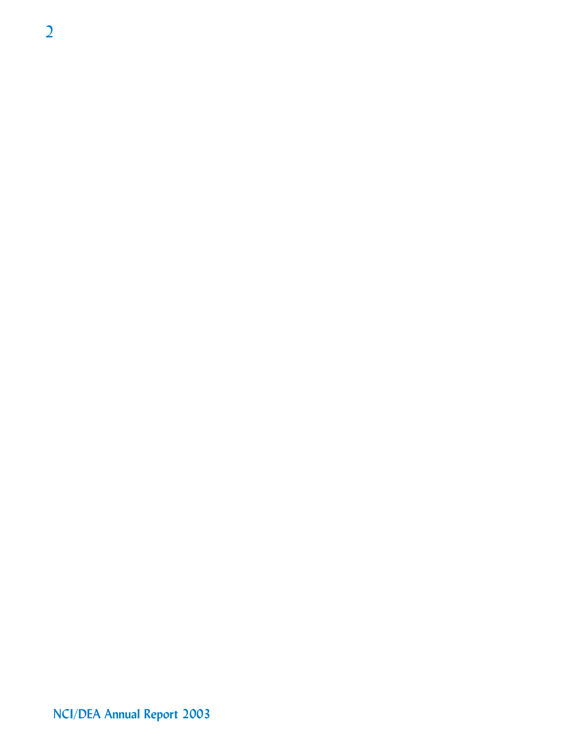2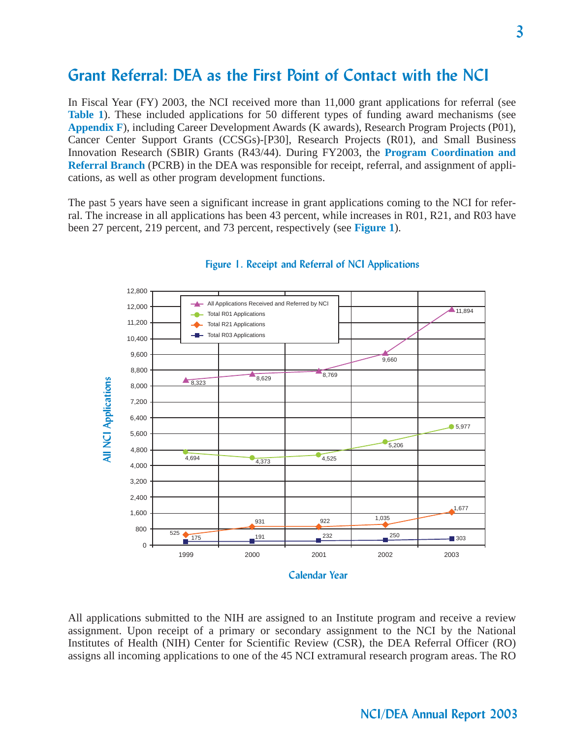# **Grant Referral: DEA as the First Point of Contact with the NCI**

In Fiscal Year (FY) 2003, the NCI received more than 11,000 grant applications for referral (see **Table 1**). These included applications for 50 different types of funding award mechanisms (see **Appendix F**), including Career Development Awards (K awards), Research Program Projects (P01), Cancer Center Support Grants (CCSGs)-[P30], Research Projects (R01), and Small Business Innovation Research (SBIR) Grants (R43/44). During FY2003, the **Program Coordination and Referral Branch** (PCRB) in the DEA was responsible for receipt, referral, and assignment of applications, as well as other program development functions.

The past 5 years have seen a significant increase in grant applications coming to the NCI for referral. The increase in all applications has been 43 percent, while increases in R01, R21, and R03 have been 27 percent, 219 percent, and 73 percent, respectively (see **Figure 1**).



#### **Figure 1. Receipt and Referral of NCI Applications**

All applications submitted to the NIH are assigned to an Institute program and receive a review assignment. Upon receipt of a primary or secondary assignment to the NCI by the National Institutes of Health (NIH) Center for Scientific Review (CSR), the DEA Referral Officer (RO) assigns all incoming applications to one of the 45 NCI extramural research program areas. The RO

### **NCI/DEA Annual Report 2003**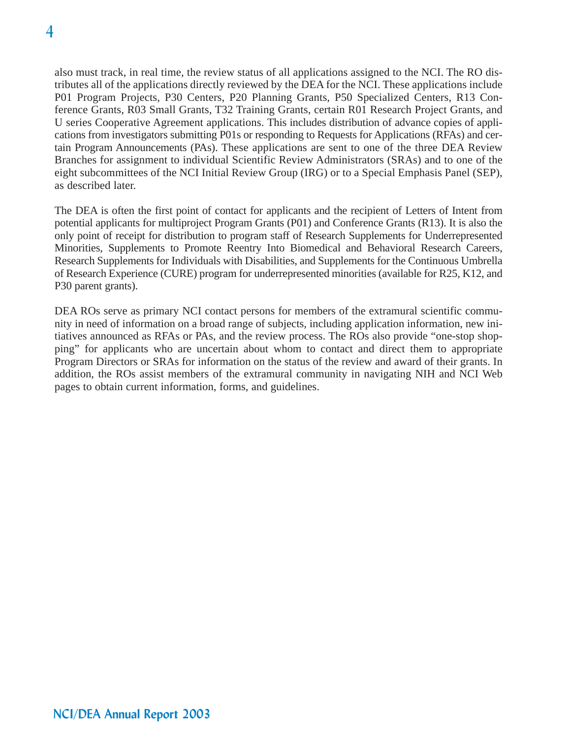also must track, in real time, the review status of all applications assigned to the NCI. The RO distributes all of the applications directly reviewed by the DEA for the NCI. These applications include P01 Program Projects, P30 Centers, P20 Planning Grants, P50 Specialized Centers, R13 Conference Grants, R03 Small Grants, T32 Training Grants, certain R01 Research Project Grants, and U series Cooperative Agreement applications. This includes distribution of advance copies of applications from investigators submitting P01s or responding to Requests for Applications (RFAs) and certain Program Announcements (PAs). These applications are sent to one of the three DEA Review Branches for assignment to individual Scientific Review Administrators (SRAs) and to one of the eight subcommittees of the NCI Initial Review Group (IRG) or to a Special Emphasis Panel (SEP), as described later.

The DEA is often the first point of contact for applicants and the recipient of Letters of Intent from potential applicants for multiproject Program Grants (P01) and Conference Grants (R13). It is also the only point of receipt for distribution to program staff of Research Supplements for Underrepresented Minorities, Supplements to Promote Reentry Into Biomedical and Behavioral Research Careers, Research Supplements for Individuals with Disabilities, and Supplements for the Continuous Umbrella of Research Experience (CURE) program for underrepresented minorities (available for R25, K12, and P30 parent grants).

DEA ROs serve as primary NCI contact persons for members of the extramural scientific community in need of information on a broad range of subjects, including application information, new initiatives announced as RFAs or PAs, and the review process. The ROs also provide "one-stop shopping" for applicants who are uncertain about whom to contact and direct them to appropriate Program Directors or SRAs for information on the status of the review and award of their grants. In addition, the ROs assist members of the extramural community in navigating NIH and NCI Web pages to obtain current information, forms, and guidelines.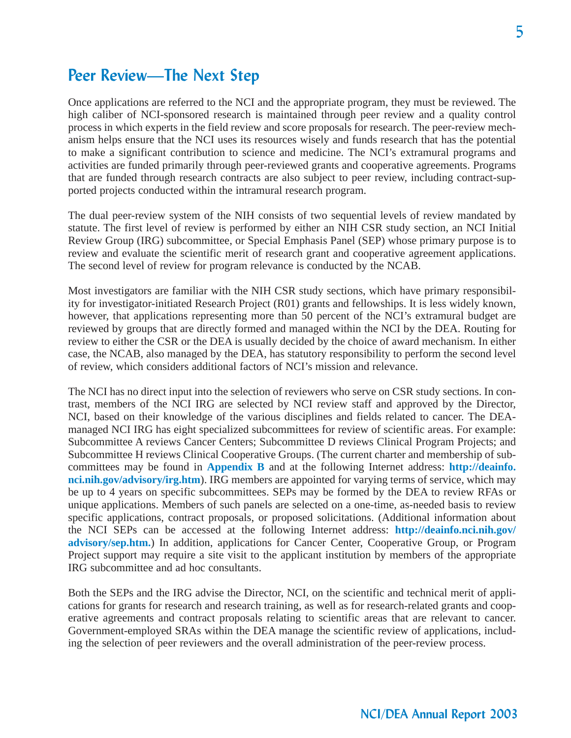# **Peer Review—The Next Step**

Once applications are referred to the NCI and the appropriate program, they must be reviewed. The high caliber of NCI-sponsored research is maintained through peer review and a quality control process in which experts in the field review and score proposals for research. The peer-review mechanism helps ensure that the NCI uses its resources wisely and funds research that has the potential to make a significant contribution to science and medicine. The NCI's extramural programs and activities are funded primarily through peer-reviewed grants and cooperative agreements. Programs that are funded through research contracts are also subject to peer review, including contract-supported projects conducted within the intramural research program.

The dual peer-review system of the NIH consists of two sequential levels of review mandated by statute. The first level of review is performed by either an NIH CSR study section, an NCI Initial Review Group (IRG) subcommittee, or Special Emphasis Panel (SEP) whose primary purpose is to review and evaluate the scientific merit of research grant and cooperative agreement applications. The second level of review for program relevance is conducted by the NCAB.

Most investigators are familiar with the NIH CSR study sections, which have primary responsibility for investigator-initiated Research Project (R01) grants and fellowships. It is less widely known, however, that applications representing more than 50 percent of the NCI's extramural budget are reviewed by groups that are directly formed and managed within the NCI by the DEA. Routing for review to either the CSR or the DEA is usually decided by the choice of award mechanism. In either case, the NCAB, also managed by the DEA, has statutory responsibility to perform the second level of review, which considers additional factors of NCI's mission and relevance.

The NCI has no direct input into the selection of reviewers who serve on CSR study sections. In contrast, members of the NCI IRG are selected by NCI review staff and approved by the Director, NCI, based on their knowledge of the various disciplines and fields related to cancer. The DEAmanaged NCI IRG has eight specialized subcommittees for review of scientific areas. For example: Subcommittee A reviews Cancer Centers; Subcommittee D reviews Clinical Program Projects; and Subcommittee H reviews Clinical Cooperative Groups. (The current charter and membership of subcommittees may be found in **Appendix B** and at the following Internet address: **http://deainfo. nci.nih.gov/advisory/irg.htm**). IRG members are appointed for varying terms of service, which may be up to 4 years on specific subcommittees. SEPs may be formed by the DEA to review RFAs or unique applications. Members of such panels are selected on a one-time, as-needed basis to review specific applications, contract proposals, or proposed solicitations. (Additional information about the NCI SEPs can be accessed at the following Internet address: **http://deainfo.nci.nih.gov/** advisory/sep.htm.) In addition, applications for Cancer Center, Cooperative Group, or Program Project support may require a site visit to the applicant institution by members of the appropriate IRG subcommittee and ad hoc consultants.

Both the SEPs and the IRG advise the Director, NCI, on the scientific and technical merit of applications for grants for research and research training, as well as for research-related grants and cooperative agreements and contract proposals relating to scientific areas that are relevant to cancer. Government-employed SRAs within the DEA manage the scientific review of applications, including the selection of peer reviewers and the overall administration of the peer-review process.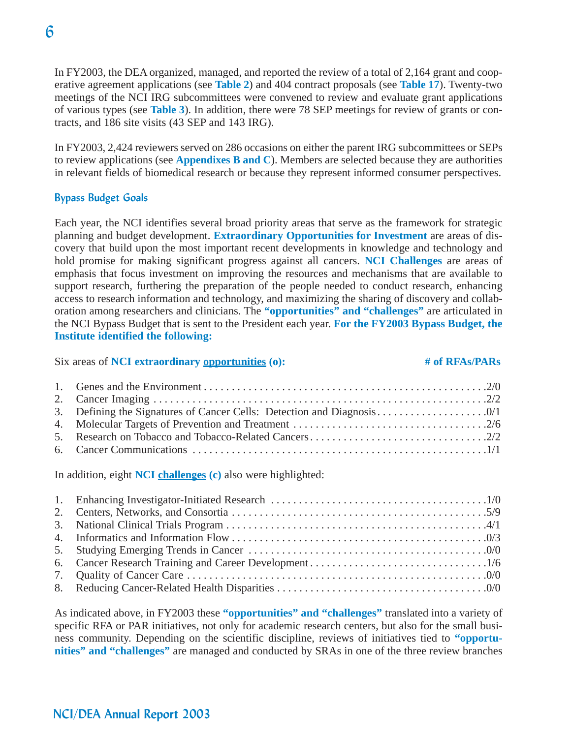**NCI/DEA Annual Report 2003**

In FY2003, the DEA organized, managed, and reported the review of a total of 2,164 grant and cooperative agreement applications (see **Table 2**) and 404 contract proposals (see **Table 17**). Twenty-two meetings of the NCI IRG subcommittees were convened to review and evaluate grant applications of various types (see **Table 3**). In addition, there were 78 SEP meetings for review of grants or contracts, and 186 site visits (43 SEP and 143 IRG).

In FY2003, 2,424 reviewers served on 286 occasions on either the parent IRG subcommittees or SEPs to review applications (see **Appendixes B and C**). Members are selected because they are authorities in relevant fields of biomedical research or because they represent informed consumer perspectives.

#### **Bypass Budget Goals**

Each year, the NCI identifies several broad priority areas that serve as the framework for strategic planning and budget development. **Extraordinary Opportunities for Investment** are areas of discovery that build upon the most important recent developments in knowledge and technology and hold promise for making significant progress against all cancers. **NCI Challenges** are areas of emphasis that focus investment on improving the resources and mechanisms that are available to support research, furthering the preparation of the people needed to conduct research, enhancing access to research information and technology, and maximizing the sharing of discovery and collaboration among researchers and clinicians. The **"opportunities" and "challenges"** are articulated in the NCI Bypass Budget that is sent to the President each year. **For the FY2003 Bypass Budget, the Institute identified the following:**

Six areas of **NCI** extraordinary opportunities (o): # of **RFAs/PARs** 

In addition, eight **NCI challenges (c)** also were highlighted:

As indicated above, in FY2003 these **"opportunities" and "challenges"** translated into a variety of specific RFA or PAR initiatives, not only for academic research centers, but also for the small business community. Depending on the scientific discipline, reviews of initiatives tied to **"opportunities" and "challenges"** are managed and conducted by SRAs in one of the three review branches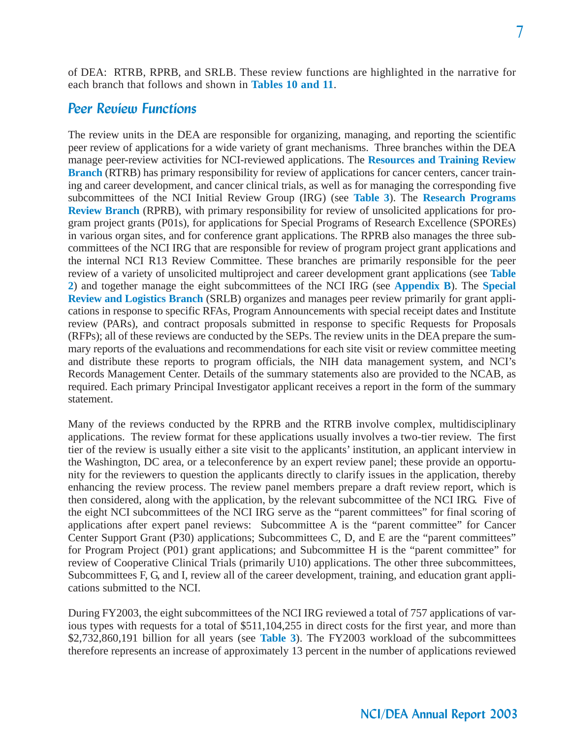of DEA: RTRB, RPRB, and SRLB. These review functions are highlighted in the narrative for each branch that follows and shown in **Tables 10 and 11**.

## *Peer Review Functions*

The review units in the DEA are responsible for organizing, managing, and reporting the scientific peer review of applications for a wide variety of grant mechanisms. Three branches within the DEA manage peer-review activities for NCI-reviewed applications. The **Resources and Training Review Branch** (RTRB) has primary responsibility for review of applications for cancer centers, cancer training and career development, and cancer clinical trials, as well as for managing the corresponding five subcommittees of the NCI Initial Review Group (IRG) (see **Table 3**). The **Research Programs Review Branch** (RPRB), with primary responsibility for review of unsolicited applications for program project grants (P01s), for applications for Special Programs of Research Excellence (SPOREs) in various organ sites, and for conference grant applications. The RPRB also manages the three subcommittees of the NCI IRG that are responsible for review of program project grant applications and the internal NCI R13 Review Committee. These branches are primarily responsible for the peer review of a variety of unsolicited multiproject and career development grant applications (see **Table 2**) and together manage the eight subcommittees of the NCI IRG (see **Appendix B**). The **Special Review and Logistics Branch** (SRLB) organizes and manages peer review primarily for grant applications in response to specific RFAs, Program Announcements with special receipt dates and Institute review (PARs), and contract proposals submitted in response to specific Requests for Proposals (RFPs); all of these reviews are conducted by the SEPs. The review units in the DEA prepare the summary reports of the evaluations and recommendations for each site visit or review committee meeting and distribute these reports to program officials, the NIH data management system, and NCI's Records Management Center. Details of the summary statements also are provided to the NCAB, as required. Each primary Principal Investigator applicant receives a report in the form of the summary statement.

Many of the reviews conducted by the RPRB and the RTRB involve complex, multidisciplinary applications. The review format for these applications usually involves a two-tier review. The first tier of the review is usually either a site visit to the applicants' institution, an applicant interview in the Washington, DC area, or a teleconference by an expert review panel; these provide an opportunity for the reviewers to question the applicants directly to clarify issues in the application, thereby enhancing the review process. The review panel members prepare a draft review report, which is then considered, along with the application, by the relevant subcommittee of the NCI IRG. Five of the eight NCI subcommittees of the NCI IRG serve as the "parent committees" for final scoring of applications after expert panel reviews: Subcommittee A is the "parent committee" for Cancer Center Support Grant (P30) applications; Subcommittees C, D, and E are the "parent committees" for Program Project (P01) grant applications; and Subcommittee H is the "parent committee" for review of Cooperative Clinical Trials (primarily U10) applications. The other three subcommittees, Subcommittees F, G, and I, review all of the career development, training, and education grant applications submitted to the NCI.

During FY2003, the eight subcommittees of the NCI IRG reviewed a total of 757 applications of various types with requests for a total of \$511,104,255 in direct costs for the first year, and more than \$2,732,860,191 billion for all years (see **Table 3**). The FY2003 workload of the subcommittees therefore represents an increase of approximately 13 percent in the number of applications reviewed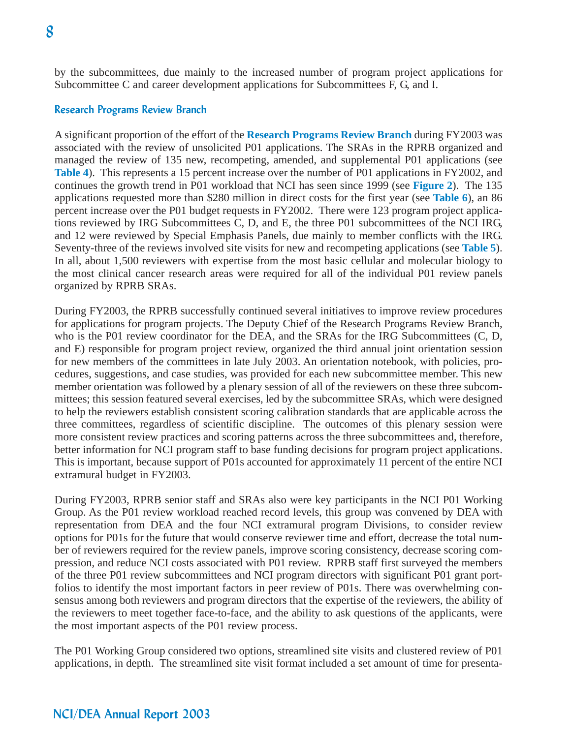by the subcommittees, due mainly to the increased number of program project applications for Subcommittee C and career development applications for Subcommittees F, G, and I.

#### **Research Programs Review Branch**

A significant proportion of the effort of the **Research Programs Review Branch** during FY2003 was associated with the review of unsolicited P01 applications. The SRAs in the RPRB organized and managed the review of 135 new, recompeting, amended, and supplemental P01 applications (see **Table 4**). This represents a 15 percent increase over the number of P01 applications in FY2002, and continues the growth trend in P01 workload that NCI has seen since 1999 (see **Figure 2**). The 135 applications requested more than \$280 million in direct costs for the first year (see **Table 6**), an 86 percent increase over the P01 budget requests in FY2002. There were 123 program project applications reviewed by IRG Subcommittees C, D, and E, the three P01 subcommittees of the NCI IRG, and 12 were reviewed by Special Emphasis Panels, due mainly to member conflicts with the IRG. Seventy-three of the reviews involved site visits for new and recompeting applications (see **Table 5**). In all, about 1,500 reviewers with expertise from the most basic cellular and molecular biology to the most clinical cancer research areas were required for all of the individual P01 review panels organized by RPRB SRAs.

During FY2003, the RPRB successfully continued several initiatives to improve review procedures for applications for program projects. The Deputy Chief of the Research Programs Review Branch, who is the P01 review coordinator for the DEA, and the SRAs for the IRG Subcommittees (C, D, and E) responsible for program project review, organized the third annual joint orientation session for new members of the committees in late July 2003. An orientation notebook, with policies, procedures, suggestions, and case studies, was provided for each new subcommittee member. This new member orientation was followed by a plenary session of all of the reviewers on these three subcommittees; this session featured several exercises, led by the subcommittee SRAs, which were designed to help the reviewers establish consistent scoring calibration standards that are applicable across the three committees, regardless of scientific discipline. The outcomes of this plenary session were more consistent review practices and scoring patterns across the three subcommittees and, therefore, better information for NCI program staff to base funding decisions for program project applications. This is important, because support of P01s accounted for approximately 11 percent of the entire NCI extramural budget in FY2003.

During FY2003, RPRB senior staff and SRAs also were key participants in the NCI P01 Working Group. As the P01 review workload reached record levels, this group was convened by DEA with representation from DEA and the four NCI extramural program Divisions, to consider review options for P01s for the future that would conserve reviewer time and effort, decrease the total number of reviewers required for the review panels, improve scoring consistency, decrease scoring compression, and reduce NCI costs associated with P01 review. RPRB staff first surveyed the members of the three P01 review subcommittees and NCI program directors with significant P01 grant portfolios to identify the most important factors in peer review of P01s. There was overwhelming consensus among both reviewers and program directors that the expertise of the reviewers, the ability of the reviewers to meet together face-to-face, and the ability to ask questions of the applicants, were the most important aspects of the P01 review process.

The P01 Working Group considered two options, streamlined site visits and clustered review of P01 applications, in depth. The streamlined site visit format included a set amount of time for presenta-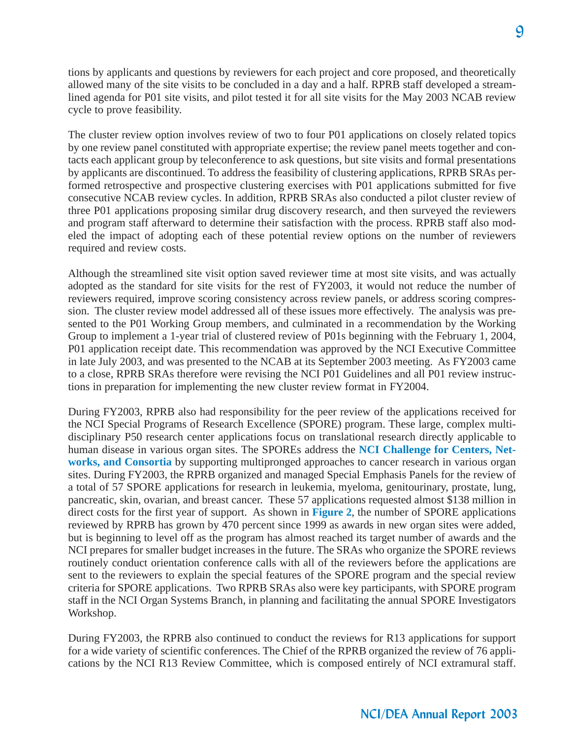tions by applicants and questions by reviewers for each project and core proposed, and theoretically allowed many of the site visits to be concluded in a day and a half. RPRB staff developed a streamlined agenda for P01 site visits, and pilot tested it for all site visits for the May 2003 NCAB review cycle to prove feasibility.

The cluster review option involves review of two to four P01 applications on closely related topics by one review panel constituted with appropriate expertise; the review panel meets together and contacts each applicant group by teleconference to ask questions, but site visits and formal presentations by applicants are discontinued. To address the feasibility of clustering applications, RPRB SRAs performed retrospective and prospective clustering exercises with P01 applications submitted for five consecutive NCAB review cycles. In addition, RPRB SRAs also conducted a pilot cluster review of three P01 applications proposing similar drug discovery research, and then surveyed the reviewers and program staff afterward to determine their satisfaction with the process. RPRB staff also modeled the impact of adopting each of these potential review options on the number of reviewers required and review costs.

Although the streamlined site visit option saved reviewer time at most site visits, and was actually adopted as the standard for site visits for the rest of FY2003, it would not reduce the number of reviewers required, improve scoring consistency across review panels, or address scoring compression. The cluster review model addressed all of these issues more effectively. The analysis was presented to the P01 Working Group members, and culminated in a recommendation by the Working Group to implement a 1-year trial of clustered review of P01s beginning with the February 1, 2004, P01 application receipt date. This recommendation was approved by the NCI Executive Committee in late July 2003, and was presented to the NCAB at its September 2003 meeting. As FY2003 came to a close, RPRB SRAs therefore were revising the NCI P01 Guidelines and all P01 review instructions in preparation for implementing the new cluster review format in FY2004.

During FY2003, RPRB also had responsibility for the peer review of the applications received for the NCI Special Programs of Research Excellence (SPORE) program. These large, complex multidisciplinary P50 research center applications focus on translational research directly applicable to human disease in various organ sites. The SPOREs address the **NCI Challenge for Centers, Networks, and Consortia** by supporting multipronged approaches to cancer research in various organ sites. During FY2003, the RPRB organized and managed Special Emphasis Panels for the review of a total of 57 SPORE applications for research in leukemia, myeloma, genitourinary, prostate, lung, pancreatic, skin, ovarian, and breast cancer. These 57 applications requested almost \$138 million in direct costs for the first year of support. As shown in **Figure 2**, the number of SPORE applications reviewed by RPRB has grown by 470 percent since 1999 as awards in new organ sites were added, but is beginning to level off as the program has almost reached its target number of awards and the NCI prepares for smaller budget increases in the future. The SRAs who organize the SPORE reviews routinely conduct orientation conference calls with all of the reviewers before the applications are sent to the reviewers to explain the special features of the SPORE program and the special review criteria for SPORE applications. Two RPRB SRAs also were key participants, with SPORE program staff in the NCI Organ Systems Branch, in planning and facilitating the annual SPORE Investigators Workshop.

During FY2003, the RPRB also continued to conduct the reviews for R13 applications for support for a wide variety of scientific conferences. The Chief of the RPRB organized the review of 76 applications by the NCI R13 Review Committee, which is composed entirely of NCI extramural staff.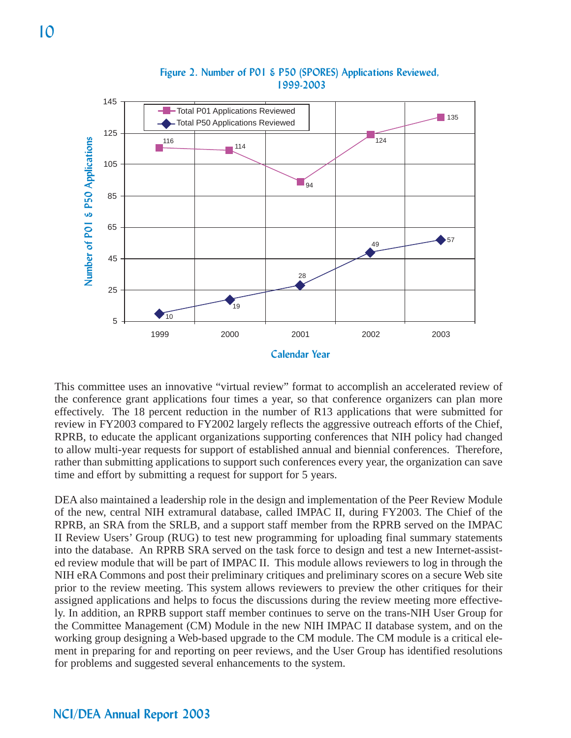

#### **Figure 2. Number of P01 & P50 (SPORES) Applications Reviewed, 1999-2003**

This committee uses an innovative "virtual review" format to accomplish an accelerated review of the conference grant applications four times a year, so that conference organizers can plan more effectively. The 18 percent reduction in the number of R13 applications that were submitted for review in FY2003 compared to FY2002 largely reflects the aggressive outreach efforts of the Chief, RPRB, to educate the applicant organizations supporting conferences that NIH policy had changed to allow multi-year requests for support of established annual and biennial conferences. Therefore, rather than submitting applications to support such conferences every year, the organization can save time and effort by submitting a request for support for 5 years.

DEA also maintained a leadership role in the design and implementation of the Peer Review Module of the new, central NIH extramural database, called IMPAC II, during FY2003. The Chief of the RPRB, an SRA from the SRLB, and a support staff member from the RPRB served on the IMPAC II Review Users' Group (RUG) to test new programming for uploading final summary statements into the database. An RPRB SRA served on the task force to design and test a new Internet-assisted review module that will be part of IMPAC II. This module allows reviewers to log in through the NIH eRA Commons and post their preliminary critiques and preliminary scores on a secure Web site prior to the review meeting. This system allows reviewers to preview the other critiques for their assigned applications and helps to focus the discussions during the review meeting more effectively. In addition, an RPRB support staff member continues to serve on the trans-NIH User Group for the Committee Management (CM) Module in the new NIH IMPAC II database system, and on the working group designing a Web-based upgrade to the CM module. The CM module is a critical element in preparing for and reporting on peer reviews, and the User Group has identified resolutions for problems and suggested several enhancements to the system.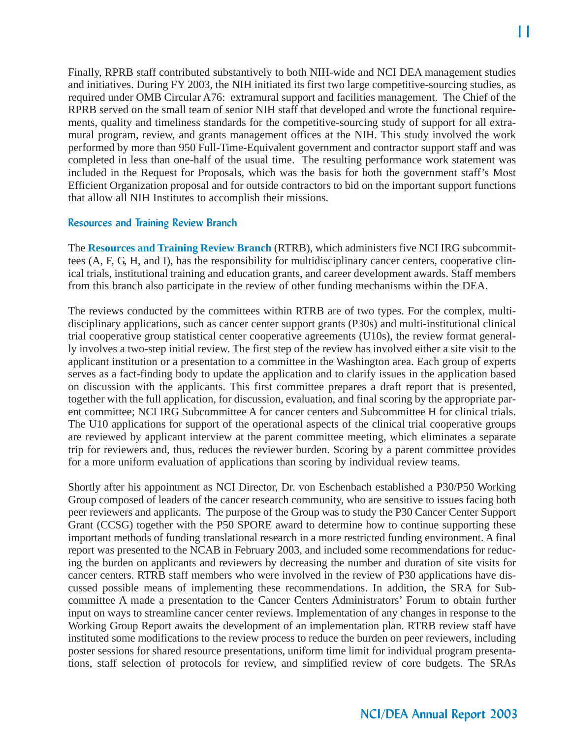Finally, RPRB staff contributed substantively to both NIH-wide and NCI DEA management studies and initiatives. During FY 2003, the NIH initiated its first two large competitive-sourcing studies, as required under OMB Circular A76: extramural support and facilities management. The Chief of the RPRB served on the small team of senior NIH staff that developed and wrote the functional requirements, quality and timeliness standards for the competitive-sourcing study of support for all extramural program, review, and grants management offices at the NIH. This study involved the work performed by more than 950 Full-Time-Equivalent government and contractor support staff and was completed in less than one-half of the usual time. The resulting performance work statement was included in the Request for Proposals, which was the basis for both the government staff's Most Efficient Organization proposal and for outside contractors to bid on the important support functions that allow all NIH Institutes to accomplish their missions.

#### **Resources and Training Review Branch**

The **Resources and Training Review Branch** (RTRB), which administers five NCI IRG subcommittees (A, F, G, H, and I), has the responsibility for multidisciplinary cancer centers, cooperative clinical trials, institutional training and education grants, and career development awards. Staff members from this branch also participate in the review of other funding mechanisms within the DEA.

The reviews conducted by the committees within RTRB are of two types. For the complex, multidisciplinary applications, such as cancer center support grants (P30s) and multi-institutional clinical trial cooperative group statistical center cooperative agreements (U10s), the review format generally involves a two-step initial review. The first step of the review has involved either a site visit to the applicant institution or a presentation to a committee in the Washington area. Each group of experts serves as a fact-finding body to update the application and to clarify issues in the application based on discussion with the applicants. This first committee prepares a draft report that is presented, together with the full application, for discussion, evaluation, and final scoring by the appropriate parent committee; NCI IRG Subcommittee A for cancer centers and Subcommittee H for clinical trials. The U10 applications for support of the operational aspects of the clinical trial cooperative groups are reviewed by applicant interview at the parent committee meeting, which eliminates a separate trip for reviewers and, thus, reduces the reviewer burden. Scoring by a parent committee provides for a more uniform evaluation of applications than scoring by individual review teams.

Shortly after his appointment as NCI Director, Dr. von Eschenbach established a P30/P50 Working Group composed of leaders of the cancer research community, who are sensitive to issues facing both peer reviewers and applicants. The purpose of the Group was to study the P30 Cancer Center Support Grant (CCSG) together with the P50 SPORE award to determine how to continue supporting these important methods of funding translational research in a more restricted funding environment. A final report was presented to the NCAB in February 2003, and included some recommendations for reducing the burden on applicants and reviewers by decreasing the number and duration of site visits for cancer centers. RTRB staff members who were involved in the review of P30 applications have discussed possible means of implementing these recommendations. In addition, the SRA for Subcommittee A made a presentation to the Cancer Centers Administrators' Forum to obtain further input on ways to streamline cancer center reviews. Implementation of any changes in response to the Working Group Report awaits the development of an implementation plan. RTRB review staff have instituted some modifications to the review process to reduce the burden on peer reviewers, including poster sessions for shared resource presentations, uniform time limit for individual program presentations, staff selection of protocols for review, and simplified review of core budgets. The SRAs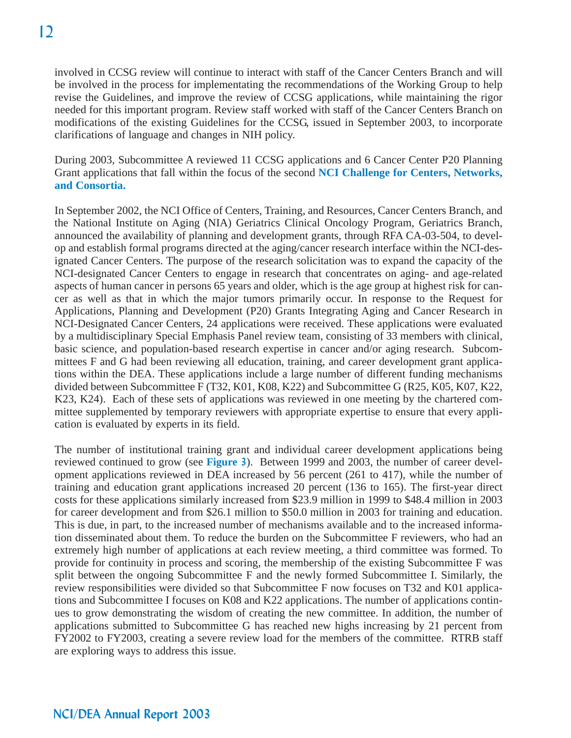involved in CCSG review will continue to interact with staff of the Cancer Centers Branch and will be involved in the process for implementating the recommendations of the Working Group to help revise the Guidelines, and improve the review of CCSG applications, while maintaining the rigor needed for this important program. Review staff worked with staff of the Cancer Centers Branch on modifications of the existing Guidelines for the CCSG, issued in September 2003, to incorporate clarifications of language and changes in NIH policy.

During 2003, Subcommittee A reviewed 11 CCSG applications and 6 Cancer Center P20 Planning Grant applications that fall within the focus of the second **NCI Challenge for Centers, Networks, and Consortia.**

In September 2002, the NCI Office of Centers, Training, and Resources, Cancer Centers Branch, and the National Institute on Aging (NIA) Geriatrics Clinical Oncology Program, Geriatrics Branch, announced the availability of planning and development grants, through RFA CA-03-504, to develop and establish formal programs directed at the aging/cancer research interface within the NCI-designated Cancer Centers. The purpose of the research solicitation was to expand the capacity of the NCI-designated Cancer Centers to engage in research that concentrates on aging- and age-related aspects of human cancer in persons 65 years and older, which is the age group at highest risk for cancer as well as that in which the major tumors primarily occur. In response to the Request for Applications, Planning and Development (P20) Grants Integrating Aging and Cancer Research in NCI-Designated Cancer Centers, 24 applications were received. These applications were evaluated by a multidisciplinary Special Emphasis Panel review team, consisting of 33 members with clinical, basic science, and population-based research expertise in cancer and/or aging research. Subcommittees F and G had been reviewing all education, training, and career development grant applications within the DEA. These applications include a large number of different funding mechanisms divided between Subcommittee F (T32, K01, K08, K22) and Subcommittee G (R25, K05, K07, K22, K23, K24). Each of these sets of applications was reviewed in one meeting by the chartered committee supplemented by temporary reviewers with appropriate expertise to ensure that every application is evaluated by experts in its field.

The number of institutional training grant and individual career development applications being reviewed continued to grow (see **Figure 3**). Between 1999 and 2003, the number of career development applications reviewed in DEA increased by 56 percent (261 to 417), while the number of training and education grant applications increased 20 percent (136 to 165). The first-year direct costs for these applications similarly increased from \$23.9 million in 1999 to \$48.4 million in 2003 for career development and from \$26.1 million to \$50.0 million in 2003 for training and education. This is due, in part, to the increased number of mechanisms available and to the increased information disseminated about them. To reduce the burden on the Subcommittee F reviewers, who had an extremely high number of applications at each review meeting, a third committee was formed. To provide for continuity in process and scoring, the membership of the existing Subcommittee F was split between the ongoing Subcommittee F and the newly formed Subcommittee I. Similarly, the review responsibilities were divided so that Subcommittee F now focuses on T32 and K01 applications and Subcommittee I focuses on K08 and K22 applications. The number of applications continues to grow demonstrating the wisdom of creating the new committee. In addition, the number of applications submitted to Subcommittee G has reached new highs increasing by 21 percent from FY2002 to FY2003, creating a severe review load for the members of the committee. RTRB staff are exploring ways to address this issue.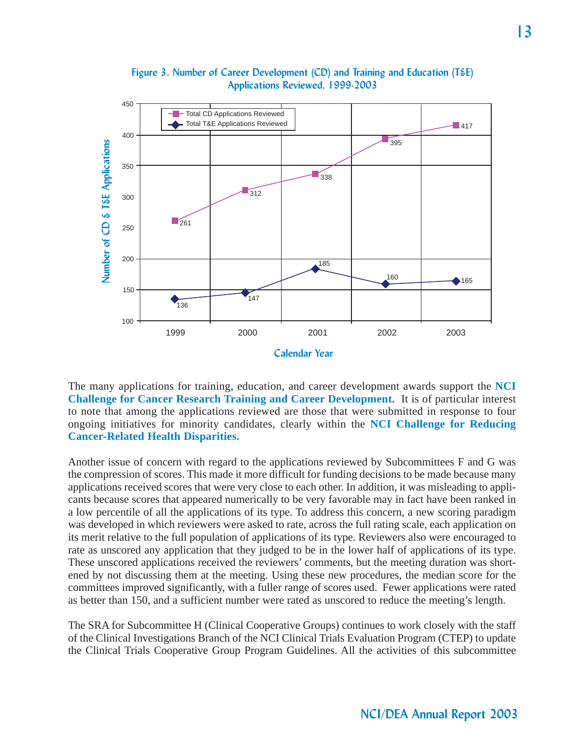

#### **Figure 3. Number of Career Development (CD) and Training and Education (T&E) Applications Reviewed, 1999-2003**

The many applications for training, education, and career development awards support the **NCI Challenge for Cancer Research Training and Career Development.** It is of particular interest to note that among the applications reviewed are those that were submitted in response to four ongoing initiatives for minority candidates, clearly within the **NCI Challenge for Reducing Cancer-Related Health Disparities.**

Another issue of concern with regard to the applications reviewed by Subcommittees F and G was the compression of scores. This made it more difficult for funding decisions to be made because many applications received scores that were very close to each other. In addition, it was misleading to applicants because scores that appeared numerically to be very favorable may in fact have been ranked in a low percentile of all the applications of its type. To address this concern, a new scoring paradigm was developed in which reviewers were asked to rate, across the full rating scale, each application on its merit relative to the full population of applications of its type. Reviewers also were encouraged to rate as unscored any application that they judged to be in the lower half of applications of its type. These unscored applications received the reviewers' comments, but the meeting duration was shortened by not discussing them at the meeting. Using these new procedures, the median score for the committees improved significantly, with a fuller range of scores used. Fewer applications were rated as better than 150, and a sufficient number were rated as unscored to reduce the meeting's length.

The SRA for Subcommittee H (Clinical Cooperative Groups) continues to work closely with the staff of the Clinical Investigations Branch of the NCI Clinical Trials Evaluation Program (CTEP) to update the Clinical Trials Cooperative Group Program Guidelines. All the activities of this subcommittee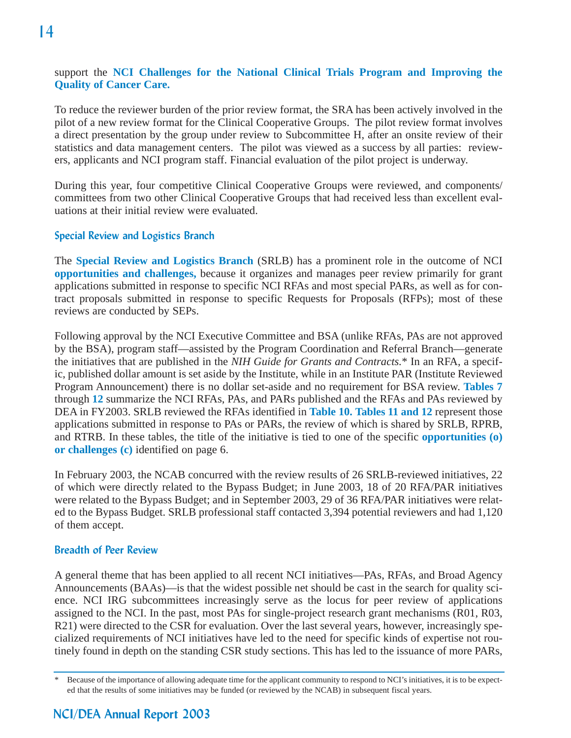### support the **NCI Challenges for the National Clinical Trials Program and Improving the Quality of Cancer Care.**

To reduce the reviewer burden of the prior review format, the SRA has been actively involved in the pilot of a new review format for the Clinical Cooperative Groups. The pilot review format involves a direct presentation by the group under review to Subcommittee H, after an onsite review of their statistics and data management centers. The pilot was viewed as a success by all parties: reviewers, applicants and NCI program staff. Financial evaluation of the pilot project is underway.

During this year, four competitive Clinical Cooperative Groups were reviewed, and components/ committees from two other Clinical Cooperative Groups that had received less than excellent evaluations at their initial review were evaluated.

#### **Special Review and Logistics Branch**

The **Special Review and Logistics Branch** (SRLB) has a prominent role in the outcome of NCI **opportunities and challenges,** because it organizes and manages peer review primarily for grant applications submitted in response to specific NCI RFAs and most special PARs, as well as for contract proposals submitted in response to specific Requests for Proposals (RFPs); most of these reviews are conducted by SEPs.

Following approval by the NCI Executive Committee and BSA (unlike RFAs, PAs are not approved by the BSA), program staff—assisted by the Program Coordination and Referral Branch—generate the initiatives that are published in the *NIH Guide for Grants and Contracts.*\* In an RFA, a specific, published dollar amount is set aside by the Institute, while in an Institute PAR (Institute Reviewed Program Announcement) there is no dollar set-aside and no requirement for BSA review. **Tables 7** through **12** summarize the NCI RFAs, PAs, and PARs published and the RFAs and PAs reviewed by DEA in FY2003. SRLB reviewed the RFAs identified in **Table 10. Tables 11 and 12** represent those applications submitted in response to PAs or PARs, the review of which is shared by SRLB, RPRB, and RTRB. In these tables, the title of the initiative is tied to one of the specific **opportunities (o) or challenges (c)** identified on page 6.

In February 2003, the NCAB concurred with the review results of 26 SRLB-reviewed initiatives, 22 of which were directly related to the Bypass Budget; in June 2003, 18 of 20 RFA/PAR initiatives were related to the Bypass Budget; and in September 2003, 29 of 36 RFA/PAR initiatives were related to the Bypass Budget. SRLB professional staff contacted 3,394 potential reviewers and had 1,120 of them accept.

#### **Breadth of Peer Review**

A general theme that has been applied to all recent NCI initiatives—PAs, RFAs, and Broad Agency Announcements (BAAs)—is that the widest possible net should be cast in the search for quality science. NCI IRG subcommittees increasingly serve as the locus for peer review of applications assigned to the NCI. In the past, most PAs for single-project research grant mechanisms (R01, R03, R21) were directed to the CSR for evaluation. Over the last several years, however, increasingly specialized requirements of NCI initiatives have led to the need for specific kinds of expertise not routinely found in depth on the standing CSR study sections. This has led to the issuance of more PARs,

<sup>\*</sup> Because of the importance of allowing adequate time for the applicant community to respond to NCI's initiatives, it is to be expected that the results of some initiatives may be funded (or reviewed by the NCAB) in subsequent fiscal years.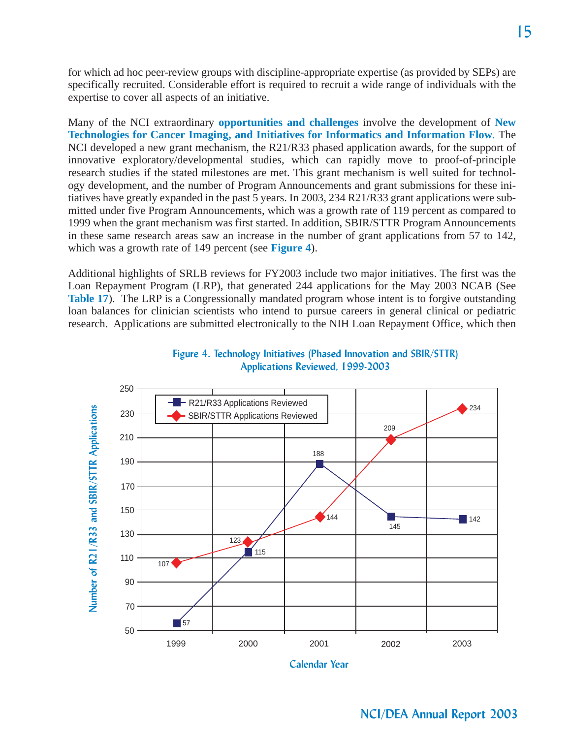for which ad hoc peer-review groups with discipline-appropriate expertise (as provided by SEPs) are specifically recruited. Considerable effort is required to recruit a wide range of individuals with the expertise to cover all aspects of an initiative.

Many of the NCI extraordinary **opportunities and challenges** involve the development of **New Technologies for Cancer Imaging, and Initiatives for Informatics and Information Flow**. The NCI developed a new grant mechanism, the R21/R33 phased application awards, for the support of innovative exploratory/developmental studies, which can rapidly move to proof-of-principle research studies if the stated milestones are met. This grant mechanism is well suited for technology development, and the number of Program Announcements and grant submissions for these initiatives have greatly expanded in the past 5 years. In 2003, 234 R21/R33 grant applications were submitted under five Program Announcements, which was a growth rate of 119 percent as compared to 1999 when the grant mechanism was first started. In addition, SBIR/STTR Program Announcements in these same research areas saw an increase in the number of grant applications from 57 to 142, which was a growth rate of 149 percent (see **Figure 4**).

Additional highlights of SRLB reviews for FY2003 include two major initiatives. The first was the Loan Repayment Program (LRP), that generated 244 applications for the May 2003 NCAB (See **Table 17**). The LRP is a Congressionally mandated program whose intent is to forgive outstanding loan balances for clinician scientists who intend to pursue careers in general clinical or pediatric research. Applications are submitted electronically to the NIH Loan Repayment Office, which then



#### **Figure 4. Technology Initiatives (Phased Innovation and SBIR/STTR) Applications Reviewed, 1999-2003**

**Calendar Year**

# **NCI/DEA Annual Report 2003**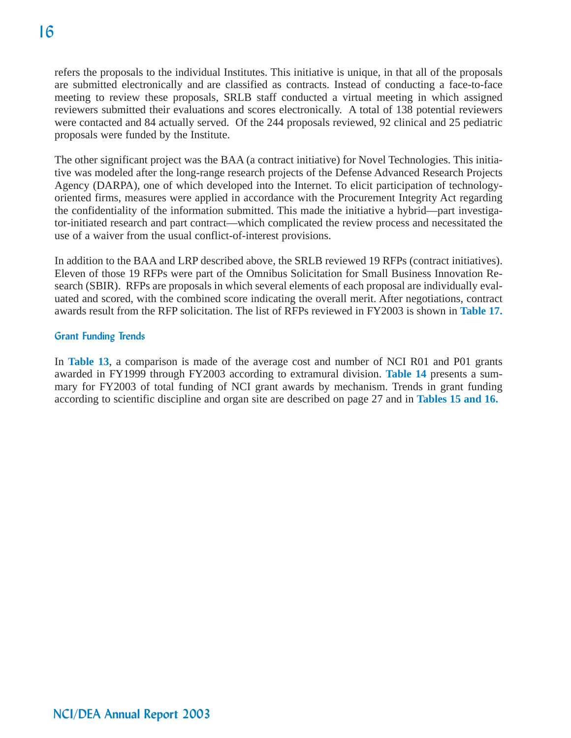refers the proposals to the individual Institutes. This initiative is unique, in that all of the proposals are submitted electronically and are classified as contracts. Instead of conducting a face-to-face meeting to review these proposals, SRLB staff conducted a virtual meeting in which assigned reviewers submitted their evaluations and scores electronically. A total of 138 potential reviewers were contacted and 84 actually served. Of the 244 proposals reviewed, 92 clinical and 25 pediatric proposals were funded by the Institute.

The other significant project was the BAA (a contract initiative) for Novel Technologies. This initiative was modeled after the long-range research projects of the Defense Advanced Research Projects Agency (DARPA), one of which developed into the Internet. To elicit participation of technologyoriented firms, measures were applied in accordance with the Procurement Integrity Act regarding the confidentiality of the information submitted. This made the initiative a hybrid—part investigator-initiated research and part contract—which complicated the review process and necessitated the use of a waiver from the usual conflict-of-interest provisions.

In addition to the BAA and LRP described above, the SRLB reviewed 19 RFPs (contract initiatives). Eleven of those 19 RFPs were part of the Omnibus Solicitation for Small Business Innovation Research (SBIR). RFPs are proposals in which several elements of each proposal are individually evaluated and scored, with the combined score indicating the overall merit. After negotiations, contract awards result from the RFP solicitation. The list of RFPs reviewed in FY2003 is shown in **Table 17.**

#### **Grant Funding Trends**

In **Table 13**, a comparison is made of the average cost and number of NCI R01 and P01 grants awarded in FY1999 through FY2003 according to extramural division. **Table 14** presents a summary for FY2003 of total funding of NCI grant awards by mechanism. Trends in grant funding according to scientific discipline and organ site are described on page 27 and in **Tables 15 and 16.**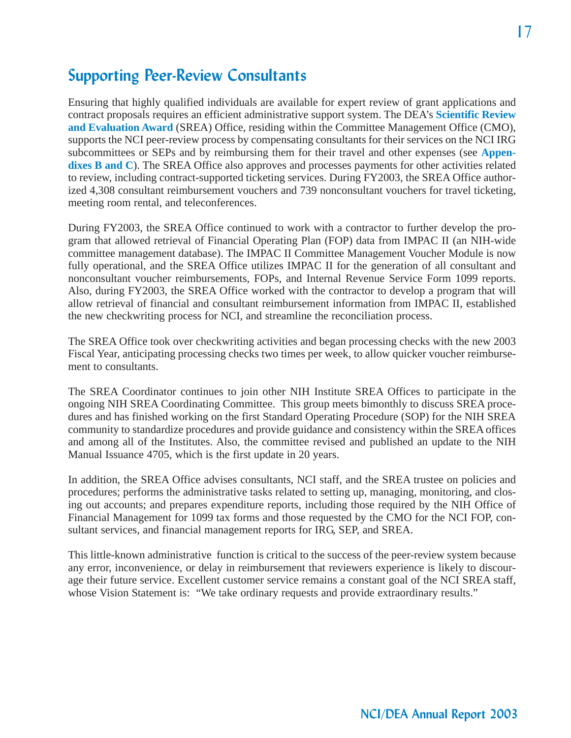# **Supporting Peer-Review Consultants**

Ensuring that highly qualified individuals are available for expert review of grant applications and contract proposals requires an efficient administrative support system. The DEA's **Scientific Review and Evaluation Award** (SREA) Office, residing within the Committee Management Office (CMO), supports the NCI peer-review process by compensating consultants for their services on the NCI IRG subcommittees or SEPs and by reimbursing them for their travel and other expenses (see **Appendixes B and C**). The SREA Office also approves and processes payments for other activities related to review, including contract-supported ticketing services. During FY2003, the SREA Office authorized 4,308 consultant reimbursement vouchers and 739 nonconsultant vouchers for travel ticketing, meeting room rental, and teleconferences.

During FY2003, the SREA Office continued to work with a contractor to further develop the program that allowed retrieval of Financial Operating Plan (FOP) data from IMPAC II (an NIH-wide committee management database). The IMPAC II Committee Management Voucher Module is now fully operational, and the SREA Office utilizes IMPAC II for the generation of all consultant and nonconsultant voucher reimbursements, FOPs, and Internal Revenue Service Form 1099 reports. Also, during FY2003, the SREA Office worked with the contractor to develop a program that will allow retrieval of financial and consultant reimbursement information from IMPAC II, established the new checkwriting process for NCI, and streamline the reconciliation process.

The SREA Office took over checkwriting activities and began processing checks with the new 2003 Fiscal Year, anticipating processing checks two times per week, to allow quicker voucher reimbursement to consultants.

The SREA Coordinator continues to join other NIH Institute SREA Offices to participate in the ongoing NIH SREA Coordinating Committee. This group meets bimonthly to discuss SREA procedures and has finished working on the first Standard Operating Procedure (SOP) for the NIH SREA community to standardize procedures and provide guidance and consistency within the SREA offices and among all of the Institutes. Also, the committee revised and published an update to the NIH Manual Issuance 4705, which is the first update in 20 years.

In addition, the SREA Office advises consultants, NCI staff, and the SREA trustee on policies and procedures; performs the administrative tasks related to setting up, managing, monitoring, and closing out accounts; and prepares expenditure reports, including those required by the NIH Office of Financial Management for 1099 tax forms and those requested by the CMO for the NCI FOP, consultant services, and financial management reports for IRG, SEP, and SREA.

This little-known administrative function is critical to the success of the peer-review system because any error, inconvenience, or delay in reimbursement that reviewers experience is likely to discourage their future service. Excellent customer service remains a constant goal of the NCI SREA staff, whose Vision Statement is: "We take ordinary requests and provide extraordinary results."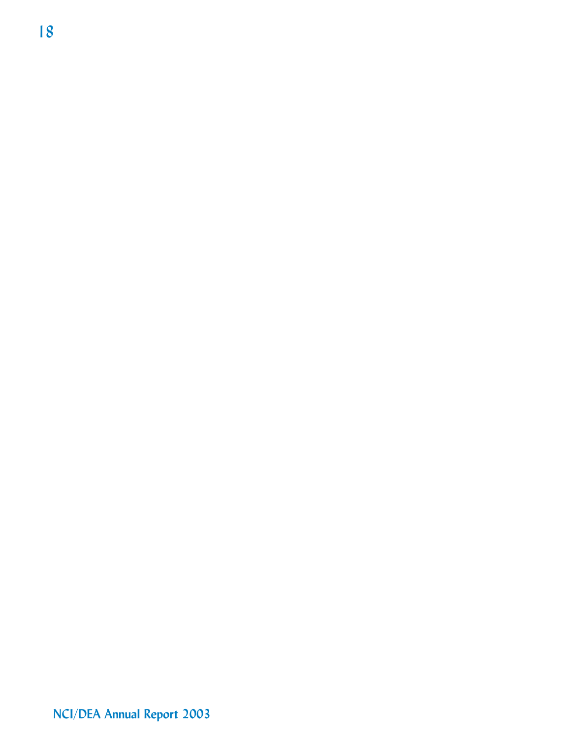18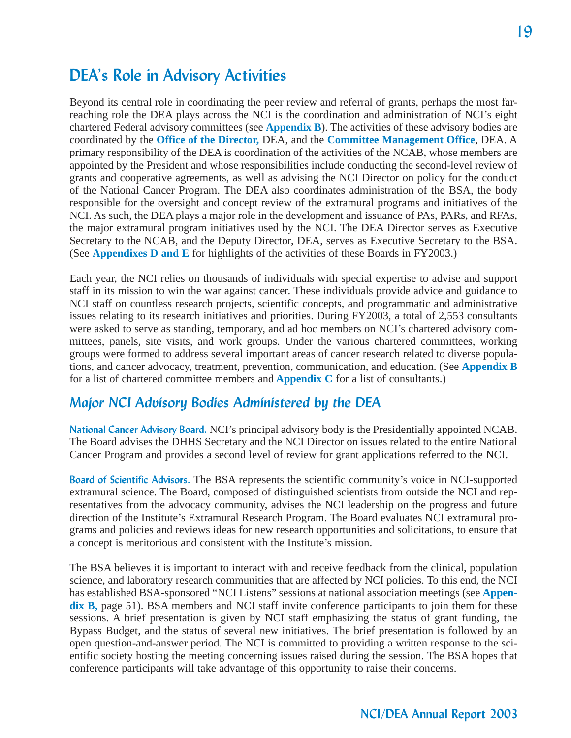# **DEA's Role in Advisory Activities**

Beyond its central role in coordinating the peer review and referral of grants, perhaps the most farreaching role the DEA plays across the NCI is the coordination and administration of NCI's eight chartered Federal advisory committees (see **Appendix B**). The activities of these advisory bodies are coordinated by the **Office of the Director,** DEA, and the **Committee Management Office**, DEA. A primary responsibility of the DEA is coordination of the activities of the NCAB, whose members are appointed by the President and whose responsibilities include conducting the second-level review of grants and cooperative agreements, as well as advising the NCI Director on policy for the conduct of the National Cancer Program. The DEA also coordinates administration of the BSA, the body responsible for the oversight and concept review of the extramural programs and initiatives of the NCI. As such, the DEA plays a major role in the development and issuance of PAs, PARs, and RFAs, the major extramural program initiatives used by the NCI. The DEA Director serves as Executive Secretary to the NCAB, and the Deputy Director, DEA, serves as Executive Secretary to the BSA. (See **Appendixes D and E** for highlights of the activities of these Boards in FY2003.)

Each year, the NCI relies on thousands of individuals with special expertise to advise and support staff in its mission to win the war against cancer. These individuals provide advice and guidance to NCI staff on countless research projects, scientific concepts, and programmatic and administrative issues relating to its research initiatives and priorities. During FY2003, a total of 2,553 consultants were asked to serve as standing, temporary, and ad hoc members on NCI's chartered advisory committees, panels, site visits, and work groups. Under the various chartered committees, working groups were formed to address several important areas of cancer research related to diverse populations, and cancer advocacy, treatment, prevention, communication, and education. (See **Appendix B** for a list of chartered committee members and **Appendix C** for a list of consultants.)

# *Major NCI Advisory Bodies Administered by the DEA*

**National Cancer Advisory Board.** NCI's principal advisory body is the Presidentially appointed NCAB. The Board advises the DHHS Secretary and the NCI Director on issues related to the entire National Cancer Program and provides a second level of review for grant applications referred to the NCI.

**Board of Scientific Advisors.** The BSA represents the scientific community's voice in NCI-supported extramural science. The Board, composed of distinguished scientists from outside the NCI and representatives from the advocacy community, advises the NCI leadership on the progress and future direction of the Institute's Extramural Research Program. The Board evaluates NCI extramural programs and policies and reviews ideas for new research opportunities and solicitations, to ensure that a concept is meritorious and consistent with the Institute's mission.

The BSA believes it is important to interact with and receive feedback from the clinical, population science, and laboratory research communities that are affected by NCI policies. To this end, the NCI has established BSA-sponsored "NCI Listens" sessions at national association meetings (see **Appendix B,** page 51). BSA members and NCI staff invite conference participants to join them for these sessions. A brief presentation is given by NCI staff emphasizing the status of grant funding, the Bypass Budget, and the status of several new initiatives. The brief presentation is followed by an open question-and-answer period. The NCI is committed to providing a written response to the scientific society hosting the meeting concerning issues raised during the session. The BSA hopes that conference participants will take advantage of this opportunity to raise their concerns.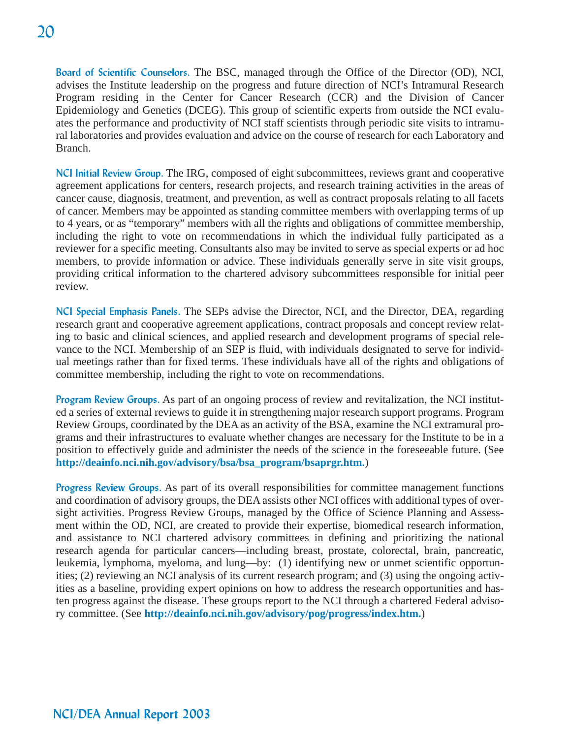**Board of Scientific Counselors.** The BSC, managed through the Office of the Director (OD), NCI, advises the Institute leadership on the progress and future direction of NCI's Intramural Research Program residing in the Center for Cancer Research (CCR) and the Division of Cancer Epidemiology and Genetics (DCEG). This group of scientific experts from outside the NCI evaluates the performance and productivity of NCI staff scientists through periodic site visits to intramural laboratories and provides evaluation and advice on the course of research for each Laboratory and Branch.

**NCI Initial Review Group.** The IRG, composed of eight subcommittees, reviews grant and cooperative agreement applications for centers, research projects, and research training activities in the areas of cancer cause, diagnosis, treatment, and prevention, as well as contract proposals relating to all facets of cancer. Members may be appointed as standing committee members with overlapping terms of up to 4 years, or as "temporary" members with all the rights and obligations of committee membership, including the right to vote on recommendations in which the individual fully participated as a reviewer for a specific meeting. Consultants also may be invited to serve as special experts or ad hoc members, to provide information or advice. These individuals generally serve in site visit groups, providing critical information to the chartered advisory subcommittees responsible for initial peer review.

**NCI Special Emphasis Panels.** The SEPs advise the Director, NCI, and the Director, DEA, regarding research grant and cooperative agreement applications, contract proposals and concept review relating to basic and clinical sciences, and applied research and development programs of special relevance to the NCI. Membership of an SEP is fluid, with individuals designated to serve for individual meetings rather than for fixed terms. These individuals have all of the rights and obligations of committee membership, including the right to vote on recommendations.

**Program Review Groups.** As part of an ongoing process of review and revitalization, the NCI instituted a series of external reviews to guide it in strengthening major research support programs. Program Review Groups, coordinated by the DEA as an activity of the BSA, examine the NCI extramural programs and their infrastructures to evaluate whether changes are necessary for the Institute to be in a position to effectively guide and administer the needs of the science in the foreseeable future. (See **http://deainfo.nci.nih.gov/advisory/bsa/bsa\_program/bsaprgr.htm.**)

**Progress Review Groups.** As part of its overall responsibilities for committee management functions and coordination of advisory groups, the DEA assists other NCI offices with additional types of oversight activities. Progress Review Groups, managed by the Office of Science Planning and Assessment within the OD, NCI, are created to provide their expertise, biomedical research information, and assistance to NCI chartered advisory committees in defining and prioritizing the national research agenda for particular cancers—including breast, prostate, colorectal, brain, pancreatic, leukemia, lymphoma, myeloma, and lung—by: (1) identifying new or unmet scientific opportunities; (2) reviewing an NCI analysis of its current research program; and (3) using the ongoing activities as a baseline, providing expert opinions on how to address the research opportunities and hasten progress against the disease. These groups report to the NCI through a chartered Federal advisory committee. (See **http://deainfo.nci.nih.gov/advisory/pog/progress/index.htm.**)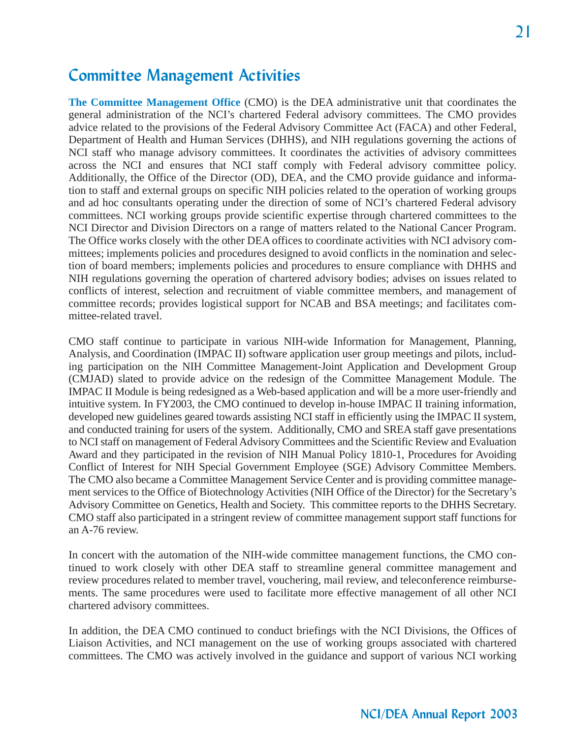# **Committee Management Activities**

**The Committee Management Office** (CMO) is the DEA administrative unit that coordinates the general administration of the NCI's chartered Federal advisory committees. The CMO provides advice related to the provisions of the Federal Advisory Committee Act (FACA) and other Federal, Department of Health and Human Services (DHHS), and NIH regulations governing the actions of NCI staff who manage advisory committees. It coordinates the activities of advisory committees across the NCI and ensures that NCI staff comply with Federal advisory committee policy. Additionally, the Office of the Director (OD), DEA, and the CMO provide guidance and information to staff and external groups on specific NIH policies related to the operation of working groups and ad hoc consultants operating under the direction of some of NCI's chartered Federal advisory committees. NCI working groups provide scientific expertise through chartered committees to the NCI Director and Division Directors on a range of matters related to the National Cancer Program. The Office works closely with the other DEA offices to coordinate activities with NCI advisory committees; implements policies and procedures designed to avoid conflicts in the nomination and selection of board members; implements policies and procedures to ensure compliance with DHHS and NIH regulations governing the operation of chartered advisory bodies; advises on issues related to conflicts of interest, selection and recruitment of viable committee members, and management of committee records; provides logistical support for NCAB and BSA meetings; and facilitates committee-related travel.

CMO staff continue to participate in various NIH-wide Information for Management, Planning, Analysis, and Coordination (IMPAC II) software application user group meetings and pilots, including participation on the NIH Committee Management-Joint Application and Development Group (CMJAD) slated to provide advice on the redesign of the Committee Management Module. The IMPAC II Module is being redesigned as a Web-based application and will be a more user-friendly and intuitive system. In FY2003, the CMO continued to develop in-house IMPAC II training information, developed new guidelines geared towards assisting NCI staff in efficiently using the IMPAC II system, and conducted training for users of the system. Additionally, CMO and SREA staff gave presentations to NCI staff on management of Federal Advisory Committees and the Scientific Review and Evaluation Award and they participated in the revision of NIH Manual Policy 1810-1, Procedures for Avoiding Conflict of Interest for NIH Special Government Employee (SGE) Advisory Committee Members. The CMO also became a Committee Management Service Center and is providing committee management services to the Office of Biotechnology Activities (NIH Office of the Director) for the Secretary's Advisory Committee on Genetics, Health and Society. This committee reports to the DHHS Secretary. CMO staff also participated in a stringent review of committee management support staff functions for an A-76 review.

In concert with the automation of the NIH-wide committee management functions, the CMO continued to work closely with other DEA staff to streamline general committee management and review procedures related to member travel, vouchering, mail review, and teleconference reimbursements. The same procedures were used to facilitate more effective management of all other NCI chartered advisory committees.

In addition, the DEA CMO continued to conduct briefings with the NCI Divisions, the Offices of Liaison Activities, and NCI management on the use of working groups associated with chartered committees. The CMO was actively involved in the guidance and support of various NCI working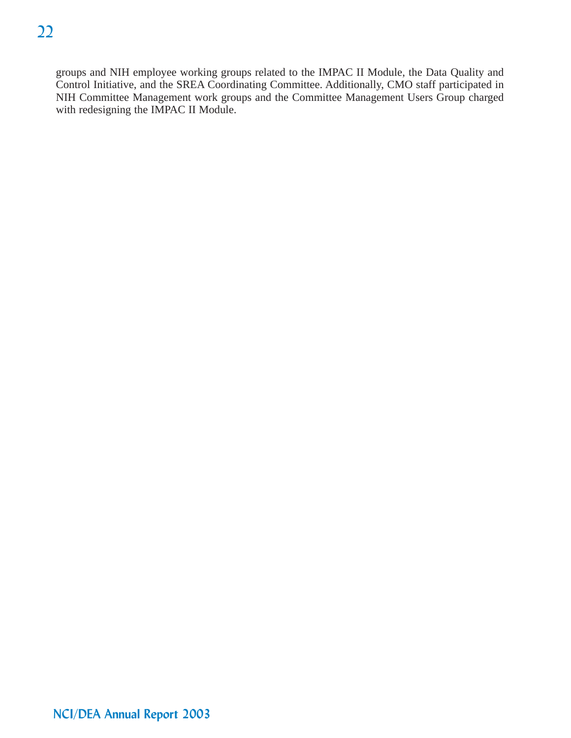groups and NIH employee working groups related to the IMPAC II Module, the Data Quality and Control Initiative, and the SREA Coordinating Committee. Additionally, CMO staff participated in NIH Committee Management work groups and the Committee Management Users Group charged with redesigning the IMPAC II Module.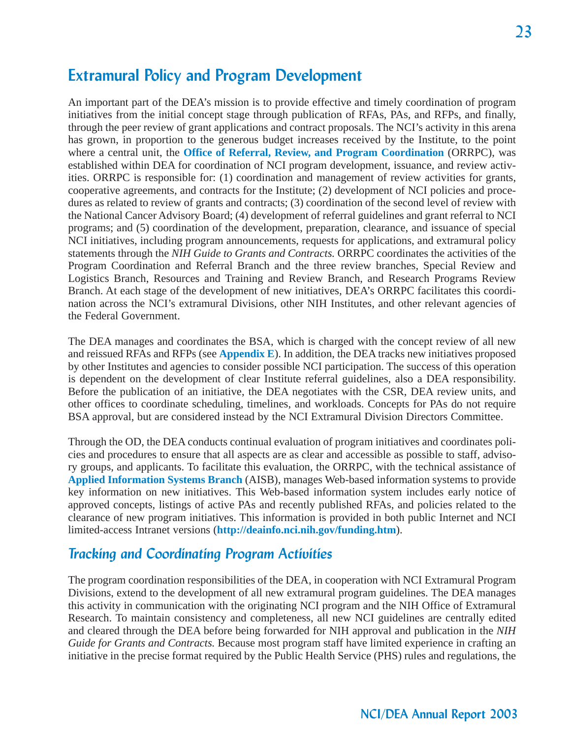# **Extramural Policy and Program Development**

An important part of the DEA's mission is to provide effective and timely coordination of program initiatives from the initial concept stage through publication of RFAs, PAs, and RFPs, and finally, through the peer review of grant applications and contract proposals. The NCI's activity in this arena has grown, in proportion to the generous budget increases received by the Institute, to the point where a central unit, the **Office of Referral, Review, and Program Coordination** (ORRPC), was established within DEA for coordination of NCI program development, issuance, and review activities. ORRPC is responsible for: (1) coordination and management of review activities for grants, cooperative agreements, and contracts for the Institute; (2) development of NCI policies and procedures as related to review of grants and contracts; (3) coordination of the second level of review with the National Cancer Advisory Board; (4) development of referral guidelines and grant referral to NCI programs; and (5) coordination of the development, preparation, clearance, and issuance of special NCI initiatives, including program announcements, requests for applications, and extramural policy statements through the *NIH Guide to Grants and Contracts.* ORRPC coordinates the activities of the Program Coordination and Referral Branch and the three review branches, Special Review and Logistics Branch, Resources and Training and Review Branch, and Research Programs Review Branch. At each stage of the development of new initiatives, DEA's ORRPC facilitates this coordination across the NCI's extramural Divisions, other NIH Institutes, and other relevant agencies of the Federal Government.

The DEA manages and coordinates the BSA, which is charged with the concept review of all new and reissued RFAs and RFPs (see **Appendix E**). In addition, the DEA tracks new initiatives proposed by other Institutes and agencies to consider possible NCI participation. The success of this operation is dependent on the development of clear Institute referral guidelines, also a DEA responsibility. Before the publication of an initiative, the DEA negotiates with the CSR, DEA review units, and other offices to coordinate scheduling, timelines, and workloads. Concepts for PAs do not require BSA approval, but are considered instead by the NCI Extramural Division Directors Committee.

Through the OD, the DEA conducts continual evaluation of program initiatives and coordinates policies and procedures to ensure that all aspects are as clear and accessible as possible to staff, advisory groups, and applicants. To facilitate this evaluation, the ORRPC, with the technical assistance of **Applied Information Systems Branch** (AISB), manages Web-based information systems to provide key information on new initiatives. This Web-based information system includes early notice of approved concepts, listings of active PAs and recently published RFAs, and policies related to the clearance of new program initiatives. This information is provided in both public Internet and NCI limited-access Intranet versions (**http://deainfo.nci.nih.gov/funding.htm**).

# *Tracking and Coordinating Program Activities*

The program coordination responsibilities of the DEA, in cooperation with NCI Extramural Program Divisions, extend to the development of all new extramural program guidelines. The DEA manages this activity in communication with the originating NCI program and the NIH Office of Extramural Research. To maintain consistency and completeness, all new NCI guidelines are centrally edited and cleared through the DEA before being forwarded for NIH approval and publication in the *NIH Guide for Grants and Contracts.* Because most program staff have limited experience in crafting an initiative in the precise format required by the Public Health Service (PHS) rules and regulations, the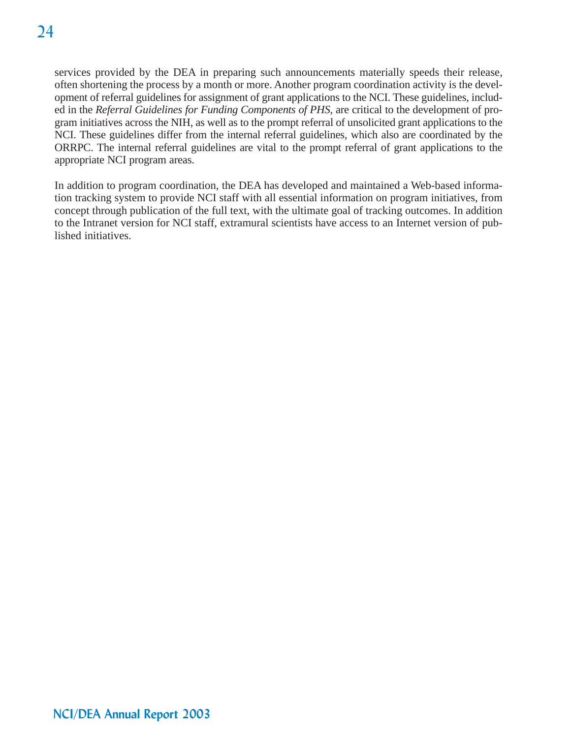services provided by the DEA in preparing such announcements materially speeds their release, often shortening the process by a month or more. Another program coordination activity is the development of referral guidelines for assignment of grant applications to the NCI. These guidelines, included in the *Referral Guidelines for Funding Components of PHS,* are critical to the development of program initiatives across the NIH, as well as to the prompt referral of unsolicited grant applications to the NCI. These guidelines differ from the internal referral guidelines, which also are coordinated by the ORRPC. The internal referral guidelines are vital to the prompt referral of grant applications to the appropriate NCI program areas.

In addition to program coordination, the DEA has developed and maintained a Web-based information tracking system to provide NCI staff with all essential information on program initiatives, from concept through publication of the full text, with the ultimate goal of tracking outcomes. In addition to the Intranet version for NCI staff, extramural scientists have access to an Internet version of published initiatives.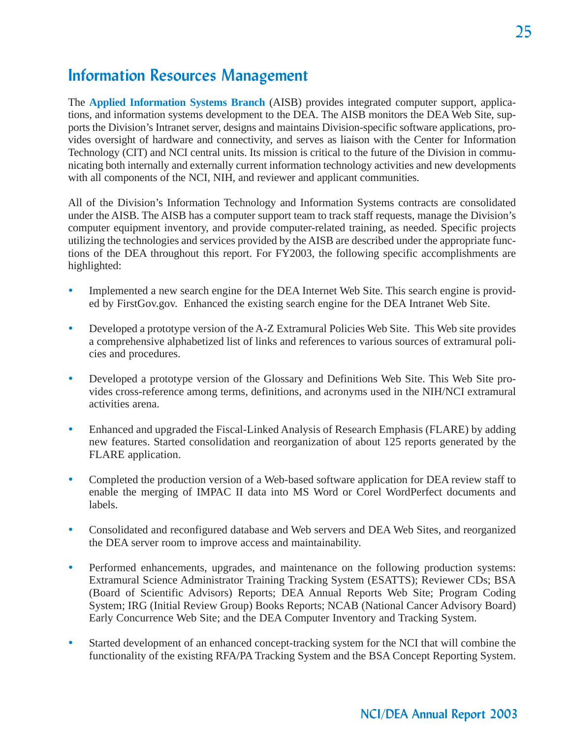# **Information Resources Management**

The **Applied Information Systems Branch** (AISB) provides integrated computer support, applications, and information systems development to the DEA. The AISB monitors the DEA Web Site, supports the Division's Intranet server, designs and maintains Division-specific software applications, provides oversight of hardware and connectivity, and serves as liaison with the Center for Information Technology (CIT) and NCI central units. Its mission is critical to the future of the Division in communicating both internally and externally current information technology activities and new developments with all components of the NCI, NIH, and reviewer and applicant communities.

All of the Division's Information Technology and Information Systems contracts are consolidated under the AISB. The AISB has a computer support team to track staff requests, manage the Division's computer equipment inventory, and provide computer-related training, as needed. Specific projects utilizing the technologies and services provided by the AISB are described under the appropriate functions of the DEA throughout this report. For FY2003, the following specific accomplishments are highlighted:

- Implemented a new search engine for the DEA Internet Web Site. This search engine is provided by FirstGov.gov. Enhanced the existing search engine for the DEA Intranet Web Site.
- Developed a prototype version of the A-Z Extramural Policies Web Site. This Web site provides a comprehensive alphabetized list of links and references to various sources of extramural policies and procedures.
- Developed a prototype version of the Glossary and Definitions Web Site. This Web Site provides cross-reference among terms, definitions, and acronyms used in the NIH/NCI extramural activities arena.
- Enhanced and upgraded the Fiscal-Linked Analysis of Research Emphasis (FLARE) by adding new features. Started consolidation and reorganization of about 125 reports generated by the FLARE application.
- Completed the production version of a Web-based software application for DEA review staff to enable the merging of IMPAC II data into MS Word or Corel WordPerfect documents and labels.
- Consolidated and reconfigured database and Web servers and DEA Web Sites, and reorganized the DEA server room to improve access and maintainability.
- Performed enhancements, upgrades, and maintenance on the following production systems: Extramural Science Administrator Training Tracking System (ESATTS); Reviewer CDs; BSA (Board of Scientific Advisors) Reports; DEA Annual Reports Web Site; Program Coding System; IRG (Initial Review Group) Books Reports; NCAB (National Cancer Advisory Board) Early Concurrence Web Site; and the DEA Computer Inventory and Tracking System.
- y Started development of an enhanced concept-tracking system for the NCI that will combine the functionality of the existing RFA/PA Tracking System and the BSA Concept Reporting System.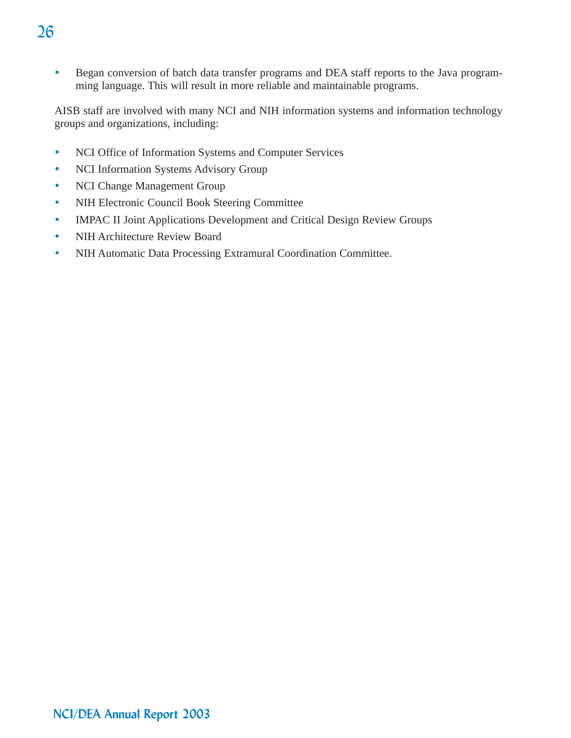• Began conversion of batch data transfer programs and DEA staff reports to the Java programming language. This will result in more reliable and maintainable programs.

AISB staff are involved with many NCI and NIH information systems and information technology groups and organizations, including:

- NCI Office of Information Systems and Computer Services
- NCI Information Systems Advisory Group
- NCI Change Management Group
- NIH Electronic Council Book Steering Committee
- IMPAC II Joint Applications Development and Critical Design Review Groups
- NIH Architecture Review Board
- NIH Automatic Data Processing Extramural Coordination Committee.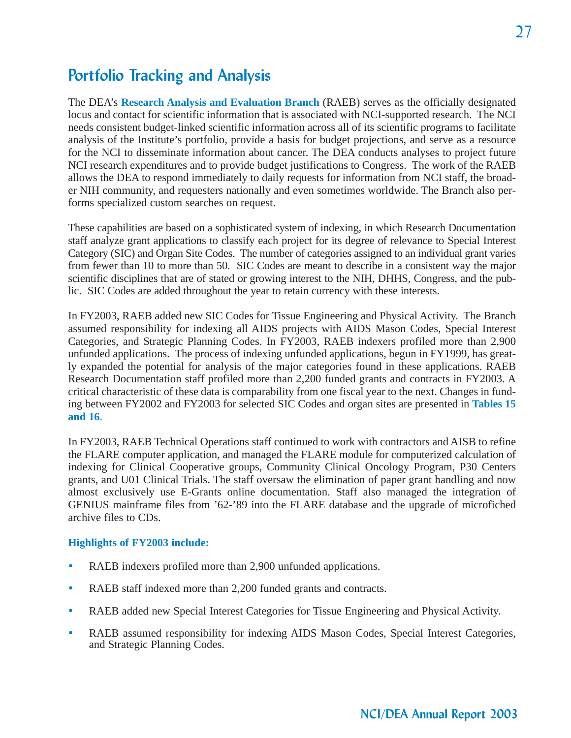# **Portfolio Tracking and Analysis**

The DEA's **Research Analysis and Evaluation Branch** (RAEB) serves as the officially designated locus and contact for scientific information that is associated with NCI-supported research. The NCI needs consistent budget-linked scientific information across all of its scientific programs to facilitate analysis of the Institute's portfolio, provide a basis for budget projections, and serve as a resource for the NCI to disseminate information about cancer. The DEA conducts analyses to project future NCI research expenditures and to provide budget justifications to Congress. The work of the RAEB allows the DEA to respond immediately to daily requests for information from NCI staff, the broader NIH community, and requesters nationally and even sometimes worldwide. The Branch also performs specialized custom searches on request.

These capabilities are based on a sophisticated system of indexing, in which Research Documentation staff analyze grant applications to classify each project for its degree of relevance to Special Interest Category (SIC) and Organ Site Codes. The number of categories assigned to an individual grant varies from fewer than 10 to more than 50. SIC Codes are meant to describe in a consistent way the major scientific disciplines that are of stated or growing interest to the NIH, DHHS, Congress, and the public. SIC Codes are added throughout the year to retain currency with these interests.

In FY2003, RAEB added new SIC Codes for Tissue Engineering and Physical Activity. The Branch assumed responsibility for indexing all AIDS projects with AIDS Mason Codes, Special Interest Categories, and Strategic Planning Codes. In FY2003, RAEB indexers profiled more than 2,900 unfunded applications. The process of indexing unfunded applications, begun in FY1999, has greatly expanded the potential for analysis of the major categories found in these applications. RAEB Research Documentation staff profiled more than 2,200 funded grants and contracts in FY2003. A critical characteristic of these data is comparability from one fiscal year to the next. Changes in funding between FY2002 and FY2003 for selected SIC Codes and organ sites are presented in **Tables 15 and 16**.

In FY2003, RAEB Technical Operations staff continued to work with contractors and AISB to refine the FLARE computer application, and managed the FLARE module for computerized calculation of indexing for Clinical Cooperative groups, Community Clinical Oncology Program, P30 Centers grants, and U01 Clinical Trials. The staff oversaw the elimination of paper grant handling and now almost exclusively use E-Grants online documentation. Staff also managed the integration of GENIUS mainframe files from '62-'89 into the FLARE database and the upgrade of microfiched archive files to CDs.

#### **Highlights of FY2003 include:**

- RAEB indexers profiled more than 2,900 unfunded applications.
- RAEB staff indexed more than 2,200 funded grants and contracts.
- RAEB added new Special Interest Categories for Tissue Engineering and Physical Activity.
- RAEB assumed responsibility for indexing AIDS Mason Codes, Special Interest Categories, and Strategic Planning Codes.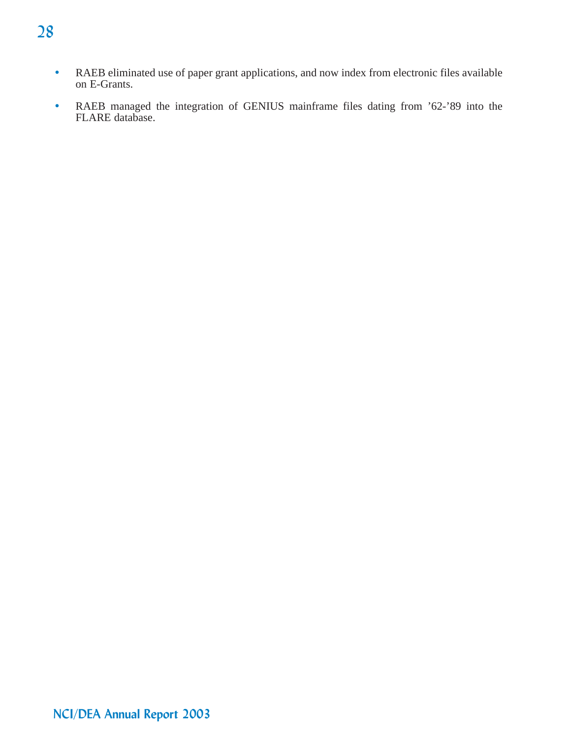- RAEB eliminated use of paper grant applications, and now index from electronic files available on E-Grants.
- RAEB managed the integration of GENIUS mainframe files dating from '62-'89 into the FLARE database.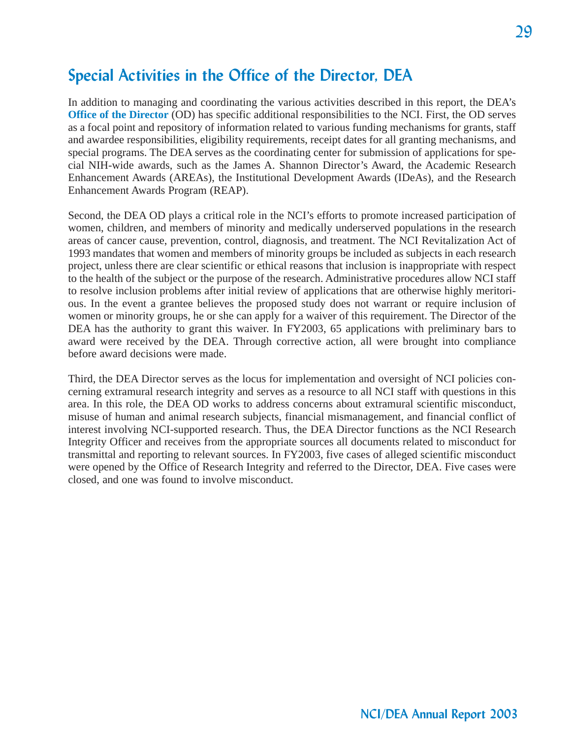## **Special Activities in the Office of the Director, DEA**

In addition to managing and coordinating the various activities described in this report, the DEA's **Office of the Director** (OD) has specific additional responsibilities to the NCI. First, the OD serves as a focal point and repository of information related to various funding mechanisms for grants, staff and awardee responsibilities, eligibility requirements, receipt dates for all granting mechanisms, and special programs. The DEA serves as the coordinating center for submission of applications for special NIH-wide awards, such as the James A. Shannon Director's Award, the Academic Research Enhancement Awards (AREAs), the Institutional Development Awards (IDeAs), and the Research Enhancement Awards Program (REAP).

Second, the DEA OD plays a critical role in the NCI's efforts to promote increased participation of women, children, and members of minority and medically underserved populations in the research areas of cancer cause, prevention, control, diagnosis, and treatment. The NCI Revitalization Act of 1993 mandates that women and members of minority groups be included as subjects in each research project, unless there are clear scientific or ethical reasons that inclusion is inappropriate with respect to the health of the subject or the purpose of the research. Administrative procedures allow NCI staff to resolve inclusion problems after initial review of applications that are otherwise highly meritorious. In the event a grantee believes the proposed study does not warrant or require inclusion of women or minority groups, he or she can apply for a waiver of this requirement. The Director of the DEA has the authority to grant this waiver. In FY2003, 65 applications with preliminary bars to award were received by the DEA. Through corrective action, all were brought into compliance before award decisions were made.

Third, the DEA Director serves as the locus for implementation and oversight of NCI policies concerning extramural research integrity and serves as a resource to all NCI staff with questions in this area. In this role, the DEA OD works to address concerns about extramural scientific misconduct, misuse of human and animal research subjects, financial mismanagement, and financial conflict of interest involving NCI-supported research. Thus, the DEA Director functions as the NCI Research Integrity Officer and receives from the appropriate sources all documents related to misconduct for transmittal and reporting to relevant sources. In FY2003, five cases of alleged scientific misconduct were opened by the Office of Research Integrity and referred to the Director, DEA. Five cases were closed, and one was found to involve misconduct.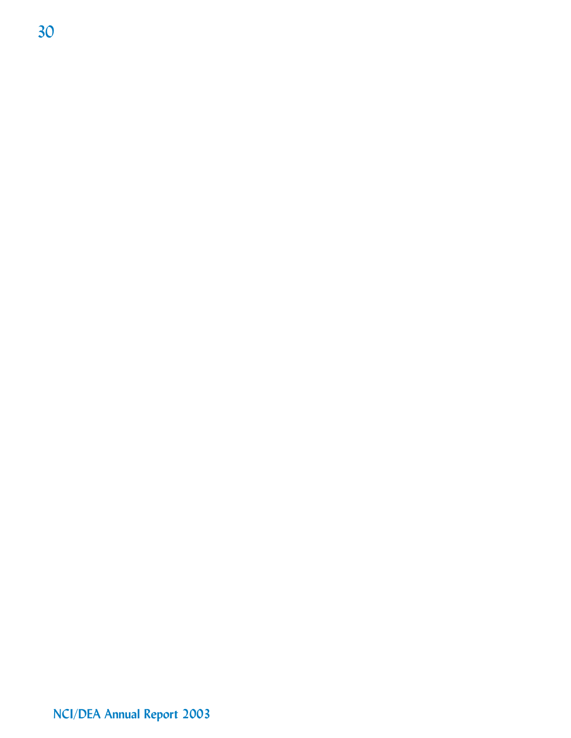30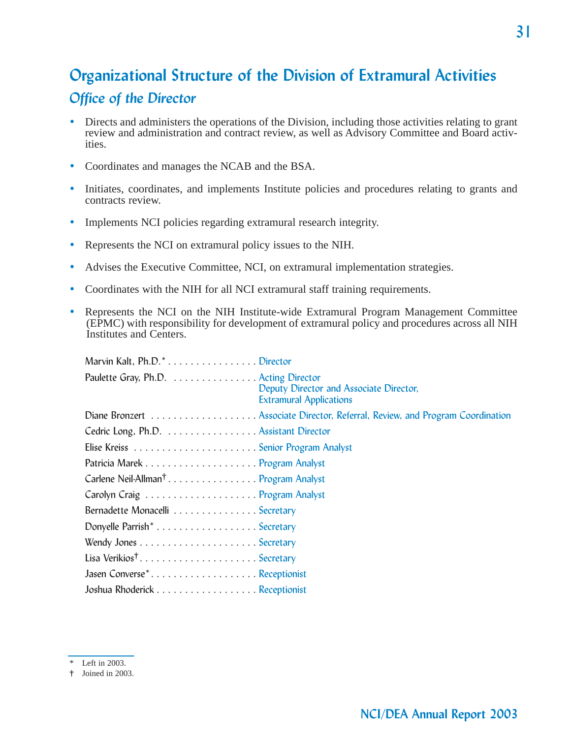# **Organizational Structure of the Division of Extramural Activities** *Office of the Director*

- Directs and administers the operations of the Division, including those activities relating to grant review and administration and contract review, as well as Advisory Committee and Board activities.
- Coordinates and manages the NCAB and the BSA.
- Initiates, coordinates, and implements Institute policies and procedures relating to grants and contracts review.
- Implements NCI policies regarding extramural research integrity.
- Represents the NCI on extramural policy issues to the NIH.
- Advises the Executive Committee, NCI, on extramural implementation strategies.
- Coordinates with the NIH for all NCI extramural staff training requirements.
- Represents the NCI on the NIH Institute-wide Extramural Program Management Committee (EPMC) with responsibility for development of extramural policy and procedures across all NIH Institutes and Centers.

| Marvin Kalt, Ph.D.*Director                      |                                                                           |
|--------------------------------------------------|---------------------------------------------------------------------------|
| Paulette Gray, Ph.D. Acting Director             | Deputy Director and Associate Director,<br><b>Extramural Applications</b> |
|                                                  |                                                                           |
| Cedric Long, Ph.D. Assistant Director            |                                                                           |
|                                                  |                                                                           |
|                                                  |                                                                           |
| Carlene Neil-Allman <sup>†</sup> Program Analyst |                                                                           |
|                                                  |                                                                           |
| Bernadette Monacelli Secretary                   |                                                                           |
| Donyelle Parrish <sup>*</sup> Secretary          |                                                                           |
|                                                  |                                                                           |
| Lisa Verikios <sup>†</sup> Secretary             |                                                                           |
| Jasen Converse <sup>*</sup> Receptionist         |                                                                           |
| Joshua Rhoderick Receptionist                    |                                                                           |

<sup>\*</sup> Left in 2003.

**<sup>†</sup>** Joined in 2003.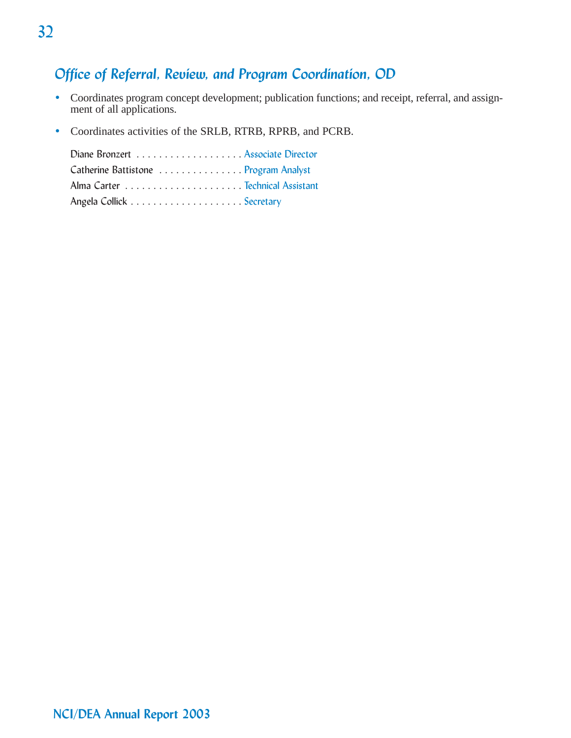## *Office of Referral, Review, and Program Coordination, OD*

- Coordinates program concept development; publication functions; and receipt, referral, and assignment of all applications.
- y Coordinates activities of the SRLB, RTRB, RPRB, and PCRB.

| Diane Bronzert Associate Director     |  |
|---------------------------------------|--|
| Catherine Battistone  Program Analyst |  |
|                                       |  |
|                                       |  |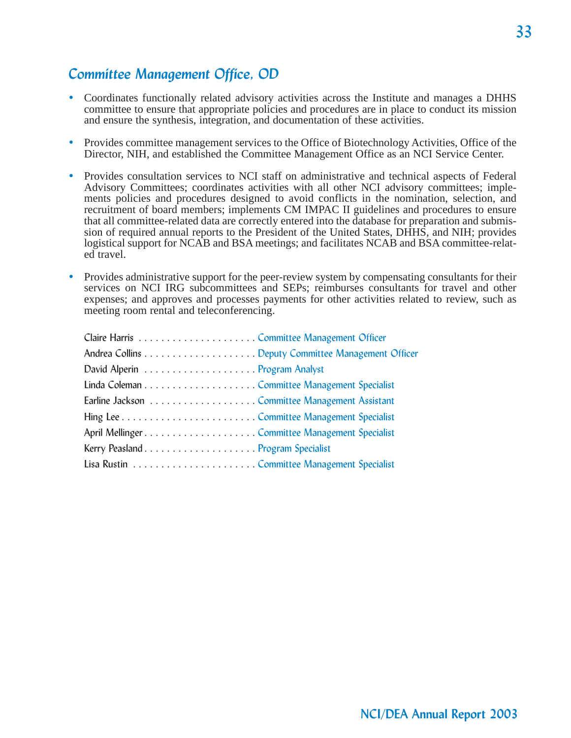## *Committee Management Office, OD*

- Coordinates functionally related advisory activities across the Institute and manages a DHHS committee to ensure that appropriate policies and procedures are in place to conduct its mission and ensure the synthesis, integration, and documentation of these activities.
- Provides committee management services to the Office of Biotechnology Activities, Office of the Director, NIH, and established the Committee Management Office as an NCI Service Center.
- Provides consultation services to NCI staff on administrative and technical aspects of Federal Advisory Committees; coordinates activities with all other NCI advisory committees; implements policies and procedures designed to avoid conflicts in the nomination, selection, and recruitment of board members; implements CM IMPAC II guidelines and procedures to ensure that all committee-related data are correctly entered into the database for preparation and submission of required annual reports to the President of the United States, DHHS, and NIH; provides logistical support for NCAB and BSA meetings; and facilitates NCAB and BSA committee-related travel.
- Provides administrative support for the peer-review system by compensating consultants for their services on NCI IRG subcommittees and SEPs; reimburses consultants for travel and other expenses; and approves and processes payments for other activities related to review, such as meeting room rental and teleconferencing.

| Earline Jackson  Committee Management Assistant |  |
|-------------------------------------------------|--|
|                                                 |  |
|                                                 |  |
|                                                 |  |
|                                                 |  |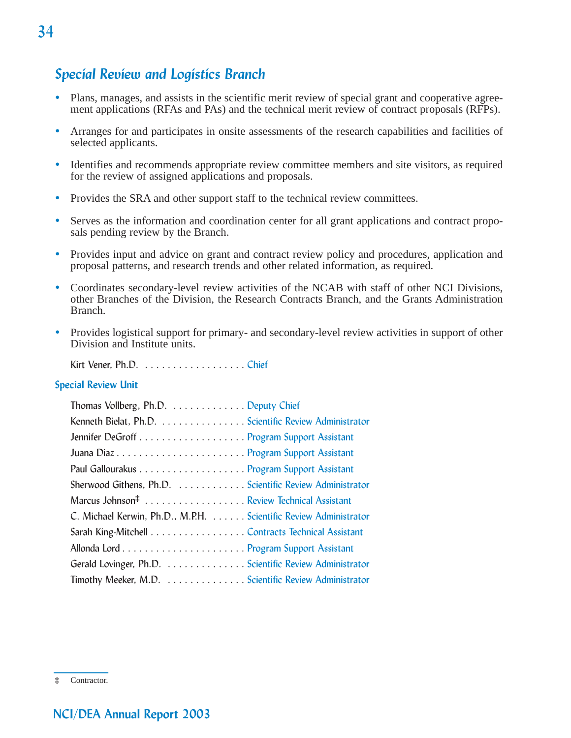## *Special Review and Logistics Branch*

- Plans, manages, and assists in the scientific merit review of special grant and cooperative agreement applications (RFAs and PAs) and the technical merit review of contract proposals (RFPs).
- y Arranges for and participates in onsite assessments of the research capabilities and facilities of selected applicants.
- y Identifies and recommends appropriate review committee members and site visitors, as required for the review of assigned applications and proposals.
- Provides the SRA and other support staff to the technical review committees.
- y Serves as the information and coordination center for all grant applications and contract proposals pending review by the Branch.
- Provides input and advice on grant and contract review policy and procedures, application and proposal patterns, and research trends and other related information, as required.
- Coordinates secondary-level review activities of the NCAB with staff of other NCI Divisions, other Branches of the Division, the Research Contracts Branch, and the Grants Administration Branch.
- Provides logistical support for primary- and secondary-level review activities in support of other Division and Institute units.

Kirt Vener, Ph.D. . . . . . . . . . . . . . . . . . . Chief

#### **Special Review Unit**

| Thomas Vollberg, Ph.D. Deputy Chief                              |
|------------------------------------------------------------------|
| Kenneth Bielat, Ph.D. Scientific Review Administrator            |
|                                                                  |
|                                                                  |
|                                                                  |
| Sherwood Githens, Ph.D. Scientific Review Administrator          |
| Marcus Johnson# Review Technical Assistant                       |
| C. Michael Kerwin, Ph.D., M.P.H. Scientific Review Administrator |
| Sarah King-Mitchell Contracts Technical Assistant                |
|                                                                  |
| Gerald Lovinger, Ph.D. Scientific Review Administrator           |
| Timothy Meeker, M.D. Scientific Review Administrator             |

**<sup>‡</sup>** Contractor.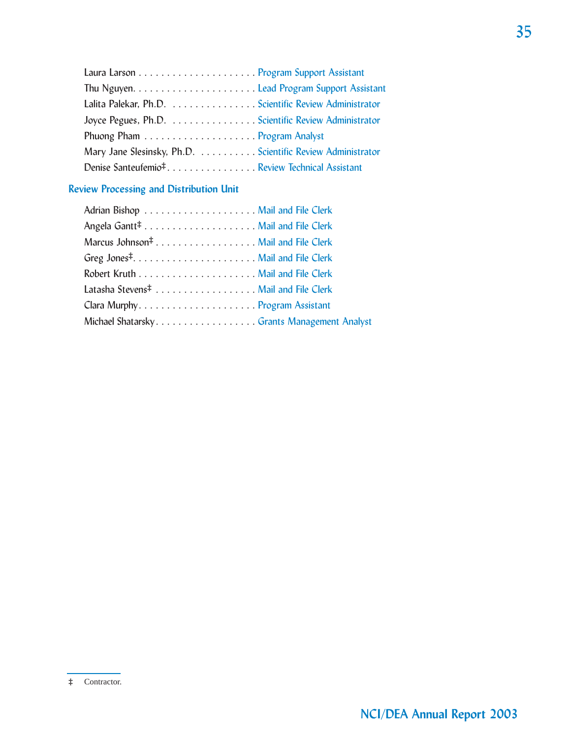| Lalita Palekar, Ph.D. Scientific Review Administrator       |  |
|-------------------------------------------------------------|--|
| Joyce Pegues, Ph.D. Scientific Review Administrator         |  |
|                                                             |  |
| Mary Jane Slesinsky, Ph.D.  Scientific Review Administrator |  |
| Denise Santeufemio‡Review Technical Assistant               |  |

### **Review Processing and Distribution Unit**

| Marcus Johnson <sup>‡</sup> Mail and File Clerk  |  |
|--------------------------------------------------|--|
|                                                  |  |
|                                                  |  |
| Latasha Stevens <sup>‡</sup> Mail and File Clerk |  |
|                                                  |  |
|                                                  |  |

<sup>35</sup>

**<sup>‡</sup>** Contractor.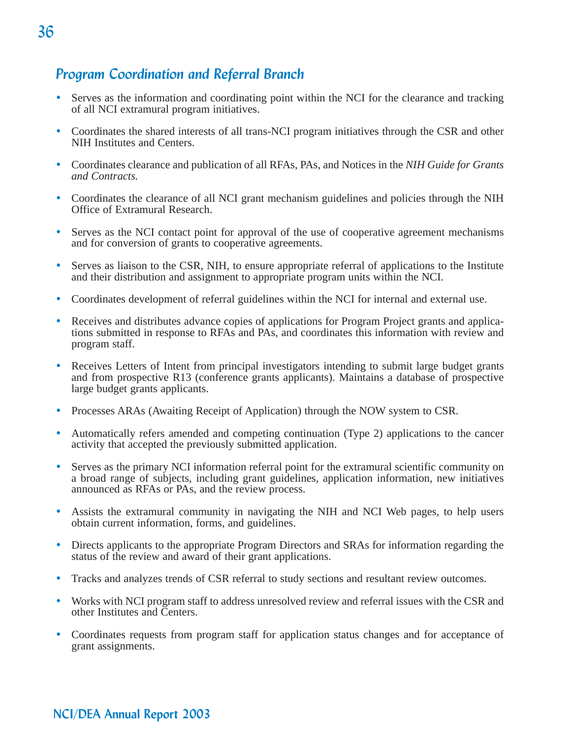## *Program Coordination and Referral Branch*

- Serves as the information and coordinating point within the NCI for the clearance and tracking of all NCI extramural program initiatives.
- Coordinates the shared interests of all trans-NCI program initiatives through the CSR and other NIH Institutes and Centers.
- y Coordinates clearance and publication of all RFAs, PAs, and Notices in the *NIH Guide for Grants and Contracts.*
- Coordinates the clearance of all NCI grant mechanism guidelines and policies through the NIH Office of Extramural Research.
- Serves as the NCI contact point for approval of the use of cooperative agreement mechanisms and for conversion of grants to cooperative agreements.
- Serves as liaison to the CSR, NIH, to ensure appropriate referral of applications to the Institute and their distribution and assignment to appropriate program units within the NCI.
- Coordinates development of referral guidelines within the NCI for internal and external use.
- y Receives and distributes advance copies of applications for Program Project grants and applications submitted in response to RFAs and PAs, and coordinates this information with review and program staff.
- Receives Letters of Intent from principal investigators intending to submit large budget grants and from prospective R13 (conference grants applicants). Maintains a database of prospective large budget grants applicants.
- Processes ARAs (Awaiting Receipt of Application) through the NOW system to CSR.
- Automatically refers amended and competing continuation (Type 2) applications to the cancer activity that accepted the previously submitted application.
- Serves as the primary NCI information referral point for the extramural scientific community on a broad range of subjects, including grant guidelines, application information, new initiatives announced as RFAs or PAs, and the review process.
- Assists the extramural community in navigating the NIH and NCI Web pages, to help users obtain current information, forms, and guidelines.
- y Directs applicants to the appropriate Program Directors and SRAs for information regarding the status of the review and award of their grant applications.
- Tracks and analyzes trends of CSR referral to study sections and resultant review outcomes.
- y Works with NCI program staff to address unresolved review and referral issues with the CSR and other Institutes and Centers.
- Coordinates requests from program staff for application status changes and for acceptance of grant assignments.

### **NCI/DEA Annual Report 2003**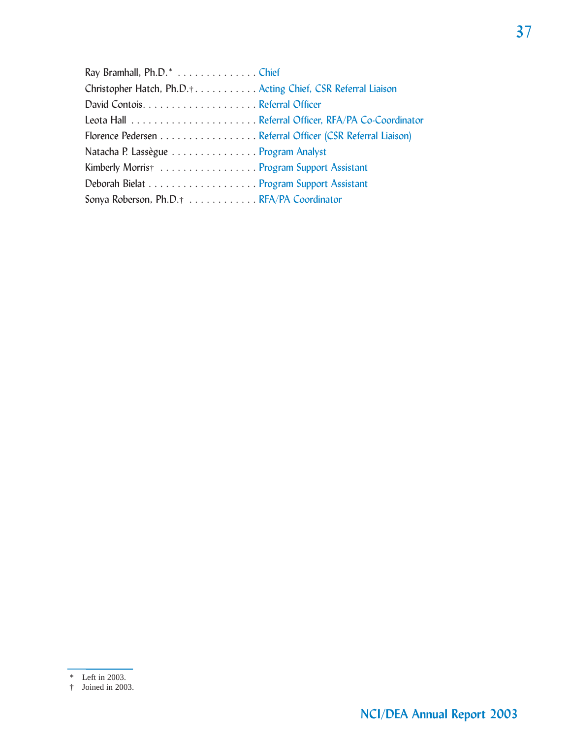| Ray Bramhall, Ph.D.* Chief                                    |  |
|---------------------------------------------------------------|--|
| Christopher Hatch, Ph.D. † Acting Chief, CSR Referral Liaison |  |
|                                                               |  |
|                                                               |  |
| Florence Pedersen Referral Officer (CSR Referral Liaison)     |  |
| Natacha P. Lassègue Program Analyst                           |  |
| Kimberly Morris <sup>†</sup> Program Support Assistant        |  |
|                                                               |  |
| Sonya Roberson, Ph.D. $\dagger$ RFA/PA Coordinator            |  |

<sup>\*</sup> Left in 2003.

<sup>†</sup> Joined in 2003.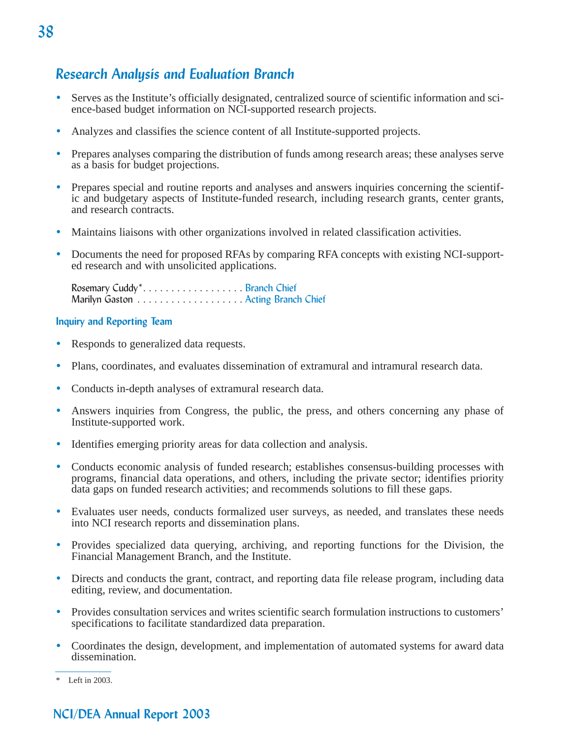## *Research Analysis and Evaluation Branch*

- Serves as the Institute's officially designated, centralized source of scientific information and sci-ence-based budget information on NCI-supported research projects.
- Analyzes and classifies the science content of all Institute-supported projects.
- Prepares analyses comparing the distribution of funds among research areas; these analyses serve as a basis for budget projections.
- Prepares special and routine reports and analyses and answers inquiries concerning the scientific and budgetary aspects of Institute-funded research, including research grants, center grants, and research contracts.
- Maintains liaisons with other organizations involved in related classification activities.
- Documents the need for proposed RFAs by comparing RFA concepts with existing NCI-supported research and with unsolicited applications.

Rosemary Cuddy\*. . . . . . . . . . . . . . . . . . Branch Chief Marilyn Gaston . . . . . . . . . . . . . . . . . . Acting Branch Chief

#### **Inquiry and Reporting Team**

- Responds to generalized data requests.
- Plans, coordinates, and evaluates dissemination of extramural and intramural research data.
- Conducts in-depth analyses of extramural research data.
- Answers inquiries from Congress, the public, the press, and others concerning any phase of Institute-supported work.
- Identifies emerging priority areas for data collection and analysis.
- Conducts economic analysis of funded research; establishes consensus-building processes with programs, financial data operations, and others, including the private sector; identifies priority data gaps on funded research activities; and recommends solutions to fill these gaps.
- y Evaluates user needs, conducts formalized user surveys, as needed, and translates these needs into NCI research reports and dissemination plans.
- Provides specialized data querying, archiving, and reporting functions for the Division, the Financial Management Branch, and the Institute.
- Directs and conducts the grant, contract, and reporting data file release program, including data editing, review, and documentation.
- Provides consultation services and writes scientific search formulation instructions to customers' specifications to facilitate standardized data preparation.
- Coordinates the design, development, and implementation of automated systems for award data dissemination.

## **NCI/DEA Annual Report 2003**

<sup>\*</sup> Left in 2003.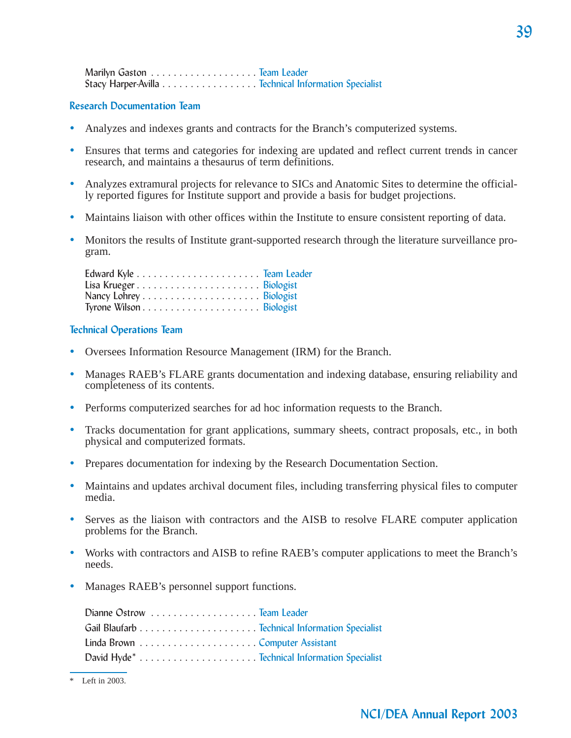#### **Research Documentation Team**

- Analyzes and indexes grants and contracts for the Branch's computerized systems.
- Ensures that terms and categories for indexing are updated and reflect current trends in cancer research, and maintains a thesaurus of term definitions.
- Analyzes extramural projects for relevance to SICs and Anatomic Sites to determine the officially reported figures for Institute support and provide a basis for budget projections.
- Maintains liaison with other offices within the Institute to ensure consistent reporting of data.
- Monitors the results of Institute grant-supported research through the literature surveillance program.

| Lisa KruegerBiologist |  |
|-----------------------|--|
|                       |  |
|                       |  |

#### **Technical Operations Team**

- Oversees Information Resource Management (IRM) for the Branch.
- Manages RAEB's FLARE grants documentation and indexing database, ensuring reliability and completeness of its contents.
- Performs computerized searches for ad hoc information requests to the Branch.
- Tracks documentation for grant applications, summary sheets, contract proposals, etc., in both physical and computerized formats.
- Prepares documentation for indexing by the Research Documentation Section.
- Maintains and updates archival document files, including transferring physical files to computer media.
- Serves as the liaison with contractors and the AISB to resolve FLARE computer application problems for the Branch.
- Works with contractors and AISB to refine RAEB's computer applications to meet the Branch's needs.
- Manages RAEB's personnel support functions.

| Dianne Ostrow Team Leader |  |
|---------------------------|--|
|                           |  |
|                           |  |
|                           |  |

<sup>\*</sup> Left in 2003.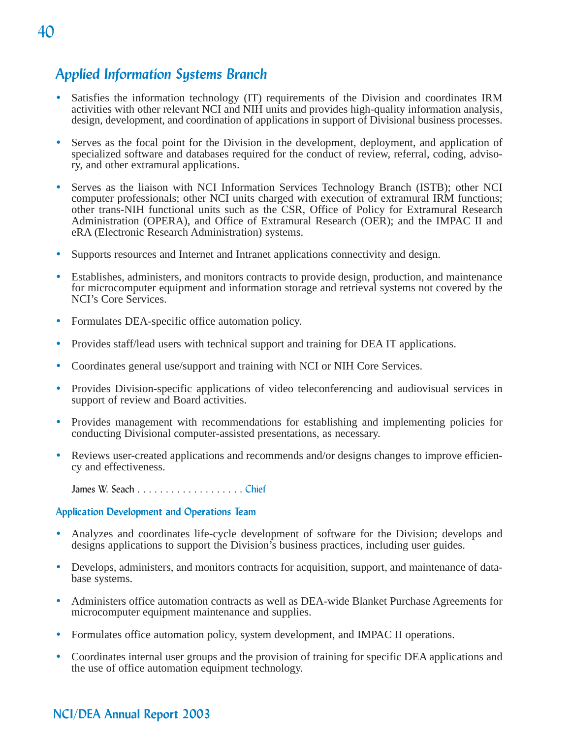## *Applied Information Systems Branch*

- Satisfies the information technology (IT) requirements of the Division and coordinates IRM activities with other relevant NCI and NIH units and provides high-quality information analysis, design, development, and coordination of applications in support of Divisional business processes.
- Serves as the focal point for the Division in the development, deployment, and application of specialized software and databases required for the conduct of review, referral, coding, advisory, and other extramural applications.
- Serves as the liaison with NCI Information Services Technology Branch (ISTB); other NCI computer professionals; other NCI units charged with execution of extramural IRM functions; other trans-NIH functional units such as the CSR, Office of Policy for Extramural Research Administration (OPERA), and Office of Extramural Research (OER); and the IMPAC II and eRA (Electronic Research Administration) systems.
- Supports resources and Internet and Intranet applications connectivity and design.
- y Establishes, administers, and monitors contracts to provide design, production, and maintenance for microcomputer equipment and information storage and retrieval systems not covered by the NCI's Core Services.
- Formulates DEA-specific office automation policy.
- Provides staff/lead users with technical support and training for DEA IT applications.
- Coordinates general use/support and training with NCI or NIH Core Services.
- Provides Division-specific applications of video teleconferencing and audiovisual services in support of review and Board activities.
- Provides management with recommendations for establishing and implementing policies for conducting Divisional computer-assisted presentations, as necessary.
- Reviews user-created applications and recommends and/or designs changes to improve efficiency and effectiveness.

James W. Seach . . . . . . . . . . . . . . . . . . . Chief

#### **Application Development and Operations Team**

- Analyzes and coordinates life-cycle development of software for the Division; develops and designs applications to support the Division's business practices, including user guides.
- Develops, administers, and monitors contracts for acquisition, support, and maintenance of database systems.
- Administers office automation contracts as well as DEA-wide Blanket Purchase Agreements for microcomputer equipment maintenance and supplies.
- Formulates office automation policy, system development, and IMPAC II operations.
- Coordinates internal user groups and the provision of training for specific DEA applications and the use of office automation equipment technology.

### **NCI/DEA Annual Report 2003**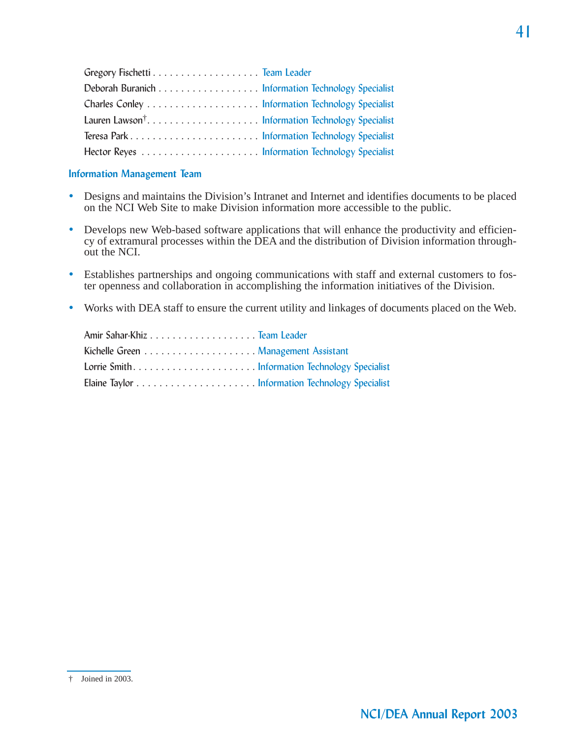| Lauren Lawson <sup>†</sup> Information Technology Specialist |  |
|--------------------------------------------------------------|--|
|                                                              |  |
|                                                              |  |

#### **Information Management Team**

- Designs and maintains the Division's Intranet and Internet and identifies documents to be placed on the NCI Web Site to make Division information more accessible to the public.
- Develops new Web-based software applications that will enhance the productivity and efficiency of extramural processes within the DEA and the distribution of Division information throughout the NCI.
- Establishes partnerships and ongoing communications with staff and external customers to foster openness and collaboration in accomplishing the information initiatives of the Division.
- Works with DEA staff to ensure the current utility and linkages of documents placed on the Web.

<sup>†</sup> Joined in 2003.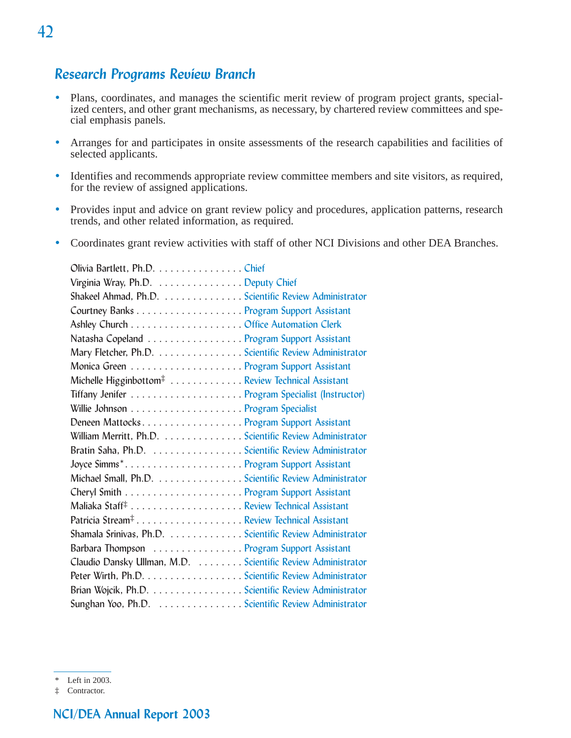## *Research Programs Review Branch*

- Plans, coordinates, and manages the scientific merit review of program project grants, specialized centers, and other grant mechanisms, as necessary, by chartered review committees and special emphasis panels.
- y Arranges for and participates in onsite assessments of the research capabilities and facilities of selected applicants.
- y Identifies and recommends appropriate review committee members and site visitors, as required, for the review of assigned applications.
- Provides input and advice on grant review policy and procedures, application patterns, research trends, and other related information, as required.
- Coordinates grant review activities with staff of other NCI Divisions and other DEA Branches.

| Olivia Bartlett, Ph.D. Chief                                  |
|---------------------------------------------------------------|
| Virginia Wray, Ph.D. Deputy Chief                             |
| Shakeel Ahmad, Ph.D. Scientific Review Administrator          |
|                                                               |
|                                                               |
| Natasha Copeland Program Support Assistant                    |
| Mary Fletcher, Ph.D. Scientific Review Administrator          |
|                                                               |
| Michelle Higginbottom <sup>#</sup> Review Technical Assistant |
| Tiffany Jenifer  Program Specialist (Instructor)              |
|                                                               |
| Deneen Mattocks. Program Support Assistant                    |
| William Merritt, Ph.D. Scientific Review Administrator        |
| Bratin Saha, Ph.D. Scientific Review Administrator            |
| Joyce Simms*Program Support Assistant                         |
| Michael Small, Ph.D. Scientific Review Administrator          |
|                                                               |
|                                                               |
|                                                               |
| Shamala Srinivas, Ph.D. Scientific Review Administrator       |
| Barbara Thompson Program Support Assistant                    |
| Claudio Dansky Ullman, M.D. Scientific Review Administrator   |
| Peter Wirth, Ph.D. Scientific Review Administrator            |
| Brian Wojcik, Ph.D. Scientific Review Administrator           |
| Sunghan Yoo, Ph.D. Scientific Review Administrator            |

‡ Contractor.

<sup>\*</sup> Left in 2003.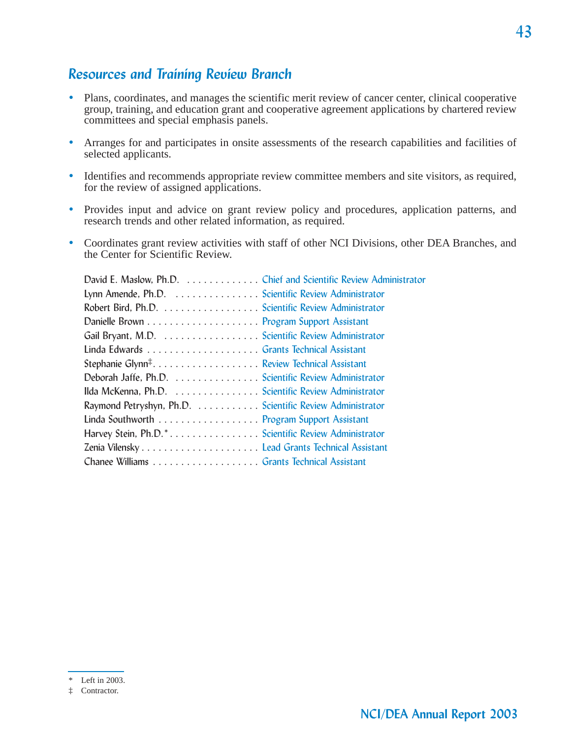## *Resources and Training Review Branch*

- Plans, coordinates, and manages the scientific merit review of cancer center, clinical cooperative group, training, and education grant and cooperative agreement applications by chartered review committees and special emphasis panels.
- y Arranges for and participates in onsite assessments of the research capabilities and facilities of selected applicants.
- y Identifies and recommends appropriate review committee members and site visitors, as required, for the review of assigned applications.
- Provides input and advice on grant review policy and procedures, application patterns, and research trends and other related information, as required.
- Coordinates grant review activities with staff of other NCI Divisions, other DEA Branches, and the Center for Scientific Review.

| David E. Maslow, Ph.D. Chief and Scientific Review Administrator |  |
|------------------------------------------------------------------|--|
| Lynn Amende, Ph.D. Scientific Review Administrator               |  |
| Robert Bird, Ph.D. Scientific Review Administrator               |  |
|                                                                  |  |
|                                                                  |  |
|                                                                  |  |
| Stephanie Glynn <sup>‡</sup> Review Technical Assistant          |  |
| Deborah Jaffe, Ph.D. Scientific Review Administrator             |  |
| Ilda McKenna, Ph.D. Scientific Review Administrator              |  |
| Raymond Petryshyn, Ph.D. Scientific Review Administrator         |  |
| Linda Southworth Program Support Assistant                       |  |
|                                                                  |  |
|                                                                  |  |
|                                                                  |  |

<sup>\*</sup> Left in 2003.

<sup>‡</sup> Contractor.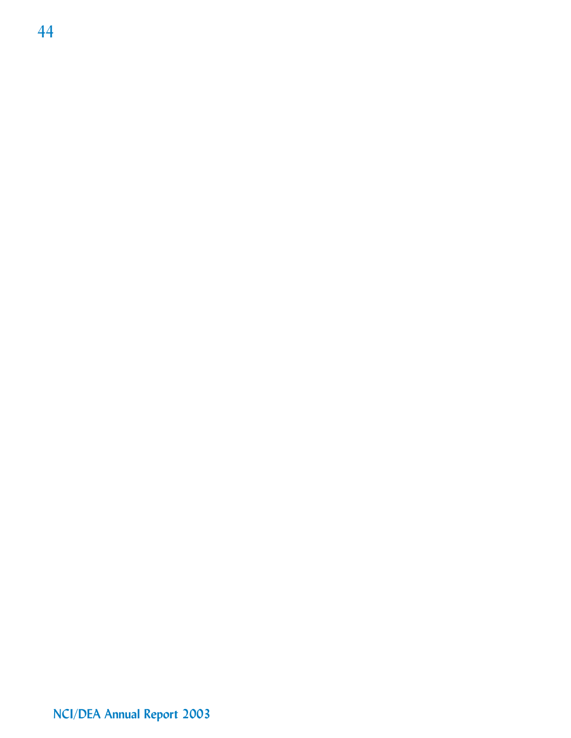44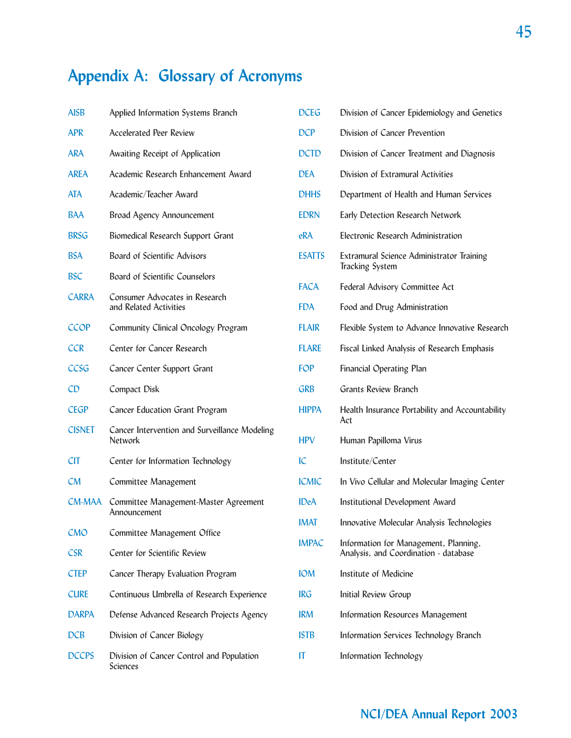# **Appendix A: Glossary of Acronyms**

| <b>AISB</b>    | Applied Information Systems Branch                           |
|----------------|--------------------------------------------------------------|
| <b>APR</b>     | <b>Accelerated Peer Review</b>                               |
| ARA            | Awaiting Receipt of Application                              |
| AREA           | Academic Research Enhancement Award                          |
| ATA            | Academic/Teacher Award                                       |
| BAA            | Broad Agency Announcement                                    |
| <b>BRSG</b>    | <b>Biomedical Research Support Grant</b>                     |
| <b>BSA</b>     | Board of Scientific Advisors                                 |
| <b>BSC</b>     | Board of Scientific Counselors                               |
| <b>CARRA</b>   | Consumer Advocates in Research<br>and Related Activities     |
| <b>CCOP</b>    | Community Clinical Oncology Program                          |
| <b>CCR</b>     | Center for Cancer Research                                   |
| CCSG           | Cancer Center Support Grant                                  |
| CD             | Compact Disk                                                 |
| <b>CEGP</b>    | <b>Cancer Education Grant Program</b>                        |
| <b>CISNET</b>  | Cancer Intervention and Surveillance Modeling<br>Network     |
| CIT.           | Center for Information Technology                            |
| <b>CM</b>      | Committee Management                                         |
| CM-MAA         | Committee Management-Master Agreement<br>Announcement        |
| CMO            | Committee Management Office                                  |
| $\mathsf{CSR}$ | Center for Scientific Review                                 |
| <b>CTEP</b>    | Cancer Therapy Evaluation Program                            |
| <b>CURE</b>    | Continuous Umbrella of Research Experience                   |
| <b>DARPA</b>   | Defense Advanced Research Projects Agency                    |
| <b>DCB</b>     | Division of Cancer Biology                                   |
| <b>DCCPS</b>   | Division of Cancer Control and Population<br><b>Sciences</b> |

| <b>DCEG</b>   | Division of Cancer Epidemiology and Genetics                                   |
|---------------|--------------------------------------------------------------------------------|
| <b>DCP</b>    | Division of Cancer Prevention                                                  |
| <b>DCTD</b>   | Division of Cancer Treatment and Diagnosis                                     |
| DEA           | Division of Extramural Activities                                              |
| <b>DHHS</b>   | Department of Health and Human Services                                        |
| <b>EDRN</b>   | Early Detection Research Network                                               |
| eRA           | Flectronic Research Administration                                             |
| <b>ESATTS</b> | Extramural Science Administrator Training<br><b>Tracking System</b>            |
| FACA          | Federal Advisory Committee Act                                                 |
| FDA           | Food and Drug Administration                                                   |
| FLAIR         | Flexible System to Advance Innovative Research                                 |
| <b>FLARE</b>  | Fiscal Linked Analysis of Research Emphasis                                    |
| <b>FOP</b>    | <b>Financial Operating Plan</b>                                                |
| GRB           | Grants Review Branch                                                           |
| HIPPA         | Health Insurance Portability and Accountability<br>Act                         |
| <b>HPV</b>    | Human Papilloma Virus                                                          |
| IC            | Institute/Center                                                               |
| <b>ICMIC</b>  | In Vivo Cellular and Molecular Imaging Center                                  |
| <b>IDeA</b>   | Institutional Development Award                                                |
| <b>IMAT</b>   | Innovative Molecular Analysis Technologies                                     |
| <b>IMPAC</b>  | Information for Management, Planning,<br>Analysis, and Coordination - database |
| <b>IOM</b>    | Institute of Medicine                                                          |
| IRG           | <b>Initial Review Group</b>                                                    |
| <b>IRM</b>    | Information Resources Management                                               |
| <b>ISTB</b>   | Information Services Technology Branch                                         |
| IT            | Information Technology                                                         |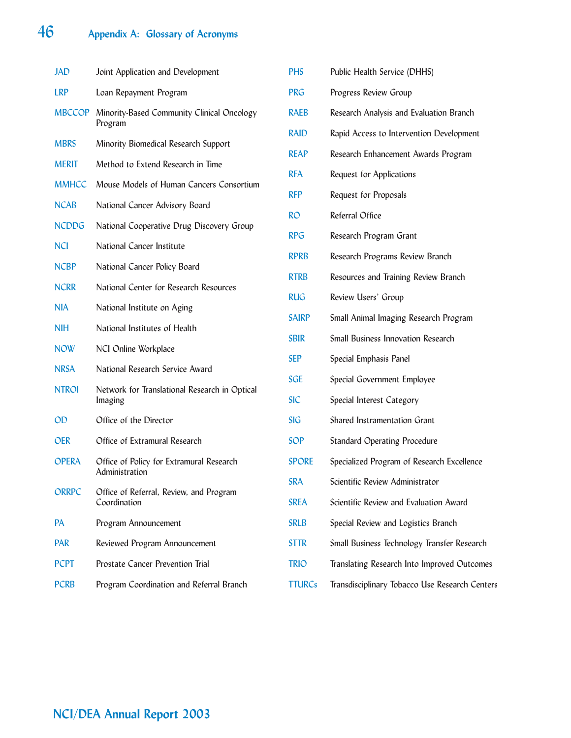#### 46 **Appendix A: Glossary of Acronyms**

| <b>JAD</b>    | Joint Application and Development                       | <b>PHS</b>    | Public Health Service (DHHS)                   |
|---------------|---------------------------------------------------------|---------------|------------------------------------------------|
| <b>LRP</b>    | Loan Repayment Program                                  | <b>PRG</b>    | Progress Review Group                          |
| <b>MBCCOP</b> | Minority-Based Community Clinical Oncology<br>Program   | <b>RAEB</b>   | Research Analysis and Evaluation Branch        |
| <b>MBRS</b>   | Minority Biomedical Research Support                    | <b>RAID</b>   | Rapid Access to Intervention Development       |
| <b>MERIT</b>  | Method to Extend Research in Time                       | <b>REAP</b>   | Research Enhancement Awards Program            |
|               |                                                         | <b>RFA</b>    | Request for Applications                       |
| <b>MMHCC</b>  | Mouse Models of Human Cancers Consortium                | <b>RFP</b>    | Request for Proposals                          |
| <b>NCAB</b>   | National Cancer Advisory Board                          | <b>RO</b>     | Referral Office                                |
| <b>NCDDG</b>  | National Cooperative Drug Discovery Group               | <b>RPG</b>    | Research Program Grant                         |
| <b>NCI</b>    | National Cancer Institute                               | <b>RPRB</b>   | Research Programs Review Branch                |
| <b>NCBP</b>   | National Cancer Policy Board                            | <b>RTRB</b>   | Resources and Training Review Branch           |
| <b>NCRR</b>   | National Center for Research Resources                  | <b>RUG</b>    | Review Users' Group                            |
| <b>NIA</b>    | National Institute on Aging                             |               |                                                |
| <b>NIH</b>    | National Institutes of Health                           | <b>SAIRP</b>  | Small Animal Imaging Research Program          |
| <b>NOW</b>    | NCI Online Workplace                                    | <b>SBIR</b>   | <b>Small Business Innovation Research</b>      |
| <b>NRSA</b>   | National Research Service Award                         | <b>SEP</b>    | Special Emphasis Panel                         |
| <b>NTROI</b>  | Network for Translational Research in Optical           | <b>SGE</b>    | Special Government Employee                    |
|               | Imaging                                                 | <b>SIC</b>    | Special Interest Category                      |
| <b>OD</b>     | Office of the Director                                  | SIG           | <b>Shared Instramentation Grant</b>            |
| <b>OER</b>    | Office of Extramural Research                           | <b>SOP</b>    | <b>Standard Operating Procedure</b>            |
| <b>OPERA</b>  | Office of Policy for Extramural Research                | <b>SPORE</b>  | Specialized Program of Research Excellence     |
|               | Administration                                          | <b>SRA</b>    | Scientific Review Administrator                |
| <b>ORRPC</b>  | Office of Referral, Review, and Program<br>Coordination | <b>SREA</b>   | Scientific Review and Evaluation Award         |
| <b>PA</b>     | Program Announcement                                    | <b>SRLB</b>   | Special Review and Logistics Branch            |
| <b>PAR</b>    | Reviewed Program Announcement                           | <b>STTR</b>   | Small Business Technology Transfer Research    |
| <b>PCPT</b>   | Prostate Cancer Prevention Trial                        | <b>TRIO</b>   | Translating Research Into Improved Outcomes    |
| <b>PCRB</b>   | Program Coordination and Referral Branch                | <b>TTURCs</b> | Transdisciplinary Tobacco Use Research Centers |
|               |                                                         |               |                                                |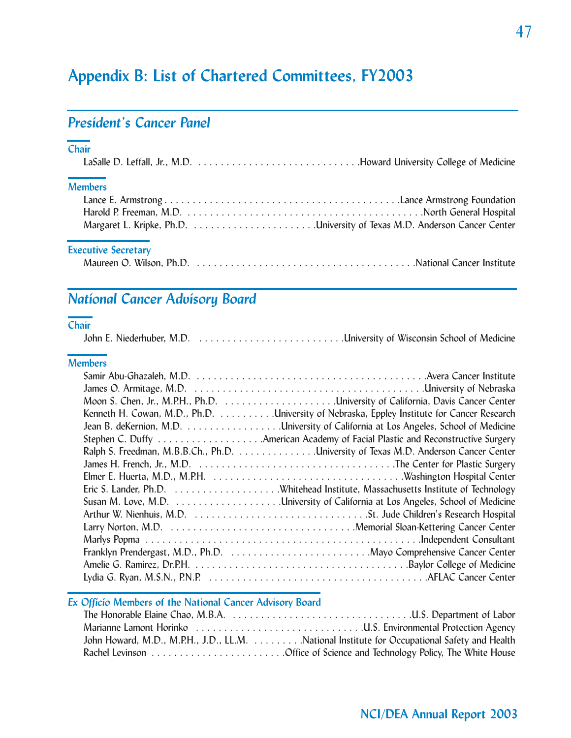# **Appendix B: List of Chartered Committees, FY2003**

## *President's Cancer Panel*

#### **Chair**

| the control of the control of the con-<br><b>Members</b>                                                                                                                                                                             |  |
|--------------------------------------------------------------------------------------------------------------------------------------------------------------------------------------------------------------------------------------|--|
|                                                                                                                                                                                                                                      |  |
|                                                                                                                                                                                                                                      |  |
|                                                                                                                                                                                                                                      |  |
|                                                                                                                                                                                                                                      |  |
| $\mathbf{r}$ and $\mathbf{r}$ are the set of the set of the set of the set of the set of the set of the set of the set of the set of the set of the set of the set of the set of the set of the set of the set of the set of the set |  |

### **Executive Secretary**

|--|--|--|--|

# *National Cancer Advisory Board*

### **Chair**

#### **Members**

| Moon S. Chen, Jr., M.P.H., Ph.D. University of California, Davis Cancer Center             |
|--------------------------------------------------------------------------------------------|
| Kenneth H. Cowan, M.D., Ph.D. University of Nebraska, Eppley Institute for Cancer Research |
|                                                                                            |
|                                                                                            |
| Ralph S. Freedman, M.B.B.Ch., Ph.D. University of Texas M.D. Anderson Cancer Center        |
|                                                                                            |
|                                                                                            |
|                                                                                            |
|                                                                                            |
|                                                                                            |
|                                                                                            |
|                                                                                            |
| Franklyn Prendergast, M.D., Ph.D. Mayo Comprehensive Cancer Center                         |
|                                                                                            |
|                                                                                            |
|                                                                                            |

## *Ex Officio* **Members of the National Cancer Advisory Board**

| John Howard, M.D., M.P.H., J.D., LL.M. National Institute for Occupational Safety and Health |
|----------------------------------------------------------------------------------------------|
|                                                                                              |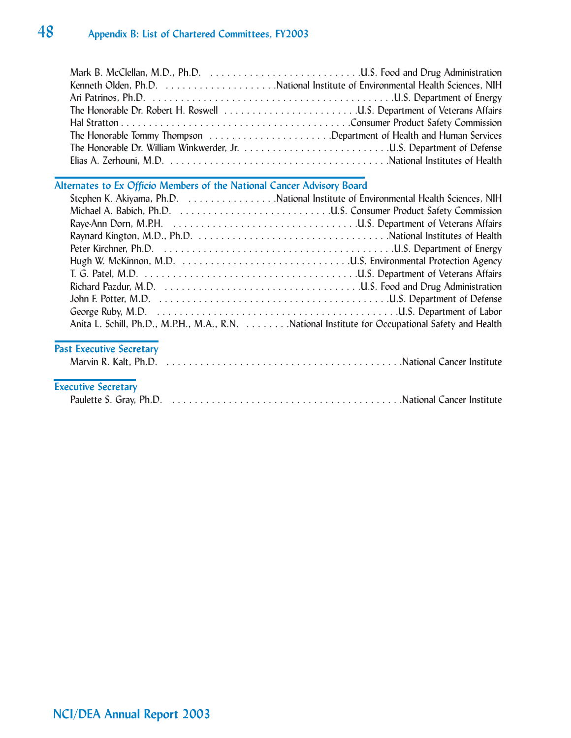| The Honorable Tommy Thompson Department of Health and Human Services |
|----------------------------------------------------------------------|
|                                                                      |
|                                                                      |

## **Alternates to** *Ex Officio* **Members of the National Cancer Advisory Board**

| Stephen K. Akiyama, Ph.D. National Institute of Environmental Health Sciences, NIH                |
|---------------------------------------------------------------------------------------------------|
|                                                                                                   |
|                                                                                                   |
|                                                                                                   |
|                                                                                                   |
|                                                                                                   |
|                                                                                                   |
|                                                                                                   |
|                                                                                                   |
|                                                                                                   |
| Anita L. Schill, Ph.D., M.P.H., M.A., R.N.  National Institute for Occupational Safety and Health |

### **Past Executive Secretary**

| Marvin R. Kalt, Ph.D. |  |  |  |  |
|-----------------------|--|--|--|--|
|-----------------------|--|--|--|--|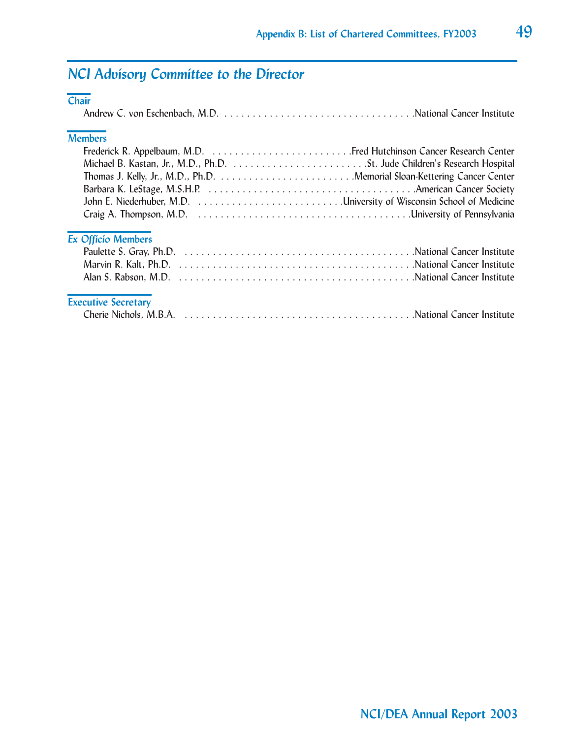## *NCI Advisory Committee to the Director*

### **Chair**

|--|--|--|--|

### **Members**

| Frederick R. Appelbaum, M.D. Fred Hutchinson Cancer Research Center |  |
|---------------------------------------------------------------------|--|
|                                                                     |  |
|                                                                     |  |
|                                                                     |  |
|                                                                     |  |
|                                                                     |  |

## *Ex Officio* **Members**

| Cherie Nichols, M.B.A. (2008). Cherie Nichols, M.B.A. (2008). Cherie Nichols, M.B.A. (2008). Cherie Institute |  |  |  |
|---------------------------------------------------------------------------------------------------------------|--|--|--|
|---------------------------------------------------------------------------------------------------------------|--|--|--|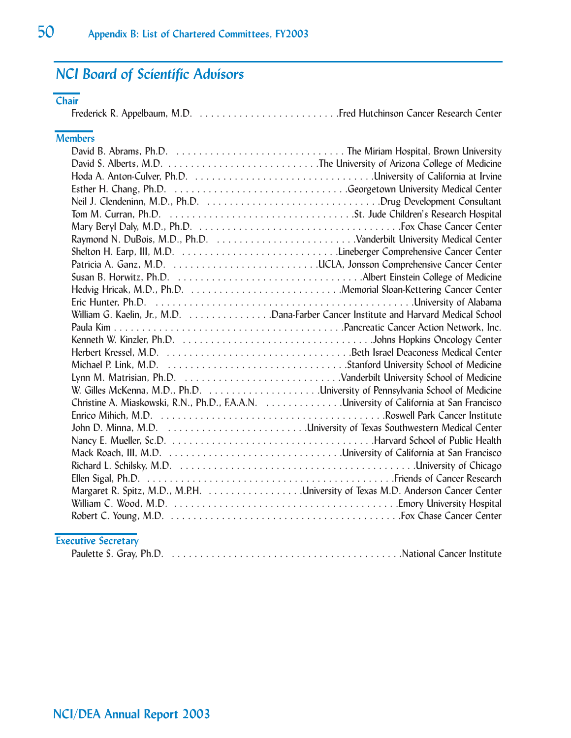## *NCI Board of Scientific Advisors*

## **Chair**

| Frederick R. Appelbaum, M.D.  Fred Hutchinson Cancer Research Center |  |
|----------------------------------------------------------------------|--|
|                                                                      |  |

### **Members**

| David S. Alberts, M.D. The University of Arizona College of Medicine<br>Neil J. Clendeninn, M.D., Ph.D. Drug Development Consultant<br>Shelton H. Earp, III, M.D. Lineberger Comprehensive Cancer Center<br>Hedvig Hricak, M.D., Ph.D. Memorial Sloan-Kettering Cancer Center<br>William G. Kaelin, Jr., M.D. Dana-Farber Cancer Institute and Harvard Medical School<br>Herbert Kressel, M.D. Beth Israel Deaconess Medical Center<br>Lynn M. Matrisian, Ph.D. Vanderbilt University School of Medicine<br>W. Gilles McKenna, M.D., Ph.D. University of Pennsylvania School of Medicine<br>John D. Minna, M.D. University of Texas Southwestern Medical Center |  |
|-----------------------------------------------------------------------------------------------------------------------------------------------------------------------------------------------------------------------------------------------------------------------------------------------------------------------------------------------------------------------------------------------------------------------------------------------------------------------------------------------------------------------------------------------------------------------------------------------------------------------------------------------------------------|--|
|                                                                                                                                                                                                                                                                                                                                                                                                                                                                                                                                                                                                                                                                 |  |
|                                                                                                                                                                                                                                                                                                                                                                                                                                                                                                                                                                                                                                                                 |  |
|                                                                                                                                                                                                                                                                                                                                                                                                                                                                                                                                                                                                                                                                 |  |
|                                                                                                                                                                                                                                                                                                                                                                                                                                                                                                                                                                                                                                                                 |  |
|                                                                                                                                                                                                                                                                                                                                                                                                                                                                                                                                                                                                                                                                 |  |
|                                                                                                                                                                                                                                                                                                                                                                                                                                                                                                                                                                                                                                                                 |  |
|                                                                                                                                                                                                                                                                                                                                                                                                                                                                                                                                                                                                                                                                 |  |
|                                                                                                                                                                                                                                                                                                                                                                                                                                                                                                                                                                                                                                                                 |  |
|                                                                                                                                                                                                                                                                                                                                                                                                                                                                                                                                                                                                                                                                 |  |
|                                                                                                                                                                                                                                                                                                                                                                                                                                                                                                                                                                                                                                                                 |  |
|                                                                                                                                                                                                                                                                                                                                                                                                                                                                                                                                                                                                                                                                 |  |
|                                                                                                                                                                                                                                                                                                                                                                                                                                                                                                                                                                                                                                                                 |  |
|                                                                                                                                                                                                                                                                                                                                                                                                                                                                                                                                                                                                                                                                 |  |
|                                                                                                                                                                                                                                                                                                                                                                                                                                                                                                                                                                                                                                                                 |  |
|                                                                                                                                                                                                                                                                                                                                                                                                                                                                                                                                                                                                                                                                 |  |
|                                                                                                                                                                                                                                                                                                                                                                                                                                                                                                                                                                                                                                                                 |  |
|                                                                                                                                                                                                                                                                                                                                                                                                                                                                                                                                                                                                                                                                 |  |
|                                                                                                                                                                                                                                                                                                                                                                                                                                                                                                                                                                                                                                                                 |  |
|                                                                                                                                                                                                                                                                                                                                                                                                                                                                                                                                                                                                                                                                 |  |
|                                                                                                                                                                                                                                                                                                                                                                                                                                                                                                                                                                                                                                                                 |  |
|                                                                                                                                                                                                                                                                                                                                                                                                                                                                                                                                                                                                                                                                 |  |
|                                                                                                                                                                                                                                                                                                                                                                                                                                                                                                                                                                                                                                                                 |  |
|                                                                                                                                                                                                                                                                                                                                                                                                                                                                                                                                                                                                                                                                 |  |
|                                                                                                                                                                                                                                                                                                                                                                                                                                                                                                                                                                                                                                                                 |  |
|                                                                                                                                                                                                                                                                                                                                                                                                                                                                                                                                                                                                                                                                 |  |
|                                                                                                                                                                                                                                                                                                                                                                                                                                                                                                                                                                                                                                                                 |  |
|                                                                                                                                                                                                                                                                                                                                                                                                                                                                                                                                                                                                                                                                 |  |
|                                                                                                                                                                                                                                                                                                                                                                                                                                                                                                                                                                                                                                                                 |  |
|                                                                                                                                                                                                                                                                                                                                                                                                                                                                                                                                                                                                                                                                 |  |

|--|--|--|--|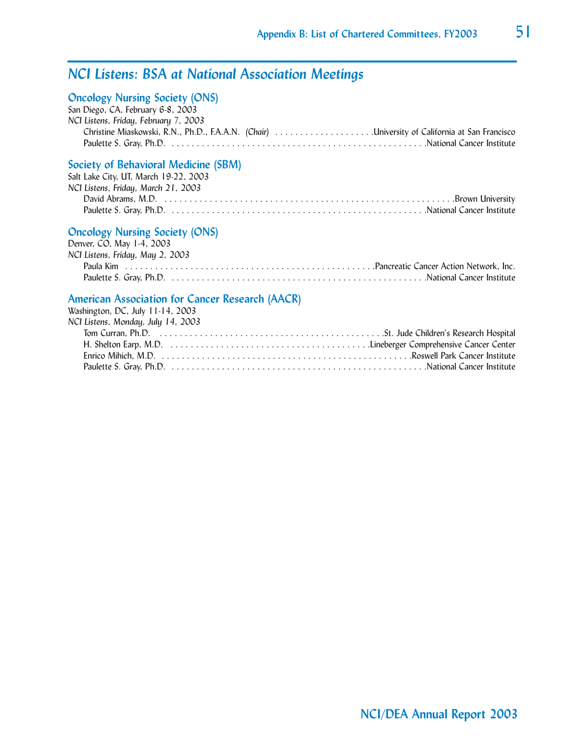## *NCI Listens: BSA at National Association Meetings*

### **Oncology Nursing Society (ONS)**

| San Diego, CA, February 6-8, 2003     |                                                                                               |
|---------------------------------------|-----------------------------------------------------------------------------------------------|
| NCI Listens, Friday, February 7, 2003 |                                                                                               |
|                                       | Christine Miaskowski, R.N., Ph.D., F.A.A.N. (Chair) University of California at San Francisco |
|                                       |                                                                                               |

#### **Society of Behavioral Medicine (SBM)**

| Salt Lake City, UT, March 19-22, 2003 |  |
|---------------------------------------|--|
| NCI Listens, Friday, March 21, 2003   |  |
|                                       |  |
|                                       |  |

#### **Oncology Nursing Society (ONS)**

| Denver, CO, May 1-4, 2003        |  |
|----------------------------------|--|
| NCI Listens, Friday, May 2, 2003 |  |
|                                  |  |
|                                  |  |

#### **American Association for Cancer Research (AACR)**

| Washington, DC, July 11-14, 2003   |  |
|------------------------------------|--|
| NCI Listens, Monday, July 14, 2003 |  |
|                                    |  |
|                                    |  |
|                                    |  |
|                                    |  |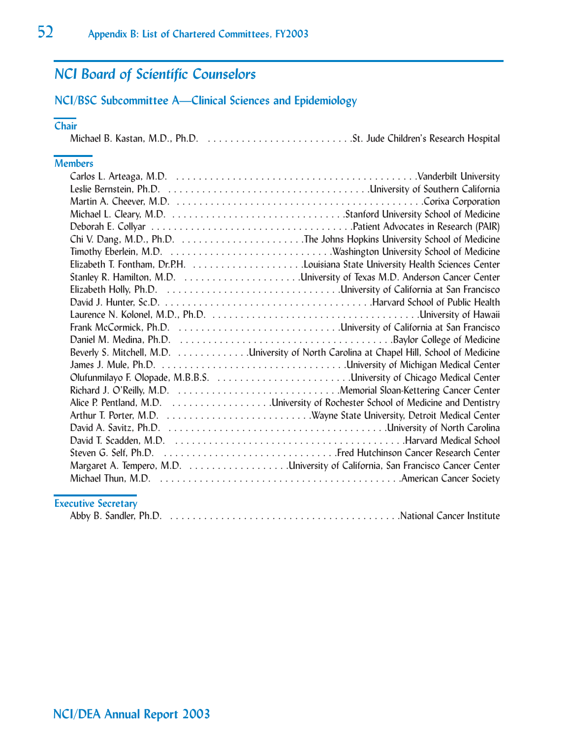## *NCI Board of Scientific Counselors*

## **NCI/BSC Subcommittee A—Clinical Sciences and Epidemiology**

## **Chair**

|--|--|--|--|--|--|--|

#### **Members**

|  | Frank McCormick, Ph.D. University of California at San Francisco                                               |
|--|----------------------------------------------------------------------------------------------------------------|
|  |                                                                                                                |
|  | Beverly S. Mitchell, M.D. University of North Carolina at Chapel Hill, School of Medicine                      |
|  |                                                                                                                |
|  |                                                                                                                |
|  |                                                                                                                |
|  |                                                                                                                |
|  |                                                                                                                |
|  |                                                                                                                |
|  |                                                                                                                |
|  | Steven G. Self, Ph.D. (All Allers Allers Andreas Allers Allers Allers Allers Allers Allers Allers Allers Aller |
|  |                                                                                                                |
|  |                                                                                                                |
|  |                                                                                                                |

|--|--|--|--|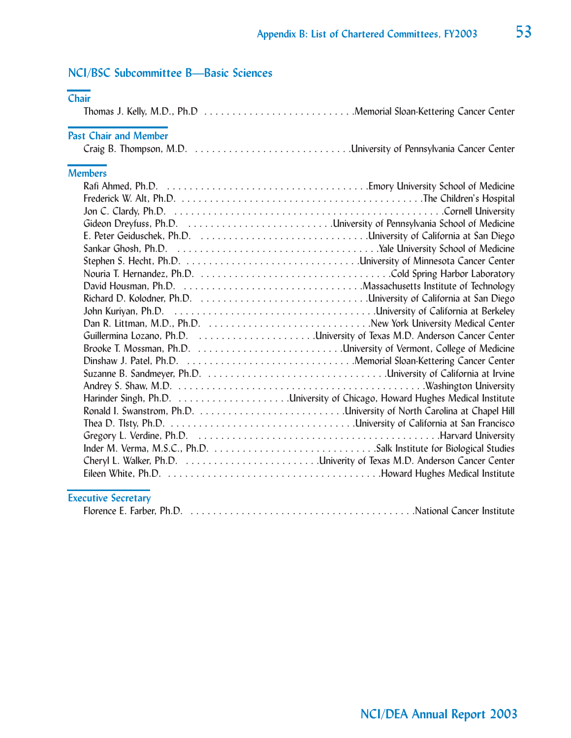### **NCI/BSC Subcommittee B—Basic Sciences**

#### **Chair**

|--|--|--|--|--|

#### **Past Chair and Member**

|--|--|--|--|--|--|

#### **Members**

| Rafi Ahmed, Ph.D. (a) a subset of Medicine Medicine and Medicine Rafi Ahmed, Ph.D. (a) a subset of Medicine Ra                                                                                                                |
|-------------------------------------------------------------------------------------------------------------------------------------------------------------------------------------------------------------------------------|
|                                                                                                                                                                                                                               |
|                                                                                                                                                                                                                               |
|                                                                                                                                                                                                                               |
|                                                                                                                                                                                                                               |
|                                                                                                                                                                                                                               |
|                                                                                                                                                                                                                               |
|                                                                                                                                                                                                                               |
|                                                                                                                                                                                                                               |
|                                                                                                                                                                                                                               |
|                                                                                                                                                                                                                               |
| Dan R. Littman, M.D., Ph.D. (2002) 2014 (2010) 2014 New York University Medical Center                                                                                                                                        |
| Guillermina Lozano, Ph.D. (contact contact contact with a University of Texas M.D. Anderson Cancer Center                                                                                                                     |
|                                                                                                                                                                                                                               |
|                                                                                                                                                                                                                               |
|                                                                                                                                                                                                                               |
|                                                                                                                                                                                                                               |
| Harinder Singh, Ph.D. University of Chicago, Howard Hughes Medical Institute                                                                                                                                                  |
|                                                                                                                                                                                                                               |
|                                                                                                                                                                                                                               |
| Gregory L. Verdine, Ph.D. (also contained a series and the contact of the Philosophers of the Sergery L. Verdine, Ph.D. (also contact contact contact contact contact contact contact contact contact contact contact contact |
|                                                                                                                                                                                                                               |
|                                                                                                                                                                                                                               |
|                                                                                                                                                                                                                               |

|  | Florence E. Farber, Ph.D. (2003) (2004) Florence E. Farber, Ph.D. (2004) (2003) (2006) (2006) (2006) (2006) (2006) (2006) (2006) (2006) (2006) (2006) (2006) (2006) (2006) (2006) (2006) (2006) (2006) (2006) (2006) (2006) (2 |  |  |  |
|--|--------------------------------------------------------------------------------------------------------------------------------------------------------------------------------------------------------------------------------|--|--|--|
|--|--------------------------------------------------------------------------------------------------------------------------------------------------------------------------------------------------------------------------------|--|--|--|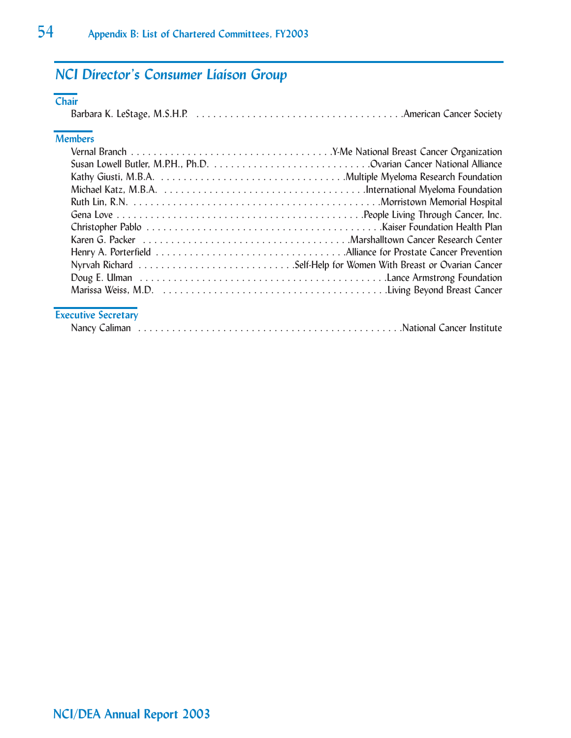## *NCI Director's Consumer Liaison Group*

## **Chair**

#### **Members**

| Karen G. Packer (2008) Marshalltown Cancer Research Center |  |
|------------------------------------------------------------|--|
|                                                            |  |
|                                                            |  |
|                                                            |  |
|                                                            |  |

|  | Nancy Caliman (alternative control of the caliman cancer Institute of the control of the control of the caliman |  |
|--|-----------------------------------------------------------------------------------------------------------------|--|
|--|-----------------------------------------------------------------------------------------------------------------|--|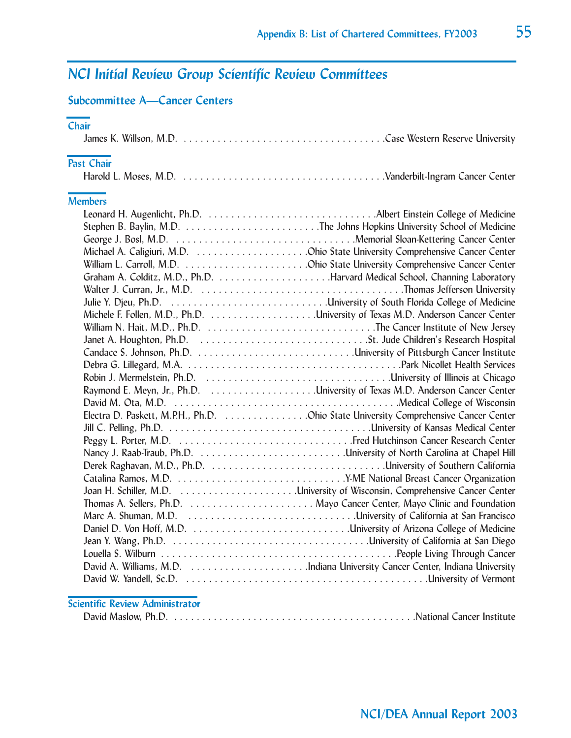## *NCI Initial Review Group Scientific Review Committees*

## **Subcommittee A—Cancer Centers**

#### **Chair**

|--|--|--|

### **Past Chair**

#### **Members**

| Stephen B. Baylin, M.D. The Johns Hopkins University School of Medicine                     |  |
|---------------------------------------------------------------------------------------------|--|
|                                                                                             |  |
| Michael A. Caligiuri, M.D. Ohio State University Comprehensive Cancer Center                |  |
|                                                                                             |  |
|                                                                                             |  |
|                                                                                             |  |
|                                                                                             |  |
|                                                                                             |  |
| William N. Hait, M.D., Ph.D. The Cancer Institute of New Jersey                             |  |
| Janet A. Houghton, Ph.D. (2008). The Chances St. Jude Children's Research Hospital          |  |
|                                                                                             |  |
|                                                                                             |  |
| Robin J. Mermelstein, Ph.D. (a) and a content content of the Microsoft Philinois at Chicago |  |
| Raymond E. Meyn, Jr., Ph.D. University of Texas M.D. Anderson Cancer Center                 |  |
|                                                                                             |  |
| Electra D. Paskett, M.P.H., Ph.D. Ohio State University Comprehensive Cancer Center         |  |
|                                                                                             |  |
|                                                                                             |  |
|                                                                                             |  |
|                                                                                             |  |
|                                                                                             |  |
|                                                                                             |  |
|                                                                                             |  |
| Marc A. Shuman, M.D. (a) research contained a state of California at San Francisco          |  |
|                                                                                             |  |
|                                                                                             |  |
|                                                                                             |  |
|                                                                                             |  |
|                                                                                             |  |
|                                                                                             |  |

|--|--|--|--|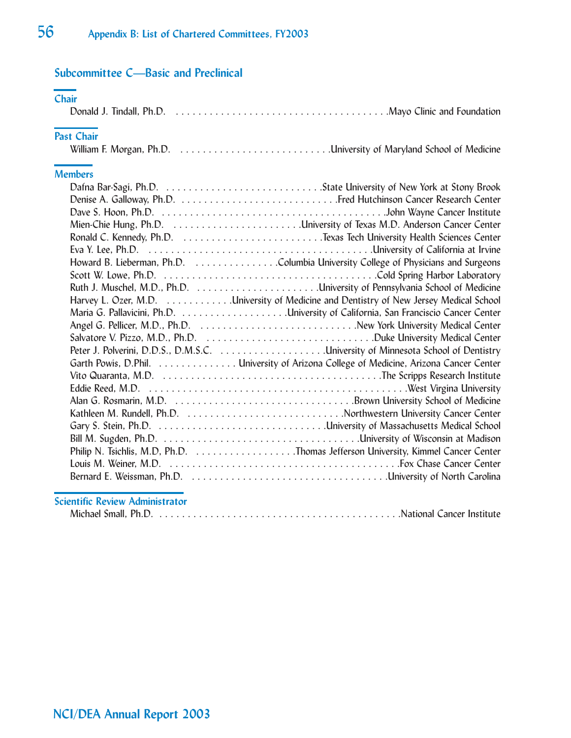### **Subcommittee C—Basic and Preclinical**

#### **Chair**

|--|

#### **Past Chair**

| William F. Morgan, Ph.D. (2008) William F. Morgan, Ph.D. (2008) Muslim Concrett Concerners Contractor Medicine |  |
|----------------------------------------------------------------------------------------------------------------|--|
|----------------------------------------------------------------------------------------------------------------|--|

#### **Members**

| Ronald C. Kennedy, Ph.D. (2008). The Case of Center Center Center Center                                                                                                                                                       |
|--------------------------------------------------------------------------------------------------------------------------------------------------------------------------------------------------------------------------------|
|                                                                                                                                                                                                                                |
| Howard B. Lieberman, Ph.D. Columbia University College of Physicians and Surgeons                                                                                                                                              |
|                                                                                                                                                                                                                                |
| Ruth J. Muschel, M.D., Ph.D. University of Pennsylvania School of Medicine                                                                                                                                                     |
| Harvey L. Ozer, M.D. University of Medicine and Dentistry of New Jersey Medical School                                                                                                                                         |
|                                                                                                                                                                                                                                |
|                                                                                                                                                                                                                                |
| Salvatore V. Pizzo, M.D., Ph.D. Duke University Medical Center                                                                                                                                                                 |
| Peter J. Polverini, D.D.S., D.M.S.C. University of Minnesota School of Dentistry                                                                                                                                               |
| Garth Powis, D.Phil. University of Arizona College of Medicine, Arizona Cancer Center                                                                                                                                          |
|                                                                                                                                                                                                                                |
|                                                                                                                                                                                                                                |
|                                                                                                                                                                                                                                |
|                                                                                                                                                                                                                                |
|                                                                                                                                                                                                                                |
|                                                                                                                                                                                                                                |
| Philip N. Tsichlis, M.D, Ph.D. Thomas Jefferson University, Kimmel Cancer Center                                                                                                                                               |
|                                                                                                                                                                                                                                |
| Bernard E. Weissman, Ph.D. (2008). The Carolina Sernard E. Weissman, Ph.D. (2010). Letter Carolina Sernard E. Weissman, Ph.D. (2008). The Carolina Sernard E. Weissman, Ph.D. (2008). The Carolina Sernard E. Weissman Sernard |
|                                                                                                                                                                                                                                |

|--|--|--|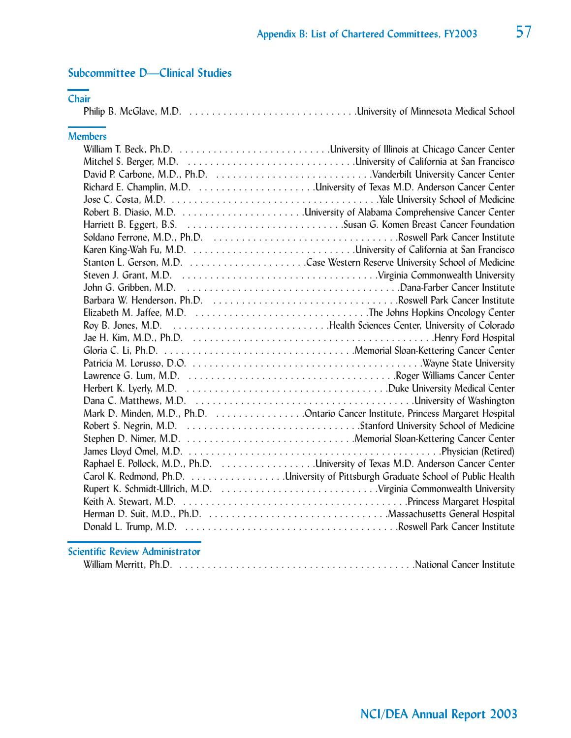### **Subcommittee D—Clinical Studies**

#### **Chair**

|--|--|--|--|--|--|--|

#### **Members**

| David P. Carbone, M.D., Ph.D. Vanderbilt University Cancer Center                                                          |  |
|----------------------------------------------------------------------------------------------------------------------------|--|
|                                                                                                                            |  |
|                                                                                                                            |  |
| Robert B. Diasio, M.D. University of Alabama Comprehensive Cancer Center                                                   |  |
| Harriett B. Eggert, B.S. (also contained a subset of the series of the series of the series of the subset of the Sundation |  |
|                                                                                                                            |  |
|                                                                                                                            |  |
|                                                                                                                            |  |
|                                                                                                                            |  |
| John G. Gribben, M.D. (all contacts) and the contact of the M.D. School of the Cancer Institute                            |  |
| Barbara W. Henderson, Ph.D. (2001). The Sarbara Context Cancer Institute                                                   |  |
|                                                                                                                            |  |
|                                                                                                                            |  |
|                                                                                                                            |  |
|                                                                                                                            |  |
|                                                                                                                            |  |
|                                                                                                                            |  |
|                                                                                                                            |  |
|                                                                                                                            |  |
| Mark D. Minden, M.D., Ph.D. Ontario Cancer Institute, Princess Margaret Hospital                                           |  |
|                                                                                                                            |  |
|                                                                                                                            |  |
|                                                                                                                            |  |
|                                                                                                                            |  |
|                                                                                                                            |  |
|                                                                                                                            |  |
|                                                                                                                            |  |
|                                                                                                                            |  |
|                                                                                                                            |  |
|                                                                                                                            |  |

|--|--|--|--|--|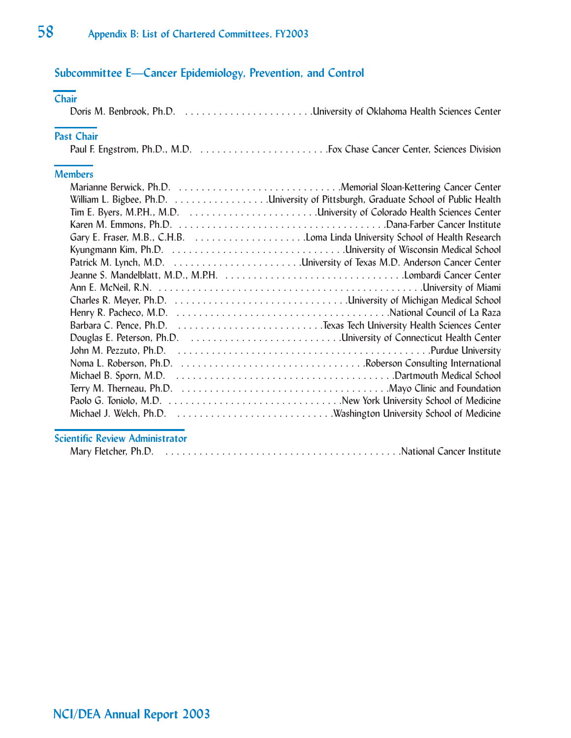### **Subcommittee E—Cancer Epidemiology, Prevention, and Control**

#### **Chair**

Doris M. Benbrook, Ph.D. . . . . . . . . . . . . . . . . . . . . . . .University of Oklahoma Health Sciences Center

#### **Past Chair**

#### **Members**

| Jeanne S. Mandelblatt, M.D., M.P.H. (1990) (1990) (1990) (1990) (1991) (1991) (1991) (1991) (1991) (1991) (19 |  |
|---------------------------------------------------------------------------------------------------------------|--|
|                                                                                                               |  |
|                                                                                                               |  |
|                                                                                                               |  |
|                                                                                                               |  |
| Douglas E. Peterson, Ph.D. (2008). The University of Connecticut Health Center                                |  |
|                                                                                                               |  |
|                                                                                                               |  |
|                                                                                                               |  |
|                                                                                                               |  |
|                                                                                                               |  |
|                                                                                                               |  |
|                                                                                                               |  |

|  |  | Mary Fletcher, Ph.D. (a) Annual Cancer Institute Mary Fletcher, Ph.D. (a) Annual Cancer Institute |  |
|--|--|---------------------------------------------------------------------------------------------------|--|
|--|--|---------------------------------------------------------------------------------------------------|--|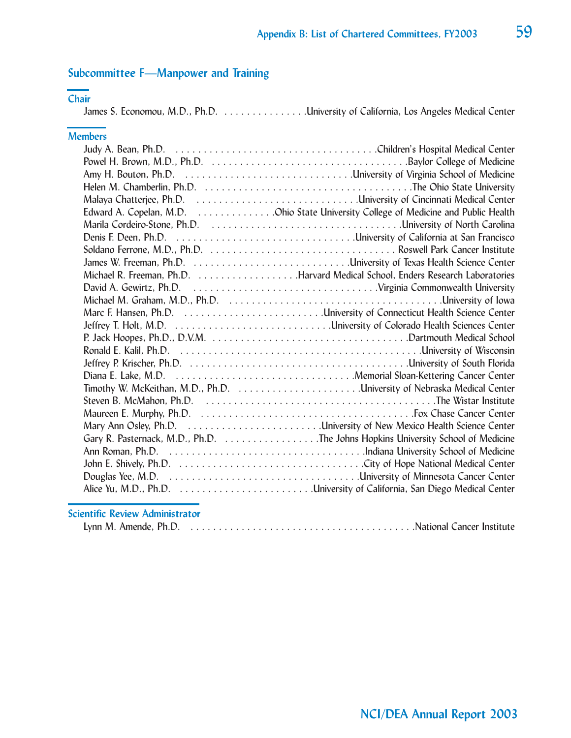## **Subcommittee F—Manpower and Training**

#### **Chair**

James S. Economou, M.D., Ph.D. . . . . . . . . . . . . . . . University of California, Los Angeles Medical Center

#### **Members**

| Malaya Chatterjee, Ph.D. (2008). All also extends the University of Cincinnati Medical Center                  |
|----------------------------------------------------------------------------------------------------------------|
| Edward A. Copelan, M.D. Ohio State University College of Medicine and Public Health                            |
| Marila Cordeiro-Stone, Ph.D. (a) Maria Alexandrian Ann and Marila Cordeira Carolina                            |
|                                                                                                                |
|                                                                                                                |
| James W. Freeman, Ph.D. (2008) James W. Freeman, Ph.D. (2016) James W. Freeman, Ph.D. (2016) James W. Freeman, |
|                                                                                                                |
|                                                                                                                |
|                                                                                                                |
|                                                                                                                |
|                                                                                                                |
|                                                                                                                |
| Ronald E. Kalil, Ph.D. (a) a contract the contract of the University of Wisconsin                              |
|                                                                                                                |
|                                                                                                                |
| Timothy W. McKeithan, M.D., Ph.D. (2001). The University of Nebraska Medical Center                            |
| Steven B. McMahon, Ph.D. (also contained a state of the Wistar Institute                                       |
| Maureen E. Murphy, Ph.D. (All Alberts Alberts Alberts Alberts Alberts Alberts Alberts Ander Center             |
| Mary Ann Osley, Ph.D. (2008). The Castroman Mary Ann Osley, Ph.D. (2016). Mary Ann Osley, Ph.D. (2016). Mary A |
| Gary R. Pasternack, M.D., Ph.D. The Johns Hopkins University School of Medicine                                |
| Ann Roman, Ph.D. (Ann Ann Ann Ann Ann Ann Ann Ann Andrew School of Medicine                                    |
|                                                                                                                |
|                                                                                                                |
|                                                                                                                |
|                                                                                                                |

|  | Lynn M. Amende, Ph.D. (a) a contract the contract of the Mational Cancer Institute |  |  |
|--|------------------------------------------------------------------------------------|--|--|
|--|------------------------------------------------------------------------------------|--|--|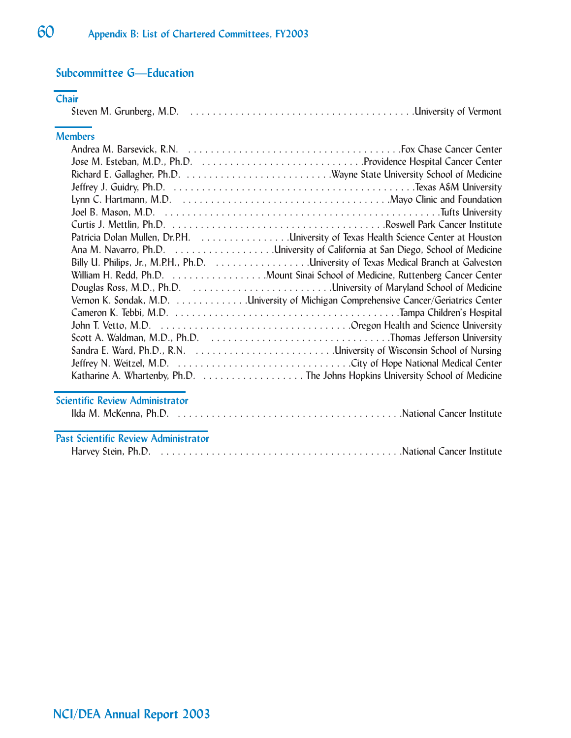### **Subcommittee G—Education**

### **Chair**

| Steven M. Grunberg, M.D. (a) and a content of the content of the M. Grundell Steven M. Grunberg, M.D. |  |
|-------------------------------------------------------------------------------------------------------|--|
|                                                                                                       |  |

#### **Members**

| Jose M. Esteban, M.D., Ph.D. (2008) March 2014 (2016) Providence Hospital Cancer Center                                                    |  |
|--------------------------------------------------------------------------------------------------------------------------------------------|--|
|                                                                                                                                            |  |
|                                                                                                                                            |  |
|                                                                                                                                            |  |
|                                                                                                                                            |  |
|                                                                                                                                            |  |
|                                                                                                                                            |  |
|                                                                                                                                            |  |
|                                                                                                                                            |  |
| William H. Redd, Ph.D. Mount Sinai School of Medicine, Ruttenberg Cancer Center                                                            |  |
| Douglas Ross, M.D., Ph.D. (2008). The Couglas Ross, M.D., Ph.D. (2008). Contract to contract the University of Maryland School of Medicine |  |
| Vernon K. Sondak, M.D. University of Michigan Comprehensive Cancer/Geriatrics Center                                                       |  |
|                                                                                                                                            |  |
|                                                                                                                                            |  |
| Scott A. Waldman, M.D., Ph.D. (2008) Context Context Context Context Thomas Jefferson University                                           |  |
|                                                                                                                                            |  |
|                                                                                                                                            |  |
| Katharine A. Whartenby, Ph.D. The Johns Hopkins University School of Medicine                                                              |  |
|                                                                                                                                            |  |

#### **Scientific Review Administrator**

|  | Ilda M. McKenna, Ph.D. (a) a contract the context of the Mational Cancer Institute |  |  |
|--|------------------------------------------------------------------------------------|--|--|
|--|------------------------------------------------------------------------------------|--|--|

|--|--|--|--|--|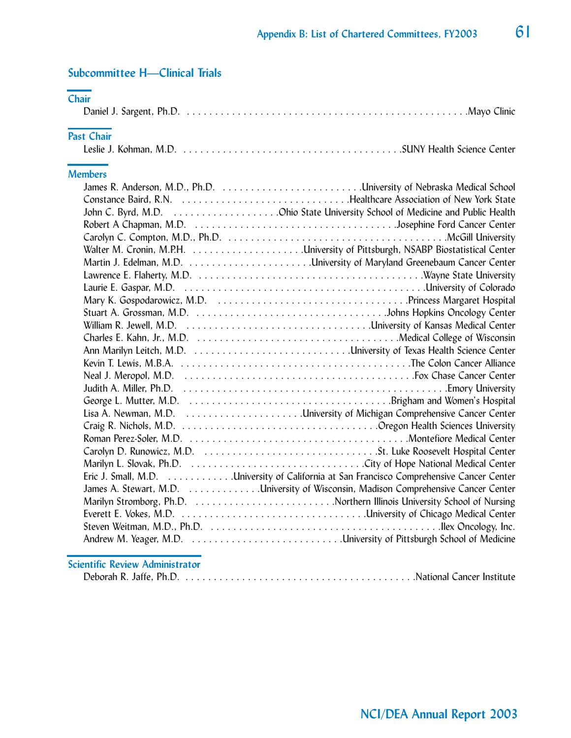### **Subcommittee H—Clinical Trials**

#### **Chair**

### **Past Chair**

|--|--|--|--|--|

#### **Members**

| James R. Anderson, M.D., Ph.D. (a) a subset of the context of Nebraska Medical School                          |
|----------------------------------------------------------------------------------------------------------------|
|                                                                                                                |
|                                                                                                                |
|                                                                                                                |
|                                                                                                                |
|                                                                                                                |
|                                                                                                                |
|                                                                                                                |
|                                                                                                                |
| Mary K. Gospodarowicz, M.D. (2008). And Mary K. Gospodarowicz, M.D. (2008). And Allen Alexander Alexander Alex |
|                                                                                                                |
|                                                                                                                |
|                                                                                                                |
|                                                                                                                |
|                                                                                                                |
|                                                                                                                |
|                                                                                                                |
|                                                                                                                |
|                                                                                                                |
|                                                                                                                |
|                                                                                                                |
|                                                                                                                |
|                                                                                                                |
| Eric J. Small, M.D. University of California at San Francisco Comprehensive Cancer Center                      |
| James A. Stewart, M.D. University of Wisconsin, Madison Comprehensive Cancer Center                            |
|                                                                                                                |
|                                                                                                                |
|                                                                                                                |
|                                                                                                                |
|                                                                                                                |

|--|--|--|--|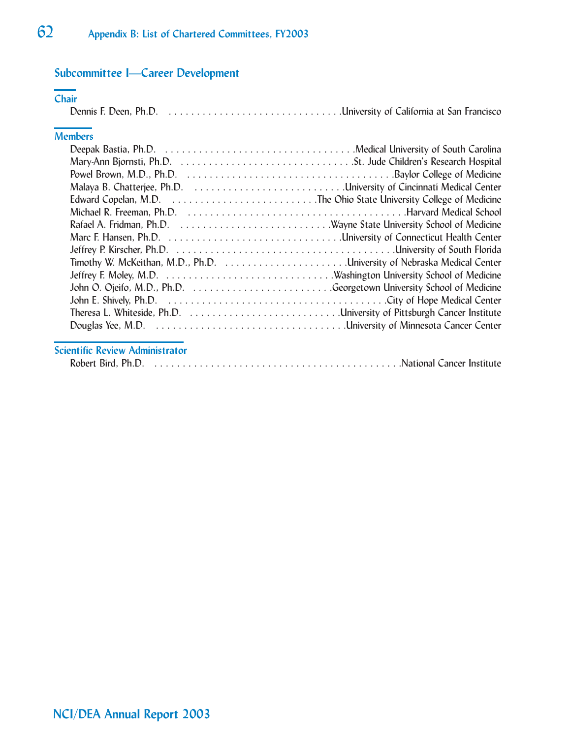## **Subcommittee I—Career Development**

#### **Chair**

|--|--|--|--|--|

#### **Members**

|  | Michael R. Freeman, Ph.D. (a) a contract the context of the context of the Medical School (Medical School) |
|--|------------------------------------------------------------------------------------------------------------|
|  |                                                                                                            |
|  |                                                                                                            |
|  |                                                                                                            |
|  | Timothy W. McKeithan, M.D., Ph.D. (and successive services, a University of Nebraska Medical Center        |
|  |                                                                                                            |
|  |                                                                                                            |
|  |                                                                                                            |
|  | Theresa L. Whiteside, Ph.D. (a) a contact contact the contact with the Pittsburgh Cancer Institute         |
|  |                                                                                                            |
|  |                                                                                                            |

| Robert Bird, Ph.D. |  |  |  |  |
|--------------------|--|--|--|--|
|--------------------|--|--|--|--|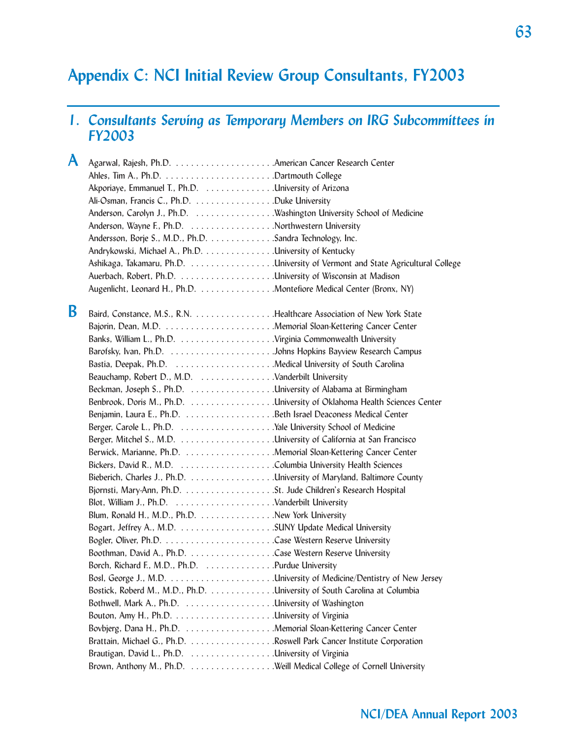# **Appendix C: NCI Initial Review Group Consultants, FY2003**

## *1. Consultants Serving as Temporary Members on IRG Subcommittees in FY2003*

| A |                                                                          |  |
|---|--------------------------------------------------------------------------|--|
|   |                                                                          |  |
|   | Akporiaye, Emmanuel T., Ph.D. University of Arizona                      |  |
|   | Ali-Osman, Francis C., Ph.D. Duke University                             |  |
|   |                                                                          |  |
|   | Anderson, Wayne F., Ph.D. Northwestern University                        |  |
|   | Andersson, Borje S., M.D., Ph.D. Sandra Technology, Inc.                 |  |
|   | Andrykowski, Michael A., Ph.D. University of Kentucky                    |  |
|   |                                                                          |  |
|   |                                                                          |  |
|   | Augenlicht, Leonard H., Ph.D. Montefiore Medical Center (Bronx, NY)      |  |
| B | Baird, Constance, M.S., R.N. Healthcare Association of New York State    |  |
|   |                                                                          |  |
|   |                                                                          |  |
|   |                                                                          |  |
|   | Bastia, Deepak, Ph.D. Medical University of South Carolina               |  |
|   | Beauchamp, Robert D., M.D. Vanderbilt University                         |  |
|   | Beckman, Joseph S., Ph.D. University of Alabama at Birmingham            |  |
|   |                                                                          |  |
|   | Benjamin, Laura E., Ph.D. Beth Israel Deaconess Medical Center           |  |
|   |                                                                          |  |
|   |                                                                          |  |
|   |                                                                          |  |
|   |                                                                          |  |
|   |                                                                          |  |
|   |                                                                          |  |
|   |                                                                          |  |
|   | Blum, Ronald H., M.D., Ph.D. New York University                         |  |
|   |                                                                          |  |
|   |                                                                          |  |
|   |                                                                          |  |
|   | Borch, Richard F., M.D., Ph.D. Purdue University                         |  |
|   |                                                                          |  |
|   | Bostick, Roberd M., M.D., Ph.D. University of South Carolina at Columbia |  |
|   |                                                                          |  |
|   |                                                                          |  |
|   | Bovbjerg, Dana H., Ph.D. Memorial Sloan-Kettering Cancer Center          |  |
|   |                                                                          |  |
|   | Brautigan, David L., Ph.D. University of Virginia                        |  |
|   |                                                                          |  |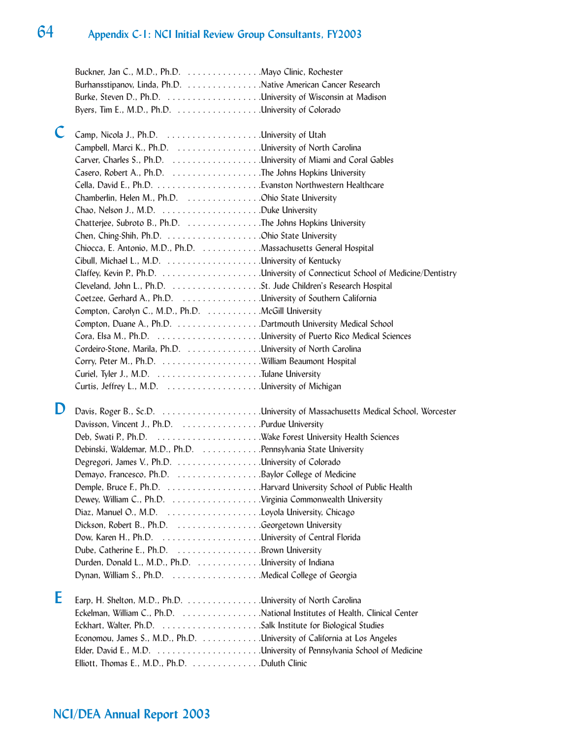#### 64 **Appendix C-1: NCI Initial Review Group Consultants, FY2003**

| Buckner, Jan C., M.D., Ph.D. Mayo Clinic, Rochester           |  |
|---------------------------------------------------------------|--|
| Burhansstipanov, Linda, Ph.D. Native American Cancer Research |  |
|                                                               |  |
|                                                               |  |

| Camp, Nicola J., Ph.D. University of Utah                       |  |
|-----------------------------------------------------------------|--|
| Campbell, Marci K., Ph.D. University of North Carolina          |  |
|                                                                 |  |
|                                                                 |  |
| Cella, David E., Ph.D. Evanston Northwestern Healthcare         |  |
| Chamberlin, Helen M., Ph.D. Ohio State University               |  |
| Chao, Nelson J., M.D. Duke University                           |  |
| Chatterjee, Subroto B., Ph.D. The Johns Hopkins University      |  |
|                                                                 |  |
| Chiocca, E. Antonio, M.D., Ph.D. Massachusetts General Hospital |  |
|                                                                 |  |
|                                                                 |  |
|                                                                 |  |
| Coetzee, Gerhard A., Ph.D. University of Southern California    |  |
| Compton, Carolyn C., M.D., Ph.D. McGill University              |  |
| Compton, Duane A., Ph.D. Dartmouth University Medical School    |  |
| Cora, Elsa M., Ph.D. University of Puerto Rico Medical Sciences |  |
| Cordeiro-Stone, Marila, Ph.D. University of North Carolina      |  |
|                                                                 |  |
|                                                                 |  |
|                                                                 |  |
|                                                                 |  |

**D** Davis, Roger B., Sc.D. . . . . . . . . . . . . . . . . . . . .University of Massachusetts Medical School, Worcester Davisson, Vincent J., Ph.D. . . . . . . . . . . . . . . . . . Purdue University Deb, Swati P., Ph.D. . . . . . . . . . . . . . . . . . . . . .Wake Forest University Health Sciences Debinski, Waldemar, M.D., Ph.D. . . . . . . . . . . . . Pennsylvania State University Degregori, James V., Ph.D. . . . . . . . . . . . . . . . . . University of Colorado Demayo, Francesco, Ph.D. . . . . . . . . . . . . . . . . . Baylor College of Medicine Demple, Bruce F., Ph.D. . . . . . . . . . . . . . . . . . . .Harvard University School of Public Health Dewey, William C., Ph.D.  $\dots\dots\dots\dots\dots\dots\dots$  . Virginia Commonwealth University Diaz, Manuel O., M.D. . . . . . . . . . . . . . . . . . . .Loyola University, Chicago Dickson, Robert B., Ph.D. . . . . . . . . . . . . . . . . .Georgetown University Dow, Karen H., Ph.D. . . . . . . . . . . . . . . . . . . . .University of Central Florida Dube, Catherine E., Ph.D. . . . . . . . . . . . . . . . . . Brown University Durden, Donald L., M.D., Ph.D. . . . . . . . . . . . . . University of Indiana Dynan, William S., Ph.D. . . . . . . . . . . . . . . . . . Medical College of Georgia

| E Earp, H. Shelton, M.D., Ph.D. University of North Carolina               |
|----------------------------------------------------------------------------|
| Eckelman, William C., Ph.D. National Institutes of Health, Clinical Center |
|                                                                            |
| Economou, James S., M.D., Ph.D. University of California at Los Angeles    |
|                                                                            |
| Elliott, Thomas E., M.D., Ph.D. Duluth Clinic                              |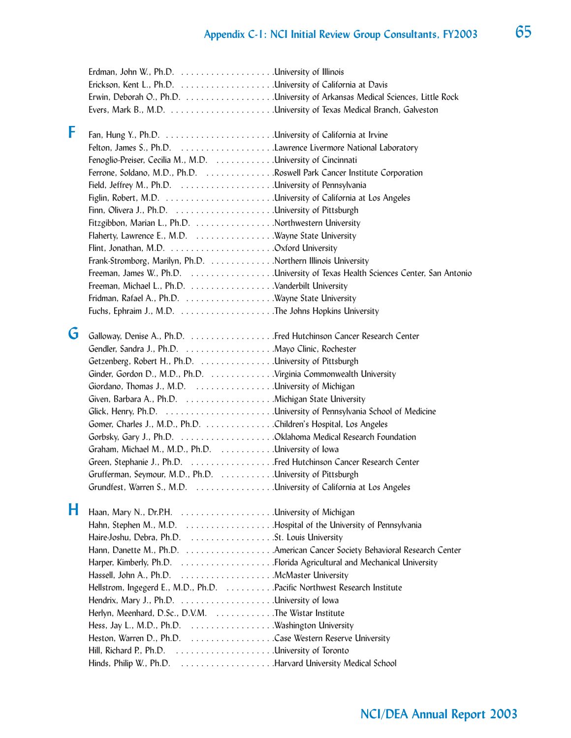|   | Erickson, Kent L., Ph.D. University of California at Davis                 |                                                                            |
|---|----------------------------------------------------------------------------|----------------------------------------------------------------------------|
|   |                                                                            |                                                                            |
|   |                                                                            |                                                                            |
| F | Fan, Hung Y., Ph.D. University of California at Irvine                     |                                                                            |
|   | Felton, James S., Ph.D. (2002) Lawrence Livermore National Laboratory      |                                                                            |
|   | Fenoglio-Preiser, Cecilia M., M.D. University of Cincinnati                |                                                                            |
|   | Ferrone, Soldano, M.D., Ph.D. Roswell Park Cancer Institute Corporation    |                                                                            |
|   | Field, Jeffrey M., Ph.D. University of Pennsylvania                        |                                                                            |
|   | Figlin, Robert, M.D. University of California at Los Angeles               |                                                                            |
|   | Finn, Olivera J., Ph.D. University of Pittsburgh                           |                                                                            |
|   | Fitzgibbon, Marian L., Ph.D. Northwestern University                       |                                                                            |
|   |                                                                            |                                                                            |
|   | Flint, Jonathan, M.D. Oxford University                                    |                                                                            |
|   | Frank-Stromborg, Marilyn, Ph.D. Northern Illinois University               |                                                                            |
|   |                                                                            |                                                                            |
|   |                                                                            |                                                                            |
|   |                                                                            |                                                                            |
|   |                                                                            |                                                                            |
| G | Galloway, Denise A., Ph.D. Fred Hutchinson Cancer Research Center          |                                                                            |
|   |                                                                            |                                                                            |
|   | Getzenberg, Robert H., Ph.D. University of Pittsburgh                      |                                                                            |
|   | Ginder, Gordon D., M.D., Ph.D. Virginia Commonwealth University            |                                                                            |
|   | Giordano, Thomas J., M.D. University of Michigan                           |                                                                            |
|   |                                                                            |                                                                            |
|   |                                                                            |                                                                            |
|   | Gomer, Charles J., M.D., Ph.D. Children's Hospital, Los Angeles            |                                                                            |
|   |                                                                            |                                                                            |
|   | Graham, Michael M., M.D., Ph.D. University of lowa                         |                                                                            |
|   | Green, Stephanie J., Ph.D. (2002)   Fred Hutchinson Cancer Research Center |                                                                            |
|   | Grufferman, Seymour, M.D., Ph.D. University of Pittsburgh                  |                                                                            |
|   |                                                                            |                                                                            |
| Н |                                                                            |                                                                            |
|   |                                                                            |                                                                            |
|   |                                                                            |                                                                            |
|   |                                                                            | Hann, Danette M., Ph.D. American Cancer Society Behavioral Research Center |
|   |                                                                            |                                                                            |
|   |                                                                            |                                                                            |
|   | Hellstrom, Ingegerd E., M.D., Ph.D. Pacific Northwest Research Institute   |                                                                            |
|   |                                                                            |                                                                            |
|   | Herlyn, Meenhard, D.Sc., D.V.M. The Wistar Institute                       |                                                                            |
|   |                                                                            |                                                                            |
|   |                                                                            |                                                                            |
|   |                                                                            |                                                                            |
|   | Hinds, Philip W., Ph.D. Harvard University Medical School                  |                                                                            |
|   |                                                                            |                                                                            |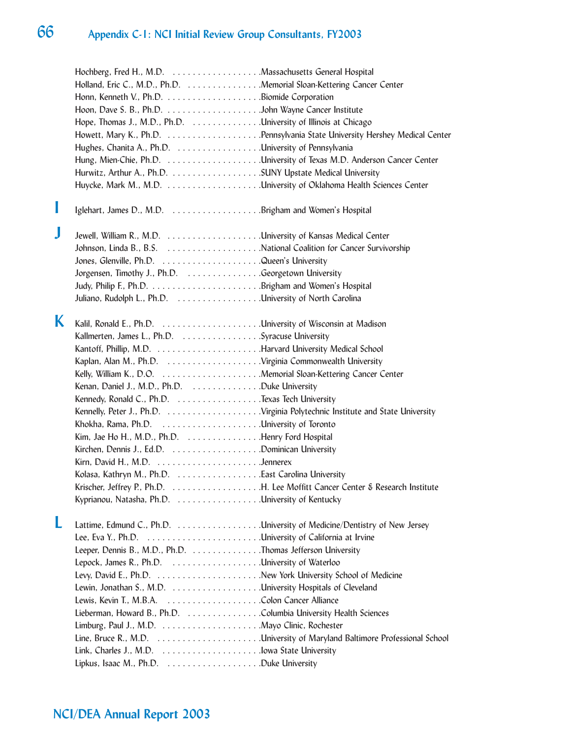### 66 **Appendix C-1: NCI Initial Review Group Consultants, FY2003**

|   | Hochberg, Fred H., M.D. Massachusetts General Hospital                |                                                                               |
|---|-----------------------------------------------------------------------|-------------------------------------------------------------------------------|
|   | Holland, Eric C., M.D., Ph.D.  Memorial Sloan-Kettering Cancer Center |                                                                               |
|   |                                                                       |                                                                               |
|   |                                                                       |                                                                               |
|   | Hope, Thomas J., M.D., Ph.D. University of Illinois at Chicago        |                                                                               |
|   |                                                                       | Howett, Mary K., Ph.D. Pennsylvania State University Hershey Medical Center   |
|   | Hughes, Chanita A., Ph.D. University of Pennsylvania                  |                                                                               |
|   |                                                                       |                                                                               |
|   |                                                                       |                                                                               |
|   | Huycke, Mark M., M.D. University of Oklahoma Health Sciences Center   |                                                                               |
| I |                                                                       |                                                                               |
|   | Iglehart, James D., M.D.  Brigham and Women's Hospital                |                                                                               |
|   | Jewell, William R., M.D. University of Kansas Medical Center          |                                                                               |
|   |                                                                       |                                                                               |
|   |                                                                       |                                                                               |
|   | Jorgensen, Timothy J., Ph.D. Georgetown University                    |                                                                               |
|   |                                                                       |                                                                               |
|   | Juliano, Rudolph L., Ph.D. University of North Carolina               |                                                                               |
|   |                                                                       |                                                                               |
| K |                                                                       |                                                                               |
|   | Kallmerten, James L., Ph.D. Syracuse University                       |                                                                               |
|   | Kantoff, Phillip, M.D. Harvard University Medical School              |                                                                               |
|   |                                                                       |                                                                               |
|   | Kelly, William K., D.O.  Memorial Sloan-Kettering Cancer Center       |                                                                               |
|   | Kenan, Daniel J., M.D., Ph.D. Duke University                         |                                                                               |
|   |                                                                       |                                                                               |
|   |                                                                       | Kennelly, Peter J., Ph.D. Virginia Polytechnic Institute and State University |
|   |                                                                       |                                                                               |
|   | Kim, Jae Ho H., M.D., Ph.D. Henry Ford Hospital                       |                                                                               |
|   |                                                                       |                                                                               |
|   | Kirn, David H., M.D. Bennerex                                         |                                                                               |
|   |                                                                       |                                                                               |
|   | Kolasa, Kathryn M., Ph.D.  East Carolina University                   |                                                                               |
|   |                                                                       | Krischer, Jeffrey P., Ph.D. H. Lee Moffitt Cancer Center & Research Institute |
|   | Kyprianou, Natasha, Ph.D. University of Kentucky                      |                                                                               |
| L |                                                                       |                                                                               |
|   |                                                                       |                                                                               |
|   | Leeper, Dennis B., M.D., Ph.D. Thomas Jefferson University            |                                                                               |
|   |                                                                       |                                                                               |
|   |                                                                       |                                                                               |
|   |                                                                       |                                                                               |
|   |                                                                       |                                                                               |
|   | Lieberman, Howard B., Ph.D. Columbia University Health Sciences       |                                                                               |
|   |                                                                       |                                                                               |
|   |                                                                       |                                                                               |
|   |                                                                       |                                                                               |
|   | Link, Charles J., M.D. lowa State University                          |                                                                               |
|   |                                                                       |                                                                               |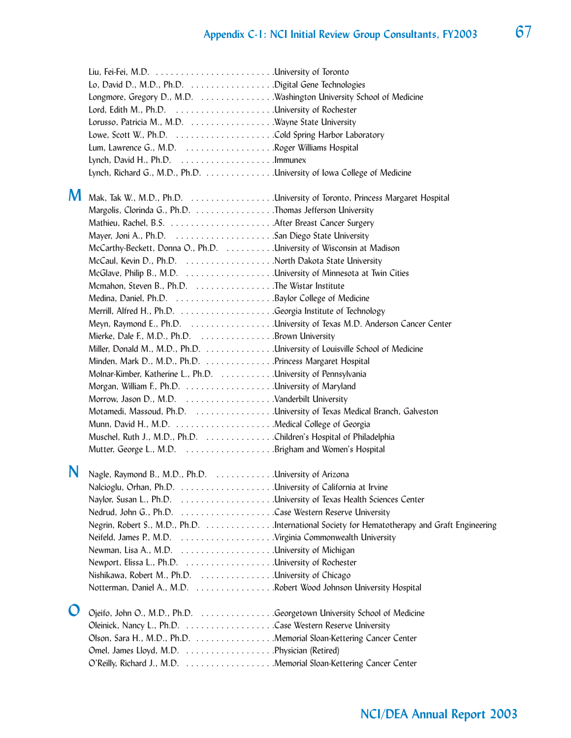|   | Lo, David D., M.D., Ph.D. Digital Gene Technologies<br>Lorusso, Patricia M., M.D. Wayne State University<br>Lum, Lawrence G., M.D. Roger Williams Hospital<br>Lynch, Richard G., M.D., Ph.D. University of lowa College of Medicine                                                                                                                                                                                                                                                                                                                                                                                                                                                                                                                                                                                                                                                                                                                                                           |                                                                                              |
|---|-----------------------------------------------------------------------------------------------------------------------------------------------------------------------------------------------------------------------------------------------------------------------------------------------------------------------------------------------------------------------------------------------------------------------------------------------------------------------------------------------------------------------------------------------------------------------------------------------------------------------------------------------------------------------------------------------------------------------------------------------------------------------------------------------------------------------------------------------------------------------------------------------------------------------------------------------------------------------------------------------|----------------------------------------------------------------------------------------------|
| M | Mak, Tak W., M.D., Ph.D. University of Toronto, Princess Margaret Hospital<br>Margolis, Clorinda G., Ph.D. Thomas Jefferson University<br>McCarthy-Beckett, Donna O., Ph.D. University of Wisconsin at Madison<br>McCaul, Kevin D., Ph.D. North Dakota State University<br>McGlave, Philip B., M.D. University of Minnesota at Twin Cities<br>Mcmahon, Steven B., Ph.D. The Wistar Institute<br>Medina, Daniel, Ph.D. Baylor College of Medicine<br>Mierke, Dale F., M.D., Ph.D. Brown University<br>Miller, Donald M., M.D., Ph.D. University of Louisville School of Medicine<br>Minden, Mark D., M.D., Ph.D. Princess Margaret Hospital<br>Molnar-Kimber, Katherine L., Ph.D. University of Pennsylvania<br>Morgan, William F., Ph.D. University of Maryland<br>Motamedi, Massoud, Ph.D. (a) All All All All All All Alexandrey of Texas Medical Branch, Galveston<br>Munn, David H., M.D. Medical College of Georgia<br>Muschel, Ruth J., M.D., Ph.D. Children's Hospital of Philadelphia |                                                                                              |
|   | Nagle, Raymond B., M.D., Ph.D. University of Arizona<br>Nalcioglu, Orhan, Ph.D. University of California at Irvine<br>Naylor, Susan L., Ph.D. University of Texas Health Sciences Center<br>Neifeld, James P., M.D. Virginia Commonwealth University<br>Newman, Lisa A., M.D. University of Michigan<br>Nishikawa, Robert M., Ph.D. University of Chicago<br>Notterman, Daniel A., M.D. Robert Wood Johnson University Hospital                                                                                                                                                                                                                                                                                                                                                                                                                                                                                                                                                               | Negrin, Robert S., M.D., Ph.D. International Society for Hematotherapy and Graft Engineering |
| Ő | Olson, Sara H., M.D., Ph.D. Memorial Sloan-Kettering Cancer Center<br>Omel, James Lloyd, M.D. Physician (Retired)                                                                                                                                                                                                                                                                                                                                                                                                                                                                                                                                                                                                                                                                                                                                                                                                                                                                             |                                                                                              |

67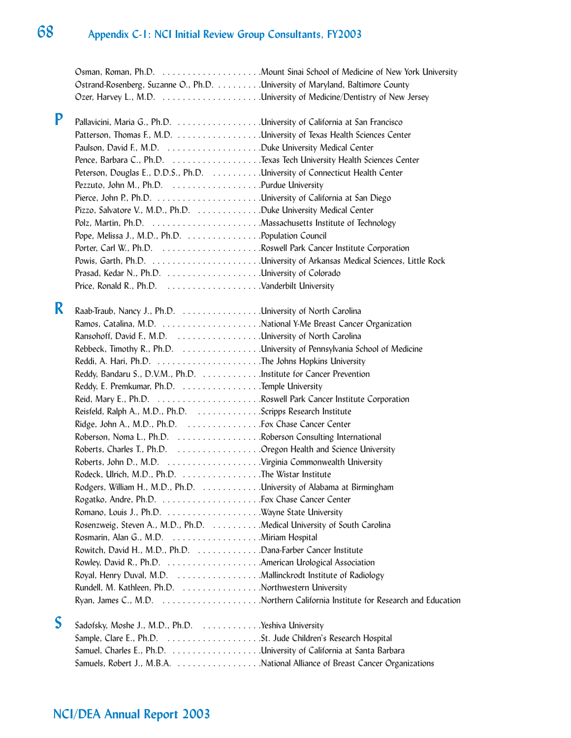#### 68 **Appendix C-1: NCI Initial Review Group Consultants, FY2003**

Osman, Roman, Ph.D. . . . . . . . . . . . . . . . . . . . .Mount Sinai School of Medicine of New York University Ostrand-Rosenberg, Suzanne O., Ph.D. . . . . . . . . .University of Maryland, Baltimore County Ozer, Harvey L., M.D. . . . . . . . . . . . . . . . . . . . .University of Medicine/Dentistry of New Jersey

- **P** Pallavicini, Maria G., Ph.D. . . . . . . . . . . . . . . . . . University of California at San Francisco Patterson, Thomas F., M.D. . . . . . . . . . . . . . . . . .University of Texas Health Sciences Center Paulson, David F., M.D. . . . . . . . . . . . . . . . . . . .Duke University Medical Center Pence, Barbara C., Ph.D. . . . . . . . . . . . . . . . . . .Texas Tech University Health Sciences Center Peterson, Douglas E., D.D.S., Ph.D. . . . . . . . . . . . . University of Connecticut Health Center Pezzuto, John M., Ph.D. . . . . . . . . . . . . . . . . . .Purdue University Pierce, John P., Ph.D. . . . . . . . . . . . . . . . . . . . . .University of California at San Diego Pizzo. Salvatore V., M.D., Ph.D. . . . . . . . . . . . . . Duke University Medical Center Polz, Martin, Ph.D. . . . . . . . . . . . . . . . . . . . . . .Massachusetts Institute of Technology Pope, Melissa J., M.D., Ph.D. . . . . . . . . . . . . . . . . Population Council Porter, Carl W., Ph.D. . . . . . . . . . . . . . . . . . . . .Roswell Park Cancer Institute Corporation Powis, Garth, Ph.D. . . . . . . . . . . . . . . . . . . . . . .University of Arkansas Medical Sciences, Little Rock Prasad, Kedar N., Ph.D. . . . . . . . . . . . . . . . . . . .University of Colorado Price, Ronald R., Ph.D. . . . . . . . . . . . . . . . . . . .Vanderbilt University **R** Raab-Traub, Nancy J., Ph.D. . . . . . . . . . . . . . . . . University of North Carolina Ramos, Catalina, M.D. . . . . . . . . . . . . . . . . . . . .National Y-Me Breast Cancer Organization Ransohoff, David F., M.D. . . . . . . . . . . . . . . . . .University of North Carolina Rebbeck, Timothy R., Ph.D. . . . . . . . . . . . . . . . . University of Pennsylvania School of Medicine Reddi, A. Hari, Ph.D. . . . . . . . . . . . . . . . . . . . . .The Johns Hopkins University Reddy, Bandaru S., D.V.M., Ph.D. . . . . . . . . . . . . . . . . Institute for Cancer Prevention Reddy, E. Premkumar, Ph.D. . . . . . . . . . . . . . . . . Temple University Reid, Mary E., Ph.D. . . . . . . . . . . . . . . . . . . . . .Roswell Park Cancer Institute Corporation Reisfeld, Ralph A., M.D., Ph.D. . . . . . . . . . . . . . . . Scripps Research Institute Ridge, John A., M.D., Ph.D. . . . . . . . . . . . . . . .Fox Chase Cancer Center Roberson, Noma L., Ph.D. . . . . . . . . . . . . . . . . . Roberson Consulting International Roberts, Charles T., Ph.D. . . . . . . . . . . . . . . . . .Oregon Health and Science University Roberts, John D., M.D. . . . . . . . . . . . . . . . . . . .Virginia Commonwealth University Rodeck, Ulrich, M.D., Ph.D. . . . . . . . . . . . . . . . .The Wistar Institute Rodgers, William H., M.D., Ph.D. . . . . . . . . . . . . University of Alabama at Birmingham Rogatko, Andre, Ph.D. . . . . . . . . . . . . . . . . . . . .Fox Chase Cancer Center Romano, Louis J., Ph.D. . . . . . . . . . . . . . . . . . . .Wayne State University Rosenzweig, Steven A., M.D., Ph.D. . . . . . . . . . .Medical University of South Carolina Rosmarin, Alan G., M.D. . . . . . . . . . . . . . . . . . .Miriam Hospital Rowitch, David H., M.D., Ph.D. . . . . . . . . . . . . . Dana-Farber Cancer Institute Rowley, David R., Ph.D. . . . . . . . . . . . . . . . . . . .American Urological Association Royal, Henry Duval, M.D. . . . . . . . . . . . . . . . . .Mallinckrodt Institute of Radiology Rundell, M. Kathleen, Ph.D. . . . . . . . . . . . . . . . . Northwestern University Ryan, James C., M.D. . . . . . . . . . . . . . . . . . . . .Northern California Institute for Research and Education **S** Sadofsky, Moshe J., M.D., Ph.D. . . . . . . . . . . . . . Yeshiva University Sample, Clare E., Ph.D. . . . . . . . . . . . . . . . . . . .St. Jude Children's Research Hospital Samuel, Charles E., Ph.D. . . . . . . . . . . . . . . . . . .University of California at Santa Barbara
	-

Samuels, Robert J., M.B.A. . . . . . . . . . . . . . . . . .National Alliance of Breast Cancer Organizations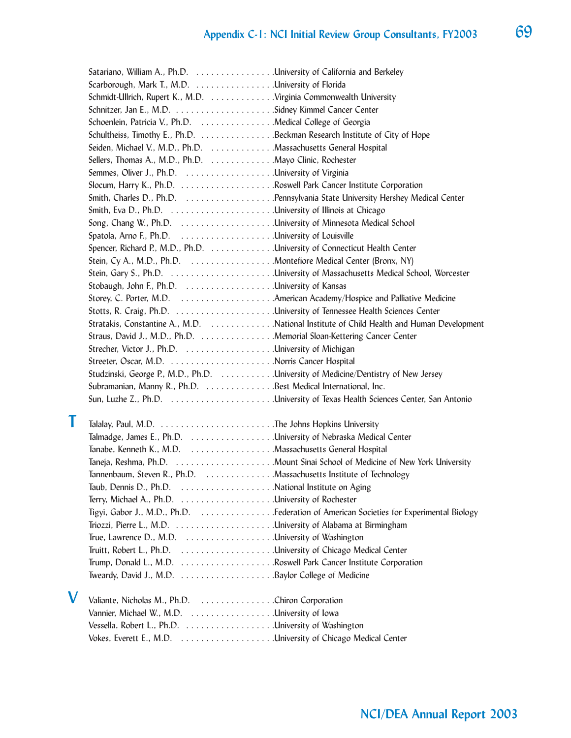|   | Satariano, William A., Ph.D. University of California and Berkeley                |                                                                                                |
|---|-----------------------------------------------------------------------------------|------------------------------------------------------------------------------------------------|
|   |                                                                                   |                                                                                                |
|   | Schmidt-Ullrich, Rupert K., M.D. Virginia Commonwealth University                 |                                                                                                |
|   | Schnitzer, Jan E., M.D. Sidney Kimmel Cancer Center                               |                                                                                                |
|   | Schoenlein, Patricia V., Ph.D. Medical College of Georgia                         |                                                                                                |
|   | Schultheiss, Timothy E., Ph.D. Beckman Research Institute of City of Hope         |                                                                                                |
|   | Seiden, Michael V., M.D., Ph.D.  .Massachusetts General Hospital                  |                                                                                                |
|   | Sellers, Thomas A., M.D., Ph.D. Mayo Clinic, Rochester                            |                                                                                                |
|   |                                                                                   |                                                                                                |
|   |                                                                                   |                                                                                                |
|   |                                                                                   |                                                                                                |
|   | Smith, Eva D., Ph.D. University of Illinois at Chicago                            |                                                                                                |
|   | Song, Chang W., Ph.D. University of Minnesota Medical School                      |                                                                                                |
|   |                                                                                   |                                                                                                |
|   | Spencer, Richard P., M.D., Ph.D. University of Connecticut Health Center          |                                                                                                |
|   |                                                                                   |                                                                                                |
|   |                                                                                   |                                                                                                |
|   |                                                                                   |                                                                                                |
|   |                                                                                   | Storey, C. Porter, M.D. (2008). The American Academy/Hospice and Palliative Medicine           |
|   |                                                                                   |                                                                                                |
|   |                                                                                   | Stratakis, Constantine A., M.D. National Institute of Child Health and Human Development       |
|   | Straus, David J., M.D., Ph.D. Memorial Sloan-Kettering Cancer Center              |                                                                                                |
|   |                                                                                   |                                                                                                |
|   |                                                                                   |                                                                                                |
|   | Studzinski, George P., M.D., Ph.D. University of Medicine/Dentistry of New Jersey |                                                                                                |
|   | Subramanian, Manny R., Ph.D. Best Medical International, Inc.                     |                                                                                                |
|   |                                                                                   |                                                                                                |
|   |                                                                                   |                                                                                                |
| T |                                                                                   |                                                                                                |
|   | Talmadge, James E., Ph.D. University of Nebraska Medical Center                   |                                                                                                |
|   | Tanabe, Kenneth K., M.D.  Massachusetts General Hospital                          |                                                                                                |
|   |                                                                                   |                                                                                                |
|   | Tannenbaum, Steven R., Ph.D. (2008). Massachusetts Institute of Technology        |                                                                                                |
|   | Taub, Dennis D., Ph.D. National Institute on Aging                                |                                                                                                |
|   | Terry, Michael A., Ph.D. University of Rochester                                  |                                                                                                |
|   |                                                                                   | Tigyi, Gabor J., M.D., Ph.D. (2008). Federation of American Societies for Experimental Biology |
|   | Triozzi, Pierre L., M.D. University of Alabama at Birmingham                      |                                                                                                |
|   |                                                                                   |                                                                                                |
|   |                                                                                   |                                                                                                |
|   |                                                                                   |                                                                                                |
|   |                                                                                   |                                                                                                |
|   |                                                                                   |                                                                                                |
|   | Valiante, Nicholas M., Ph.D. Chiron Corporation                                   |                                                                                                |
|   |                                                                                   |                                                                                                |
|   |                                                                                   |                                                                                                |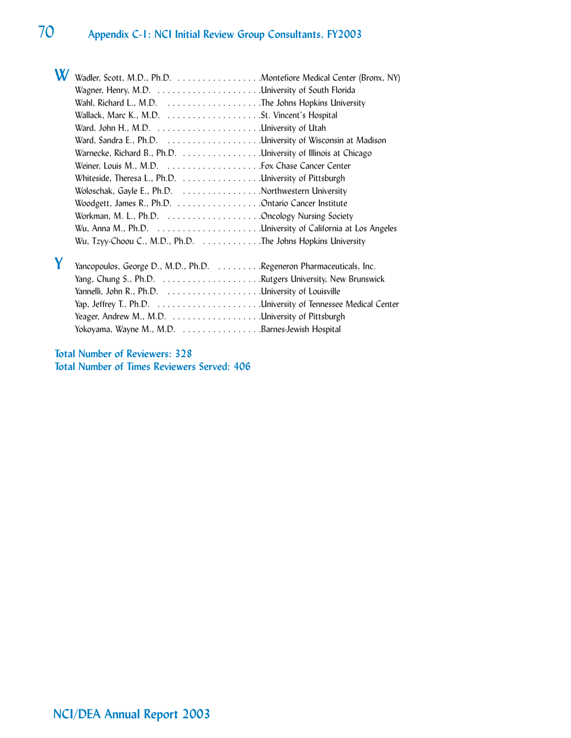| Wagner, Henry, M.D. University of South Florida                                   |
|-----------------------------------------------------------------------------------|
|                                                                                   |
|                                                                                   |
| Ward, John H., M.D. $\dots\dots\dots\dots\dots\dots\dots$ . University of Utah    |
|                                                                                   |
| Warnecke, Richard B., Ph.D. University of Illinois at Chicago                     |
|                                                                                   |
| Whiteside, Theresa L., Ph.D. University of Pittsburgh                             |
| Woloschak, Gayle E., Ph.D. Northwestern University                                |
| Woodgett, James R., Ph.D. Ontario Cancer Institute                                |
| Workman, M. L., Ph.D. Oncology Nursing Society                                    |
|                                                                                   |
| Wu, Tzyy-Choou C., M.D., Ph.D. $\dots \dots \dots$ . The Johns Hopkins University |
|                                                                                   |

| Yancopoulos, George D., M.D., Ph.D. Regeneron Pharmaceuticals, Inc. |  |
|---------------------------------------------------------------------|--|
| Yang, Chung S., Ph.D. Rutgers University, New Brunswick             |  |
| Yannelli, John R., Ph.D. (a) University of Louisville               |  |
| Yap, Jeffrey T., Ph.D. University of Tennessee Medical Center       |  |
| Yeager, Andrew M., M.D. University of Pittsburgh                    |  |
| Yokoyama, Wayne M., M.D. Barnes-Jewish Hospital                     |  |
|                                                                     |  |

**Total Number of Reviewers: 328 Total Number of Times Reviewers Served: 406**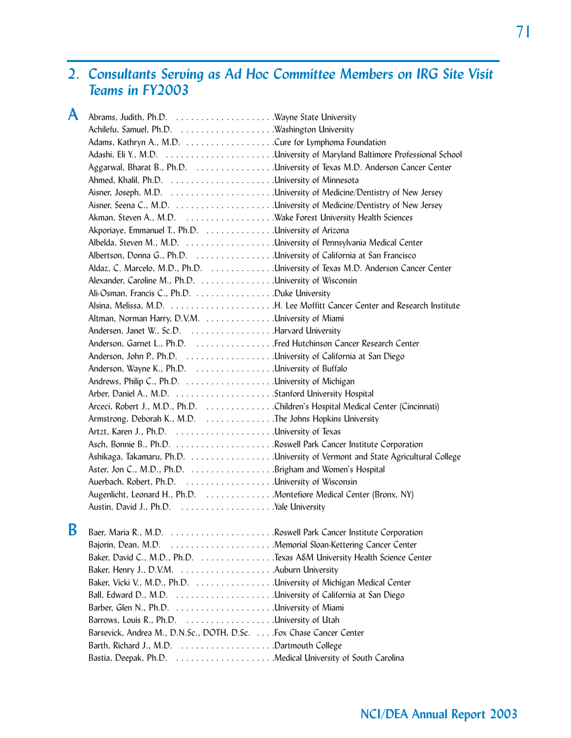## *2. Consultants Serving as Ad Hoc Committee Members on IRG Site Visit Teams in FY2003*

| A |                                                                                |                                                                                    |
|---|--------------------------------------------------------------------------------|------------------------------------------------------------------------------------|
|   |                                                                                |                                                                                    |
|   |                                                                                |                                                                                    |
|   |                                                                                |                                                                                    |
|   |                                                                                |                                                                                    |
|   | Ahmed, Khalil, Ph.D. University of Minnesota                                   |                                                                                    |
|   |                                                                                |                                                                                    |
|   |                                                                                |                                                                                    |
|   |                                                                                |                                                                                    |
|   |                                                                                |                                                                                    |
|   | Akporiaye, Emmanuel T., Ph.D. University of Arizona                            |                                                                                    |
|   | Albelda, Steven M., M.D. University of Pennsylvania Medical Center             |                                                                                    |
|   |                                                                                |                                                                                    |
|   |                                                                                | Aldaz, C. Marcelo, M.D., Ph.D. (c) University of Texas M.D. Anderson Cancer Center |
|   | Alexander, Caroline M., Ph.D. University of Wisconsin                          |                                                                                    |
|   | Ali-Osman, Francis C., Ph.D. Duke University                                   |                                                                                    |
|   |                                                                                |                                                                                    |
|   | Altman, Norman Harry, D.V.M. University of Miami                               |                                                                                    |
|   |                                                                                |                                                                                    |
|   | Anderson, Garnet L., Ph.D. (2008). The Hutchinson Cancer Research Center       |                                                                                    |
|   |                                                                                |                                                                                    |
|   | Anderson, Wayne K., Ph.D. University of Buffalo                                |                                                                                    |
|   | Andrews, Philip C., Ph.D. University of Michigan                               |                                                                                    |
|   | Arber, Daniel A., M.D. Stanford University Hospital                            |                                                                                    |
|   | Arceci, Robert J., M.D., Ph.D. Children's Hospital Medical Center (Cincinnati) |                                                                                    |
|   | Armstrong, Deborah K., M.D. The Johns Hopkins University                       |                                                                                    |
|   | Artzt, Karen J., Ph.D. University of Texas                                     |                                                                                    |
|   | Asch, Bonnie B., Ph.D. Roswell Park Cancer Institute Corporation               |                                                                                    |
|   |                                                                                |                                                                                    |
|   | Aster, Jon C., M.D., Ph.D.  Brigham and Women's Hospital                       |                                                                                    |
|   |                                                                                |                                                                                    |
|   | Augenlicht, Leonard H., Ph.D. Montefiore Medical Center (Bronx, NY)            |                                                                                    |
|   |                                                                                |                                                                                    |
|   |                                                                                |                                                                                    |
| B |                                                                                |                                                                                    |
|   |                                                                                |                                                                                    |
|   | Baker, David C., M.D., Ph.D. Texas A&M University Health Science Center        |                                                                                    |
|   |                                                                                |                                                                                    |
|   | Baker, Vicki V., M.D., Ph.D. University of Michigan Medical Center             |                                                                                    |
|   |                                                                                |                                                                                    |
|   | Barber, Glen N., Ph.D. University of Miami                                     |                                                                                    |
|   |                                                                                |                                                                                    |
|   | Barsevick, Andrea M., D.N.Sc., DOTH, D.Sc. Fox Chase Cancer Center             |                                                                                    |
|   |                                                                                |                                                                                    |
|   | Bastia, Deepak, Ph.D. Medical University of South Carolina                     |                                                                                    |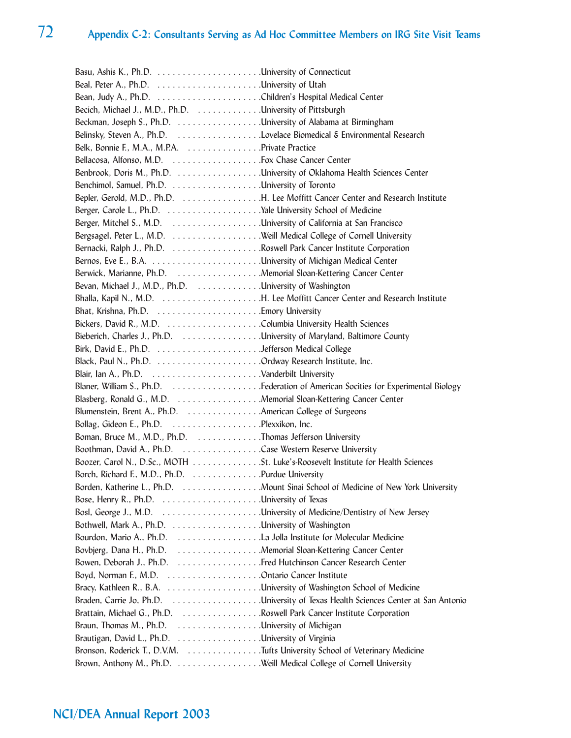| Becich, Michael J., M.D., Ph.D. University of Pittsburgh                                                  |                                                                                    |
|-----------------------------------------------------------------------------------------------------------|------------------------------------------------------------------------------------|
|                                                                                                           |                                                                                    |
| Belinsky, Steven A., Ph.D. (2008) Material According Stevens Agency According Stevens According Messearch |                                                                                    |
| Belk, Bonnie F., M.A., M.P.A.  Private Practice                                                           |                                                                                    |
| Bellacosa, Alfonso, M.D. (Changeling and Charles Cancer Center                                            |                                                                                    |
|                                                                                                           |                                                                                    |
|                                                                                                           |                                                                                    |
|                                                                                                           | Bepler, Gerold, M.D., Ph.D. H. Lee Moffitt Cancer Center and Research Institute    |
|                                                                                                           |                                                                                    |
|                                                                                                           |                                                                                    |
|                                                                                                           |                                                                                    |
|                                                                                                           |                                                                                    |
|                                                                                                           |                                                                                    |
| Berwick, Marianne, Ph.D. (Changeline, and Memorial Sloan-Kettering Cancer Center                          |                                                                                    |
| Bevan, Michael J., M.D., Ph.D. University of Washington                                                   |                                                                                    |
|                                                                                                           |                                                                                    |
| Bhat, Krishna, Ph.D. Emory University                                                                     |                                                                                    |
|                                                                                                           |                                                                                    |
|                                                                                                           |                                                                                    |
|                                                                                                           |                                                                                    |
|                                                                                                           |                                                                                    |
| Blair, Ian A., Ph.D. Vanderbilt University                                                                |                                                                                    |
|                                                                                                           | Blaner, William S., Ph.D. Federation of American Socities for Experimental Biology |
|                                                                                                           |                                                                                    |
| Blumenstein, Brent A., Ph.D. American College of Surgeons                                                 |                                                                                    |
|                                                                                                           |                                                                                    |
| Boman, Bruce M., M.D., Ph.D. Thomas Jefferson University                                                  |                                                                                    |
|                                                                                                           |                                                                                    |
| Boozer, Carol N., D.Sc., MOTH St. Luke's-Roosevelt Institute for Health Sciences                          |                                                                                    |
| Borch, Richard F., M.D., Ph.D. Purdue University                                                          |                                                                                    |
|                                                                                                           | Borden, Katherine L., Ph.D. Mount Sinai School of Medicine of New York University  |
| Bose, Henry R., Ph.D. University of Texas                                                                 |                                                                                    |
|                                                                                                           |                                                                                    |
|                                                                                                           |                                                                                    |
|                                                                                                           |                                                                                    |
| Bovbjerg, Dana H., Ph.D. Memorial Sloan-Kettering Cancer Center                                           |                                                                                    |
|                                                                                                           |                                                                                    |
|                                                                                                           |                                                                                    |
| Bracy, Kathleen R., B.A. University of Washington School of Medicine                                      |                                                                                    |
|                                                                                                           |                                                                                    |
| Brattain, Michael G., Ph.D. (2001). Also Roswell Park Cancer Institute Corporation                        |                                                                                    |
| Braun, Thomas M., Ph.D. University of Michigan                                                            |                                                                                    |
| Brautigan, David L., Ph.D. University of Virginia                                                         |                                                                                    |
| Bronson, Roderick T., D.V.M. Tufts University School of Veterinary Medicine                               |                                                                                    |
|                                                                                                           |                                                                                    |

72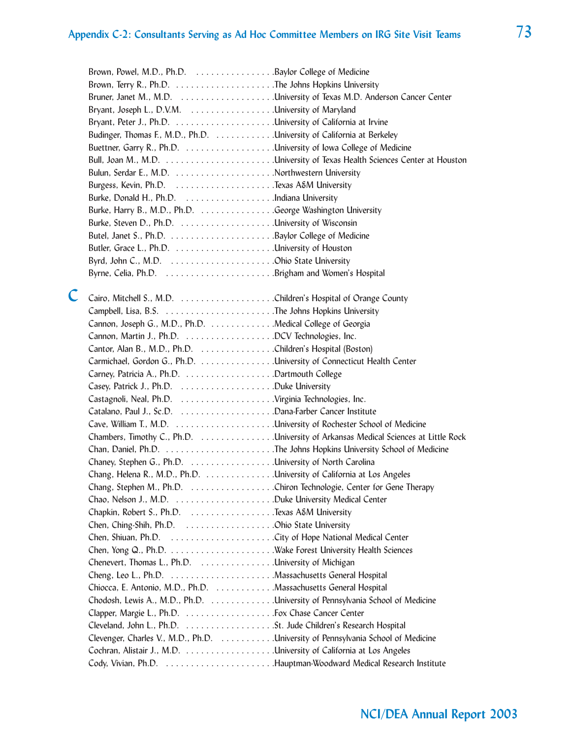|   | Brown, Terry R., Ph.D. The Johns Hopkins University                              |                                                                                    |
|---|----------------------------------------------------------------------------------|------------------------------------------------------------------------------------|
|   |                                                                                  |                                                                                    |
|   |                                                                                  |                                                                                    |
|   |                                                                                  |                                                                                    |
|   | Budinger, Thomas F., M.D., Ph.D. University of California at Berkeley            |                                                                                    |
|   |                                                                                  |                                                                                    |
|   |                                                                                  |                                                                                    |
|   |                                                                                  |                                                                                    |
|   |                                                                                  |                                                                                    |
|   |                                                                                  |                                                                                    |
|   | Burke, Harry B., M.D., Ph.D. George Washington University                        |                                                                                    |
|   |                                                                                  |                                                                                    |
|   |                                                                                  |                                                                                    |
|   |                                                                                  |                                                                                    |
|   |                                                                                  |                                                                                    |
|   |                                                                                  |                                                                                    |
|   |                                                                                  |                                                                                    |
| C | Cairo, Mitchell S., M.D. Children's Hospital of Orange County                    |                                                                                    |
|   |                                                                                  |                                                                                    |
|   | Cannon, Joseph G., M.D., Ph.D. Medical College of Georgia                        |                                                                                    |
|   |                                                                                  |                                                                                    |
|   | Cantor, Alan B., M.D., Ph.D. Children's Hospital (Boston)                        |                                                                                    |
|   | Carmichael, Gordon G., Ph.D. University of Connecticut Health Center             |                                                                                    |
|   | Carney, Patricia A., Ph.D. Dartmouth College                                     |                                                                                    |
|   |                                                                                  |                                                                                    |
|   |                                                                                  |                                                                                    |
|   |                                                                                  |                                                                                    |
|   |                                                                                  |                                                                                    |
|   |                                                                                  |                                                                                    |
|   |                                                                                  | Chambers, Timothy C., Ph.D. University of Arkansas Medical Sciences at Little Rock |
|   |                                                                                  |                                                                                    |
|   |                                                                                  |                                                                                    |
|   | Chang, Helena R., M.D., Ph.D. University of California at Los Angeles            |                                                                                    |
|   |                                                                                  |                                                                                    |
|   | Chao, Nelson J., M.D. Duke University Medical Center                             |                                                                                    |
|   |                                                                                  |                                                                                    |
|   | Chen, Ching-Shih, Ph.D. Ohio State University                                    |                                                                                    |
|   |                                                                                  |                                                                                    |
|   |                                                                                  |                                                                                    |
|   | Chenevert, Thomas L., Ph.D. University of Michigan                               |                                                                                    |
|   |                                                                                  |                                                                                    |
|   | Chiocca, E. Antonio, M.D., Ph.D.  .Massachusetts General Hospital                |                                                                                    |
|   | Chodosh, Lewis A., M.D., Ph.D. University of Pennsylvania School of Medicine     |                                                                                    |
|   |                                                                                  |                                                                                    |
|   |                                                                                  |                                                                                    |
|   | Clevenger, Charles V., M.D., Ph.D. University of Pennsylvania School of Medicine |                                                                                    |
|   |                                                                                  |                                                                                    |
|   |                                                                                  |                                                                                    |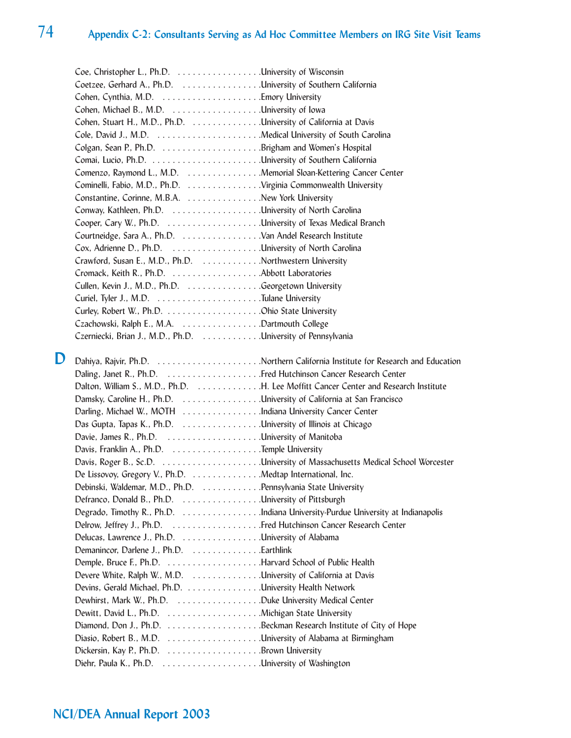|   | Coetzee, Gerhard A., Ph.D. University of Southern California                         |                                                                                            |
|---|--------------------------------------------------------------------------------------|--------------------------------------------------------------------------------------------|
|   |                                                                                      |                                                                                            |
|   |                                                                                      |                                                                                            |
|   | Cohen, Stuart H., M.D., Ph.D. University of California at Davis                      |                                                                                            |
|   |                                                                                      |                                                                                            |
|   | Colgan, Sean P., Ph.D.  Brigham and Women's Hospital                                 |                                                                                            |
|   |                                                                                      |                                                                                            |
|   | Comenzo, Raymond L., M.D. Memorial Sloan-Kettering Cancer Center                     |                                                                                            |
|   | Cominelli, Fabio, M.D., Ph.D. Virginia Commonwealth University                       |                                                                                            |
|   | Constantine, Corinne, M.B.A. New York University                                     |                                                                                            |
|   |                                                                                      |                                                                                            |
|   | Cooper, Cary W., Ph.D. University of Texas Medical Branch                            |                                                                                            |
|   | Courtneidge, Sara A., Ph.D. Van Andel Research Institute                             |                                                                                            |
|   |                                                                                      |                                                                                            |
|   | Crawford, Susan E., M.D., Ph.D. Northwestern University                              |                                                                                            |
|   |                                                                                      |                                                                                            |
|   | Cullen, Kevin J., M.D., Ph.D. Georgetown University                                  |                                                                                            |
|   |                                                                                      |                                                                                            |
|   |                                                                                      |                                                                                            |
|   |                                                                                      |                                                                                            |
|   | Czerniecki, Brian J., M.D., Ph.D. University of Pennsylvania                         |                                                                                            |
|   |                                                                                      |                                                                                            |
| D |                                                                                      |                                                                                            |
|   | Daling, Janet R., Ph.D. Fred Hutchinson Cancer Research Center                       |                                                                                            |
|   |                                                                                      | Dalton, William S., M.D., Ph.D. (2008) H. Lee Moffitt Cancer Center and Research Institute |
|   |                                                                                      |                                                                                            |
|   | Darling, Michael W., MOTH Indiana University Cancer Center                           |                                                                                            |
|   | Das Gupta, Tapas K., Ph.D. University of Illinois at Chicago                         |                                                                                            |
|   |                                                                                      |                                                                                            |
|   |                                                                                      |                                                                                            |
|   |                                                                                      |                                                                                            |
|   | De Lissovoy, Gregory V., Ph.D. Medtap International, Inc.                            |                                                                                            |
|   | Debinski, Waldemar, M.D., Ph.D. Pennsylvania State University                        |                                                                                            |
|   | Defranco, Donald B., Ph.D. University of Pittsburgh                                  |                                                                                            |
|   |                                                                                      |                                                                                            |
|   | Delrow, Jeffrey J., Ph.D. (2001). The Series Steed Hutchinson Cancer Research Center |                                                                                            |
|   | Delucas, Lawrence J., Ph.D. University of Alabama                                    |                                                                                            |
|   | Demanincor, Darlene J., Ph.D. Earthlink                                              |                                                                                            |
|   | Demple, Bruce F., Ph.D. Harvard School of Public Health                              |                                                                                            |
|   | Devere White, Ralph W., M.D. University of California at Davis                       |                                                                                            |
|   | Devins, Gerald Michael, Ph.D. University Health Network                              |                                                                                            |
|   | Dewhirst, Mark W., Ph.D. Duke University Medical Center                              |                                                                                            |
|   |                                                                                      |                                                                                            |
|   | Diamond, Don J., Ph.D. Beckman Research Institute of City of Hope                    |                                                                                            |
|   |                                                                                      |                                                                                            |
|   |                                                                                      |                                                                                            |
|   | Diehr, Paula K., Ph.D. University of Washington                                      |                                                                                            |
|   |                                                                                      |                                                                                            |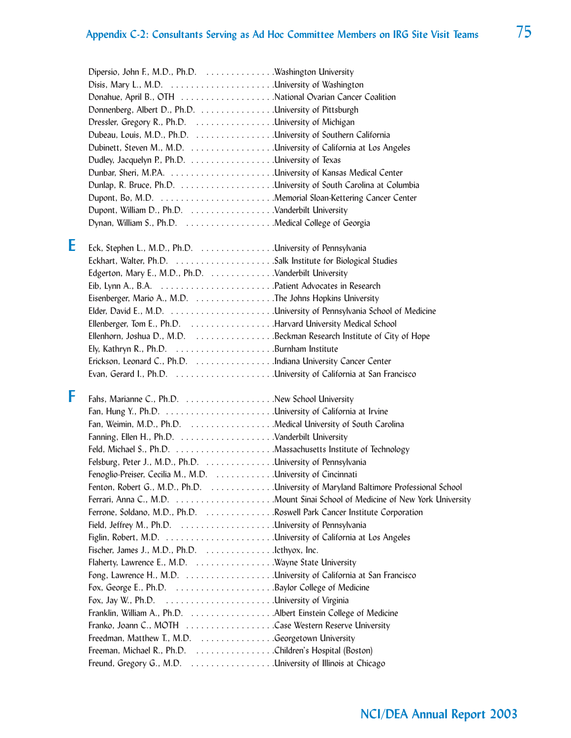|   | Dipersio, John F., M.D., Ph.D. Washington University                    |                                                                                     |
|---|-------------------------------------------------------------------------|-------------------------------------------------------------------------------------|
|   |                                                                         |                                                                                     |
|   |                                                                         |                                                                                     |
|   | Donnenberg, Albert D., Ph.D. University of Pittsburgh                   |                                                                                     |
|   | Dressler, Gregory R., Ph.D. University of Michigan                      |                                                                                     |
|   | Dubeau, Louis, M.D., Ph.D. University of Southern California            |                                                                                     |
|   |                                                                         |                                                                                     |
|   | Dudley, Jacquelyn P., Ph.D. University of Texas                         |                                                                                     |
|   |                                                                         |                                                                                     |
|   |                                                                         |                                                                                     |
|   |                                                                         |                                                                                     |
|   |                                                                         |                                                                                     |
|   |                                                                         |                                                                                     |
| E | Eck, Stephen L., M.D., Ph.D. University of Pennsylvania                 |                                                                                     |
|   |                                                                         |                                                                                     |
|   | Edgerton, Mary E., M.D., Ph.D. Vanderbilt University                    |                                                                                     |
|   |                                                                         |                                                                                     |
|   | Eisenberger, Mario A., M.D. The Johns Hopkins University                |                                                                                     |
|   |                                                                         |                                                                                     |
|   |                                                                         |                                                                                     |
|   |                                                                         |                                                                                     |
|   |                                                                         |                                                                                     |
|   |                                                                         |                                                                                     |
|   |                                                                         |                                                                                     |
| F |                                                                         |                                                                                     |
|   | Fan, Hung Y., Ph.D. University of California at Irvine                  |                                                                                     |
|   | Fan, Weimin, M.D., Ph.D. Medical University of South Carolina           |                                                                                     |
|   |                                                                         |                                                                                     |
|   |                                                                         |                                                                                     |
|   | Felsburg, Peter J., M.D., Ph.D. University of Pennsylvania              |                                                                                     |
|   | Fenoglio-Preiser, Cecilia M., M.D. University of Cincinnati             |                                                                                     |
|   |                                                                         | Fenton, Robert G., M.D., Ph.D. University of Maryland Baltimore Professional School |
|   |                                                                         |                                                                                     |
|   | Ferrone, Soldano, M.D., Ph.D. Roswell Park Cancer Institute Corporation |                                                                                     |
|   | Field, Jeffrey M., Ph.D. University of Pennsylvania                     |                                                                                     |
|   |                                                                         |                                                                                     |
|   | Fischer, James J., M.D., Ph.D. lcthyox, Inc.                            |                                                                                     |
|   |                                                                         |                                                                                     |
|   |                                                                         |                                                                                     |
|   |                                                                         |                                                                                     |
|   |                                                                         |                                                                                     |
|   |                                                                         |                                                                                     |
|   |                                                                         |                                                                                     |
|   |                                                                         |                                                                                     |
|   | Freeman, Michael R., Ph.D. Children's Hospital (Boston)                 |                                                                                     |
|   |                                                                         |                                                                                     |
|   |                                                                         |                                                                                     |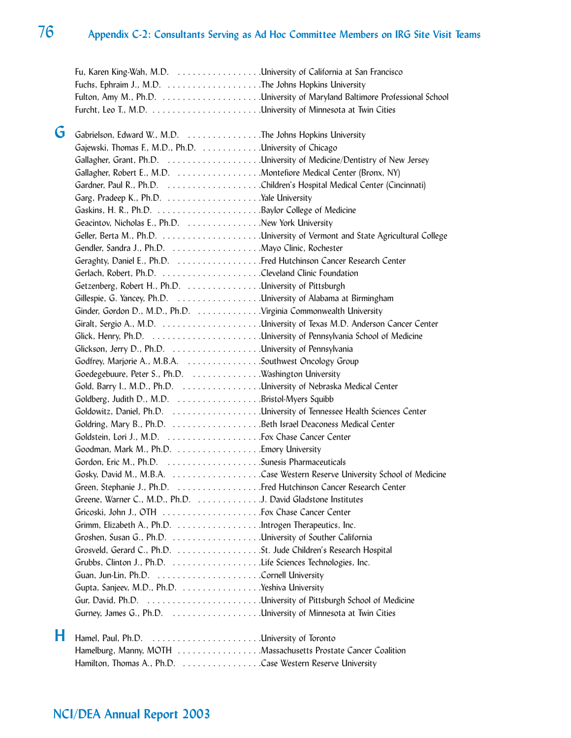| Fuchs, Ephraim J., M.D. The Johns Hopkins University |  |
|------------------------------------------------------|--|
|                                                      |  |
|                                                      |  |

| G | Gabrielson, Edward W., M.D. The Johns Hopkins University                |                                                                                    |
|---|-------------------------------------------------------------------------|------------------------------------------------------------------------------------|
|   | Gajewski, Thomas F., M.D., Ph.D. University of Chicago                  |                                                                                    |
|   |                                                                         |                                                                                    |
|   |                                                                         |                                                                                    |
|   | Gardner, Paul R., Ph.D. Children's Hospital Medical Center (Cincinnati) |                                                                                    |
|   |                                                                         |                                                                                    |
|   | Gaskins, H. R., Ph.D. Baylor College of Medicine                        |                                                                                    |
|   | Geacintov, Nicholas E., Ph.D. New York University                       |                                                                                    |
|   |                                                                         |                                                                                    |
|   | Gendler, Sandra J., Ph.D.  Mayo Clinic, Rochester                       |                                                                                    |
|   | Geraghty, Daniel E., Ph.D.  Fred Hutchinson Cancer Research Center      |                                                                                    |
|   |                                                                         |                                                                                    |
|   | Getzenberg, Robert H., Ph.D. University of Pittsburgh                   |                                                                                    |
|   | Gillespie, G. Yancey, Ph.D. University of Alabama at Birmingham         |                                                                                    |
|   | Ginder, Gordon D., M.D., Ph.D. Virginia Commonwealth University         |                                                                                    |
|   |                                                                         |                                                                                    |
|   |                                                                         |                                                                                    |
|   |                                                                         |                                                                                    |
|   | Godfrey, Marjorie A., M.B.A. Southwest Oncology Group                   |                                                                                    |
|   | Goedegebuure, Peter S., Ph.D. Washington University                     |                                                                                    |
|   | Gold, Barry I., M.D., Ph.D. University of Nebraska Medical Center       |                                                                                    |
|   |                                                                         |                                                                                    |
|   |                                                                         |                                                                                    |
|   | Goldring, Mary B., Ph.D. Beth Israel Deaconess Medical Center           |                                                                                    |
|   | Goldstein, Lori J., M.D.  Fox Chase Cancer Center                       |                                                                                    |
|   | Goodman, Mark M., Ph.D. Emory University                                |                                                                                    |
|   | Gordon, Eric M., Ph.D. Sunesis Pharmaceuticals                          |                                                                                    |
|   |                                                                         | Gosky, David M., M.B.A. (2003). Case Western Reserve University School of Medicine |
|   | Green, Stephanie J., Ph.D. Fred Hutchinson Cancer Research Center       |                                                                                    |
|   | Greene, Warner C., M.D., Ph.D. J. David Gladstone Institutes            |                                                                                    |
|   |                                                                         |                                                                                    |
|   |                                                                         |                                                                                    |
|   | Groshen, Susan G., Ph.D. University of Souther California               |                                                                                    |
|   |                                                                         |                                                                                    |
|   | Grubbs, Clinton J., Ph.D. Life Sciences Technologies, Inc.              |                                                                                    |
|   |                                                                         |                                                                                    |
|   | Gupta, Sanjeev, M.D., Ph.D. Yeshiva University                          |                                                                                    |
|   |                                                                         |                                                                                    |
|   | Gurney, James G., Ph.D. University of Minnesota at Twin Cities          |                                                                                    |
|   |                                                                         |                                                                                    |
| Н | Hamel, Paul, Ph.D. University of Toronto                                |                                                                                    |

|  | Hamelburg, Manny, MOTH Massachusetts Prostate Cancer Coalition |
|--|----------------------------------------------------------------|
|  | Hamilton, Thomas A., Ph.D. Case Western Reserve University     |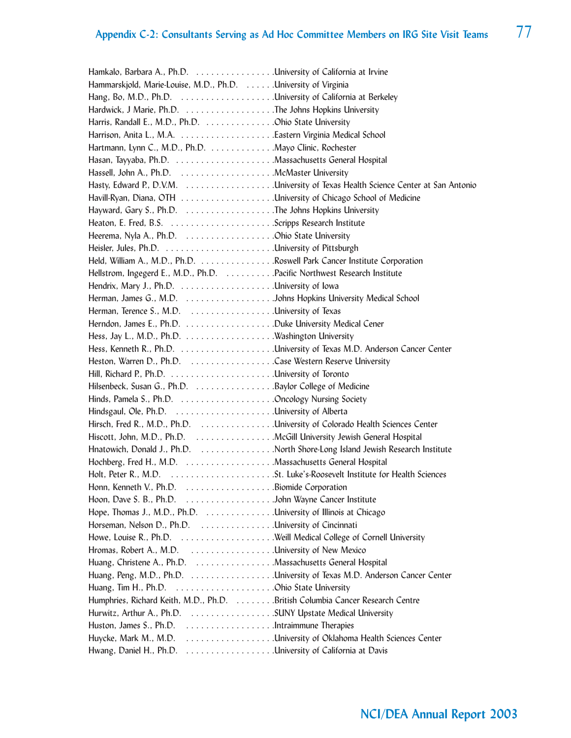| Hamkalo, Barbara A., Ph.D. University of California at Irvine                              |  |
|--------------------------------------------------------------------------------------------|--|
| Hammarskjold, Marie-Louise, M.D., Ph.D. University of Virginia                             |  |
|                                                                                            |  |
| Hardwick, J Marie, Ph.D. The Johns Hopkins University                                      |  |
| Harris, Randall E., M.D., Ph.D. Ohio State University                                      |  |
|                                                                                            |  |
| Hartmann, Lynn C., M.D., Ph.D. Mayo Clinic, Rochester                                      |  |
| Hasan, Tayyaba, Ph.D. Massachusetts General Hospital                                       |  |
|                                                                                            |  |
|                                                                                            |  |
|                                                                                            |  |
| Hayward, Gary S., Ph.D. The Johns Hopkins University                                       |  |
|                                                                                            |  |
|                                                                                            |  |
|                                                                                            |  |
| Held, William A., M.D., Ph.D. Roswell Park Cancer Institute Corporation                    |  |
| Hellstrom, Ingegerd E., M.D., Ph.D. Pacific Northwest Research Institute                   |  |
|                                                                                            |  |
| Herman, James G., M.D. Johns Hopkins University Medical School                             |  |
|                                                                                            |  |
|                                                                                            |  |
|                                                                                            |  |
|                                                                                            |  |
|                                                                                            |  |
| Hill, Richard P., Ph.D. University of Toronto                                              |  |
| Hilsenbeck, Susan G., Ph.D. Baylor College of Medicine                                     |  |
| Hinds, Pamela S., Ph.D. Oncology Nursing Society                                           |  |
| Hindsgaul, Ole, Ph.D. University of Alberta                                                |  |
| Hirsch, Fred R., M.D., Ph.D. (2008). (2014). University of Colorado Health Sciences Center |  |
|                                                                                            |  |
| Hnatowich, Donald J., Ph.D. North Shore-Long Island Jewish Research Institute              |  |
|                                                                                            |  |
|                                                                                            |  |
|                                                                                            |  |
|                                                                                            |  |
| Hope, Thomas J., M.D., Ph.D. University of Illinois at Chicago                             |  |
| Horseman, Nelson D., Ph.D. University of Cincinnati                                        |  |
|                                                                                            |  |
|                                                                                            |  |
| Huang, Christene A., Ph.D. Massachusetts General Hospital                                  |  |
|                                                                                            |  |
| Huang, Tim H., Ph.D. Ohio State University                                                 |  |
| Humphries, Richard Keith, M.D., Ph.D. British Columbia Cancer Research Centre              |  |
| Hurwitz, Arthur A., Ph.D. SUNY Upstate Medical University                                  |  |
|                                                                                            |  |
|                                                                                            |  |
| Hwang, Daniel H., Ph.D. University of California at Davis                                  |  |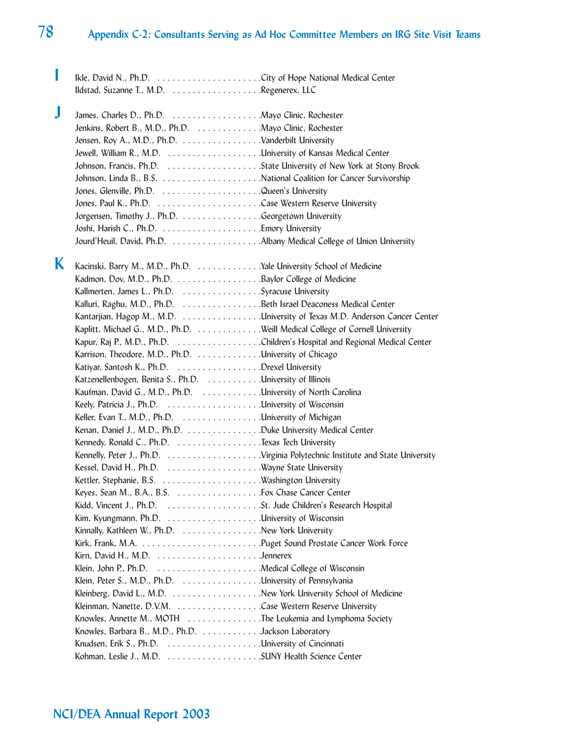| I  |                                                                    |                                                                               |
|----|--------------------------------------------------------------------|-------------------------------------------------------------------------------|
|    | Ildstad, Suzanne T., M.D. Regenerex, LLC                           |                                                                               |
| J  |                                                                    |                                                                               |
|    |                                                                    |                                                                               |
|    | Jenkins, Robert B., M.D., Ph.D. Mayo Clinic, Rochester             |                                                                               |
|    | Jensen, Roy A., M.D., Ph.D. Vanderbilt University                  |                                                                               |
|    | Jewell, William R., M.D. University of Kansas Medical Center       |                                                                               |
|    |                                                                    |                                                                               |
|    |                                                                    |                                                                               |
|    |                                                                    |                                                                               |
|    |                                                                    |                                                                               |
|    | Jorgensen, Timothy J., Ph.D. Georgetown University                 |                                                                               |
|    |                                                                    |                                                                               |
|    |                                                                    |                                                                               |
| K. | Kacinski, Barry M., M.D., Ph.D. Yale University School of Medicine |                                                                               |
|    | Kadmon, Dov, M.D., Ph.D. Baylor College of Medicine                |                                                                               |
|    | Kallmerten, James L., Ph.D. Syracuse University                    |                                                                               |
|    | Kalluri, Raghu, M.D., Ph.D. Beth Israel Deaconess Medical Center   |                                                                               |
|    |                                                                    |                                                                               |
|    |                                                                    |                                                                               |
|    |                                                                    |                                                                               |
|    | Karrison, Theodore, M.D., Ph.D. University of Chicago              |                                                                               |
|    | Katiyar, Santosh K., Ph.D. Drexel University                       |                                                                               |
|    | Katzenellenbogen, Benita S., Ph.D. University of Illinois          |                                                                               |
|    | Kaufman, David G., M.D., Ph.D. University of North Carolina        |                                                                               |
|    |                                                                    |                                                                               |
|    | Keller, Evan T., M.D., Ph.D. University of Michigan                |                                                                               |
|    | Kenan, Daniel J., M.D., Ph.D. Duke University Medical Center       |                                                                               |
|    |                                                                    |                                                                               |
|    |                                                                    | Kennelly, Peter J., Ph.D. Virginia Polytechnic Institute and State University |
|    |                                                                    |                                                                               |
|    |                                                                    |                                                                               |
|    |                                                                    |                                                                               |
|    |                                                                    |                                                                               |
|    | Kim, Kyungmann, Ph.D. University of Wisconsin                      |                                                                               |
|    | Kinnally, Kathleen W., Ph.D. New York University                   |                                                                               |
|    |                                                                    |                                                                               |
|    |                                                                    |                                                                               |
|    | Klein, John P., Ph.D. Medical College of Wisconsin                 |                                                                               |
|    |                                                                    |                                                                               |
|    | Klein, Peter S., M.D., Ph.D. University of Pennsylvania            |                                                                               |
|    |                                                                    |                                                                               |
|    | Kleinman, Nanette, D.V.M. Case Western Reserve University          |                                                                               |
|    | Knowles, Annette M., MOTH The Leukemia and Lymphoma Society        |                                                                               |
|    | Knowles, Barbara B., M.D., Ph.D. Jackson Laboratory                |                                                                               |
|    |                                                                    |                                                                               |
|    | Kohman, Leslie J., M.D. SUNY Health Science Center                 |                                                                               |

## **NCI/DEA Annual Report 2003**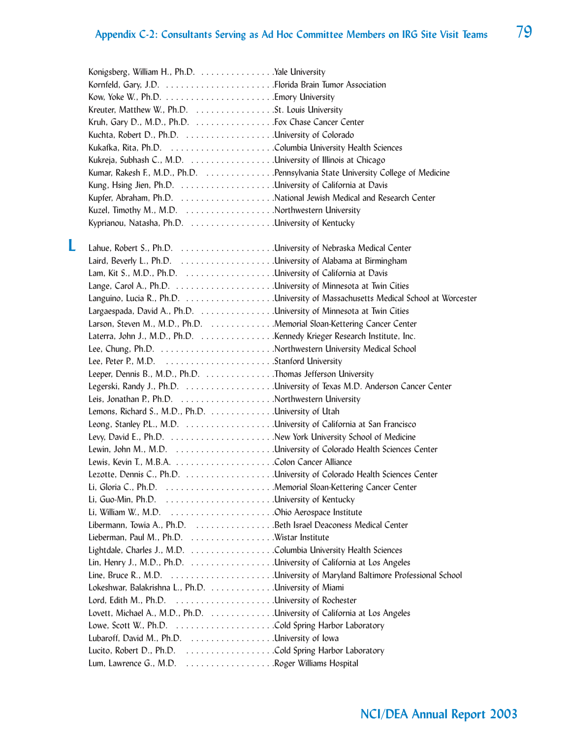|   | Konigsberg, William H., Ph.D. Yale University                                                         |                                                                                   |
|---|-------------------------------------------------------------------------------------------------------|-----------------------------------------------------------------------------------|
|   |                                                                                                       |                                                                                   |
|   |                                                                                                       |                                                                                   |
|   | Kreuter, Matthew W., Ph.D. St. Louis University                                                       |                                                                                   |
|   | Kruh, Gary D., M.D., Ph.D.  Fox Chase Cancer Center                                                   |                                                                                   |
|   |                                                                                                       |                                                                                   |
|   | Kukafka, Rita, Ph.D. (and subsection of the Columbia University Health Sciences                       |                                                                                   |
|   |                                                                                                       |                                                                                   |
|   | Kumar, Rakesh F., M.D., Ph.D. (2001). Production of Pennsylvania State University College of Medicine |                                                                                   |
|   | Kung, Hsing Jien, Ph.D. University of California at Davis                                             |                                                                                   |
|   |                                                                                                       |                                                                                   |
|   |                                                                                                       |                                                                                   |
|   | Kyprianou, Natasha, Ph.D. University of Kentucky                                                      |                                                                                   |
|   |                                                                                                       |                                                                                   |
| L |                                                                                                       |                                                                                   |
|   |                                                                                                       |                                                                                   |
|   | Lam, Kit S., M.D., Ph.D. University of California at Davis                                            |                                                                                   |
|   | Lange, Carol A., Ph.D. University of Minnesota at Twin Cities                                         |                                                                                   |
|   |                                                                                                       | Languino, Lucia R., Ph.D. University of Massachusetts Medical School at Worcester |
|   | Largaespada, David A., Ph.D. University of Minnesota at Twin Cities                                   |                                                                                   |
|   | Larson, Steven M., M.D., Ph.D.  Memorial Sloan-Kettering Cancer Center                                |                                                                                   |
|   |                                                                                                       |                                                                                   |
|   |                                                                                                       |                                                                                   |
|   |                                                                                                       |                                                                                   |
|   | Leeper, Dennis B., M.D., Ph.D. Thomas Jefferson University                                            |                                                                                   |
|   |                                                                                                       |                                                                                   |
|   |                                                                                                       |                                                                                   |
|   | Lemons, Richard S., M.D., Ph.D. University of Utah                                                    |                                                                                   |
|   |                                                                                                       |                                                                                   |
|   | Levy, David E., Ph.D. New York University School of Medicine                                          |                                                                                   |
|   |                                                                                                       |                                                                                   |
|   |                                                                                                       |                                                                                   |
|   |                                                                                                       |                                                                                   |
|   | Li, Gloria C., Ph.D.  Memorial Sloan-Kettering Cancer Center                                          |                                                                                   |
|   |                                                                                                       |                                                                                   |
|   | Li, William W., M.D. Ohio Aerospace Institute                                                         |                                                                                   |
|   |                                                                                                       |                                                                                   |
|   | Lieberman, Paul M., Ph.D. Wistar Institute                                                            |                                                                                   |
|   | Lightdale, Charles J., M.D. Columbia University Health Sciences                                       |                                                                                   |
|   | Lin, Henry J., M.D., Ph.D. University of California at Los Angeles                                    |                                                                                   |
|   |                                                                                                       |                                                                                   |
|   | Lokeshwar, Balakrishna L., Ph.D. University of Miami                                                  |                                                                                   |
|   |                                                                                                       |                                                                                   |
|   | Lovett, Michael A., M.D., Ph.D. University of California at Los Angeles                               |                                                                                   |
|   |                                                                                                       |                                                                                   |
|   |                                                                                                       |                                                                                   |
|   |                                                                                                       |                                                                                   |
|   |                                                                                                       |                                                                                   |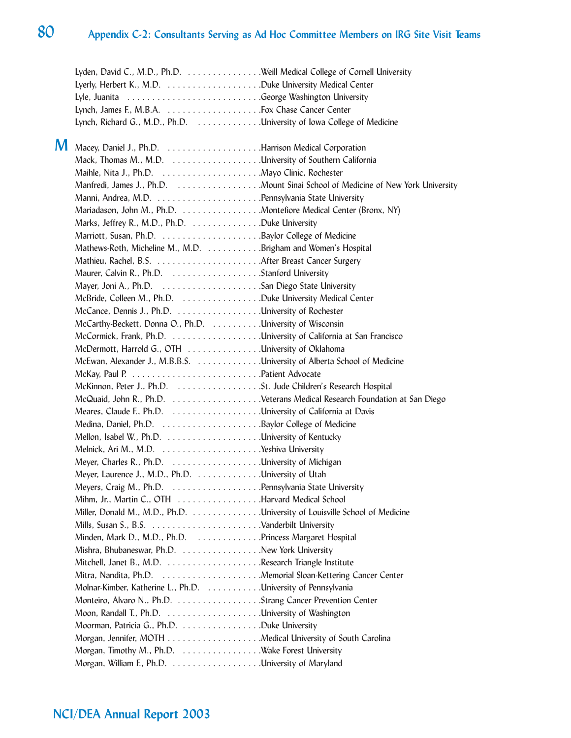|   | Lynch, Richard G., M.D., Ph.D. University of lowa College of Medicine      |                                                                                     |
|---|----------------------------------------------------------------------------|-------------------------------------------------------------------------------------|
| M |                                                                            |                                                                                     |
|   |                                                                            |                                                                                     |
|   |                                                                            |                                                                                     |
|   |                                                                            | Manfredi, James J., Ph.D. (2008) Manfredi School of Medicine of New York University |
|   | Manni, Andrea, M.D. Pennsylvania State University                          |                                                                                     |
|   | Mariadason, John M., Ph.D. Montefiore Medical Center (Bronx, NY)           |                                                                                     |
|   | Marks, Jeffrey R., M.D., Ph.D. Duke University                             |                                                                                     |
|   |                                                                            |                                                                                     |
|   | Mathews-Roth, Micheline M., M.D. Brigham and Women's Hospital              |                                                                                     |
|   |                                                                            |                                                                                     |
|   |                                                                            |                                                                                     |
|   | Mayer, Joni A., Ph.D. San Diego State University                           |                                                                                     |
|   | McBride, Colleen M., Ph.D. Duke University Medical Center                  |                                                                                     |
|   | McCance, Dennis J., Ph.D. University of Rochester                          |                                                                                     |
|   | McCarthy-Beckett, Donna O., Ph.D. University of Wisconsin                  |                                                                                     |
|   |                                                                            |                                                                                     |
|   | McDermott, Harrold G., OTH University of Oklahoma                          |                                                                                     |
|   | McEwan, Alexander J., M.B.B.S. University of Alberta School of Medicine    |                                                                                     |
|   |                                                                            |                                                                                     |
|   |                                                                            |                                                                                     |
|   |                                                                            |                                                                                     |
|   |                                                                            |                                                                                     |
|   |                                                                            |                                                                                     |
|   |                                                                            |                                                                                     |
|   | Melnick, Ari M., M.D. Yeshiva University                                   |                                                                                     |
|   |                                                                            |                                                                                     |
|   | Meyer, Laurence J., M.D., Ph.D. University of Utah                         |                                                                                     |
|   |                                                                            |                                                                                     |
|   | Mihm, Jr., Martin C., OTH Harvard Medical School                           |                                                                                     |
|   | Miller, Donald M., M.D., Ph.D. University of Louisville School of Medicine |                                                                                     |
|   | Mills, Susan S., B.S. Vanderbilt University                                |                                                                                     |
|   | Minden, Mark D., M.D., Ph.D. Princess Margaret Hospital                    |                                                                                     |
|   | Mishra, Bhubaneswar, Ph.D. New York University                             |                                                                                     |
|   | Mitchell, Janet B., M.D. Research Triangle Institute                       |                                                                                     |
|   | Mitra, Nandita, Ph.D. Memorial Sloan-Kettering Cancer Center               |                                                                                     |
|   | Molnar-Kimber, Katherine L., Ph.D. University of Pennsylvania              |                                                                                     |
|   | Monteiro, Alvaro N., Ph.D. Strang Cancer Prevention Center                 |                                                                                     |
|   |                                                                            |                                                                                     |
|   | Moorman, Patricia G., Ph.D. Duke University                                |                                                                                     |
|   | Morgan, Jennifer, MOTH Medical University of South Carolina                |                                                                                     |
|   |                                                                            |                                                                                     |
|   | Morgan, William F., Ph.D. University of Maryland                           |                                                                                     |
|   |                                                                            |                                                                                     |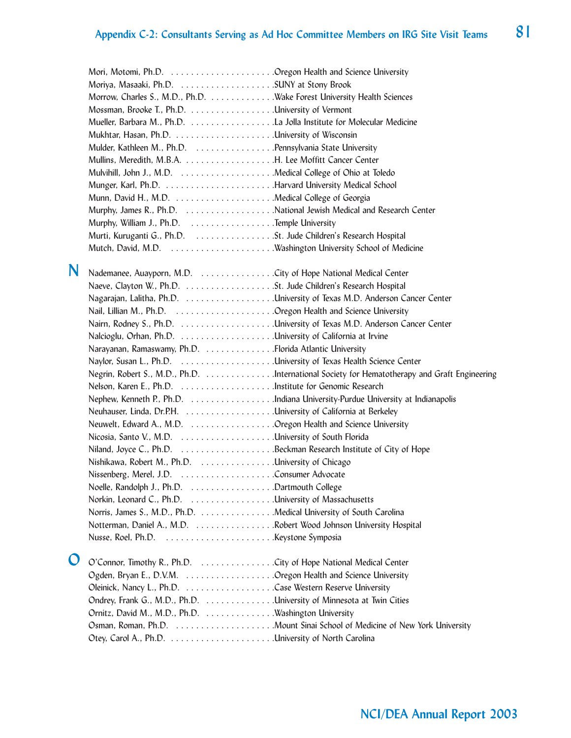|   | Morrow, Charles S., M.D., Ph.D. Wake Forest University Health Sciences |                                                                                              |
|---|------------------------------------------------------------------------|----------------------------------------------------------------------------------------------|
|   |                                                                        |                                                                                              |
|   | Mueller, Barbara M., Ph.D. La Jolla Institute for Molecular Medicine   |                                                                                              |
|   |                                                                        |                                                                                              |
|   | Mulder, Kathleen M., Ph.D. Pennsylvania State University               |                                                                                              |
|   |                                                                        |                                                                                              |
|   |                                                                        |                                                                                              |
|   |                                                                        |                                                                                              |
|   | Munn, David H., M.D. Medical College of Georgia                        |                                                                                              |
|   |                                                                        |                                                                                              |
|   |                                                                        |                                                                                              |
|   |                                                                        |                                                                                              |
|   |                                                                        |                                                                                              |
|   |                                                                        |                                                                                              |
| N | Nademanee, Auayporn, M.D. City of Hope National Medical Center         |                                                                                              |
|   | Naeve, Clayton W., Ph.D. St. Jude Children's Research Hospital         |                                                                                              |
|   |                                                                        |                                                                                              |
|   | Nail, Lillian M., Ph.D. Oregon Health and Science University           |                                                                                              |
|   |                                                                        |                                                                                              |
|   |                                                                        |                                                                                              |
|   |                                                                        |                                                                                              |
|   | Narayanan, Ramaswamy, Ph.D. Florida Atlantic University                |                                                                                              |
|   |                                                                        |                                                                                              |
|   |                                                                        | Negrin, Robert S., M.D., Ph.D. International Society for Hematotherapy and Graft Engineering |
|   |                                                                        |                                                                                              |
|   |                                                                        |                                                                                              |
|   |                                                                        |                                                                                              |
|   | Neuwelt, Edward A., M.D. Oregon Health and Science University          |                                                                                              |
|   |                                                                        |                                                                                              |
|   |                                                                        |                                                                                              |
|   | Nishikawa, Robert M., Ph.D. University of Chicago                      |                                                                                              |
|   |                                                                        |                                                                                              |
|   | Noelle, Randolph J., Ph.D. Dartmouth College                           |                                                                                              |
|   |                                                                        |                                                                                              |
|   | Norris, James S., M.D., Ph.D. Medical University of South Carolina     |                                                                                              |
|   | Notterman, Daniel A., M.D. Robert Wood Johnson University Hospital     |                                                                                              |
|   | Nusse, Roel, Ph.D. Keystone Symposia                                   |                                                                                              |
| Ő |                                                                        |                                                                                              |
|   |                                                                        |                                                                                              |
|   |                                                                        |                                                                                              |
|   |                                                                        |                                                                                              |
|   |                                                                        |                                                                                              |
|   | Ornitz, David M., M.D., Ph.D. Washington University                    |                                                                                              |
|   |                                                                        |                                                                                              |
|   |                                                                        |                                                                                              |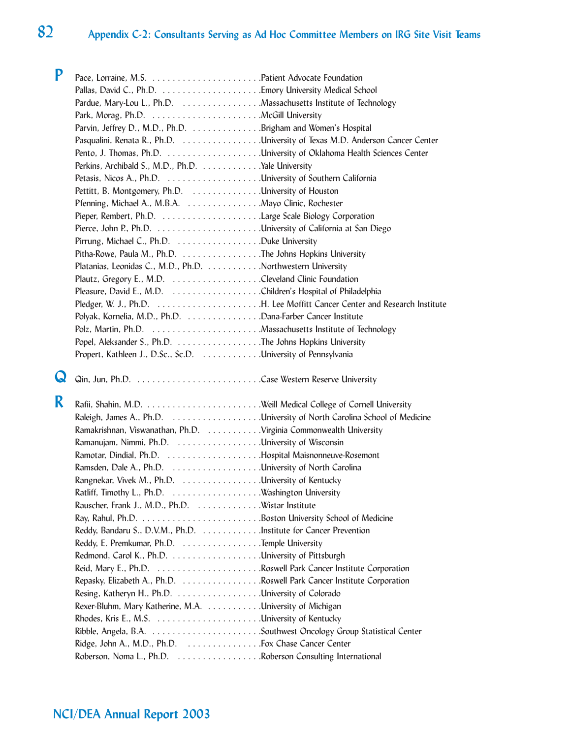| P                     |                                                                   |  |
|-----------------------|-------------------------------------------------------------------|--|
|                       | Pace, Lorraine, M.S. Patient Advocate Foundation                  |  |
|                       |                                                                   |  |
|                       | Pardue, Mary-Lou L., Ph.D. Massachusetts Institute of Technology  |  |
|                       |                                                                   |  |
|                       | Parvin, Jeffrey D., M.D., Ph.D. Brigham and Women's Hospital      |  |
|                       |                                                                   |  |
|                       |                                                                   |  |
|                       | Perkins, Archibald S., M.D., Ph.D. Yale University                |  |
|                       |                                                                   |  |
|                       | Pettitt, B. Montgomery, Ph.D. University of Houston               |  |
|                       | Pfenning, Michael A., M.B.A. Mayo Clinic, Rochester               |  |
|                       |                                                                   |  |
|                       | Pierce, John P., Ph.D. University of California at San Diego      |  |
|                       | Pirrung, Michael C., Ph.D. Duke University                        |  |
|                       | Pitha-Rowe, Paula M., Ph.D. The Johns Hopkins University          |  |
|                       | Platanias, Leonidas C., M.D., Ph.D. Northwestern University       |  |
|                       |                                                                   |  |
|                       |                                                                   |  |
|                       |                                                                   |  |
|                       | Polyak, Kornelia, M.D., Ph.D. Dana-Farber Cancer Institute        |  |
|                       |                                                                   |  |
|                       | Popel, Aleksander S., Ph.D. The Johns Hopkins University          |  |
|                       | Propert, Kathleen J., D.Sc., Sc.D. University of Pennsylvania     |  |
| $\boldsymbol{\omega}$ |                                                                   |  |
| R                     |                                                                   |  |
|                       |                                                                   |  |
|                       | Ramakrishnan, Viswanathan, Ph.D. Virginia Commonwealth University |  |
|                       | Ramanujam, Nimmi, Ph.D. University of Wisconsin                   |  |
|                       |                                                                   |  |
|                       |                                                                   |  |
|                       | Rangnekar, Vivek M., Ph.D. University of Kentucky                 |  |
|                       |                                                                   |  |
|                       | Rauscher, Frank J., M.D., Ph.D. Wistar Institute                  |  |
|                       |                                                                   |  |
|                       | Reddy, Bandaru S., D.V.M., Ph.D. Institute for Cancer Prevention  |  |
|                       | Reddy, E. Premkumar, Ph.D. Temple University                      |  |
|                       |                                                                   |  |
|                       |                                                                   |  |
|                       |                                                                   |  |
|                       | Resing, Katheryn H., Ph.D. University of Colorado                 |  |
|                       | Rexer-Bluhm, Mary Katherine, M.A. University of Michigan          |  |
|                       |                                                                   |  |
|                       |                                                                   |  |
|                       |                                                                   |  |
|                       |                                                                   |  |
|                       |                                                                   |  |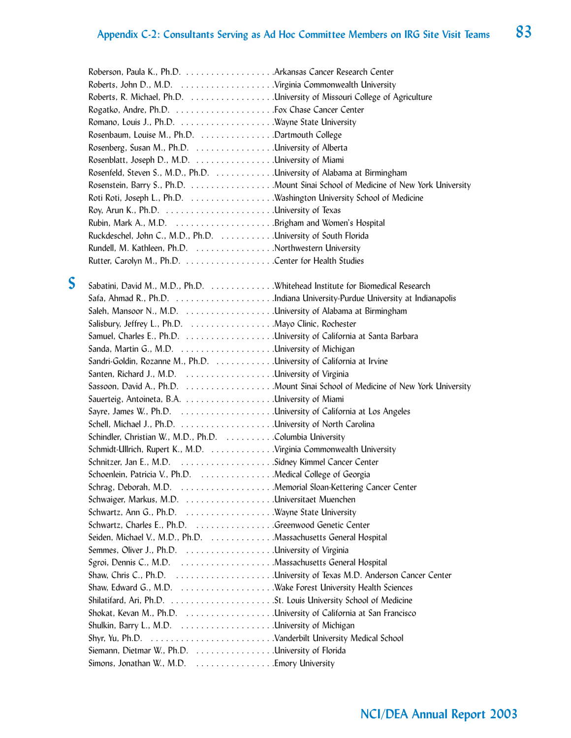|             | Roberts, John D., M.D. Virginia Commonwealth University                     |  |
|-------------|-----------------------------------------------------------------------------|--|
|             |                                                                             |  |
|             | Rogatko, Andre, Ph.D.  Fox Chase Cancer Center                              |  |
|             |                                                                             |  |
|             | Rosenbaum, Louise M., Ph.D. Dartmouth College                               |  |
|             | Rosenberg, Susan M., Ph.D. University of Alberta                            |  |
|             | Rosenblatt, Joseph D., M.D. University of Miami                             |  |
|             | Rosenfeld, Steven S., M.D., Ph.D. University of Alabama at Birmingham       |  |
|             |                                                                             |  |
|             |                                                                             |  |
|             |                                                                             |  |
|             |                                                                             |  |
|             | Ruckdeschel, John C., M.D., Ph.D. University of South Florida               |  |
|             | Rundell, M. Kathleen, Ph.D. Northwestern University                         |  |
|             |                                                                             |  |
|             |                                                                             |  |
| $\mathsf S$ | Sabatini, David M., M.D., Ph.D. Whitehead Institute for Biomedical Research |  |
|             |                                                                             |  |
|             | Saleh, Mansoor N., M.D. University of Alabama at Birmingham                 |  |
|             |                                                                             |  |
|             |                                                                             |  |
|             |                                                                             |  |
|             | Sandri-Goldin, Rozanne M., Ph.D. University of California at Irvine         |  |
|             |                                                                             |  |
|             |                                                                             |  |
|             |                                                                             |  |
|             |                                                                             |  |
|             | Schell, Michael J., Ph.D. University of North Carolina                      |  |
|             | Schindler, Christian W., M.D., Ph.D. Columbia University                    |  |
|             | Schmidt-Ullrich, Rupert K., M.D. Virginia Commonwealth University           |  |
|             |                                                                             |  |
|             | Schoenlein, Patricia V., Ph.D. Medical College of Georgia                   |  |
|             |                                                                             |  |
|             |                                                                             |  |
|             |                                                                             |  |
|             | Schwartz, Charles E., Ph.D. Greenwood Genetic Center                        |  |
|             | Seiden, Michael V., M.D., Ph.D. Massachusetts General Hospital              |  |
|             | Semmes, Oliver J., Ph.D. University of Virginia                             |  |
|             |                                                                             |  |
|             |                                                                             |  |
|             |                                                                             |  |
|             |                                                                             |  |
|             |                                                                             |  |
|             |                                                                             |  |
|             | Shyr, Yu, Ph.D. Vanderbilt University Medical School                        |  |
|             | Siemann, Dietmar W., Ph.D. University of Florida                            |  |
|             |                                                                             |  |
|             |                                                                             |  |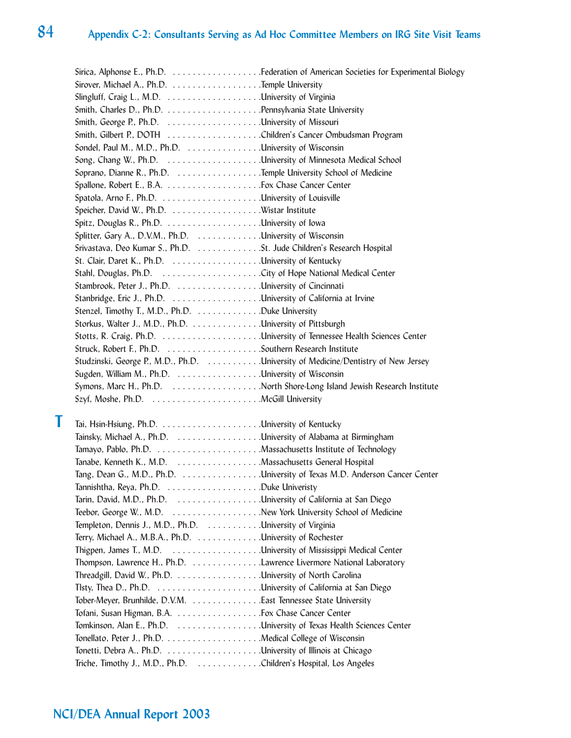|   |                                                                                          | Sirica, Alphonse E., Ph.D. Federation of American Societies for Experimental Biology |
|---|------------------------------------------------------------------------------------------|--------------------------------------------------------------------------------------|
|   | Sirover, Michael A., Ph.D. Temple University                                             |                                                                                      |
|   | Slingluff, Craig L., M.D. University of Virginia                                         |                                                                                      |
|   |                                                                                          |                                                                                      |
|   |                                                                                          |                                                                                      |
|   |                                                                                          |                                                                                      |
|   | Sondel, Paul M., M.D., Ph.D. University of Wisconsin                                     |                                                                                      |
|   | Song, Chang W., Ph.D. University of Minnesota Medical School                             |                                                                                      |
|   |                                                                                          |                                                                                      |
|   |                                                                                          |                                                                                      |
|   |                                                                                          |                                                                                      |
|   |                                                                                          |                                                                                      |
|   |                                                                                          |                                                                                      |
|   | Splitter, Gary A., D.V.M., Ph.D. University of Wisconsin                                 |                                                                                      |
|   | Srivastava, Deo Kumar S., Ph.D. St. Jude Children's Research Hospital                    |                                                                                      |
|   |                                                                                          |                                                                                      |
|   | Stahl, Douglas, Ph.D. City of Hope National Medical Center                               |                                                                                      |
|   | Stambrook, Peter J., Ph.D. University of Cincinnati                                      |                                                                                      |
|   | Stanbridge, Eric J., Ph.D. University of California at Irvine                            |                                                                                      |
|   | Stenzel, Timothy T., M.D., Ph.D. Duke University                                         |                                                                                      |
|   | Storkus, Walter J., M.D., Ph.D. University of Pittsburgh                                 |                                                                                      |
|   |                                                                                          |                                                                                      |
|   |                                                                                          |                                                                                      |
|   |                                                                                          |                                                                                      |
|   | Sugden, William M., Ph.D. University of Wisconsin                                        |                                                                                      |
|   |                                                                                          |                                                                                      |
|   |                                                                                          |                                                                                      |
|   |                                                                                          |                                                                                      |
| T | Tai, Hsin-Hsiung, Ph.D. University of Kentucky                                           |                                                                                      |
|   | Tainsky, Michael A., Ph.D. University of Alabama at Birmingham                           |                                                                                      |
|   |                                                                                          |                                                                                      |
|   |                                                                                          |                                                                                      |
|   |                                                                                          |                                                                                      |
|   | Tannishtha, Reya, Ph.D. Duke Univeristy                                                  |                                                                                      |
|   | Tarin, David, M.D., Ph.D. (a) a subset of the set of California at San Diego             |                                                                                      |
|   |                                                                                          |                                                                                      |
|   | Templeton, Dennis J., M.D., Ph.D. University of Virginia                                 |                                                                                      |
|   | Terry, Michael A., M.B.A., Ph.D. University of Rochester                                 |                                                                                      |
|   | Thigpen, James T., M.D. University of Mississippi Medical Center                         |                                                                                      |
|   | Thompson, Lawrence H., Ph.D. Lawrence Livermore National Laboratory                      |                                                                                      |
|   | Threadgill, David W., Ph.D. University of North Carolina                                 |                                                                                      |
|   | Tlsty, Thea D., Ph.D. University of California at San Diego                              |                                                                                      |
|   |                                                                                          |                                                                                      |
|   |                                                                                          |                                                                                      |
|   | Tomkinson, Alan E., Ph.D. (a) a subset of the University of Texas Health Sciences Center |                                                                                      |
|   |                                                                                          |                                                                                      |
|   | Tonetti, Debra A., Ph.D. University of Illinois at Chicago                               |                                                                                      |
|   | Triche, Timothy J., M.D., Ph.D. Children's Hospital, Los Angeles                         |                                                                                      |
|   |                                                                                          |                                                                                      |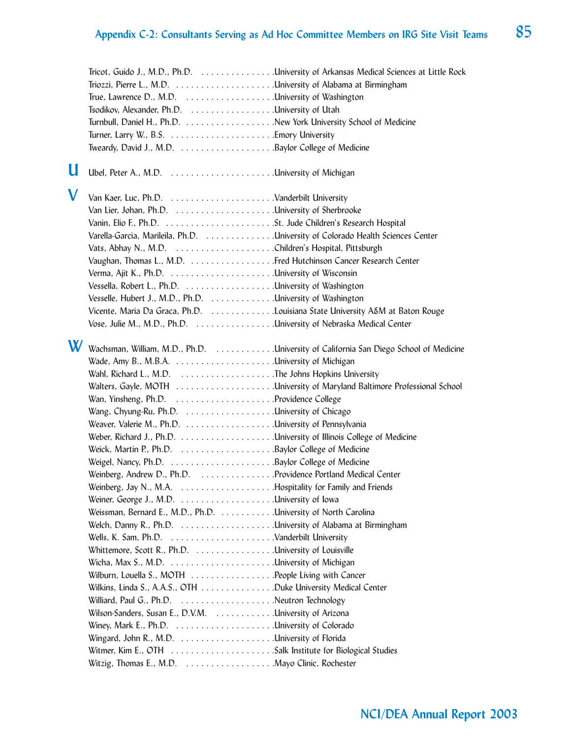|   | Triozzi, Pierre L., M.D. University of Alabama at Birmingham<br>Turnbull, Daniel H., Ph.D. New York University School of Medicine                                                                                                                                                                                                                                                                                                                                                                                                                                                                                                                                                     |                                                                                      |
|---|---------------------------------------------------------------------------------------------------------------------------------------------------------------------------------------------------------------------------------------------------------------------------------------------------------------------------------------------------------------------------------------------------------------------------------------------------------------------------------------------------------------------------------------------------------------------------------------------------------------------------------------------------------------------------------------|--------------------------------------------------------------------------------------|
| u | Ubel, Peter A., M.D. University of Michigan                                                                                                                                                                                                                                                                                                                                                                                                                                                                                                                                                                                                                                           |                                                                                      |
| V | Varella-Garcia, Marileila, Ph.D. (2001). Liniversity of Colorado Health Sciences Center<br>Vats, Abhay N., M.D. Children's Hospital, Pittsburgh<br>Vesselle, Hubert J., M.D., Ph.D. University of Washington<br>Vicente, Maria Da Graca, Ph.D. Louisiana State University A&M at Baton Rouge                                                                                                                                                                                                                                                                                                                                                                                          |                                                                                      |
| W | Wang, Chyung-Ru, Ph.D. University of Chicago<br>Weaver, Valerie M., Ph.D. University of Pennsylvania<br>Weigel, Nancy, Ph.D. Baylor College of Medicine<br>Weinberg, Andrew D., Ph.D. Providence Portland Medical Center<br>Weinberg, Jay N., M.A. Hospitality for Family and Friends<br>Weiner, George J., M.D. University of lowa<br>Weissman, Bernard E., M.D., Ph.D. University of North Carolina<br>Wells, K. Sam, Ph.D. Vanderbilt University<br>Wilburn, Louella S., MOTH People Living with Cancer<br>Wilkins, Linda S., A.A.S., OTH Duke University Medical Center<br>Wilson-Sanders, Susan E., D.V.M. University of Arizona<br>Wingard, John R., M.D. University of Florida | Wachsman, William, M.D., Ph.D. University of California San Diego School of Medicine |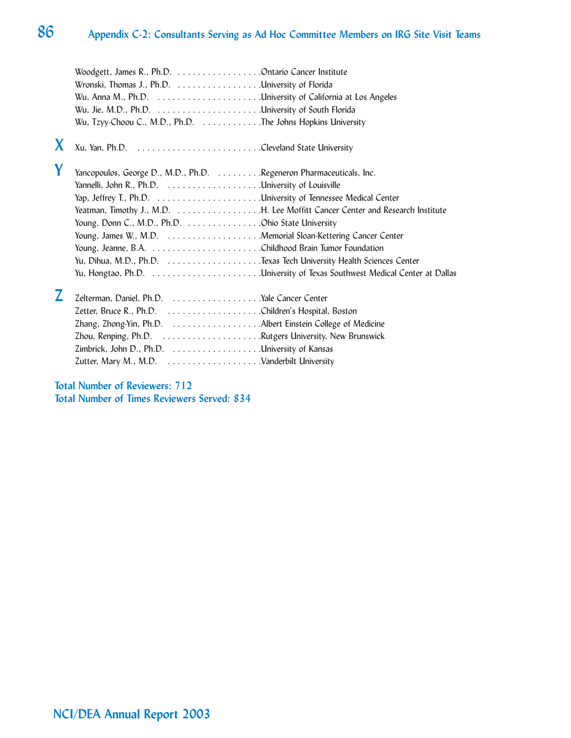| Woodgett, James R., Ph.D. Ontario Cancer Institute                  |
|---------------------------------------------------------------------|
| Wronski, Thomas J., Ph.D. University of Florida                     |
|                                                                     |
| Wu, Jie, M.D., Ph.D. University of South Florida                    |
| Wu, Tzyy-Choou C., M.D., Ph.D. The Johns Hopkins University         |
|                                                                     |
| Yancopoulos, George D., M.D., Ph.D. Regeneron Pharmaceuticals, Inc. |
| Yannelli, John R., Ph.D. University of Louisville                   |
|                                                                     |
|                                                                     |
| Young, Donn C., M.D., Ph.D. Ohio State University                   |
| Young, James W., M.D. Memorial Sloan-Kettering Cancer Center        |
| Young, Jeanne, B.A. Childhood Brain Tumor Foundation                |
|                                                                     |
|                                                                     |
| Zelterman, Daniel, Ph.D. Yale Cancer Center                         |
|                                                                     |
|                                                                     |
|                                                                     |
|                                                                     |
|                                                                     |

**Total Number of Reviewers: 712 Total Number of Times Reviewers Served: 834**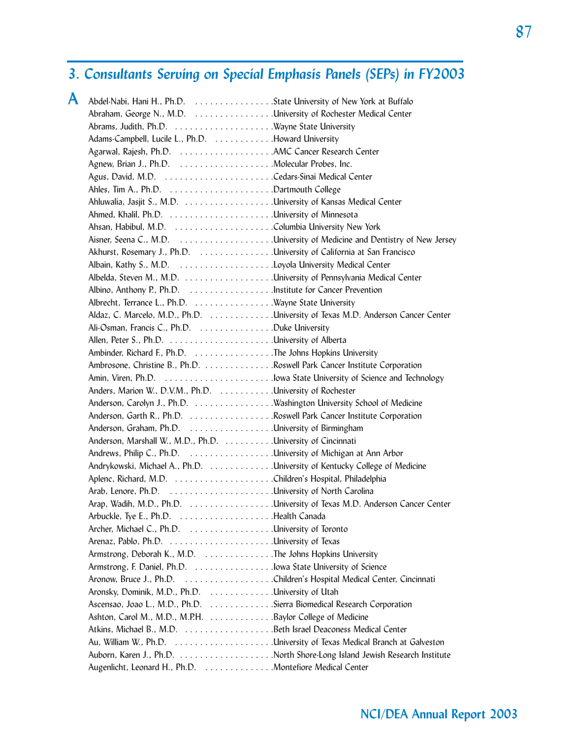# *3. Consultants Serving on Special Emphasis Panels (SEPs) in FY2003*

| A | Abdel-Nabi, Hani H., Ph.D. State University of New York at Buffalo        |                                                                                |
|---|---------------------------------------------------------------------------|--------------------------------------------------------------------------------|
|   |                                                                           |                                                                                |
|   | Abrams, Judith, Ph.D. Wayne State University                              |                                                                                |
|   | Adams-Campbell, Lucile L., Ph.D. Howard University                        |                                                                                |
|   |                                                                           |                                                                                |
|   |                                                                           |                                                                                |
|   |                                                                           |                                                                                |
|   | Ahles, Tim A., Ph.D. Dartmouth College                                    |                                                                                |
|   | Ahluwalia, Jasjit S., M.D. University of Kansas Medical Center            |                                                                                |
|   | Ahmed, Khalil, Ph.D. University of Minnesota                              |                                                                                |
|   | Ahsan, Habibul, M.D. Columbia University New York                         |                                                                                |
|   |                                                                           |                                                                                |
|   | Akhurst, Rosemary J., Ph.D. University of California at San Francisco     |                                                                                |
|   |                                                                           |                                                                                |
|   | Albelda, Steven M., M.D. University of Pennsylvania Medical Center        |                                                                                |
|   |                                                                           |                                                                                |
|   |                                                                           |                                                                                |
|   |                                                                           | Aldaz, C. Marcelo, M.D., Ph.D. University of Texas M.D. Anderson Cancer Center |
|   | Ali-Osman, Francis C., Ph.D. Duke University                              |                                                                                |
|   | Allen, Peter S., Ph.D. University of Alberta                              |                                                                                |
|   | Ambinder, Richard F., Ph.D. The Johns Hopkins University                  |                                                                                |
|   | Ambrosone, Christine B., Ph.D. Roswell Park Cancer Institute Corporation  |                                                                                |
|   |                                                                           |                                                                                |
|   | Anders, Marion W., D.V.M., Ph.D. University of Rochester                  |                                                                                |
|   |                                                                           |                                                                                |
|   |                                                                           |                                                                                |
|   | Anderson, Graham, Ph.D. University of Birmingham                          |                                                                                |
|   | Anderson, Marshall W., M.D., Ph.D. University of Cincinnati               |                                                                                |
|   |                                                                           |                                                                                |
|   | Andrykowski, Michael A., Ph.D. University of Kentucky College of Medicine |                                                                                |
|   | Aplenc, Richard, M.D. Children's Hospital, Philadelphia                   |                                                                                |
|   |                                                                           |                                                                                |
|   |                                                                           |                                                                                |
|   |                                                                           |                                                                                |
|   | Archer, Michael C., Ph.D. University of Toronto                           |                                                                                |
|   |                                                                           |                                                                                |
|   | Armstrong, Deborah K., M.D. The Johns Hopkins University                  |                                                                                |
|   | Armstrong, F. Daniel, Ph.D. lowa State University of Science              |                                                                                |
|   |                                                                           |                                                                                |
|   | Aronsky, Dominik, M.D., Ph.D. University of Utah                          |                                                                                |
|   | Ascensao, Joao L., M.D., Ph.D. Sierra Biomedical Research Corporation     |                                                                                |
|   | Ashton, Carol M., M.D., M.P.H. Baylor College of Medicine                 |                                                                                |
|   | Atkins, Michael B., M.D.  Beth Israel Deaconess Medical Center            |                                                                                |
|   |                                                                           |                                                                                |
|   |                                                                           | Auborn, Karen J., Ph.D. North Shore-Long Island Jewish Research Institute      |
|   | Augenlicht, Leonard H., Ph.D. Montefiore Medical Center                   |                                                                                |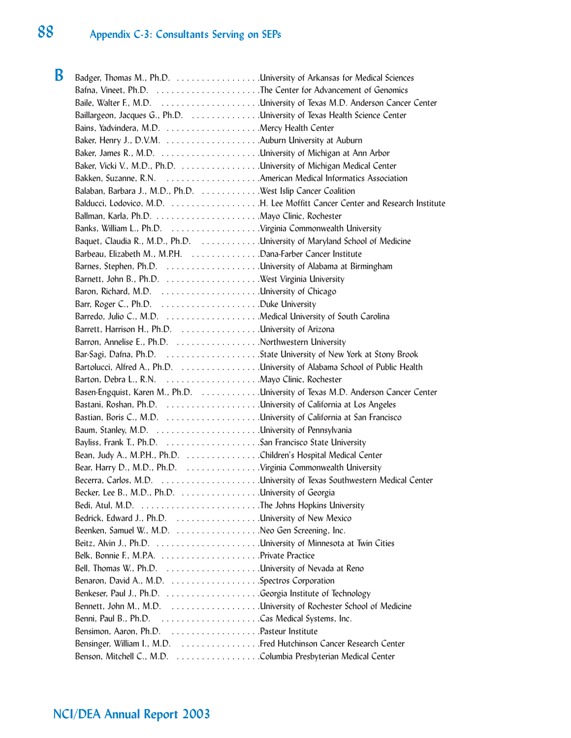| B |                                                                                                          |                                                                                 |
|---|----------------------------------------------------------------------------------------------------------|---------------------------------------------------------------------------------|
|   | Bafna, Vineet, Ph.D. The Center for Advancement of Genomics                                              |                                                                                 |
|   |                                                                                                          |                                                                                 |
|   | Baillargeon, Jacques G., Ph.D. University of Texas Health Science Center                                 |                                                                                 |
|   | Bains, Yadvindera, M.D. Mercy Health Center                                                              |                                                                                 |
|   |                                                                                                          |                                                                                 |
|   | Baker, James R., M.D. University of Michigan at Ann Arbor                                                |                                                                                 |
|   | Baker, Vicki V., M.D., Ph.D. University of Michigan Medical Center                                       |                                                                                 |
|   | Bakken, Suzanne, R.N. (2003). American Medical Informatics Association                                   |                                                                                 |
|   | Balaban, Barbara J., M.D., Ph.D. West Islip Cancer Coalition                                             |                                                                                 |
|   |                                                                                                          |                                                                                 |
|   | Ballman, Karla, Ph.D. Mayo Clinic, Rochester                                                             |                                                                                 |
|   |                                                                                                          |                                                                                 |
|   | Baquet, Claudia R., M.D., Ph.D. (e.g., c.g., c.g., c.g., c.g.) University of Maryland School of Medicine |                                                                                 |
|   | Barbeau, Elizabeth M., M.P.H. Dana-Farber Cancer Institute                                               |                                                                                 |
|   | Barnes, Stephen, Ph.D. University of Alabama at Birmingham                                               |                                                                                 |
|   |                                                                                                          |                                                                                 |
|   |                                                                                                          |                                                                                 |
|   | Barr, Roger C., Ph.D. Duke University                                                                    |                                                                                 |
|   |                                                                                                          |                                                                                 |
|   | Barrett, Harrison H., Ph.D. University of Arizona                                                        |                                                                                 |
|   | Barron, Annelise E., Ph.D. Northwestern University                                                       |                                                                                 |
|   |                                                                                                          |                                                                                 |
|   | Bartolucci, Alfred A., Ph.D. University of Alabama School of Public Health                               |                                                                                 |
|   |                                                                                                          |                                                                                 |
|   |                                                                                                          | Basen-Engquist, Karen M., Ph.D. University of Texas M.D. Anderson Cancer Center |
|   | Bastani, Roshan, Ph.D. University of California at Los Angeles                                           |                                                                                 |
|   |                                                                                                          |                                                                                 |
|   | Baum, Stanley, M.D. University of Pennsylvania                                                           |                                                                                 |
|   |                                                                                                          |                                                                                 |
|   | Bean, Judy A., M.P.H., Ph.D. Children's Hospital Medical Center                                          |                                                                                 |
|   | Bear, Harry D., M.D., Ph.D. Virginia Commonwealth University                                             |                                                                                 |
|   |                                                                                                          |                                                                                 |
|   | Becker, Lee B., M.D., Ph.D. University of Georgia                                                        |                                                                                 |
|   |                                                                                                          |                                                                                 |
|   | Bedrick, Edward J., Ph.D. University of New Mexico                                                       |                                                                                 |
|   |                                                                                                          |                                                                                 |
|   | Beitz, Alvin J., Ph.D. University of Minnesota at Twin Cities                                            |                                                                                 |
|   |                                                                                                          |                                                                                 |
|   | Bell, Thomas W., Ph.D. University of Nevada at Reno                                                      |                                                                                 |
|   |                                                                                                          |                                                                                 |
|   |                                                                                                          |                                                                                 |
|   |                                                                                                          |                                                                                 |
|   |                                                                                                          |                                                                                 |
|   |                                                                                                          |                                                                                 |
|   | Bensinger, William I., M.D. (2001). The Hutchinson Cancer Research Center                                |                                                                                 |
|   |                                                                                                          |                                                                                 |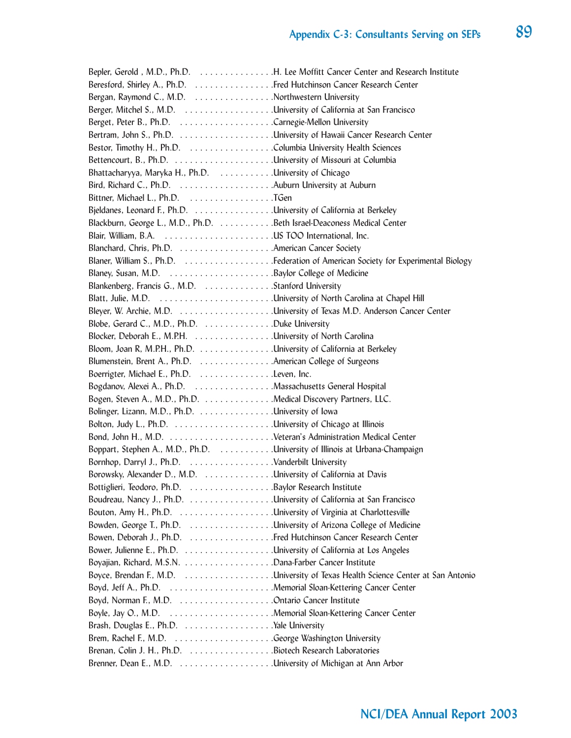Bepler, Gerold , M.D., Ph.D. . . . . . . . . . . . . . . . . . H. Lee Moffitt Cancer Center and Research Institute Beresford, Shirley A., Ph.D. . . . . . . . . . . . . . . . .Fred Hutchinson Cancer Research Center Bergan, Raymond C., M.D. . . . . . . . . . . . . . . . . Northwestern University Berger, Mitchel S., M.D. . . . . . . . . . . . . . . . . . .University of California at San Francisco Berget, Peter B., Ph.D. . . . . . . . . . . . . . . . . . . .Carnegie-Mellon University Bertram, John S., Ph.D. . . . . . . . . . . . . . . . . . . .University of Hawaii Cancer Research Center Bestor, Timothy H., Ph.D. . . . . . . . . . . . . . . . . .Columbia University Health Sciences Bettencourt, B., Ph.D. . . . . . . . . . . . . . . . . . . . .University of Missouri at Columbia Bhattacharyya, Maryka H., Ph.D. . . . . . . . . . . . University of Chicago Bird, Richard C., Ph.D. . . . . . . . . . . . . . . . . . . .Auburn University at Auburn Bittner, Michael L., Ph.D. . . . . . . . . . . . . . . . . .TGen Bjeldanes, Leonard F., Ph.D. . . . . . . . . . . . . . . . . . University of California at Berkeley Blackburn, George L., M.D., Ph.D. . . . . . . . . . . . Beth Israel-Deaconess Medical Center Blair, William, B.A. . . . . . . . . . . . . . . . . . . . . . .US TOO International, Inc. Blanchard, Chris, Ph.D. . . . . . . . . . . . . . . . . . . .American Cancer Society Blaner, William S., Ph.D. . . . . . . . . . . . . . . . . . .Federation of American Society for Experimental Biology Blaney, Susan, M.D. . . . . . . . . . . . . . . . . . . . . .Baylor College of Medicine Blankenberg, Francis G., M.D. . . . . . . . . . . . . . . . Stanford University Blatt, Julie, M.D. . . . . . . . . . . . . . . . . . . . . . . .University of North Carolina at Chapel Hill Bleyer, W. Archie, M.D. . . . . . . . . . . . . . . . . . . .University of Texas M.D. Anderson Cancer Center Blobe, Gerard C., M.D., Ph.D. . . . . . . . . . . . . . . . Duke University Blocker, Deborah E., M.P.H. . . . . . . . . . . . . . . . .University of North Carolina Bloom, Joan R, M.P.H., Ph.D. . . . . . . . . . . . . . . . . University of California at Berkeley Blumenstein, Brent A., Ph.D. . . . . . . . . . . . . . . .American College of Surgeons Boerrigter, Michael E., Ph.D. . . . . . . . . . . . . . . . . Leven, Inc. Bogdanov, Alexei A., Ph.D. . . . . . . . . . . . . . . . . Massachusetts General Hospital Bogen, Steven A., M.D., Ph.D. . . . . . . . . . . . . . . Medical Discovery Partners, LLC. Bolinger, Lizann, M.D., Ph.D. . . . . . . . . . . . . . . .University of Iowa Bolton, Judy L., Ph.D. . . . . . . . . . . . . . . . . . . . .University of Chicago at Illinois Bond, John H., M.D. . . . . . . . . . . . . . . . . . . . . .Veteran's Administration Medical Center Boppart, Stephen A., M.D., Ph.D. . . . . . . . . . . . . . . University of Illinois at Urbana-Champaign Bornhop, Darryl J., Ph.D. . . . . . . . . . . . . . . . . .Vanderbilt University Borowsky, Alexander D., M.D. . . . . . . . . . . . . . . University of California at Davis Bottiglieri, Teodoro, Ph.D. . . . . . . . . . . . . . . . . . Baylor Research Institute Boudreau, Nancy J., Ph.D. . . . . . . . . . . . . . . . . .University of California at San Francisco Bouton, Amy H., Ph.D.  $\dots\dots\dots\dots\dots\dots$ . University of Virginia at Charlottesville Bowden, George T., Ph.D. . . . . . . . . . . . . . . . . .University of Arizona College of Medicine Bowen, Deborah J., Ph.D. . . . . . . . . . . . . . . . . .Fred Hutchinson Cancer Research Center Bower, Julienne E., Ph.D. . . . . . . . . . . . . . . . . . .University of California at Los Angeles Boyajian, Richard, M.S.N. . . . . . . . . . . . . . . . . . .Dana-Farber Cancer Institute Boyce, Brendan F., M.D. . . . . . . . . . . . . . . . . . .University of Texas Health Science Center at San Antonio Boyd, Jeff A., Ph.D. . . . . . . . . . . . . . . . . . . . . .Memorial Sloan-Kettering Cancer Center Boyd, Norman F., M.D. . . . . . . . . . . . . . . . . . . .Ontario Cancer Institute Boyle, Jay O., M.D. . . . . . . . . . . . . . . . . . . . . .Memorial Sloan-Kettering Cancer Center Brash, Douglas E., Ph.D. . . . . . . . . . . . . . . . . . .Yale University Brem, Rachel F., M.D. . . . . . . . . . . . . . . . . . . . .George Washington University Brenan, Colin J. H., Ph.D. . . . . . . . . . . . . . . . . . Biotech Research Laboratories Brenner, Dean E., M.D. . . . . . . . . . . . . . . . . . . .University of Michigan at Ann Arbor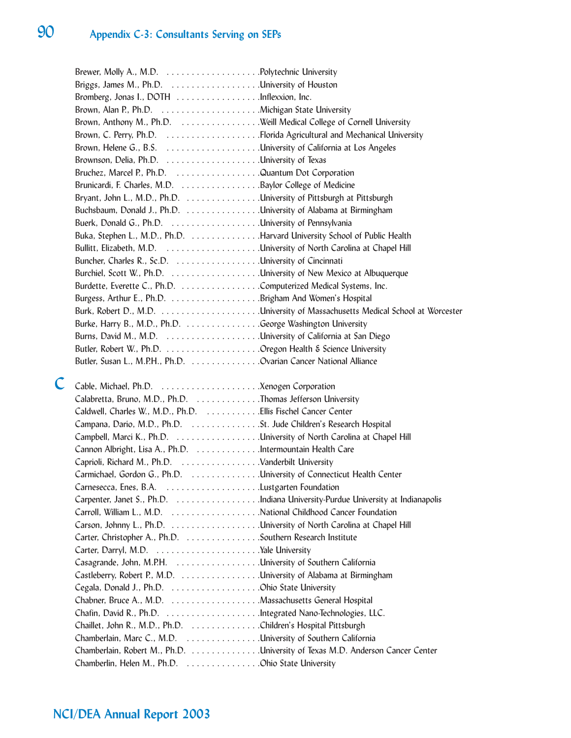|   | Briggs, James M., Ph.D. University of Houston                            |                                                                               |
|---|--------------------------------------------------------------------------|-------------------------------------------------------------------------------|
|   |                                                                          |                                                                               |
|   | Brown, Alan P., Ph.D. Michigan State University                          |                                                                               |
|   |                                                                          |                                                                               |
|   | Brown, C. Perry, Ph.D. Florida Agricultural and Mechanical University    |                                                                               |
|   |                                                                          |                                                                               |
|   |                                                                          |                                                                               |
|   | Bruchez, Marcel P., Ph.D. Quantum Dot Corporation                        |                                                                               |
|   |                                                                          |                                                                               |
|   | Bryant, John L., M.D., Ph.D. University of Pittsburgh at Pittsburgh      |                                                                               |
|   | Buchsbaum, Donald J., Ph.D. University of Alabama at Birmingham          |                                                                               |
|   |                                                                          |                                                                               |
|   | Buka, Stephen L., M.D., Ph.D. Harvard University School of Public Health |                                                                               |
|   |                                                                          |                                                                               |
|   | Buncher, Charles R., Sc.D. University of Cincinnati                      |                                                                               |
|   |                                                                          |                                                                               |
|   | Burdette, Everette C., Ph.D. Computerized Medical Systems, Inc.          |                                                                               |
|   | Burgess, Arthur E., Ph.D. Brigham And Women's Hospital                   |                                                                               |
|   |                                                                          |                                                                               |
|   | Burke, Harry B., M.D., Ph.D. George Washington University                |                                                                               |
|   | Burns, David M., M.D. University of California at San Diego              |                                                                               |
|   |                                                                          |                                                                               |
|   | Butler, Susan L., M.P.H., Ph.D. Ovarian Cancer National Alliance         |                                                                               |
|   |                                                                          |                                                                               |
| C |                                                                          |                                                                               |
|   | Calabretta, Bruno, M.D., Ph.D. Thomas Jefferson University               |                                                                               |
|   | Caldwell, Charles W., M.D., Ph.D. Ellis Fischel Cancer Center            |                                                                               |
|   | Campana, Dario, M.D., Ph.D. St. Jude Children's Research Hospital        |                                                                               |
|   |                                                                          |                                                                               |
|   | Cannon Albright, Lisa A., Ph.D. Intermountain Health Care                |                                                                               |
|   |                                                                          |                                                                               |
|   | Carmichael, Gordon G., Ph.D. University of Connecticut Health Center     |                                                                               |
|   | Carnesecca, Enes, B.A. Lustgarten Foundation                             |                                                                               |
|   |                                                                          |                                                                               |
|   | Carroll, William L., M.D. National Childhood Cancer Foundation           |                                                                               |
|   |                                                                          |                                                                               |
|   | Carter, Christopher A., Ph.D. Southern Research Institute                |                                                                               |
|   |                                                                          |                                                                               |
|   |                                                                          |                                                                               |
|   |                                                                          |                                                                               |
|   |                                                                          |                                                                               |
|   |                                                                          |                                                                               |
|   | Chabner, Bruce A., M.D.  Massachusetts General Hospital                  |                                                                               |
|   |                                                                          |                                                                               |
|   | Chaillet, John R., M.D., Ph.D. Children's Hospital Pittsburgh            |                                                                               |
|   | Chamberlain, Marc C., M.D. University of Southern California             |                                                                               |
|   |                                                                          | Chamberlain, Robert M., Ph.D. University of Texas M.D. Anderson Cancer Center |
|   | Chamberlin, Helen M., Ph.D. Ohio State University                        |                                                                               |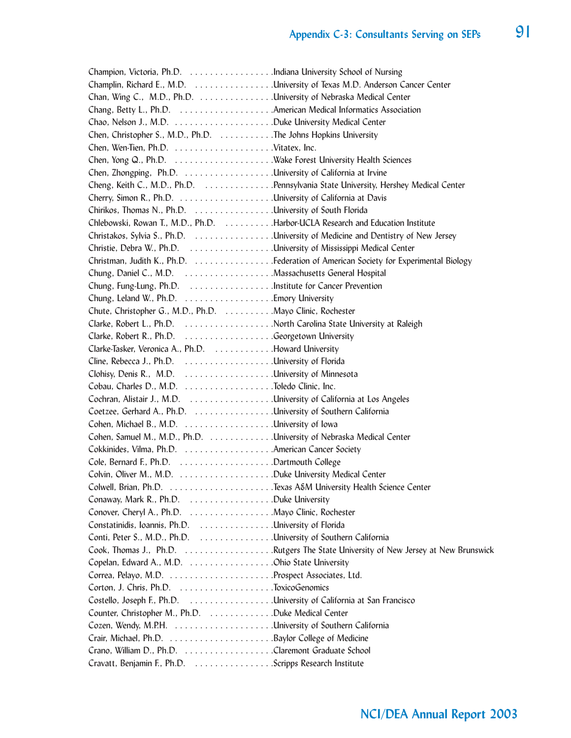| Chan, Wing C., M.D., Ph.D. University of Nebraska Medical Center                       |                                                                                           |
|----------------------------------------------------------------------------------------|-------------------------------------------------------------------------------------------|
|                                                                                        |                                                                                           |
| Chao, Nelson J., M.D. Duke University Medical Center                                   |                                                                                           |
| Chen, Christopher S., M.D., Ph.D. The Johns Hopkins University                         |                                                                                           |
|                                                                                        |                                                                                           |
| Chen, Yong Q., Ph.D. Wake Forest University Health Sciences                            |                                                                                           |
| Chen, Zhongping, Ph.D. University of California at Irvine                              |                                                                                           |
|                                                                                        | Cheng, Keith C., M.D., Ph.D. (2010) Phensylvania State University, Hershey Medical Center |
| Cherry, Simon R., Ph.D. University of California at Davis                              |                                                                                           |
| Chirikos, Thomas N., Ph.D. University of South Florida                                 |                                                                                           |
| Chlebowski, Rowan T., M.D., Ph.D. (2001). Harbor-UCLA Research and Education Institute |                                                                                           |
|                                                                                        | Christakos, Sylvia S., Ph.D. University of Medicine and Dentistry of New Jersey           |
| Christie, Debra W., Ph.D. (Changeline and Mississippi Medical Center                   |                                                                                           |
|                                                                                        | Christman, Judith K., Ph.D. Federation of American Society for Experimental Biology       |
|                                                                                        |                                                                                           |
|                                                                                        |                                                                                           |
|                                                                                        |                                                                                           |
| Chute, Christopher G., M.D., Ph.D. Mayo Clinic, Rochester                              |                                                                                           |
|                                                                                        |                                                                                           |
|                                                                                        |                                                                                           |
| Clarke-Tasker, Veronica A., Ph.D. Howard University                                    |                                                                                           |
|                                                                                        |                                                                                           |
| Clohisy, Denis R., M.D. University of Minnesota                                        |                                                                                           |
|                                                                                        |                                                                                           |
| Cochran, Alistair J., M.D. University of California at Los Angeles                     |                                                                                           |
| Coetzee, Gerhard A., Ph.D. University of Southern California                           |                                                                                           |
|                                                                                        |                                                                                           |
| Cohen, Samuel M., M.D., Ph.D. University of Nebraska Medical Center                    |                                                                                           |
|                                                                                        |                                                                                           |
| Cole, Bernard F., Ph.D. Dartmouth College                                              |                                                                                           |
| Colvin, Oliver M., M.D. Duke University Medical Center                                 |                                                                                           |
|                                                                                        |                                                                                           |
|                                                                                        |                                                                                           |
|                                                                                        |                                                                                           |
| Constatinidis, Ioannis, Ph.D. University of Florida                                    |                                                                                           |
| Conti, Peter S., M.D., Ph.D. University of Southern California                         |                                                                                           |
|                                                                                        | Cook, Thomas J., Ph.D. Rutgers The State University of New Jersey at New Brunswick        |
|                                                                                        |                                                                                           |
|                                                                                        |                                                                                           |
|                                                                                        |                                                                                           |
|                                                                                        |                                                                                           |
| Counter, Christopher M., Ph.D. Duke Medical Center                                     |                                                                                           |
|                                                                                        |                                                                                           |
| Crair, Michael, Ph.D. Baylor College of Medicine                                       |                                                                                           |
| Crano, William D., Ph.D. Claremont Graduate School                                     |                                                                                           |
| Cravatt, Benjamin F., Ph.D. Scripps Research Institute                                 |                                                                                           |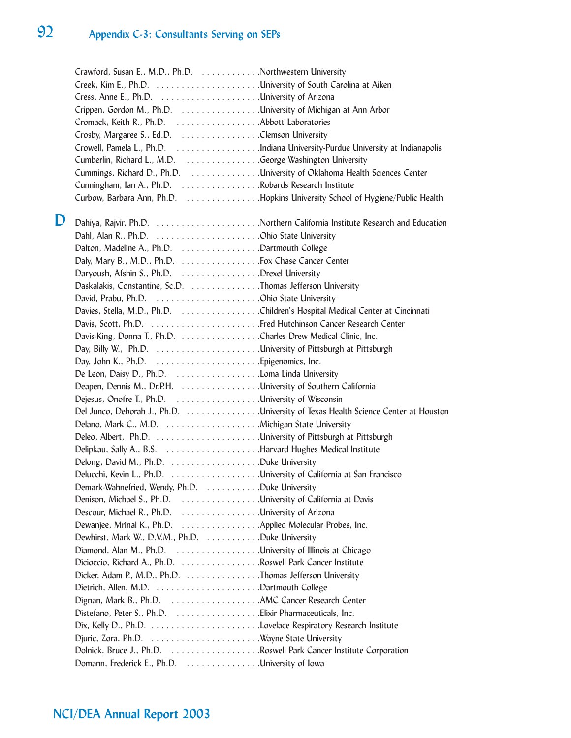Crawford, Susan E., M.D., Ph.D. . . . . . . . . . . . . Northwestern University Creek, Kim E., Ph.D. . . . . . . . . . . . . . . . . . . . . .University of South Carolina at Aiken Cress, Anne E., Ph.D. . . . . . . . . . . . . . . . . . . . .University of Arizona Crippen, Gordon M., Ph.D. . . . . . . . . . . . . . . . .University of Michigan at Ann Arbor Cromack, Keith R., Ph.D. . . . . . . . . . . . . . . . . . Abbott Laboratories Crosby, Margaree S., Ed.D. . . . . . . . . . . . . . . . .Clemson University Crowell, Pamela L., Ph.D. . . . . . . . . . . . . . . . . .Indiana University-Purdue University at Indianapolis Cumberlin, Richard L., M.D. . . . . . . . . . . . . . . .George Washington University Cummings, Richard D., Ph.D. . . . . . . . . . . . . . . . University of Oklahoma Health Sciences Center Cunningham, Ian A., Ph.D. . . . . . . . . . . . . . . . . . Robards Research Institute Curbow, Barbara Ann, Ph.D. . . . . . . . . . . . . . . .Hopkins University School of Hygiene/Public Health **D** Dahiya, Rajvir, Ph.D. . . . . . . . . . . . . . . . . . . . . .Northern California Institute Research and Education Dahl, Alan R., Ph.D. . . . . . . . . . . . . . . . . . . . . .Ohio State University Dalton, Madeline A., Ph.D. . . . . . . . . . . . . . . . . Dartmouth College Daly, Mary B., M.D., Ph.D. . . . . . . . . . . . . . . . .Fox Chase Cancer Center Daryoush, Afshin S., Ph.D. . . . . . . . . . . . . . . . . Drexel University Daskalakis, Constantine, Sc.D. . . . . . . . . . . . . . .Thomas Jefferson University David, Prabu, Ph.D. . . . . . . . . . . . . . . . . . . . . .Ohio State University Davies, Stella, M.D., Ph.D. . . . . . . . . . . . . . . . .Children's Hospital Medical Center at Cincinnati Davis, Scott, Ph.D. . . . . . . . . . . . . . . . . . . . . . .Fred Hutchinson Cancer Research Center Davis-King, Donna T., Ph.D. . . . . . . . . . . . . . . . . Charles Drew Medical Clinic, Inc. Day, Billy W., Ph.D. . . . . . . . . . . . . . . . . . . . . .University of Pittsburgh at Pittsburgh Day, John K., Ph.D. . . . . . . . . . . . . . . . . . . . . .Epigenomics, Inc. De Leon, Daisy D., Ph.D. . . . . . . . . . . . . . . . . .Loma Linda University Deapen, Dennis M., Dr.P.H. . . . . . . . . . . . . . . . . University of Southern California Dejesus, Onofre T., Ph.D. . . . . . . . . . . . . . . . . . University of Wisconsin Del Junco, Deborah J., Ph.D. . . . . . . . . . . . . . . .University of Texas Health Science Center at Houston Delano, Mark C., M.D. . . . . . . . . . . . . . . . . . . .Michigan State University Deleo, Albert, Ph.D. . . . . . . . . . . . . . . . . . . . . .University of Pittsburgh at Pittsburgh Delipkau, Sally A., B.S. . . . . . . . . . . . . . . . . . . .Harvard Hughes Medical Institute Delong, David M., Ph.D. . . . . . . . . . . . . . . . . . .Duke University Delucchi, Kevin L., Ph.D. . . . . . . . . . . . . . . . . . .University of California at San Francisco Demark-Wahnefried, Wendy, Ph.D. . . . . . . . . . . . Duke University Denison, Michael S., Ph.D. . . . . . . . . . . . . . . . University of California at Davis Descour, Michael R., Ph.D. . . . . . . . . . . . . . . . . University of Arizona Dewanjee, Mrinal K., Ph.D. . . . . . . . . . . . . . . . . Applied Molecular Probes, Inc. Dewhirst, Mark W., D.V.M., Ph.D. . . . . . . . . . . . . Duke University Diamond, Alan M., Ph.D. . . . . . . . . . . . . . . . . University of Illinois at Chicago Dicioccio, Richard A., Ph.D. . . . . . . . . . . . . . . . . Roswell Park Cancer Institute Dicker, Adam P., M.D., Ph.D. . . . . . . . . . . . . . . Thomas Jefferson University Dietrich, Allen, M.D. . . . . . . . . . . . . . . . . . . . . .Dartmouth College Dignan, Mark B., Ph.D. . . . . . . . . . . . . . . . . . .AMC Cancer Research Center Distefano, Peter S., Ph.D. . . . . . . . . . . . . . . . . . Elixir Pharmaceuticals, Inc. Dix, Kelly D., Ph.D. . . . . . . . . . . . . . . . . . . . . . .Lovelace Respiratory Research Institute Djuric, Zora, Ph.D. . . . . . . . . . . . . . . . . . . . . . .Wayne State University Dolnick, Bruce J., Ph.D. . . . . . . . . . . . . . . . . . .Roswell Park Cancer Institute Corporation Domann, Frederick E., Ph.D. . . . . . . . . . . . . . . . University of Iowa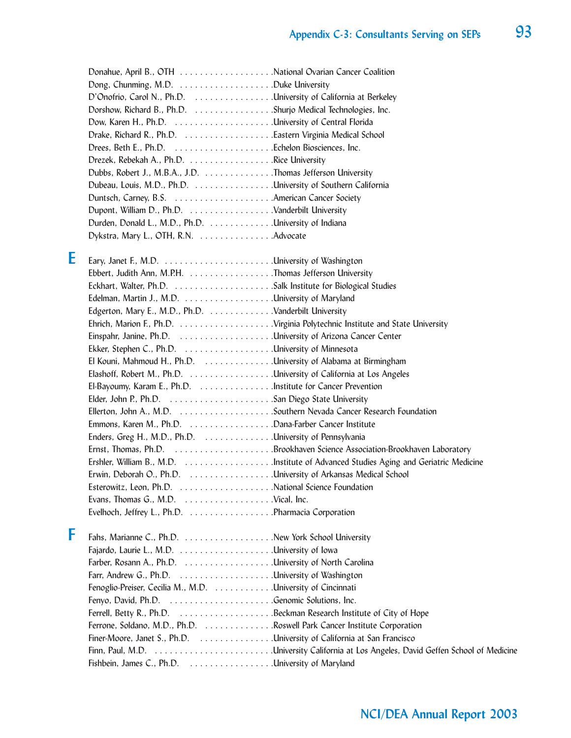|   | Donahue, April B., OTH National Ovarian Cancer Coalition                       |                                                                                              |
|---|--------------------------------------------------------------------------------|----------------------------------------------------------------------------------------------|
|   |                                                                                |                                                                                              |
|   | D'Onofrio, Carol N., Ph.D. University of California at Berkeley                |                                                                                              |
|   | Dorshow, Richard B., Ph.D. Shurjo Medical Technologies, Inc.                   |                                                                                              |
|   |                                                                                |                                                                                              |
|   |                                                                                |                                                                                              |
|   |                                                                                |                                                                                              |
|   | Drezek, Rebekah A., Ph.D. Rice University                                      |                                                                                              |
|   | Dubbs, Robert J., M.B.A., J.D. Thomas Jefferson University                     |                                                                                              |
|   | Dubeau, Louis, M.D., Ph.D. University of Southern California                   |                                                                                              |
|   |                                                                                |                                                                                              |
|   |                                                                                |                                                                                              |
|   | Durden, Donald L., M.D., Ph.D. University of Indiana                           |                                                                                              |
|   | Dykstra, Mary L., OTH, R.N. Advocate                                           |                                                                                              |
| E |                                                                                |                                                                                              |
|   | Eary, Janet F., M.D. University of Washington                                  |                                                                                              |
|   |                                                                                |                                                                                              |
|   | Eckhart, Walter, Ph.D. Salk Institute for Biological Studies                   |                                                                                              |
|   |                                                                                |                                                                                              |
|   | Edgerton, Mary E., M.D., Ph.D. Vanderbilt University                           |                                                                                              |
|   |                                                                                |                                                                                              |
|   | Einspahr, Janine, Ph.D. University of Arizona Cancer Center                    |                                                                                              |
|   |                                                                                |                                                                                              |
|   | El Kouni, Mahmoud H., Ph.D. University of Alabama at Birmingham                |                                                                                              |
|   | Elashoff, Robert M., Ph.D. University of California at Los Angeles             |                                                                                              |
|   |                                                                                |                                                                                              |
|   | Elder, John P., Ph.D. San Diego State University                               |                                                                                              |
|   |                                                                                |                                                                                              |
|   | Emmons, Karen M., Ph.D. (all contacts) and Farber Cancer Institute             |                                                                                              |
|   | Enders, Greg H., M.D., Ph.D. University of Pennsylvania                        |                                                                                              |
|   |                                                                                | Ernst, Thomas, Ph.D. (2008). The Strong Brookhaven Science Association-Brookhaven Laboratory |
|   |                                                                                | Ershler, William B., M.D. Institute of Advanced Studies Aging and Geriatric Medicine         |
|   | Erwin, Deborah O., Ph.D. (2008). (2014). University of Arkansas Medical School |                                                                                              |
|   |                                                                                |                                                                                              |
|   |                                                                                |                                                                                              |
|   |                                                                                |                                                                                              |
| F |                                                                                |                                                                                              |
|   |                                                                                |                                                                                              |
|   |                                                                                |                                                                                              |
|   | Farr, Andrew G., Ph.D. University of Washington                                |                                                                                              |
|   | Fenoglio-Preiser, Cecilia M., M.D. University of Cincinnati                    |                                                                                              |
|   |                                                                                |                                                                                              |
|   | Ferrell, Betty R., Ph.D. Beckman Research Institute of City of Hope            |                                                                                              |
|   | Ferrone, Soldano, M.D., Ph.D. Roswell Park Cancer Institute Corporation        |                                                                                              |
|   | Finer-Moore, Janet S., Ph.D. University of California at San Francisco         |                                                                                              |
|   |                                                                                |                                                                                              |
|   | Fishbein, James C., Ph.D. University of Maryland                               |                                                                                              |
|   |                                                                                |                                                                                              |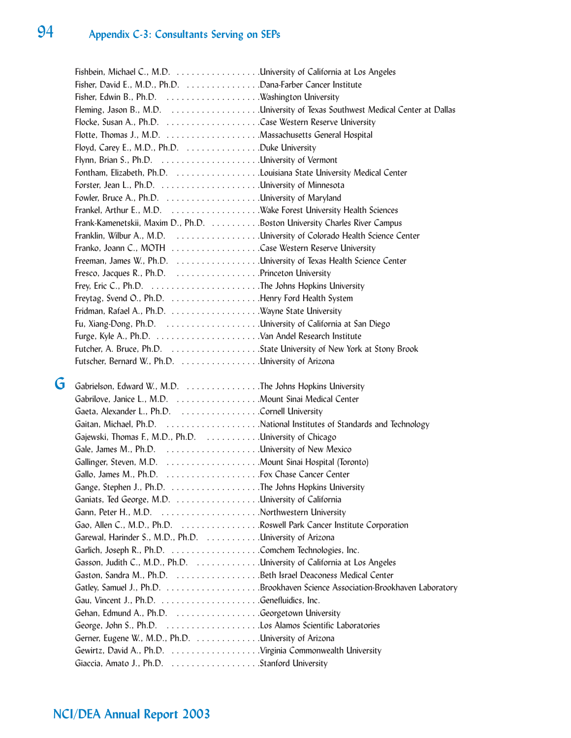|   | Fishbein, Michael C., M.D. University of California at Los Angeles                 |  |
|---|------------------------------------------------------------------------------------|--|
|   | Fisher, David E., M.D., Ph.D. Dana-Farber Cancer Institute                         |  |
|   |                                                                                    |  |
|   |                                                                                    |  |
|   | Flocke, Susan A., Ph.D. Case Western Reserve University                            |  |
|   |                                                                                    |  |
|   | Floyd, Carey E., M.D., Ph.D. Duke University                                       |  |
|   |                                                                                    |  |
|   |                                                                                    |  |
|   |                                                                                    |  |
|   |                                                                                    |  |
|   |                                                                                    |  |
|   | Frank-Kamenetskii, Maxim D., Ph.D. Boston University Charles River Campus          |  |
|   | Franklin, Wilbur A., M.D. (2008). The University of Colorado Health Science Center |  |
|   |                                                                                    |  |
|   |                                                                                    |  |
|   |                                                                                    |  |
|   |                                                                                    |  |
|   |                                                                                    |  |
|   |                                                                                    |  |
|   | Fu, Xiang-Dong, Ph.D. University of California at San Diego                        |  |
|   | Furge, Kyle A., Ph.D. Van Andel Research Institute                                 |  |
|   |                                                                                    |  |
|   | Futscher, Bernard W., Ph.D. University of Arizona                                  |  |
| Ġ |                                                                                    |  |
|   | Gabrielson, Edward W., M.D. The Johns Hopkins University                           |  |
|   |                                                                                    |  |
|   |                                                                                    |  |
|   |                                                                                    |  |
|   | Gajewski, Thomas F., M.D., Ph.D. University of Chicago                             |  |
|   | Gale, James M., Ph.D. University of New Mexico                                     |  |
|   | Gallinger, Steven, M.D. Mount Sinai Hospital (Toronto)                             |  |
|   | Gallo, James M., Ph.D.  Fox Chase Cancer Center                                    |  |
|   |                                                                                    |  |
|   | Ganiats, Ted George, M.D. University of California                                 |  |
|   |                                                                                    |  |
|   | Gao, Allen C., M.D., Ph.D. Roswell Park Cancer Institute Corporation               |  |
|   | Garewal, Harinder S., M.D., Ph.D. University of Arizona                            |  |
|   |                                                                                    |  |
|   | Gasson, Judith C., M.D., Ph.D. University of California at Los Angeles             |  |
|   | Gaston, Sandra M., Ph.D. Beth Israel Deaconess Medical Center                      |  |
|   |                                                                                    |  |
|   | Gatley, Samuel J., Ph.D. Brookhaven Science Association-Brookhaven Laboratory      |  |
|   |                                                                                    |  |
|   |                                                                                    |  |
|   |                                                                                    |  |
|   | Gerner, Eugene W., M.D., Ph.D. University of Arizona                               |  |
|   |                                                                                    |  |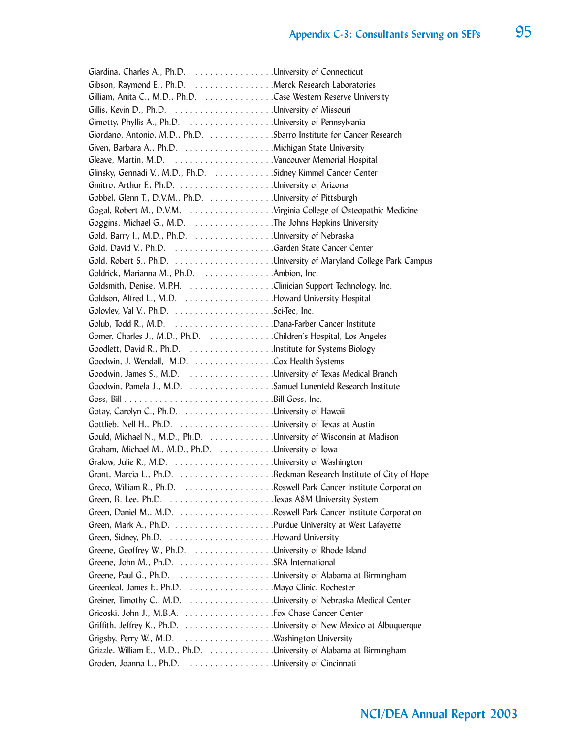Giardina, Charles A., Ph.D. . . . . . . . . . . . . . . . . University of Connecticut Gibson, Raymond E., Ph.D. . . . . . . . . . . . . . . . . Merck Research Laboratories Gilliam, Anita C., M.D., Ph.D. . . . . . . . . . . . . . . . . . Case Western Reserve University Gillis, Kevin D., Ph.D. . . . . . . . . . . . . . . . . . . . .University of Missouri Gimotty, Phyllis A., Ph.D. . . . . . . . . . . . . . . . . .University of Pennsylvania Giordano, Antonio, M.D., Ph.D. . . . . . . . . . . . . .Sbarro Institute for Cancer Research Given, Barbara A., Ph.D. . . . . . . . . . . . . . . . . . .Michigan State University Gleave, Martin, M.D. . . . . . . . . . . . . . . . . . . . .Vancouver Memorial Hospital Glinsky, Gennadi V., M.D., Ph.D. . . . . . . . . . . . .Sidney Kimmel Cancer Center Gmitro, Arthur F., Ph.D. . . . . . . . . . . . . . . . . . . .University of Arizona Gobbel, Glenn T., D.V.M., Ph.D. . . . . . . . . . . . . . . University of Pittsburgh Gogal, Robert M., D.V.M. . . . . . . . . . . . . . . . . .Virginia College of Osteopathic Medicine Goggins, Michael G., M.D. . . . . . . . . . . . . . . . .The Johns Hopkins University Gold, Barry I., M.D., Ph.D. . . . . . . . . . . . . . . . . University of Nebraska Gold, David V., Ph.D. . . . . . . . . . . . . . . . . . . . .Garden State Cancer Center Gold, Robert S., Ph.D. . . . . . . . . . . . . . . . . . . . .University of Maryland College Park Campus Goldrick, Marianna M., Ph.D. . . . . . . . . . . . . . .Ambion, Inc. Goldsmith, Denise, M.P.H. . . . . . . . . . . . . . . . . .Clinician Support Technology, Inc. Goldson, Alfred L., M.D. . . . . . . . . . . . . . . . . . .Howard University Hospital Golovlev, Val V., Ph.D. . . . . . . . . . . . . . . . . . . . .Sci-Tec, Inc. Golub, Todd R., M.D. . . . . . . . . . . . . . . . . . . . .Dana-Farber Cancer Institute Gomer, Charles J., M.D., Ph.D. . . . . . . . . . . . . .Children's Hospital, Los Angeles Goodlett, David R., Ph.D. . . . . . . . . . . . . . . . . .Institute for Systems Biology Goodwin, J. Wendall, M.D. . . . . . . . . . . . . . . . .Cox Health Systems Goodwin, James S., M.D. . . . . . . . . . . . . . . . . .University of Texas Medical Branch Goodwin, Pamela J., M.D. . . . . . . . . . . . . . . . . .Samuel Lunenfeld Research Institute Goss, Bill . . . . . . . . . . . . . . . . . . . . . . . . . . . . . .Bill Goss, Inc. Gotay, Carolyn C., Ph.D. . . . . . . . . . . . . . . . . . .University of Hawaii Gottlieb, Nell H., Ph.D. . . . . . . . . . . . . . . . . . . .University of Texas at Austin Gould, Michael N., M.D., Ph.D. . . . . . . . . . . . . .University of Wisconsin at Madison Graham, Michael M., M.D., Ph.D. . . . . . . . . . . .University of Iowa Gralow, Julie R., M.D. . . . . . . . . . . . . . . . . . . . .University of Washington Grant, Marcia L., Ph.D. . . . . . . . . . . . . . . . . . . .Beckman Research Institute of City of Hope Greco, William R., Ph.D. . . . . . . . . . . . . . . . . . .Roswell Park Cancer Institute Corporation Green, B. Lee, Ph.D. . . . . . . . . . . . . . . . . . . . . .Texas A&M University System Green, Daniel M., M.D. . . . . . . . . . . . . . . . . . . .Roswell Park Cancer Institute Corporation Green, Mark A., Ph.D. . . . . . . . . . . . . . . . . . . . .Purdue University at West Lafayette Green, Sidney, Ph.D. . . . . . . . . . . . . . . . . . . . . .Howard University Greene, Geoffrey W., Ph.D. . . . . . . . . . . . . . . . .University of Rhode Island Greene, John M., Ph.D. . . . . . . . . . . . . . . . . . . .SRA International Greene, Paul G., Ph.D. . . . . . . . . . . . . . . . . . . .University of Alabama at Birmingham Greenleaf, James F., Ph.D. . . . . . . . . . . . . . . . . .Mayo Clinic, Rochester Greiner, Timothy C., M.D. . . . . . . . . . . . . . . . . .University of Nebraska Medical Center Gricoski, John J., M.B.A. . . . . . . . . . . . . . . . . . .Fox Chase Cancer Center Griffith, Jeffrey K., Ph.D. . . . . . . . . . . . . . . . . . .University of New Mexico at Albuquerque Grigsby, Perry W., M.D. . . . . . . . . . . . . . . . . . .Washington University Grizzle, William E., M.D., Ph.D. . . . . . . . . . . . . . . University of Alabama at Birmingham Groden, Joanna L., Ph.D. . . . . . . . . . . . . . . . . .University of Cincinnati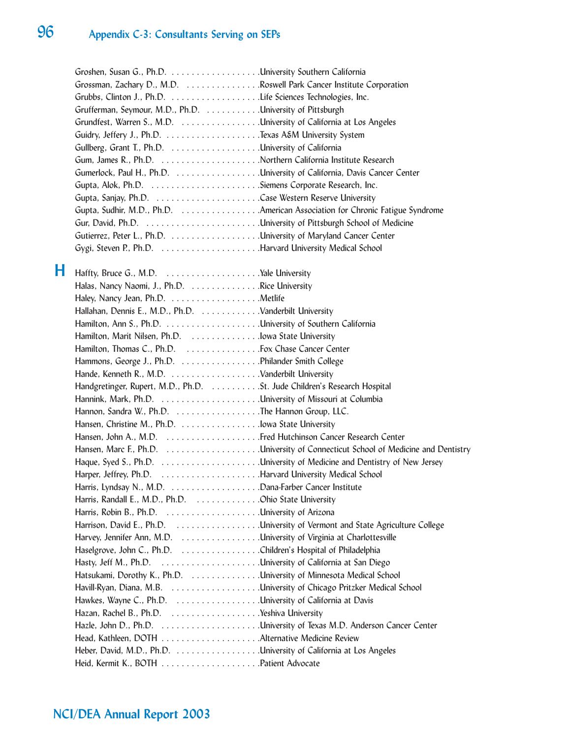|   | Groshen, Susan G., Ph.D. University Southern California                  |                                                                                                 |
|---|--------------------------------------------------------------------------|-------------------------------------------------------------------------------------------------|
|   | Grossman, Zachary D., M.D. Roswell Park Cancer Institute Corporation     |                                                                                                 |
|   |                                                                          |                                                                                                 |
|   | Grufferman, Seymour, M.D., Ph.D. University of Pittsburgh                |                                                                                                 |
|   | Grundfest, Warren S., M.D. University of California at Los Angeles       |                                                                                                 |
|   |                                                                          |                                                                                                 |
|   |                                                                          |                                                                                                 |
|   | Gum, James R., Ph.D. Northern California Institute Research              |                                                                                                 |
|   | Gumerlock, Paul H., Ph.D. University of California, Davis Cancer Center  |                                                                                                 |
|   |                                                                          |                                                                                                 |
|   |                                                                          |                                                                                                 |
|   |                                                                          | Gupta, Sudhir, M.D., Ph.D. American Association for Chronic Fatigue Syndrome                    |
|   |                                                                          |                                                                                                 |
|   |                                                                          |                                                                                                 |
|   | Gygi, Steven P., Ph.D. Harvard University Medical School                 |                                                                                                 |
|   |                                                                          |                                                                                                 |
| H | Haffty, Bruce G., M.D. Yale University                                   |                                                                                                 |
|   | Halas, Nancy Naomi, J., Ph.D. Rice University                            |                                                                                                 |
|   | Haley, Nancy Jean, Ph.D. Metlife                                         |                                                                                                 |
|   | Hallahan, Dennis E., M.D., Ph.D. Vanderbilt University                   |                                                                                                 |
|   |                                                                          |                                                                                                 |
|   | Hamilton, Marit Nilsen, Ph.D. lowa State University                      |                                                                                                 |
|   |                                                                          |                                                                                                 |
|   | Hammons, George J., Ph.D. Philander Smith College                        |                                                                                                 |
|   | Hande, Kenneth R., M.D. Vanderbilt University                            |                                                                                                 |
|   | Handgretinger, Rupert, M.D., Ph.D. St. Jude Children's Research Hospital |                                                                                                 |
|   | Hannink, Mark, Ph.D. University of Missouri at Columbia                  |                                                                                                 |
|   |                                                                          |                                                                                                 |
|   | Hannon, Sandra W., Ph.D. The Hannon Group, LLC.                          |                                                                                                 |
|   | Hansen, Christine M., Ph.D. lowa State University                        |                                                                                                 |
|   |                                                                          |                                                                                                 |
|   |                                                                          |                                                                                                 |
|   |                                                                          | Haque, Syed S., Ph.D. University of Medicine and Dentistry of New Jersey                        |
|   |                                                                          |                                                                                                 |
|   | Harris, Lyndsay N., M.D. Dana-Farber Cancer Institute                    |                                                                                                 |
|   | Harris, Randall E., M.D., Ph.D. Ohio State University                    |                                                                                                 |
|   | Harris, Robin B., Ph.D. University of Arizona                            |                                                                                                 |
|   |                                                                          | Harrison, David E., Ph.D. (2008) Materian Multimersity of Vermont and State Agriculture College |
|   | Harvey, Jennifer Ann, M.D. University of Virginia at Charlottesville     |                                                                                                 |
|   | Haselgrove, John C., Ph.D. Children's Hospital of Philadelphia           |                                                                                                 |
|   | Hasty, Jeff M., Ph.D. University of California at San Diego              |                                                                                                 |
|   | Hatsukami, Dorothy K., Ph.D. University of Minnesota Medical School      |                                                                                                 |
|   |                                                                          |                                                                                                 |
|   | Hawkes, Wayne C., Ph.D. University of California at Davis                |                                                                                                 |
|   |                                                                          |                                                                                                 |
|   |                                                                          |                                                                                                 |
|   |                                                                          |                                                                                                 |
|   | Heber, David, M.D., Ph.D. University of California at Los Angeles        |                                                                                                 |
|   |                                                                          |                                                                                                 |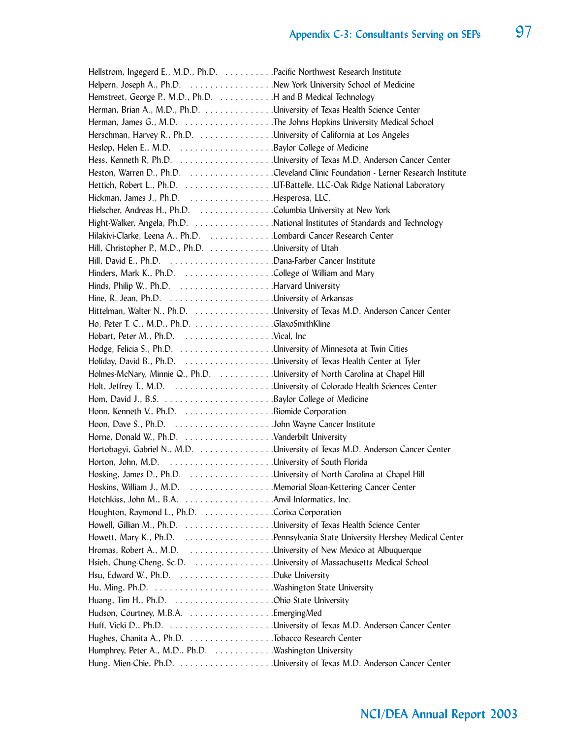| Hellstrom, Ingegerd E., M.D., Ph.D. Pacific Northwest Research Institute    |                                                                                             |
|-----------------------------------------------------------------------------|---------------------------------------------------------------------------------------------|
| Helpern, Joseph A., Ph.D. New York University School of Medicine            |                                                                                             |
| Hemstreet, George P., M.D., Ph.D. H and B Medical Technology                |                                                                                             |
| Herman, Brian A., M.D., Ph.D. University of Texas Health Science Center     |                                                                                             |
| Herman, James G., M.D. The Johns Hopkins University Medical School          |                                                                                             |
| Herschman, Harvey R., Ph.D. University of California at Los Angeles         |                                                                                             |
| Heslop, Helen E., M.D. Baylor College of Medicine                           |                                                                                             |
|                                                                             |                                                                                             |
|                                                                             | Heston, Warren D., Ph.D. (2002) Cleveland Clinic Foundation - Lerner Research Institute     |
|                                                                             |                                                                                             |
| Hickman, James J., Ph.D. Hesperosa, LLC.                                    |                                                                                             |
|                                                                             |                                                                                             |
| Hight-Walker, Angela, Ph.D. National Institutes of Standards and Technology |                                                                                             |
| Hilakivi-Clarke, Leena A., Ph.D. Lombardi Cancer Research Center            |                                                                                             |
| Hill, Christopher P., M.D., Ph.D. University of Utah                        |                                                                                             |
| Hill, David E., Ph.D. Dana-Farber Cancer Institute                          |                                                                                             |
|                                                                             |                                                                                             |
| Hinds, Philip W., Ph.D. Harvard University                                  |                                                                                             |
| Hine, R. Jean, Ph.D. University of Arkansas                                 |                                                                                             |
|                                                                             |                                                                                             |
| Ho, Peter T. C., M.D., Ph.D. GlaxoSmithKline                                |                                                                                             |
|                                                                             |                                                                                             |
|                                                                             |                                                                                             |
|                                                                             |                                                                                             |
| Holmes-McNary, Minnie Q., Ph.D. University of North Carolina at Chapel Hill |                                                                                             |
|                                                                             |                                                                                             |
|                                                                             |                                                                                             |
|                                                                             |                                                                                             |
|                                                                             |                                                                                             |
| Horne, Donald W., Ph.D. Vanderbilt University                               |                                                                                             |
|                                                                             |                                                                                             |
| Horton, John, M.D. University of South Florida                              |                                                                                             |
| Hosking, James D., Ph.D. University of North Carolina at Chapel Hill        |                                                                                             |
| Hoskins, William J., M.D.  Memorial Sloan-Kettering Cancer Center           |                                                                                             |
|                                                                             |                                                                                             |
| Houghton, Raymond L., Ph.D. Corixa Corporation                              |                                                                                             |
|                                                                             |                                                                                             |
|                                                                             | Howett, Mary K., Ph.D. (2008) However, Pennsylvania State University Hershey Medical Center |
|                                                                             |                                                                                             |
| Hsieh, Chung-Cheng, Sc.D. University of Massachusetts Medical School        |                                                                                             |
|                                                                             |                                                                                             |
|                                                                             |                                                                                             |
| Huang, Tim H., Ph.D. Ohio State University                                  |                                                                                             |
|                                                                             |                                                                                             |
|                                                                             |                                                                                             |
| Hughes, Chanita A., Ph.D. Tobacco Research Center                           |                                                                                             |
| Humphrey, Peter A., M.D., Ph.D. Washington University                       |                                                                                             |
|                                                                             |                                                                                             |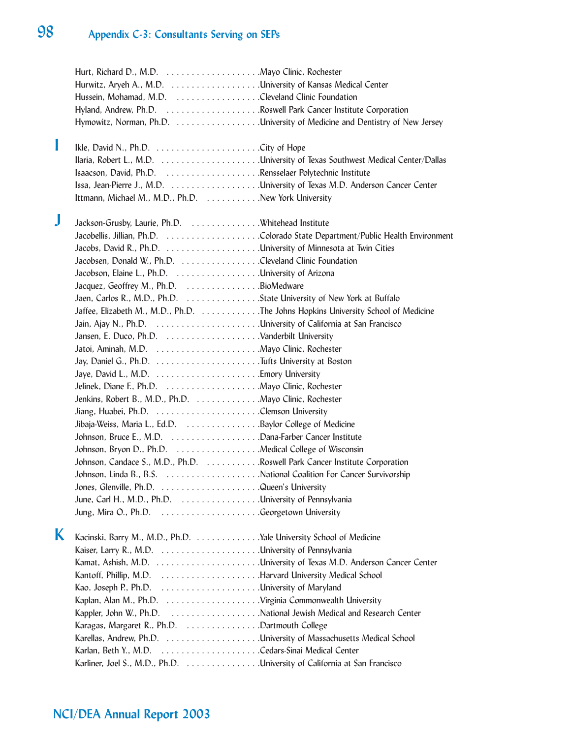### 98 **Appendix C-3: Consultants Serving on SEPs**

|    | Hussein, Mohamad, M.D. (Changeling and Clinic Foundation                      |                                                                                   |
|----|-------------------------------------------------------------------------------|-----------------------------------------------------------------------------------|
|    |                                                                               |                                                                                   |
|    |                                                                               |                                                                                   |
|    |                                                                               |                                                                                   |
| I. |                                                                               |                                                                                   |
|    |                                                                               |                                                                                   |
|    |                                                                               |                                                                                   |
|    |                                                                               |                                                                                   |
|    | Ittmann, Michael M., M.D., Ph.D. New York University                          |                                                                                   |
| J  | Jackson-Grusby, Laurie, Ph.D. Whitehead Institute                             |                                                                                   |
|    |                                                                               |                                                                                   |
|    |                                                                               |                                                                                   |
|    | Jacobsen, Donald W., Ph.D. Cleveland Clinic Foundation                        |                                                                                   |
|    |                                                                               |                                                                                   |
|    | Jacquez, Geoffrey M., Ph.D. BioMedware                                        |                                                                                   |
|    | Jaen, Carlos R., M.D., Ph.D. State University of New York at Buffalo          |                                                                                   |
|    |                                                                               |                                                                                   |
|    |                                                                               | Jaffee, Elizabeth M., M.D., Ph.D. The Johns Hopkins University School of Medicine |
|    |                                                                               |                                                                                   |
|    |                                                                               |                                                                                   |
|    |                                                                               |                                                                                   |
|    | Jay, Daniel G., Ph.D. Tufts University at Boston                              |                                                                                   |
|    |                                                                               |                                                                                   |
|    | Jelinek, Diane F., Ph.D.  Mayo Clinic, Rochester                              |                                                                                   |
|    | Jenkins, Robert B., M.D., Ph.D. Mayo Clinic, Rochester                        |                                                                                   |
|    |                                                                               |                                                                                   |
|    | Jibaja-Weiss, Maria L., Ed.D. Baylor College of Medicine                      |                                                                                   |
|    |                                                                               |                                                                                   |
|    | Johnson, Bryon D., Ph.D. Medical College of Wisconsin                         |                                                                                   |
|    | Johnson, Candace S., M.D., Ph.D. Roswell Park Cancer Institute Corporation    |                                                                                   |
|    | Johnson, Linda B., B.S. (2002). An Altional Coalition For Cancer Survivorship |                                                                                   |
|    |                                                                               |                                                                                   |
|    | June, Carl H., M.D., Ph.D. University of Pennsylvania                         |                                                                                   |
|    |                                                                               |                                                                                   |
| K. | Kacinski, Barry M., M.D., Ph.D. Yale University School of Medicine            |                                                                                   |
|    | Kaiser, Larry R., M.D. University of Pennsylvania                             |                                                                                   |
|    |                                                                               |                                                                                   |
|    |                                                                               |                                                                                   |
|    |                                                                               |                                                                                   |
|    | Kaplan, Alan M., Ph.D. Virginia Commonwealth University                       |                                                                                   |
|    |                                                                               |                                                                                   |
|    | Karagas, Margaret R., Ph.D. Dartmouth College                                 |                                                                                   |
|    |                                                                               |                                                                                   |
|    |                                                                               |                                                                                   |
|    | Karliner, Joel S., M.D., Ph.D. University of California at San Francisco      |                                                                                   |
|    |                                                                               |                                                                                   |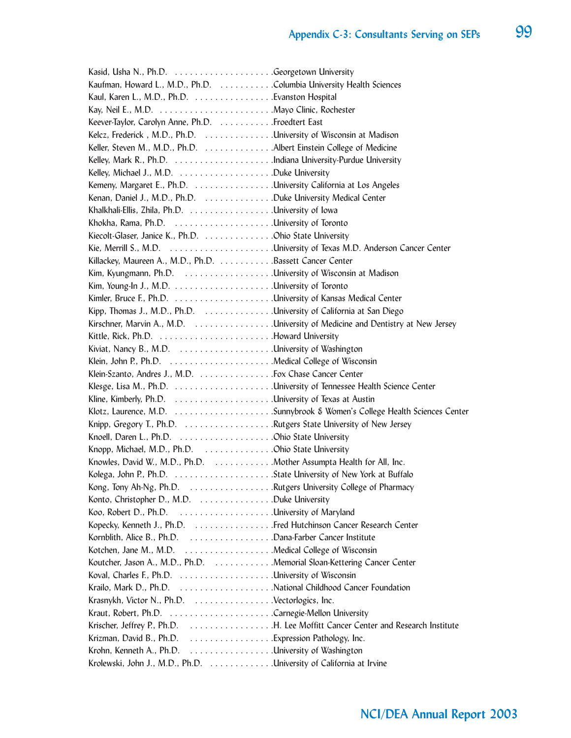Kasid, Usha N., Ph.D. . . . . . . . . . . . . . . . . . . . .Georgetown University Kaufman, Howard L., M.D., Ph.D. . . . . . . . . . . . . Columbia University Health Sciences Kaul, Karen L., M.D., Ph.D. . . . . . . . . . . . . . . . .Evanston Hospital Kay, Neil E., M.D. . . . . . . . . . . . . . . . . . . . . . . .Mayo Clinic, Rochester Keever-Taylor, Carolyn Anne, Ph.D. . . . . . . . . . . . . Froedtert East Kelcz, Frederick , M.D., Ph.D. . . . . . . . . . . . . . . University of Wisconsin at Madison Keller, Steven M., M.D., Ph.D. . . . . . . . . . . . . . .Albert Einstein College of Medicine Kelley, Mark R., Ph.D. . . . . . . . . . . . . . . . . . . . .Indiana University-Purdue University Kelley, Michael J., M.D. . . . . . . . . . . . . . . . . . . .Duke University Kemeny, Margaret E., Ph.D. . . . . . . . . . . . . . . . . . University California at Los Angeles Kenan, Daniel J., M.D., Ph.D. . . . . . . . . . . . . . . Duke University Medical Center Khalkhali-Ellis, Zhila, Ph.D. . . . . . . . . . . . . . . . . . University of Iowa Khokha, Rama, Ph.D. . . . . . . . . . . . . . . . . . . . .University of Toronto Kiecolt-Glaser, Janice K., Ph.D. . . . . . . . . . . . . . . Ohio State University Kie, Merrill S., M.D. . . . . . . . . . . . . . . . . . . . . .University of Texas M.D. Anderson Cancer Center Killackey, Maureen A., M.D., Ph.D. . . . . . . . . . . . Bassett Cancer Center Kim, Kyungmann, Ph.D. . . . . . . . . . . . . . . . . . University of Wisconsin at Madison Kim, Young-In J., M.D. . . . . . . . . . . . . . . . . . . . .University of Toronto Kimler, Bruce F., Ph.D. . . . . . . . . . . . . . . . . . . . .University of Kansas Medical Center Kipp, Thomas J., M.D., Ph.D. . . . . . . . . . . . . . . University of California at San Diego Kirschner, Marvin A., M.D. . . . . . . . . . . . . . . . . University of Medicine and Dentistry at New Jersey Kittle, Rick, Ph.D. . . . . . . . . . . . . . . . . . . . . . . .Howard University Kiviat, Nancy B., M.D. . . . . . . . . . . . . . . . . . . .University of Washington Klein, John P., Ph.D. . . . . . . . . . . . . . . . . . . . . .Medical College of Wisconsin Klein-Szanto, Andres J., M.D. . . . . . . . . . . . . . . .Fox Chase Cancer Center Klesge, Lisa M., Ph.D. . . . . . . . . . . . . . . . . . . . .University of Tennessee Health Science Center Kline, Kimberly, Ph.D. . . . . . . . . . . . . . . . . . . . .University of Texas at Austin Klotz, Laurence, M.D. . . . . . . . . . . . . . . . . . . . .Sunnybrook & Women's College Health Sciences Center Knipp, Gregory T., Ph.D. . . . . . . . . . . . . . . . . . .Rutgers State University of New Jersey Knoell, Daren L., Ph.D. . . . . . . . . . . . . . . . . . . .Ohio State University Knopp, Michael, M.D., Ph.D. . . . . . . . . . . . . . . . Ohio State University Knowles, David W., M.D., Ph.D. . . . . . . . . . . . . . Mother Assumpta Health for All, Inc. Kolega, John P., Ph.D. . . . . . . . . . . . . . . . . . . . .State University of New York at Buffalo Kong, Tony Ah-Ng, Ph.D. . . . . . . . . . . . . . . . . .Rutgers University College of Pharmacy Konto, Christopher D., M.D. . . . . . . . . . . . . . . . Duke University Koo, Robert D., Ph.D. . . . . . . . . . . . . . . . . . . .University of Maryland Kopecky, Kenneth J., Ph.D. . . . . . . . . . . . . . . . .Fred Hutchinson Cancer Research Center Kornblith, Alice B., Ph.D. . . . . . . . . . . . . . . . . . Dana-Farber Cancer Institute Kotchen, Jane M., M.D. . . . . . . . . . . . . . . . . . .Medical College of Wisconsin Koutcher, Jason A., M.D., Ph.D. . . . . . . . . . . . . Memorial Sloan-Kettering Cancer Center Koval, Charles F., Ph.D. . . . . . . . . . . . . . . . . . . .University of Wisconsin Krailo, Mark D., Ph.D. . . . . . . . . . . . . . . . . . . .National Childhood Cancer Foundation Krasnykh, Victor N., Ph.D. . . . . . . . . . . . . . . . . . Vectorlogics, Inc. Kraut, Robert, Ph.D. . . . . . . . . . . . . . . . . . . . . .Carnegie-Mellon University Krischer, Jeffrey P., Ph.D. . . . . . . . . . . . . . . . . .H. Lee Moffitt Cancer Center and Research Institute Krizman, David B., Ph.D. . . . . . . . . . . . . . . . . .Expression Pathology, Inc. Krohn, Kenneth A., Ph.D. . . . . . . . . . . . . . . . . . University of Washington Krolewski, John J., M.D., Ph.D. . . . . . . . . . . . . .University of California at Irvine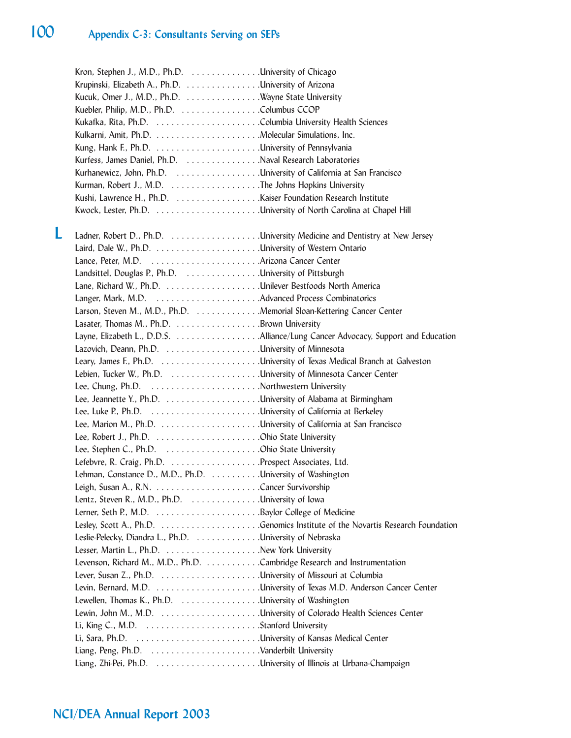|   | Kron, Stephen J., M.D., Ph.D. University of Chicago                        |  |
|---|----------------------------------------------------------------------------|--|
|   | Krupinski, Elizabeth A., Ph.D. University of Arizona                       |  |
|   | Kucuk, Omer J., M.D., Ph.D. Wayne State University                         |  |
|   | Kuebler, Philip, M.D., Ph.D. Columbus CCOP                                 |  |
|   |                                                                            |  |
|   | Kulkarni, Amit, Ph.D.  Molecular Simulations, Inc.                         |  |
|   | Kung, Hank F., Ph.D. University of Pennsylvania                            |  |
|   | Kurfess, James Daniel, Ph.D. Naval Research Laboratories                   |  |
|   |                                                                            |  |
|   |                                                                            |  |
|   |                                                                            |  |
|   |                                                                            |  |
| L |                                                                            |  |
|   |                                                                            |  |
|   |                                                                            |  |
|   | Landsittel, Douglas P., Ph.D. University of Pittsburgh                     |  |
|   | Lane, Richard W., Ph.D. Unilever Bestfoods North America                   |  |
|   |                                                                            |  |
|   | Larson, Steven M., M.D., Ph.D. Memorial Sloan-Kettering Cancer Center      |  |
|   |                                                                            |  |
|   |                                                                            |  |
|   |                                                                            |  |
|   |                                                                            |  |
|   | Lebien, Tucker W., Ph.D. (2001). The University of Minnesota Cancer Center |  |
|   |                                                                            |  |
|   |                                                                            |  |
|   |                                                                            |  |
|   |                                                                            |  |
|   |                                                                            |  |
|   |                                                                            |  |
|   | Lefebvre, R. Craig, Ph.D. Prospect Associates, Ltd.                        |  |
|   | Lehman, Constance D., M.D., Ph.D. University of Washington                 |  |
|   |                                                                            |  |
|   | Lentz, Steven R., M.D., Ph.D. University of lowa                           |  |
|   |                                                                            |  |
|   |                                                                            |  |
|   | Leslie-Pelecky, Diandra L., Ph.D. University of Nebraska                   |  |
|   |                                                                            |  |
|   | Levenson, Richard M., M.D., Ph.D. Cambridge Research and Instrumentation   |  |
|   |                                                                            |  |
|   |                                                                            |  |
|   | Lewellen, Thomas K., Ph.D. University of Washington                        |  |
|   |                                                                            |  |
|   |                                                                            |  |
|   | Li, Sara, Ph.D. University of Kansas Medical Center                        |  |
|   | Liang, Peng, Ph.D. Vanderbilt University                                   |  |
|   | Liang, Zhi-Pei, Ph.D. University of Illinois at Urbana-Champaign           |  |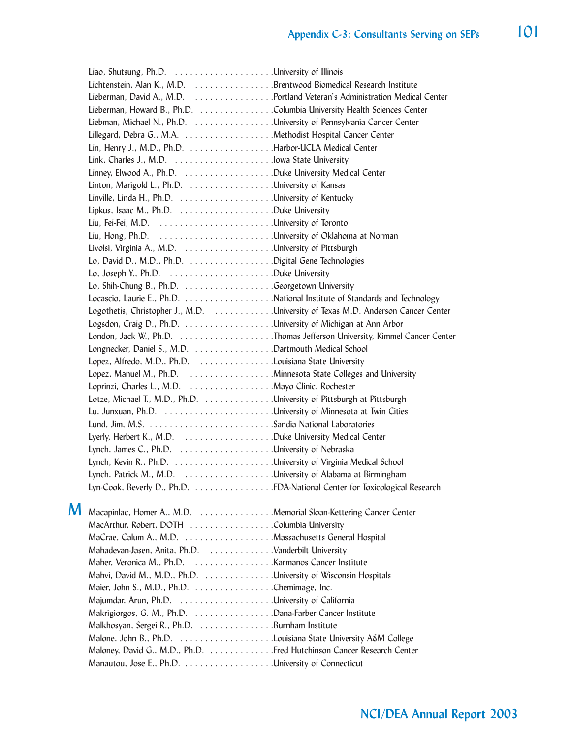|   | Liao, Shutsung, Ph.D. University of Illinois                                    |                                                                                        |
|---|---------------------------------------------------------------------------------|----------------------------------------------------------------------------------------|
|   | Lichtenstein, Alan K., M.D. (2008). The Brentwood Biomedical Research Institute |                                                                                        |
|   |                                                                                 | Lieberman, David A., M.D. (2008). The Portland Veteran's Administration Medical Center |
|   | Lieberman, Howard B., Ph.D. Columbia University Health Sciences Center          |                                                                                        |
|   | Liebman, Michael N., Ph.D. University of Pennsylvania Cancer Center             |                                                                                        |
|   |                                                                                 |                                                                                        |
|   |                                                                                 |                                                                                        |
|   |                                                                                 |                                                                                        |
|   |                                                                                 |                                                                                        |
|   | Linton, Marigold L., Ph.D. University of Kansas                                 |                                                                                        |
|   | Linville, Linda H., Ph.D. University of Kentucky                                |                                                                                        |
|   |                                                                                 |                                                                                        |
|   |                                                                                 |                                                                                        |
|   | Liu, Hong, Ph.D. University of Oklahoma at Norman                               |                                                                                        |
|   |                                                                                 |                                                                                        |
|   | Lo, David D., M.D., Ph.D. Digital Gene Technologies                             |                                                                                        |
|   |                                                                                 |                                                                                        |
|   |                                                                                 |                                                                                        |
|   |                                                                                 |                                                                                        |
|   |                                                                                 | Logothetis, Christopher J., M.D. University of Texas M.D. Anderson Cancer Center       |
|   | Logsdon, Craig D., Ph.D. University of Michigan at Ann Arbor                    |                                                                                        |
|   |                                                                                 |                                                                                        |
|   | Longnecker, Daniel S., M.D. Dartmouth Medical School                            |                                                                                        |
|   |                                                                                 |                                                                                        |
|   | Lopez, Manuel M., Ph.D. Minnesota State Colleges and University                 |                                                                                        |
|   |                                                                                 |                                                                                        |
|   | Lotze, Michael T., M.D., Ph.D. University of Pittsburgh at Pittsburgh           |                                                                                        |
|   |                                                                                 |                                                                                        |
|   | Lund, Jim, M.S. Sandia National Laboratories                                    |                                                                                        |
|   |                                                                                 |                                                                                        |
|   | Lynch, James C., Ph.D. University of Nebraska                                   |                                                                                        |
|   | Lynch, Kevin R., Ph.D. University of Virginia Medical School                    |                                                                                        |
|   |                                                                                 |                                                                                        |
|   |                                                                                 |                                                                                        |
| M | Macapinlac, Homer A., M.D. Memorial Sloan-Kettering Cancer Center               |                                                                                        |
|   | MacArthur, Robert, DOTH Columbia University                                     |                                                                                        |
|   |                                                                                 |                                                                                        |
|   | Mahadevan-Jasen, Anita, Ph.D. Vanderbilt University                             |                                                                                        |
|   |                                                                                 |                                                                                        |
|   | Mahvi, David M., M.D., Ph.D. University of Wisconsin Hospitals                  |                                                                                        |
|   | Maier, John S., M.D., Ph.D. Chemimage, Inc.                                     |                                                                                        |
|   | Majumdar, Arun, Ph.D. University of California                                  |                                                                                        |
|   | Makrigiorgos, G. M., Ph.D. Dana-Farber Cancer Institute                         |                                                                                        |
|   | Malkhosyan, Sergei R., Ph.D. Burnham Institute                                  |                                                                                        |
|   | Malone, John B., Ph.D. Louisiana State University A&M College                   |                                                                                        |
|   | Maloney, David G., M.D., Ph.D. Fred Hutchinson Cancer Research Center           |                                                                                        |
|   |                                                                                 |                                                                                        |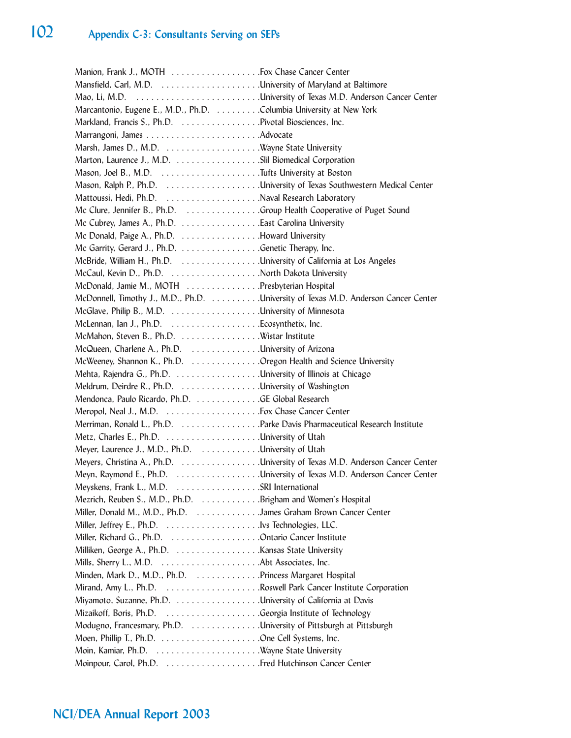$102$ 

Manion, Frank J., MOTH . . . . . . . . . . . . . . . . . .Fox Chase Cancer Center Mansfield, Carl, M.D. . . . . . . . . . . . . . . . . . . . .University of Maryland at Baltimore Mao, Li, M.D. . . . . . . . . . . . . . . . . . . . . . . . . .University of Texas M.D. Anderson Cancer Center Marcantonio, Eugene E., M.D., Ph.D. . . . . . . . . . . Columbia University at New York Markland, Francis S., Ph.D. . . . . . . . . . . . . . . . . . Pivotal Biosciences, Inc. Marrangoni, James . . . . . . . . . . . . . . . . . . . . . . .Advocate Marsh, James D., M.D. . . . . . . . . . . . . . . . . . . .Wayne State University Marton, Laurence J., M.D. . . . . . . . . . . . . . . . . .Slil Biomedical Corporation Mason, Joel B., M.D. . . . . . . . . . . . . . . . . . . . .Tufts University at Boston Mason, Ralph P., Ph.D. . . . . . . . . . . . . . . . . . . .University of Texas Southwestern Medical Center Mattoussi, Hedi, Ph.D. . . . . . . . . . . . . . . . . . . .Naval Research Laboratory Mc Clure, Jennifer B., Ph.D. . . . . . . . . . . . . . . . . . Group Health Cooperative of Puget Sound Mc Cubrey, James A., Ph.D. . . . . . . . . . . . . . . . .East Carolina University Mc Donald, Paige A., Ph.D. . . . . . . . . . . . . . . . . Howard University Mc Garrity, Gerard J., Ph.D. . . . . . . . . . . . . . . . . Genetic Therapy, Inc. McBride, William H., Ph.D. . . . . . . . . . . . . . . . . University of California at Los Angeles McCaul. Kevin D., Ph.D. . . . . . . . . . . . . . . . . . North Dakota University McDonald, Jamie M., MOTH . . . . . . . . . . . . . . .Presbyterian Hospital McDonnell, Timothy J., M.D., Ph.D. . . . . . . . . . .University of Texas M.D. Anderson Cancer Center McGlave, Philip B., M.D. . . . . . . . . . . . . . . . . . .University of Minnesota McLennan, Ian J., Ph.D. . . . . . . . . . . . . . . . . . .Ecosynthetix, Inc. McMahon, Steven B., Ph.D. . . . . . . . . . . . . . . . .Wistar Institute McQueen, Charlene A., Ph.D. . . . . . . . . . . . . . . University of Arizona McWeeney, Shannon K., Ph.D.  $\dots \dots \dots \dots$  . . . . . . . . Oregon Health and Science University Mehta, Rajendra G., Ph.D. . . . . . . . . . . . . . . . . University of Illinois at Chicago Meldrum. Deirdre R., Ph.D. . . . . . . . . . . . . . . . . University of Washington Mendonca, Paulo Ricardo, Ph.D. . . . . . . . . . . . . . GE Global Research Meropol, Neal J., M.D. . . . . . . . . . . . . . . . . . . .Fox Chase Cancer Center Merriman, Ronald L., Ph.D. . . . . . . . . . . . . . . . .Parke Davis Pharmaceutical Research Institute Metz, Charles E., Ph.D. . . . . . . . . . . . . . . . . . . .University of Utah Meyer, Laurence J., M.D., Ph.D. . . . . . . . . . . . . University of Utah Meyers, Christina A., Ph.D. . . . . . . . . . . . . . . . .University of Texas M.D. Anderson Cancer Center Meyn, Raymond E., Ph.D. . . . . . . . . . . . . . . . . .University of Texas M.D. Anderson Cancer Center Meyskens, Frank L., M.D. . . . . . . . . . . . . . . . . .SRI International Mezrich, Reuben S., M.D., Ph.D. . . . . . . . . . . . . Brigham and Women's Hospital Miller, Donald M., M.D., Ph.D. . . . . . . . . . . . . . James Graham Brown Cancer Center Miller, Jeffrey E., Ph.D. . . . . . . . . . . . . . . . . . . .Ivs Technologies, LLC. Miller, Richard G., Ph.D. . . . . . . . . . . . . . . . . . .Ontario Cancer Institute Milliken, George A., Ph.D. . . . . . . . . . . . . . . . . .Kansas State University Mills, Sherry L., M.D. . . . . . . . . . . . . . . . . . . . .Abt Associates, Inc. Minden, Mark D., M.D., Ph.D. . . . . . . . . . . . . . . . Princess Margaret Hospital Mirand, Amy L., Ph.D. . . . . . . . . . . . . . . . . . . .Roswell Park Cancer Institute Corporation Miyamoto, Suzanne, Ph.D. . . . . . . . . . . . . . . . . . University of California at Davis Mizaikoff, Boris, Ph.D. . . . . . . . . . . . . . . . . . . .Georgia Institute of Technology Modugno, Francesmary, Ph.D. . . . . . . . . . . . . . . University of Pittsburgh at Pittsburgh Moen, Phillip T., Ph.D. . . . . . . . . . . . . . . . . . . . .One Cell Systems, Inc. Moin, Kamiar, Ph.D. . . . . . . . . . . . . . . . . . . . . .Wayne State University Moinpour, Carol, Ph.D. . . . . . . . . . . . . . . . . . . .Fred Hutchinson Cancer Center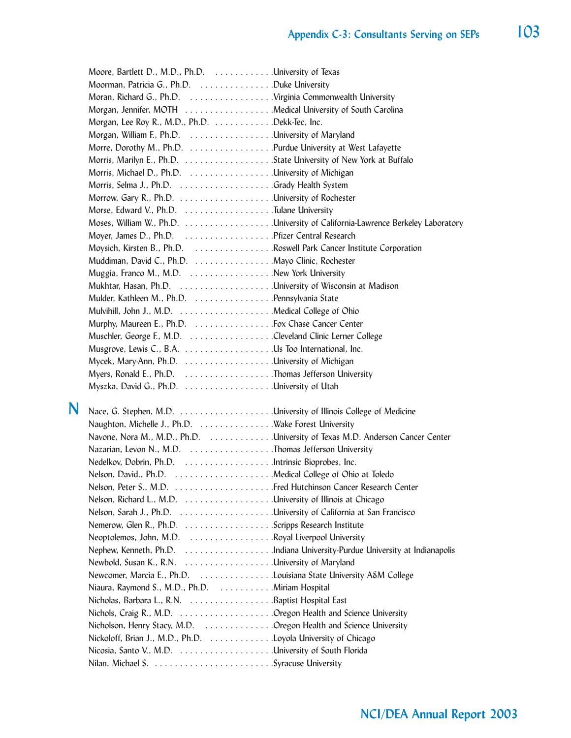|   | Moore, Bartlett D., M.D., Ph.D. University of Texas                  |                                                                                                                |
|---|----------------------------------------------------------------------|----------------------------------------------------------------------------------------------------------------|
|   | Moorman, Patricia G., Ph.D. Duke University                          |                                                                                                                |
|   |                                                                      |                                                                                                                |
|   | Morgan, Jennifer, MOTH Medical University of South Carolina          |                                                                                                                |
|   | Morgan, Lee Roy R., M.D., Ph.D. Dekk-Tec, Inc.                       |                                                                                                                |
|   | Morgan, William F., Ph.D. University of Maryland                     |                                                                                                                |
|   | Morre, Dorothy M., Ph.D. Purdue University at West Lafayette         |                                                                                                                |
|   |                                                                      |                                                                                                                |
|   | Morris, Michael D., Ph.D. University of Michigan                     |                                                                                                                |
|   |                                                                      |                                                                                                                |
|   |                                                                      |                                                                                                                |
|   |                                                                      |                                                                                                                |
|   |                                                                      | Moses, William W., Ph.D. University of California-Lawrence Berkeley Laboratory                                 |
|   | Moyer, James D., Ph.D. Pfizer Central Research                       |                                                                                                                |
|   | Moysich, Kirsten B., Ph.D. Roswell Park Cancer Institute Corporation |                                                                                                                |
|   | Muddiman, David C., Ph.D. Mayo Clinic, Rochester                     |                                                                                                                |
|   |                                                                      |                                                                                                                |
|   |                                                                      |                                                                                                                |
|   | Mulder, Kathleen M., Ph.D. Pennsylvania State                        |                                                                                                                |
|   | Mulvihill, John J., M.D. Medical College of Ohio                     |                                                                                                                |
|   |                                                                      |                                                                                                                |
|   |                                                                      |                                                                                                                |
|   |                                                                      |                                                                                                                |
|   |                                                                      |                                                                                                                |
|   |                                                                      |                                                                                                                |
|   |                                                                      |                                                                                                                |
| N |                                                                      |                                                                                                                |
|   | Naughton, Michelle J., Ph.D. Wake Forest University                  |                                                                                                                |
|   |                                                                      | Navone, Nora M., M.D., Ph.D. (2008) Markens Muniversity of Texas M.D. Anderson Cancer Center                   |
|   |                                                                      |                                                                                                                |
|   |                                                                      |                                                                                                                |
|   |                                                                      |                                                                                                                |
|   |                                                                      |                                                                                                                |
|   |                                                                      |                                                                                                                |
|   |                                                                      |                                                                                                                |
|   |                                                                      |                                                                                                                |
|   |                                                                      |                                                                                                                |
|   |                                                                      | Nephew, Kenneth, Ph.D. (a) and a controller in the line of the line of the line of the line of the line of the |
|   |                                                                      |                                                                                                                |
|   |                                                                      |                                                                                                                |
|   | Niaura, Raymond S., M.D., Ph.D. Miriam Hospital                      |                                                                                                                |
|   |                                                                      |                                                                                                                |
|   |                                                                      |                                                                                                                |
|   | Nicholson, Henry Stacy, M.D. Oregon Health and Science University    |                                                                                                                |
|   | Nickoloff, Brian J., M.D., Ph.D. Loyola University of Chicago        |                                                                                                                |
|   |                                                                      |                                                                                                                |
|   | Nilan, Michael S. Syracuse University                                |                                                                                                                |
|   |                                                                      |                                                                                                                |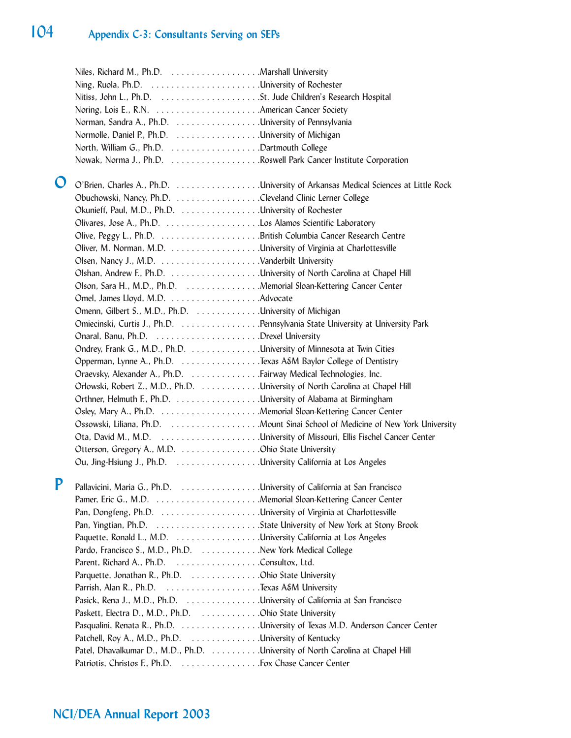#### 104 **Appendix C-3: Consultants Serving on SEPs**

Niles, Richard M., Ph.D. . . . . . . . . . . . . . . . . . .Marshall University Ning, Ruola, Ph.D. . . . . . . . . . . . . . . . . . . . . . .University of Rochester Nitiss, John L., Ph.D. . . . . . . . . . . . . . . . . . . . .St. Jude Children's Research Hospital Noring, Lois E., R.N. . . . . . . . . . . . . . . . . . . . . .American Cancer Society Norman, Sandra A., Ph.D. . . . . . . . . . . . . . . . . .University of Pennsylvania Normolle, Daniel P., Ph.D. . . . . . . . . . . . . . . . . . University of Michigan North, William G., Ph.D. . . . . . . . . . . . . . . . . . .Dartmouth College Nowak, Norma J., Ph.D. . . . . . . . . . . . . . . . . . .Roswell Park Cancer Institute Corporation **O** O'Brien, Charles A., Ph.D. . . . . . . . . . . . . . . . . .University of Arkansas Medical Sciences at Little Rock Obuchowski, Nancy, Ph.D. . . . . . . . . . . . . . . . . .Cleveland Clinic Lerner College Okunieff, Paul, M.D., Ph.D. . . . . . . . . . . . . . . . . University of Rochester Olivares, Jose A., Ph.D. . . . . . . . . . . . . . . . . . . .Los Alamos Scientific Laboratory Olive, Peggy L., Ph.D. . . . . . . . . . . . . . . . . . . . .British Columbia Cancer Research Centre Oliver, M. Norman, M.D. . . . . . . . . . . . . . . . . . .University of Virginia at Charlottesville Olsen, Nancy J., M.D. . . . . . . . . . . . . . . . . . . . .Vanderbilt University Olshan, Andrew F., Ph.D. . . . . . . . . . . . . . . . . . .University of North Carolina at Chapel Hill Olson, Sara H., M.D., Ph.D. . . . . . . . . . . . . . . .Memorial Sloan-Kettering Cancer Center Omel, James Lloyd, M.D. . . . . . . . . . . . . . . . . . .Advocate Omenn, Gilbert S., M.D., Ph.D. . . . . . . . . . . . . .University of Michigan Omiecinski, Curtis J., Ph.D. . . . . . . . . . . . . . . . .Pennsylvania State University at University Park Onaral, Banu, Ph.D. . . . . . . . . . . . . . . . . . . . . .Drexel University Ondrey, Frank G., M.D., Ph.D. . . . . . . . . . . . . . . University of Minnesota at Twin Cities Opperman, Lynne A., Ph.D. . . . . . . . . . . . . . . . .Texas A&M Baylor College of Dentistry Oraevsky, Alexander A., Ph.D. . . . . . . . . . . . . . . . . Fairway Medical Technologies, Inc. Orlowski, Robert Z., M.D., Ph.D. . . . . . . . . . . . .University of North Carolina at Chapel Hill Orthner, Helmuth F., Ph.D. . . . . . . . . . . . . . . . . . University of Alabama at Birmingham Osley, Mary A., Ph.D. . . . . . . . . . . . . . . . . . . . .Memorial Sloan-Kettering Cancer Center Ossowski, Liliana, Ph.D. . . . . . . . . . . . . . . . . . .Mount Sinai School of Medicine of New York University Ota, David M., M.D. . . . . . . . . . . . . . . . . . . . .University of Missouri, Ellis Fischel Cancer Center Otterson, Gregory A., M.D. . . . . . . . . . . . . . . . . Ohio State University Ou, Jing-Hsiung J., Ph.D. . . . . . . . . . . . . . . . . . University California at Los Angeles **P** Pallavicini, Maria G., Ph.D. . . . . . . . . . . . . . . . . University of California at San Francisco Pamer, Eric G., M.D. . . . . . . . . . . . . . . . . . . . . .Memorial Sloan-Kettering Cancer Center Pan, Dongfeng, Ph.D. . . . . . . . . . . . . . . . . . . . .University of Virginia at Charlottesville Pan, Yingtian, Ph.D. . . . . . . . . . . . . . . . . . . . . .State University of New York at Stony Brook Paquette, Ronald L., M.D. . . . . . . . . . . . . . . . . .University California at Los Angeles Pardo, Francisco S., M.D., Ph.D. . . . . . . . . . . . . New York Medical College Parent, Richard A., Ph.D. . . . . . . . . . . . . . . . . .Consultox, Ltd. Parquette, Jonathan R., Ph.D. . . . . . . . . . . . . . . Ohio State University Parrish, Alan R., Ph.D. . . . . . . . . . . . . . . . . . . .Texas A&M University Pasick, Rena J., M.D., Ph.D. . . . . . . . . . . . . . . . University of California at San Francisco Paskett, Electra D., M.D., Ph.D. . . . . . . . . . . . . . Ohio State University Pasqualini, Renata R., Ph.D. . . . . . . . . . . . . . . . .University of Texas M.D. Anderson Cancer Center Patchell, Roy A., M.D., Ph.D. . . . . . . . . . . . . . . . University of Kentucky Patel, Dhavalkumar D., M.D., Ph.D. . . . . . . . . . . University of North Carolina at Chapel Hill Patriotis, Christos F., Ph.D. . . . . . . . . . . . . . . . .Fox Chase Cancer Center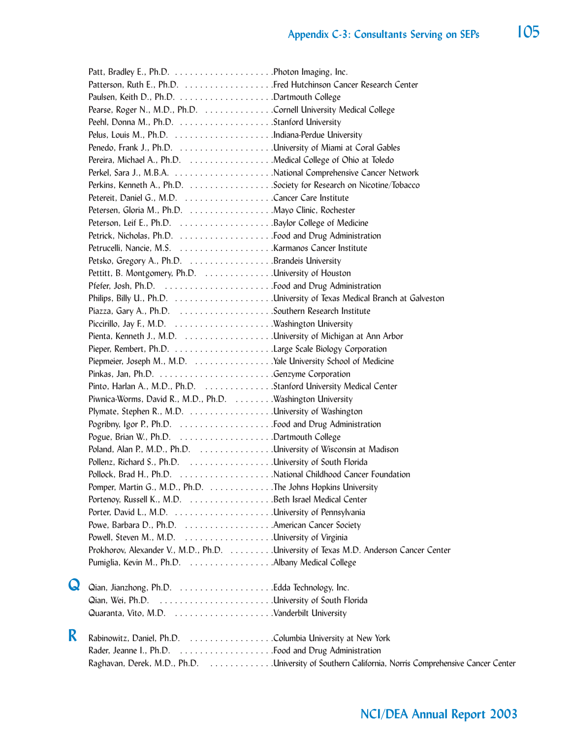|         | Pearse, Roger N., M.D., Ph.D. Cornell University Medical College  |                                                                                                    |
|---------|-------------------------------------------------------------------|----------------------------------------------------------------------------------------------------|
|         |                                                                   |                                                                                                    |
|         | Pelus, Louis M., Ph.D. Indiana-Perdue University                  |                                                                                                    |
|         |                                                                   |                                                                                                    |
|         | Pereira, Michael A., Ph.D. Medical College of Ohio at Toledo      |                                                                                                    |
|         |                                                                   |                                                                                                    |
|         |                                                                   |                                                                                                    |
|         | Petereit, Daniel G., M.D. Cancer Care Institute                   |                                                                                                    |
|         | Petersen, Gloria M., Ph.D. Mayo Clinic, Rochester                 |                                                                                                    |
|         |                                                                   |                                                                                                    |
|         |                                                                   |                                                                                                    |
|         |                                                                   |                                                                                                    |
|         | Petsko, Gregory A., Ph.D. Brandeis University                     |                                                                                                    |
|         | Pettitt, B. Montgomery, Ph.D. University of Houston               |                                                                                                    |
|         |                                                                   |                                                                                                    |
|         |                                                                   |                                                                                                    |
|         |                                                                   |                                                                                                    |
|         |                                                                   |                                                                                                    |
|         |                                                                   |                                                                                                    |
|         |                                                                   |                                                                                                    |
|         | Piepmeier, Joseph M., M.D. Yale University School of Medicine     |                                                                                                    |
|         |                                                                   |                                                                                                    |
|         | Pinto, Harlan A., M.D., Ph.D.  Stanford University Medical Center |                                                                                                    |
|         | Piwnica-Worms, David R., M.D., Ph.D. Washington University        |                                                                                                    |
|         |                                                                   |                                                                                                    |
|         |                                                                   |                                                                                                    |
|         | Pogue, Brian W., Ph.D. Dartmouth College                          |                                                                                                    |
|         | Poland, Alan P., M.D., Ph.D. University of Wisconsin at Madison   |                                                                                                    |
|         |                                                                   |                                                                                                    |
|         |                                                                   |                                                                                                    |
|         | Pomper, Martin G., M.D., Ph.D. The Johns Hopkins University       |                                                                                                    |
|         | Portenoy, Russell K., M.D. Beth Israel Medical Center             |                                                                                                    |
|         |                                                                   |                                                                                                    |
|         |                                                                   |                                                                                                    |
|         | Powell, Steven M., M.D. University of Virginia                    |                                                                                                    |
|         |                                                                   | Prokhorov, Alexander V., M.D., Ph.D. University of Texas M.D. Anderson Cancer Center               |
|         | Pumiglia, Kevin M., Ph.D. Albany Medical College                  |                                                                                                    |
| $\bf Q$ |                                                                   |                                                                                                    |
|         |                                                                   |                                                                                                    |
|         |                                                                   |                                                                                                    |
| R       | Rabinowitz, Daniel, Ph.D. Columbia University at New York         |                                                                                                    |
|         |                                                                   |                                                                                                    |
|         |                                                                   |                                                                                                    |
|         |                                                                   | Raghavan, Derek, M.D., Ph.D. University of Southern California, Norris Comprehensive Cancer Center |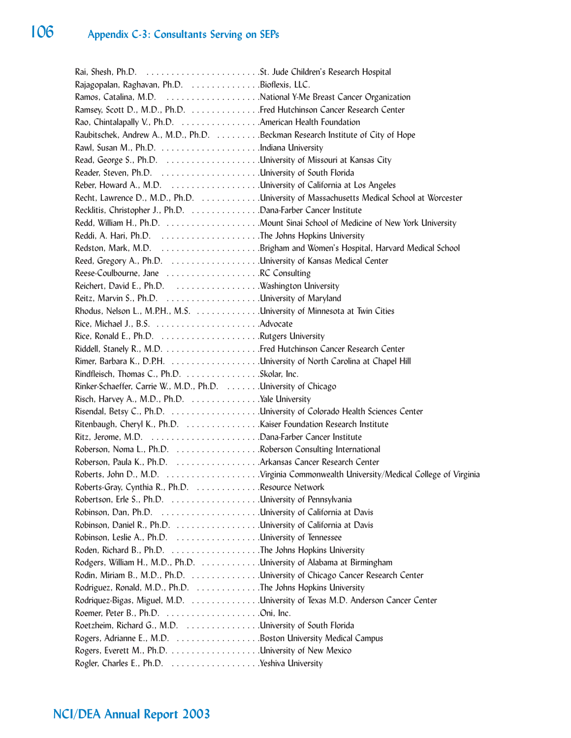| Rajagopalan, Raghavan, Ph.D. Bioflexis, LLC.                                   |                                                                                         |
|--------------------------------------------------------------------------------|-----------------------------------------------------------------------------------------|
|                                                                                |                                                                                         |
| Ramsey, Scott D., M.D., Ph.D. Fred Hutchinson Cancer Research Center           |                                                                                         |
| Rao, Chintalapally V., Ph.D. American Health Foundation                        |                                                                                         |
| Raubitschek, Andrew A., M.D., Ph.D. Beckman Research Institute of City of Hope |                                                                                         |
|                                                                                |                                                                                         |
| Read, George S., Ph.D. University of Missouri at Kansas City                   |                                                                                         |
|                                                                                |                                                                                         |
|                                                                                |                                                                                         |
|                                                                                | Recht, Lawrence D., M.D., Ph.D. University of Massachusetts Medical School at Worcester |
| Recklitis, Christopher J., Ph.D. Dana-Farber Cancer Institute                  |                                                                                         |
|                                                                                |                                                                                         |
| Reddi, A. Hari, Ph.D. The Johns Hopkins University                             |                                                                                         |
|                                                                                |                                                                                         |
|                                                                                |                                                                                         |
| Reese-Coulbourne, Jane RC Consulting                                           |                                                                                         |
|                                                                                |                                                                                         |
| Reitz, Marvin S., Ph.D. University of Maryland                                 |                                                                                         |
| Rhodus, Nelson L., M.P.H., M.S. University of Minnesota at Twin Cities         |                                                                                         |
|                                                                                |                                                                                         |
| Rice, Ronald E., Ph.D. Rutgers University                                      |                                                                                         |
|                                                                                |                                                                                         |
|                                                                                |                                                                                         |
| Rindfleisch, Thomas C., Ph.D. Skolar, Inc.                                     |                                                                                         |
| Rinker-Schaeffer, Carrie W., M.D., Ph.D. University of Chicago                 |                                                                                         |
| Risch, Harvey A., M.D., Ph.D. Yale University                                  |                                                                                         |
|                                                                                |                                                                                         |
|                                                                                |                                                                                         |
| Ritz, Jerome, M.D. Dana-Farber Cancer Institute                                |                                                                                         |
|                                                                                |                                                                                         |
| Roberson, Paula K., Ph.D. (Contract of the Arkansas Cancer Research Center     |                                                                                         |
|                                                                                |                                                                                         |
| Roberts-Gray, Cynthia R., Ph.D. Resource Network                               |                                                                                         |
| Robertson, Erle S., Ph.D. University of Pennsylvania                           |                                                                                         |
| Robinson, Dan, Ph.D. University of California at Davis                         |                                                                                         |
| Robinson, Daniel R., Ph.D. University of California at Davis                   |                                                                                         |
| Robinson, Leslie A., Ph.D. University of Tennessee                             |                                                                                         |
| Roden, Richard B., Ph.D. The Johns Hopkins University                          |                                                                                         |
| Rodgers, William H., M.D., Ph.D. University of Alabama at Birmingham           |                                                                                         |
| Rodin, Miriam B., M.D., Ph.D. University of Chicago Cancer Research Center     |                                                                                         |
| Rodriguez, Ronald, M.D., Ph.D. The Johns Hopkins University                    |                                                                                         |
|                                                                                | Rodriquez-Bigas, Miguel, M.D. University of Texas M.D. Anderson Cancer Center           |
|                                                                                |                                                                                         |
| Roetzheim, Richard G., M.D. University of South Florida                        |                                                                                         |
|                                                                                |                                                                                         |
|                                                                                |                                                                                         |
|                                                                                |                                                                                         |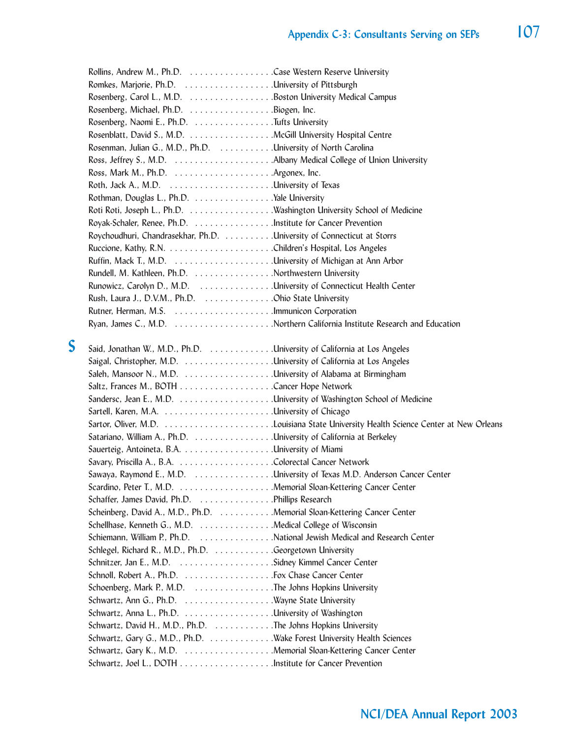|                           | Rosenberg, Naomi E., Ph.D. Tufts University                                          |  |
|---------------------------|--------------------------------------------------------------------------------------|--|
|                           | Rosenblatt, David S., M.D. McGill University Hospital Centre                         |  |
|                           | Rosenman, Julian G., M.D., Ph.D. University of North Carolina                        |  |
|                           |                                                                                      |  |
|                           | Ross, Mark M., Ph.D. Argonex, Inc.                                                   |  |
|                           |                                                                                      |  |
|                           | Rothman, Douglas L., Ph.D. Yale University                                           |  |
|                           |                                                                                      |  |
|                           |                                                                                      |  |
|                           | Roychoudhuri, Chandrasekhar, Ph.D. University of Connecticut at Storrs               |  |
|                           |                                                                                      |  |
|                           | Ruffin, Mack T., M.D. University of Michigan at Ann Arbor                            |  |
|                           | Rundell, M. Kathleen, Ph.D. Northwestern University                                  |  |
|                           |                                                                                      |  |
|                           | Rush, Laura J., D.V.M., Ph.D. Ohio State University                                  |  |
|                           | Rutner, Herman, M.S. Immunicon Corporation                                           |  |
|                           |                                                                                      |  |
|                           |                                                                                      |  |
| $\boldsymbol{\mathsf{S}}$ | Said, Jonathan W., M.D., Ph.D. University of California at Los Angeles               |  |
|                           |                                                                                      |  |
|                           |                                                                                      |  |
|                           |                                                                                      |  |
|                           |                                                                                      |  |
|                           |                                                                                      |  |
|                           | Sartell, Karen, M.A. University of Chicago                                           |  |
|                           |                                                                                      |  |
|                           | Satariano, William A., Ph.D. University of California at Berkeley                    |  |
|                           |                                                                                      |  |
|                           | Savary, Priscilla A., B.A. Colorectal Cancer Network                                 |  |
|                           |                                                                                      |  |
|                           |                                                                                      |  |
|                           | Schaffer, James David, Ph.D. Phillips Research                                       |  |
|                           | Scheinberg, David A., M.D., Ph.D. Memorial Sloan-Kettering Cancer Center             |  |
|                           | Schellhase, Kenneth G., M.D. Medical College of Wisconsin                            |  |
|                           | Schiemann, William P., Ph.D. (2008). The Mational Jewish Medical and Research Center |  |
|                           | Schlegel, Richard R., M.D., Ph.D. Georgetown University                              |  |
|                           |                                                                                      |  |
|                           |                                                                                      |  |
|                           | Schoenberg, Mark P., M.D. The Johns Hopkins University                               |  |
|                           |                                                                                      |  |
|                           |                                                                                      |  |
|                           | Schwartz, David H., M.D., Ph.D. The Johns Hopkins University                         |  |
|                           | Schwartz, Gary G., M.D., Ph.D. Wake Forest University Health Sciences                |  |
|                           | Schwartz, Gary K., M.D. Memorial Sloan-Kettering Cancer Center                       |  |
|                           |                                                                                      |  |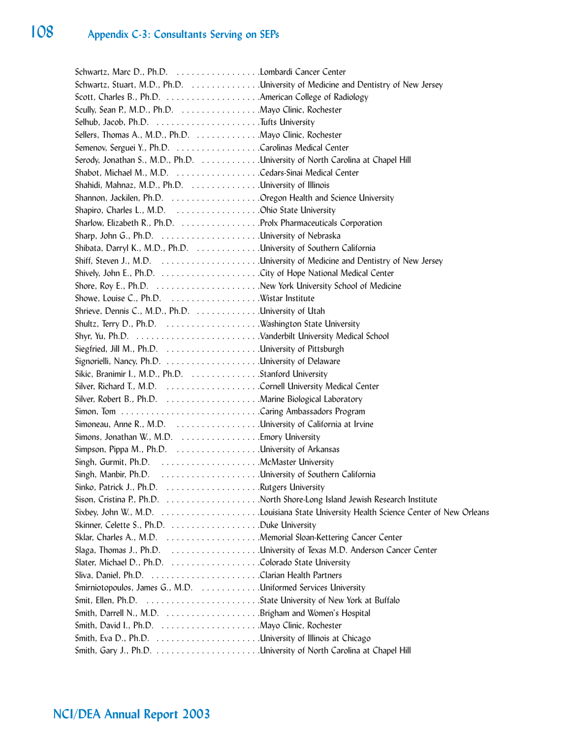108

Schwartz, Marc D., Ph.D. . . . . . . . . . . . . . . . . .Lombardi Cancer Center Schwartz, Stuart, M.D., Ph.D. . . . . . . . . . . . . . .University of Medicine and Dentistry of New Jersey Scott, Charles B., Ph.D. . . . . . . . . . . . . . . . . . . .American College of Radiology Scully, Sean P., M.D., Ph.D. . . . . . . . . . . . . . . . . Mayo Clinic, Rochester Selhub, Jacob, Ph.D. . . . . . . . . . . . . . . . . . . . . .Tufts University Sellers, Thomas A., M.D., Ph.D. . . . . . . . . . . . . . . Mayo Clinic, Rochester Semenov, Serguei Y., Ph.D. . . . . . . . . . . . . . . . . .Carolinas Medical Center Serody, Jonathan S., M.D., Ph.D. . . . . . . . . . . . . . University of North Carolina at Chapel Hill Shabot, Michael M., M.D. . . . . . . . . . . . . . . . . .Cedars-Sinai Medical Center Shahidi, Mahnaz, M.D., Ph.D. . . . . . . . . . . . . . University of Illinois Shannon, Jackilen, Ph.D. . . . . . . . . . . . . . . . . . .Oregon Health and Science University Shapiro, Charles L., M.D. . . . . . . . . . . . . . . . . .Ohio State University Sharlow, Elizabeth R., Ph.D. . . . . . . . . . . . . . . . .Prolx Pharmaceuticals Corporation Sharp, John G., Ph.D. . . . . . . . . . . . . . . . . . . . .University of Nebraska Shibata, Darryl K., M.D., Ph.D. . . . . . . . . . . . . .University of Southern California Shiff, Steven J., M.D.  $\ldots$ ........................University of Medicine and Dentistry of New Jersey Shively, John E., Ph.D. . . . . . . . . . . . . . . . . . . . .City of Hope National Medical Center Shore, Roy E., Ph.D. . . . . . . . . . . . . . . . . . . . . .New York University School of Medicine Showe, Louise C., Ph.D. . . . . . . . . . . . . . . . . . .Wistar Institute Shrieve, Dennis C., M.D., Ph.D. . . . . . . . . . . . . . University of Utah Shultz, Terry D., Ph.D. . . . . . . . . . . . . . . . . . . .Washington State University Shyr, Yu, Ph.D. . . . . . . . . . . . . . . . . . . . . . . . . .Vanderbilt University Medical School Siegfried, Jill M., Ph.D. . . . . . . . . . . . . . . . . . . .University of Pittsburgh Signorielli, Nancy, Ph.D. . . . . . . . . . . . . . . . . . . .University of Delaware Sikic, Branimir I., M.D., Ph.D. . . . . . . . . . . . . . . . . Stanford University Silver, Richard T., M.D. . . . . . . . . . . . . . . . . . . .Cornell University Medical Center Silver, Robert B., Ph.D. . . . . . . . . . . . . . . . . . . .Marine Biological Laboratory Simon, Tom . . . . . . . . . . . . . . . . . . . . . . . . . . . .Caring Ambassadors Program Simoneau, Anne R., M.D. . . . . . . . . . . . . . . . . .University of California at Irvine Simons, Jonathan W., M.D. . . . . . . . . . . . . . . . .Emory University Simpson, Pippa M., Ph.D. . . . . . . . . . . . . . . . . . University of Arkansas Singh, Gurmit, Ph.D. . . . . . . . . . . . . . . . . . . . .McMaster University Singh, Manbir, Ph.D. . . . . . . . . . . . . . . . . . . . .University of Southern California Sinko, Patrick J., Ph.D. . . . . . . . . . . . . . . . . . . .Rutgers University Sison, Cristina P., Ph.D. . . . . . . . . . . . . . . . . . . .North Shore-Long Island Jewish Research Institute Sixbey, John W., M.D. . . . . . . . . . . . . . . . . . . . .Louisiana State University Health Science Center of New Orleans Skinner, Celette S., Ph.D. . . . . . . . . . . . . . . . . . Duke University Sklar, Charles A., M.D. . . . . . . . . . . . . . . . . . . .Memorial Sloan-Kettering Cancer Center Slaga, Thomas J., Ph.D. . . . . . . . . . . . . . . . . . .University of Texas M.D. Anderson Cancer Center Slater, Michael D., Ph.D. . . . . . . . . . . . . . . . . . .Colorado State University Sliva, Daniel, Ph.D. . . . . . . . . . . . . . . . . . . . . . .Clarian Health Partners Smirniotopoulos, James G., M.D. . . . . . . . . . . . . Uniformed Services University Smit, Ellen, Ph.D. . . . . . . . . . . . . . . . . . . . . . . .State University of New York at Buffalo Smith, Darrell N., M.D. . . . . . . . . . . . . . . . . . . .Brigham and Women's Hospital Smith, David I., Ph.D. . . . . . . . . . . . . . . . . . . . .Mayo Clinic, Rochester Smith, Eva D., Ph.D. . . . . . . . . . . . . . . . . . . . . .University of Illinois at Chicago Smith, Gary J., Ph.D. . . . . . . . . . . . . . . . . . . . . .University of North Carolina at Chapel Hill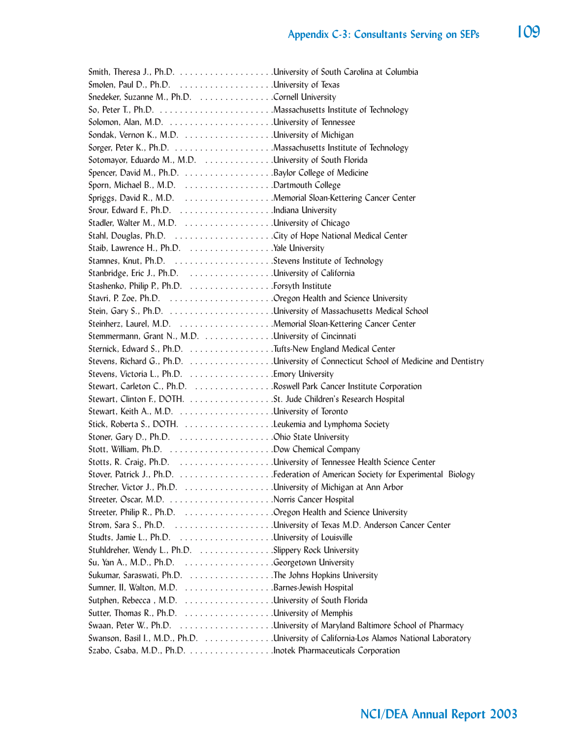Smith. Theresa J., Ph.D.  $\dots\dots\dots\dots\dots\dots$ . University of South Carolina at Columbia Smolen, Paul D., Ph.D. . . . . . . . . . . . . . . . . . . .University of Texas Snedeker, Suzanne M., Ph.D. . . . . . . . . . . . . . . . . . Cornell University So, Peter T., Ph.D. . . . . . . . . . . . . . . . . . . . . . . .Massachusetts Institute of Technology Solomon, Alan, M.D.  $\dots\dots\dots\dots\dots\dots\dots\dots$ . University of Tennessee Sondak, Vernon K., M.D. . . . . . . . . . . . . . . . . . .University of Michigan Sorger, Peter K., Ph.D. . . . . . . . . . . . . . . . . . . . .Massachusetts Institute of Technology Sotomayor, Eduardo M., M.D. . . . . . . . . . . . . . . University of South Florida Spencer, David M., Ph.D. . . . . . . . . . . . . . . . . . .Baylor College of Medicine Sporn, Michael B., M.D. . . . . . . . . . . . . . . . . . .Dartmouth College Spriggs, David R., M.D. . . . . . . . . . . . . . . . . . .Memorial Sloan-Kettering Cancer Center Srour, Edward F., Ph.D. . . . . . . . . . . . . . . . . . . .Indiana University Stadler, Walter M., M.D. . . . . . . . . . . . . . . . . . .University of Chicago Stahl, Douglas, Ph.D. . . . . . . . . . . . . . . . . . . . .City of Hope National Medical Center Staib, Lawrence H., Ph.D. . . . . . . . . . . . . . . . . . Yale University Stamnes, Knut, Ph.D. . . . . . . . . . . . . . . . . . . . .Stevens Institute of Technology Stanbridge, Eric J., Ph.D. . . . . . . . . . . . . . . . . . University of California Stashenko, Philip P., Ph.D. . . . . . . . . . . . . . . . . .Forsyth Institute Stavri, P. Zoe, Ph.D. . . . . . . . . . . . . . . . . . . . . .Oregon Health and Science University Stein, Gary S., Ph.D. . . . . . . . . . . . . . . . . . . . . .University of Massachusetts Medical School Steinherz, Laurel, M.D. . . . . . . . . . . . . . . . . . . .Memorial Sloan-Kettering Cancer Center Stemmermann, Grant N., M.D. . . . . . . . . . . . . . University of Cincinnati Sternick, Edward S., Ph.D. . . . . . . . . . . . . . . . . . Tufts-New England Medical Center Stevens, Richard G., Ph.D. . . . . . . . . . . . . . . . . .University of Connecticut School of Medicine and Dentistry Stevens, Victoria L., Ph.D. . . . . . . . . . . . . . . . . .Emory University Stewart, Carleton C., Ph.D. . . . . . . . . . . . . . . . .Roswell Park Cancer Institute Corporation Stewart, Clinton F., DOTH. . . . . . . . . . . . . . . . . .St. Jude Children's Research Hospital Stewart, Keith A., M.D. . . . . . . . . . . . . . . . . . . .University of Toronto Stick, Roberta S., DOTH. . . . . . . . . . . . . . . . . . .Leukemia and Lymphoma Society Stoner, Gary D., Ph.D. . . . . . . . . . . . . . . . . . . .Ohio State University Stott, William, Ph.D. . . . . . . . . . . . . . . . . . . . . .Dow Chemical Company Stotts, R. Craig, Ph.D. . . . . . . . . . . . . . . . . . . .University of Tennessee Health Science Center Stover, Patrick J., Ph.D. . . . . . . . . . . . . . . . . . . .Federation of American Society for Experimental Biology Strecher, Victor J., Ph.D. . . . . . . . . . . . . . . . . . .University of Michigan at Ann Arbor Streeter, Oscar, M.D. . . . . . . . . . . . . . . . . . . . . .Norris Cancer Hospital Streeter, Philip R., Ph.D. . . . . . . . . . . . . . . . . . .Oregon Health and Science University Strom, Sara S., Ph.D. . . . . . . . . . . . . . . . . . . . .University of Texas M.D. Anderson Cancer Center Studts, Jamie L., Ph.D. . . . . . . . . . . . . . . . . . . .University of Louisville Stuhldreher, Wendy L., Ph.D. . . . . . . . . . . . . . . . Slippery Rock University Su, Yan A., M.D., Ph.D. . . . . . . . . . . . . . . . . . .Georgetown University Sukumar, Saraswati, Ph.D. . . . . . . . . . . . . . . . . The Johns Hopkins University Sumner, II, Walton, M.D. . . . . . . . . . . . . . . . . . .Barnes-Jewish Hospital Sutphen, Rebecca , M.D. . . . . . . . . . . . . . . . . . .University of South Florida Sutter, Thomas R., Ph.D. . . . . . . . . . . . . . . . . . .University of Memphis Swaan, Peter W., Ph.D. . . . . . . . . . . . . . . . . . . .University of Maryland Baltimore School of Pharmacy Swanson, Basil I., M.D., Ph.D. . . . . . . . . . . . . . .University of California-Los Alamos National Laboratory Szabo, Csaba, M.D., Ph.D. . . . . . . . . . . . . . . . . .Inotek Pharmaceuticals Corporation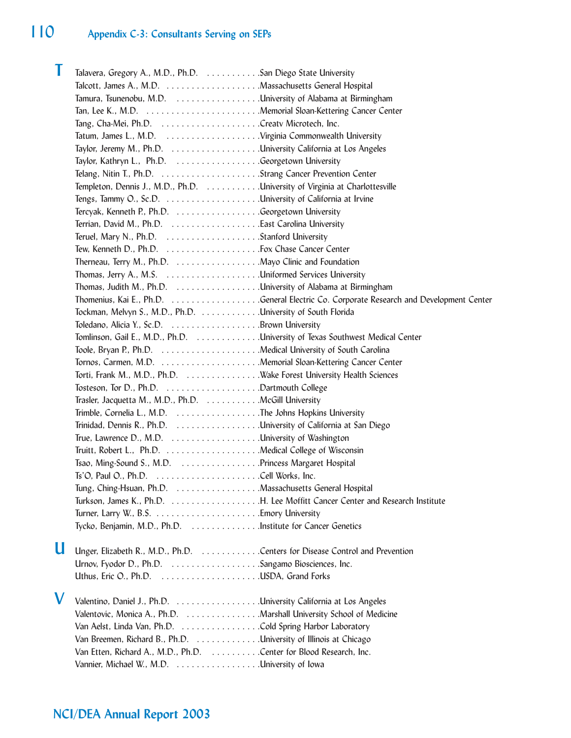| Τ | Talavera, Gregory A., M.D., Ph.D. San Diego State University                        |                                                                                         |
|---|-------------------------------------------------------------------------------------|-----------------------------------------------------------------------------------------|
|   | Talcott, James A., M.D. Massachusetts General Hospital                              |                                                                                         |
|   |                                                                                     |                                                                                         |
|   |                                                                                     |                                                                                         |
|   |                                                                                     |                                                                                         |
|   |                                                                                     |                                                                                         |
|   |                                                                                     |                                                                                         |
|   |                                                                                     |                                                                                         |
|   | Telang, Nitin T., Ph.D. Strang Cancer Prevention Center                             |                                                                                         |
|   | Templeton, Dennis J., M.D., Ph.D. (co.c.) University of Virginia at Charlottesville |                                                                                         |
|   | Tengs, Tammy O., Sc.D. University of California at Irvine                           |                                                                                         |
|   |                                                                                     |                                                                                         |
|   |                                                                                     |                                                                                         |
|   |                                                                                     |                                                                                         |
|   | Tew, Kenneth D., Ph.D.  Fox Chase Cancer Center                                     |                                                                                         |
|   | Therneau, Terry M., Ph.D. Mayo Clinic and Foundation                                |                                                                                         |
|   | Thomas, Jerry A., M.S. Uniformed Services University                                |                                                                                         |
|   | Thomas, Judith M., Ph.D. University of Alabama at Birmingham                        |                                                                                         |
|   |                                                                                     | Thomenius, Kai E., Ph.D. General Electric Co. Corporate Research and Development Center |
|   | Tockman, Melvyn S., M.D., Ph.D. University of South Florida                         |                                                                                         |
|   |                                                                                     |                                                                                         |
|   | Tomlinson, Gail E., M.D., Ph.D. University of Texas Southwest Medical Center        |                                                                                         |
|   | Toole, Bryan P., Ph.D. Medical University of South Carolina                         |                                                                                         |
|   |                                                                                     |                                                                                         |
|   | Torti, Frank M., M.D., Ph.D. Wake Forest University Health Sciences                 |                                                                                         |
|   |                                                                                     |                                                                                         |
|   | Trasler, Jacquetta M., M.D., Ph.D. McGill University                                |                                                                                         |
|   | Trimble, Cornelia L., M.D. The Johns Hopkins University                             |                                                                                         |
|   | Trinidad, Dennis R., Ph.D. University of California at San Diego                    |                                                                                         |
|   |                                                                                     |                                                                                         |
|   |                                                                                     |                                                                                         |
|   |                                                                                     |                                                                                         |
|   |                                                                                     |                                                                                         |
|   | Tung, Ching-Hsuan, Ph.D. Massachusetts General Hospital                             |                                                                                         |
|   |                                                                                     | Turkson, James K., Ph.D. H. Lee Moffitt Cancer Center and Research Institute            |
|   |                                                                                     |                                                                                         |
|   | Tycko, Benjamin, M.D., Ph.D. Institute for Cancer Genetics                          |                                                                                         |
|   |                                                                                     |                                                                                         |
| U | Unger, Elizabeth R., M.D., Ph.D. Centers for Disease Control and Prevention         |                                                                                         |
|   |                                                                                     |                                                                                         |
|   | Uthus, Eric O., Ph.D. USDA, Grand Forks                                             |                                                                                         |
|   |                                                                                     |                                                                                         |
| V | Valentino, Daniel J., Ph.D. University California at Los Angeles                    |                                                                                         |
|   | Valentovic, Monica A., Ph.D. Marshall University School of Medicine                 |                                                                                         |
|   | Van Aelst, Linda Van, Ph.D. Cold Spring Harbor Laboratory                           |                                                                                         |
|   |                                                                                     |                                                                                         |
|   | Van Breemen, Richard B., Ph.D. University of Illinois at Chicago                    |                                                                                         |

Van Etten, Richard A., M.D., Ph.D. . . . . . . . . . . . . . Center for Blood Research, Inc.

Vannier, Michael W., M.D. . . . . . . . . . . . . . . . . .University of Iowa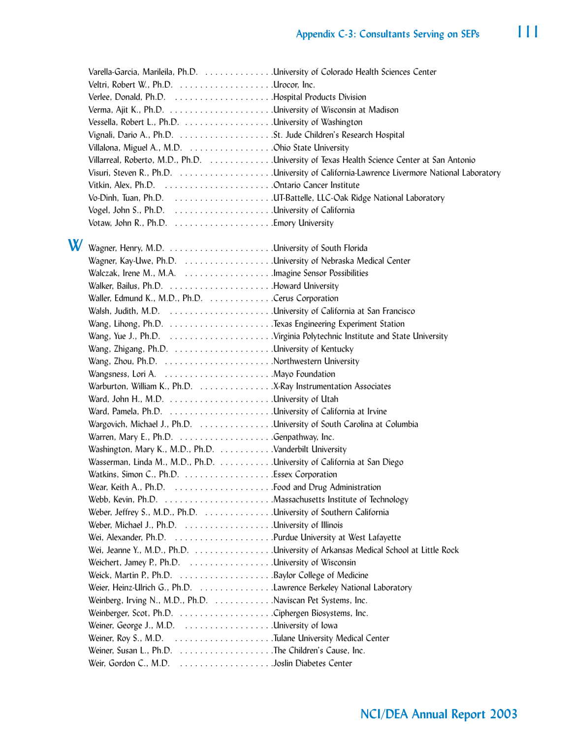| Varella-Garcia, Marileila, Ph.D. University of Colorado Health Sciences Center |                                                                                           |  |  |  |
|--------------------------------------------------------------------------------|-------------------------------------------------------------------------------------------|--|--|--|
|                                                                                |                                                                                           |  |  |  |
| Verlee, Donald, Ph.D. Hospital Products Division                               |                                                                                           |  |  |  |
| Verma, Ajit K., Ph.D. University of Wisconsin at Madison                       |                                                                                           |  |  |  |
|                                                                                |                                                                                           |  |  |  |
|                                                                                |                                                                                           |  |  |  |
|                                                                                |                                                                                           |  |  |  |
|                                                                                | Villarreal, Roberto, M.D., Ph.D. University of Texas Health Science Center at San Antonio |  |  |  |
|                                                                                |                                                                                           |  |  |  |
|                                                                                |                                                                                           |  |  |  |
|                                                                                |                                                                                           |  |  |  |
|                                                                                |                                                                                           |  |  |  |
|                                                                                |                                                                                           |  |  |  |

| $\boldsymbol{W}$ Wagner, Henry, M.D. $\ldots \ldots \ldots \ldots \ldots \ldots \ldots \ldots$ |  |
|------------------------------------------------------------------------------------------------|--|
| Wagner, Kay-Uwe, Ph.D. University of Nebraska Medical Center                                   |  |
|                                                                                                |  |
|                                                                                                |  |
| Waller, Edmund K., M.D., Ph.D. Cerus Corporation                                               |  |
|                                                                                                |  |
| Wang, Lihong, Ph.D. Texas Engineering Experiment Station                                       |  |
|                                                                                                |  |
| Wang, Zhigang, Ph.D. University of Kentucky                                                    |  |
|                                                                                                |  |
|                                                                                                |  |
|                                                                                                |  |
| Ward, John H., M.D. University of Utah                                                         |  |
| Ward, Pamela, Ph.D. University of California at Irvine                                         |  |
| Wargovich, Michael J., Ph.D. University of South Carolina at Columbia                          |  |
|                                                                                                |  |
| Washington, Mary K., M.D., Ph.D. Vanderbilt University                                         |  |
| Wasserman, Linda M., M.D., Ph.D. University of California at San Diego                         |  |
|                                                                                                |  |
|                                                                                                |  |
|                                                                                                |  |
| Weber, Jeffrey S., M.D., Ph.D. University of Southern California                               |  |
|                                                                                                |  |
|                                                                                                |  |
|                                                                                                |  |
|                                                                                                |  |
|                                                                                                |  |
| Weier, Heinz-Ulrich G., Ph.D. Lawrence Berkeley National Laboratory                            |  |
| Weinberg, Irving N., M.D., Ph.D. Naviscan Pet Systems, Inc.                                    |  |
|                                                                                                |  |
|                                                                                                |  |
| Weiner, Roy S., M.D. Tulane University Medical Center                                          |  |
|                                                                                                |  |
| Weir, Gordon C., M.D. Joslin Diabetes Center                                                   |  |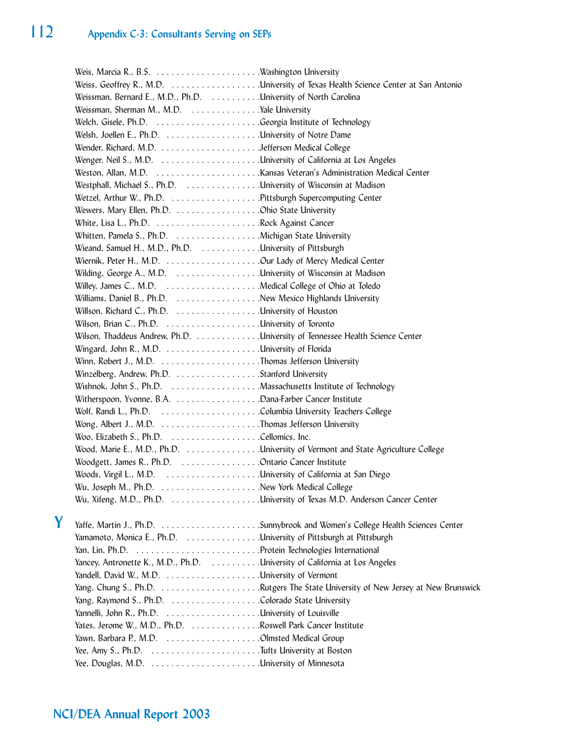|   | Weis, Marcia R., B.S. Washington University                                  |                                                                                   |
|---|------------------------------------------------------------------------------|-----------------------------------------------------------------------------------|
|   |                                                                              |                                                                                   |
|   | Weissman, Bernard E., M.D., Ph.D. University of North Carolina               |                                                                                   |
|   | Weissman, Sherman M., M.D. Yale University                                   |                                                                                   |
|   |                                                                              |                                                                                   |
|   |                                                                              |                                                                                   |
|   |                                                                              |                                                                                   |
|   |                                                                              |                                                                                   |
|   |                                                                              |                                                                                   |
|   | Westphall, Michael S., Ph.D. University of Wisconsin at Madison              |                                                                                   |
|   |                                                                              |                                                                                   |
|   | Wewers, Mary Ellen, Ph.D. Ohio State University                              |                                                                                   |
|   |                                                                              |                                                                                   |
|   | Whitten, Pamela S., Ph.D. Michigan State University                          |                                                                                   |
|   | Wieand, Samuel H., M.D., Ph.D. University of Pittsburgh                      |                                                                                   |
|   |                                                                              |                                                                                   |
|   |                                                                              |                                                                                   |
|   | Willey, James C., M.D. Medical College of Ohio at Toledo                     |                                                                                   |
|   | Williams, Daniel B., Ph.D. New Mexico Highlands University                   |                                                                                   |
|   | Willson, Richard C., Ph.D. University of Houston                             |                                                                                   |
|   |                                                                              |                                                                                   |
|   | Wilson, Thaddeus Andrew, Ph.D. University of Tennessee Health Science Center |                                                                                   |
|   |                                                                              |                                                                                   |
|   |                                                                              |                                                                                   |
|   |                                                                              |                                                                                   |
|   |                                                                              |                                                                                   |
|   |                                                                              |                                                                                   |
|   |                                                                              |                                                                                   |
|   |                                                                              |                                                                                   |
|   |                                                                              |                                                                                   |
|   |                                                                              | Wood, Marie E., M.D., Ph.D. University of Vermont and State Agriculture College   |
|   | Woodgett, James R., Ph.D. Ontario Cancer Institute                           |                                                                                   |
|   |                                                                              |                                                                                   |
|   | Wu, Joseph M., Ph.D.  New York Medical College                               |                                                                                   |
|   |                                                                              |                                                                                   |
|   |                                                                              |                                                                                   |
| Y |                                                                              |                                                                                   |
|   | Yamamoto, Monica E., Ph.D. University of Pittsburgh at Pittsburgh            |                                                                                   |
|   |                                                                              |                                                                                   |
|   | Yancey, Antronette K., M.D., Ph.D. University of California at Los Angeles   |                                                                                   |
|   | Yandell, David W., M.D. University of Vermont                                |                                                                                   |
|   |                                                                              | Yang, Chung S., Ph.D. Rutgers The State University of New Jersey at New Brunswick |
|   |                                                                              |                                                                                   |
|   |                                                                              |                                                                                   |
|   | Yates, Jerome W., M.D., Ph.D. Roswell Park Cancer Institute                  |                                                                                   |
|   |                                                                              |                                                                                   |
|   |                                                                              |                                                                                   |
|   | Yee, Douglas, M.D. University of Minnesota                                   |                                                                                   |
|   |                                                                              |                                                                                   |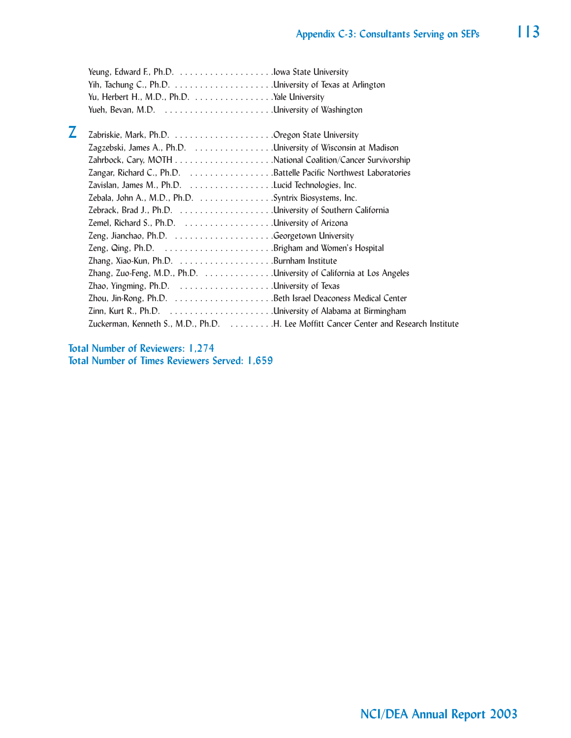Yeung, Edward F., Ph.D. . . . . . . . . . . . . . . . . . . .Iowa State University Yih, Tachung C., Ph.D. . . . . . . . . . . . . . . . . . . . .University of Texas at Arlington Yu, Herbert H., M.D., Ph.D. . . . . . . . . . . . . . . . . Yale University Yueh, Bevan, M.D. . . . . . . . . . . . . . . . . . . . . . .University of Washington

**Z** Zabriskie, Mark, Ph.D. . . . . . . . . . . . . . . . . . . . .Oregon State University Zagzebski, James A., Ph.D. . . . . . . . . . . . . . . . . University of Wisconsin at Madison Zahrbock, Cary, MOTH . . . . . . . . . . . . . . . . . . . .National Coalition/Cancer Survivorship Zangar, Richard C., Ph.D. . . . . . . . . . . . . . . . . .Battelle Pacific Northwest Laboratories Zavislan, James M., Ph.D. . . . . . . . . . . . . . . . . . Lucid Technologies, Inc. Zebala, John A., M.D., Ph.D. . . . . . . . . . . . . . . . . Syntrix Biosystems, Inc. Zebrack, Brad J., Ph.D. . . . . . . . . . . . . . . . . . . .University of Southern California Zemel, Richard S., Ph.D. . . . . . . . . . . . . . . . . . University of Arizona Zeng, Jianchao, Ph.D. . . . . . . . . . . . . . . . . . . . .Georgetown University Zeng, Qing, Ph.D. . . . . . . . . . . . . . . . . . . . . . .Brigham and Women's Hospital Zhang, Xiao-Kun, Ph.D. . . . . . . . . . . . . . . . . . . .Burnham Institute Zhang, Zuo-Feng, M.D., Ph.D. . . . . . . . . . . . . . .University of California at Los Angeles Zhao, Yingming, Ph.D. . . . . . . . . . . . . . . . . . . .University of Texas Zhou, Jin-Rong, Ph.D. . . . . . . . . . . . . . . . . . . . .Beth Israel Deaconess Medical Center Zinn, Kurt R., Ph.D. . . . . . . . . . . . . . . . . . . . . .University of Alabama at Birmingham Zuckerman, Kenneth S., M.D., Ph.D. . . . . . . . . . . . H. Lee Moffitt Cancer Center and Research Institute

**Total Number of Reviewers: 1,274 Total Number of Times Reviewers Served: 1,659**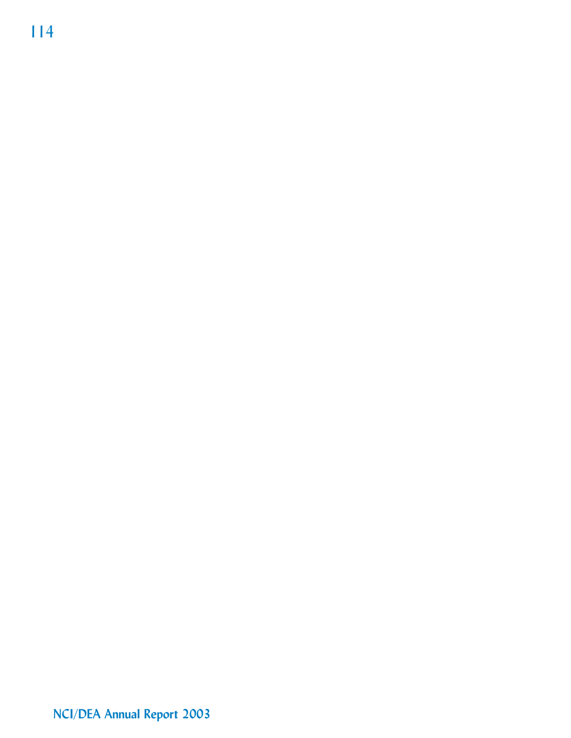114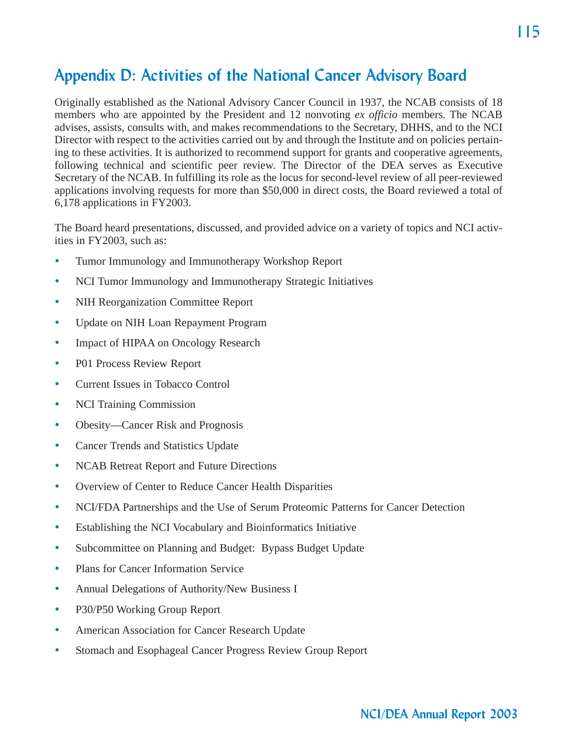# **Appendix D: Activities of the National Cancer Advisory Board**

Originally established as the National Advisory Cancer Council in 1937, the NCAB consists of 18 members who are appointed by the President and 12 nonvoting *ex officio* members. The NCAB advises, assists, consults with, and makes recommendations to the Secretary, DHHS, and to the NCI Director with respect to the activities carried out by and through the Institute and on policies pertaining to these activities. It is authorized to recommend support for grants and cooperative agreements, following technical and scientific peer review. The Director of the DEA serves as Executive Secretary of the NCAB. In fulfilling its role as the locus for second-level review of all peer-reviewed applications involving requests for more than \$50,000 in direct costs, the Board reviewed a total of 6,178 applications in FY2003.

The Board heard presentations, discussed, and provided advice on a variety of topics and NCI activities in FY2003, such as:

- Tumor Immunology and Immunotherapy Workshop Report
- NCI Tumor Immunology and Immunotherapy Strategic Initiatives
- NIH Reorganization Committee Report
- Update on NIH Loan Repayment Program
- Impact of HIPAA on Oncology Research
- P01 Process Review Report
- Current Issues in Tobacco Control
- NCI Training Commission
- Obesity—Cancer Risk and Prognosis
- Cancer Trends and Statistics Update
- NCAB Retreat Report and Future Directions
- Overview of Center to Reduce Cancer Health Disparities
- NCI/FDA Partnerships and the Use of Serum Proteomic Patterns for Cancer Detection
- y Establishing the NCI Vocabulary and Bioinformatics Initiative
- Subcommittee on Planning and Budget: Bypass Budget Update
- Plans for Cancer Information Service
- Annual Delegations of Authority/New Business I
- P30/P50 Working Group Report
- American Association for Cancer Research Update
- Stomach and Esophageal Cancer Progress Review Group Report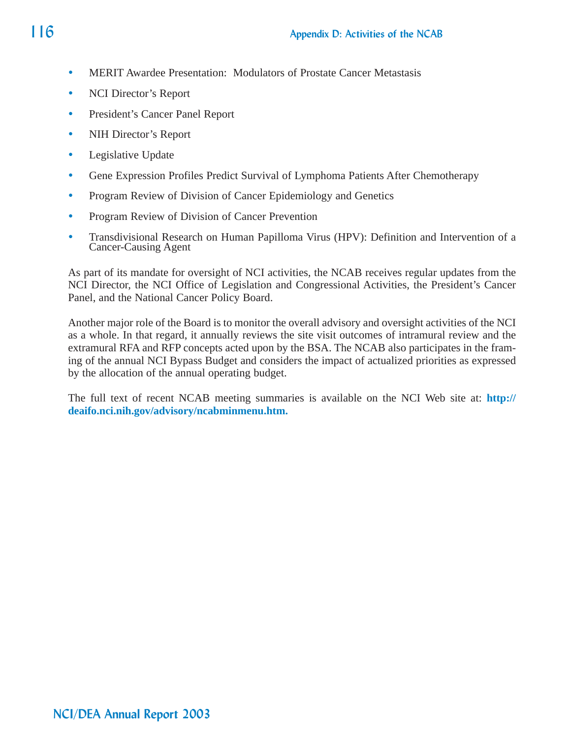- MERIT Awardee Presentation: Modulators of Prostate Cancer Metastasis
- NCI Director's Report
- President's Cancer Panel Report
- NIH Director's Report
- Legislative Update
- Gene Expression Profiles Predict Survival of Lymphoma Patients After Chemotherapy
- Program Review of Division of Cancer Epidemiology and Genetics
- Program Review of Division of Cancer Prevention
- Transdivisional Research on Human Papilloma Virus (HPV): Definition and Intervention of a Cancer-Causing Agent

As part of its mandate for oversight of NCI activities, the NCAB receives regular updates from the NCI Director, the NCI Office of Legislation and Congressional Activities, the President's Cancer Panel, and the National Cancer Policy Board.

Another major role of the Board is to monitor the overall advisory and oversight activities of the NCI as a whole. In that regard, it annually reviews the site visit outcomes of intramural review and the extramural RFA and RFP concepts acted upon by the BSA. The NCAB also participates in the framing of the annual NCI Bypass Budget and considers the impact of actualized priorities as expressed by the allocation of the annual operating budget.

The full text of recent NCAB meeting summaries is available on the NCI Web site at: **http:// deaifo.nci.nih.gov/advisory/ncabminmenu.htm.**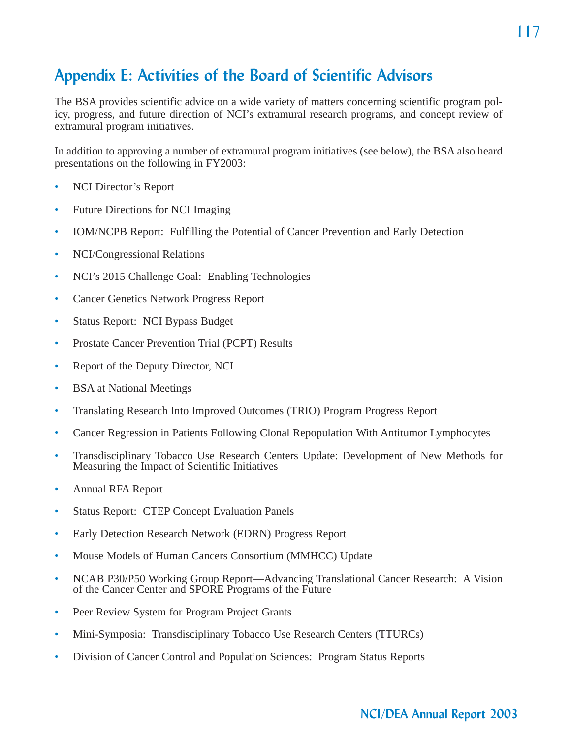# **Appendix E: Activities of the Board of Scientific Advisors**

The BSA provides scientific advice on a wide variety of matters concerning scientific program policy, progress, and future direction of NCI's extramural research programs, and concept review of extramural program initiatives.

In addition to approving a number of extramural program initiatives (see below), the BSA also heard presentations on the following in FY2003:

- NCI Director's Report
- Future Directions for NCI Imaging
- IOM/NCPB Report: Fulfilling the Potential of Cancer Prevention and Early Detection
- NCI/Congressional Relations
- NCI's 2015 Challenge Goal: Enabling Technologies
- Cancer Genetics Network Progress Report
- Status Report: NCI Bypass Budget
- Prostate Cancer Prevention Trial (PCPT) Results
- Report of the Deputy Director, NCI
- BSA at National Meetings
- Translating Research Into Improved Outcomes (TRIO) Program Progress Report
- Cancer Regression in Patients Following Clonal Repopulation With Antitumor Lymphocytes
- Transdisciplinary Tobacco Use Research Centers Update: Development of New Methods for Measuring the Impact of Scientific Initiatives
- Annual RFA Report
- Status Report: CTEP Concept Evaluation Panels
- Early Detection Research Network (EDRN) Progress Report
- Mouse Models of Human Cancers Consortium (MMHCC) Update
- NCAB P30/P50 Working Group Report—Advancing Translational Cancer Research: A Vision of the Cancer Center and SPORE Programs of the Future
- Peer Review System for Program Project Grants
- Mini-Symposia: Transdisciplinary Tobacco Use Research Centers (TTURCs)
- Division of Cancer Control and Population Sciences: Program Status Reports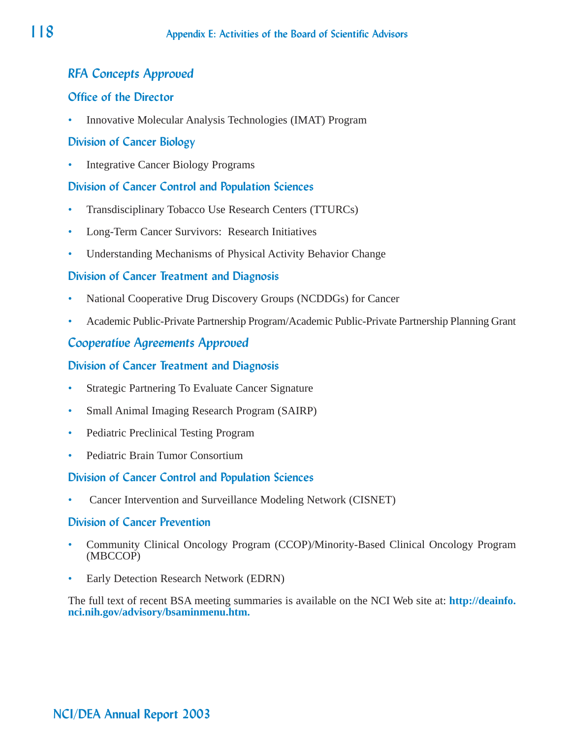## *RFA Concepts Approved*

## **Office of the Director**

• Innovative Molecular Analysis Technologies (IMAT) Program

## **Division of Cancer Biology**

• Integrative Cancer Biology Programs

## **Division of Cancer Control and Population Sciences**

- Transdisciplinary Tobacco Use Research Centers (TTURCs)
- Long-Term Cancer Survivors: Research Initiatives
- Understanding Mechanisms of Physical Activity Behavior Change

## **Division of Cancer Treatment and Diagnosis**

- National Cooperative Drug Discovery Groups (NCDDGs) for Cancer
- Academic Public-Private Partnership Program/Academic Public-Private Partnership Planning Grant

## *Cooperative Agreements Approved*

## **Division of Cancer Treatment and Diagnosis**

- Strategic Partnering To Evaluate Cancer Signature
- Small Animal Imaging Research Program (SAIRP)
- Pediatric Preclinical Testing Program
- Pediatric Brain Tumor Consortium

## **Division of Cancer Control and Population Sciences**

• Cancer Intervention and Surveillance Modeling Network (CISNET)

## **Division of Cancer Prevention**

- Community Clinical Oncology Program (CCOP)/Minority-Based Clinical Oncology Program (MBCCOP)
- Early Detection Research Network (EDRN)

The full text of recent BSA meeting summaries is available on the NCI Web site at: **http://deainfo. nci.nih.gov/advisory/bsaminmenu.htm.**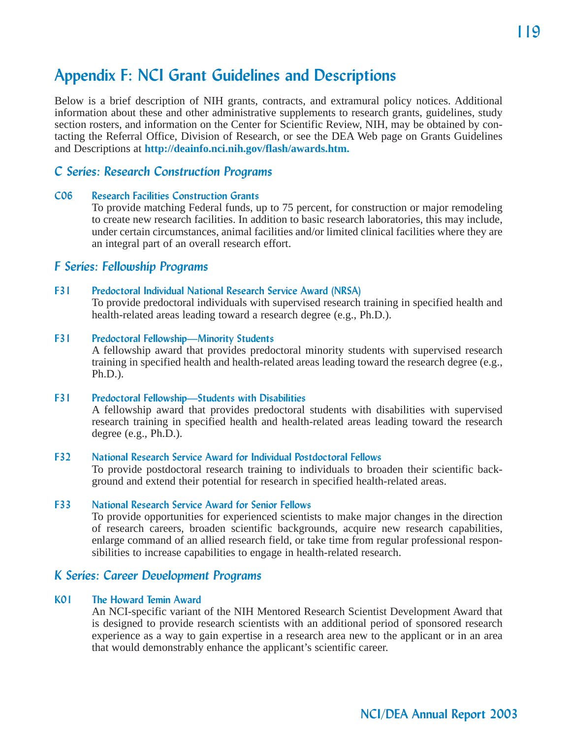# **Appendix F: NCI Grant Guidelines and Descriptions**

Below is a brief description of NIH grants, contracts, and extramural policy notices. Additional information about these and other administrative supplements to research grants, guidelines, study section rosters, and information on the Center for Scientific Review, NIH, may be obtained by contacting the Referral Office, Division of Research, or see the DEA Web page on Grants Guidelines and Descriptions at **http://deainfo.nci.nih.gov/flash/awards.htm.**

## *C Series: Research Construction Programs*

### **C06 Research Facilities Construction Grants**

To provide matching Federal funds, up to 75 percent, for construction or major remodeling to create new research facilities. In addition to basic research laboratories, this may include, under certain circumstances, animal facilities and/or limited clinical facilities where they are an integral part of an overall research effort.

## *F Series: Fellowship Programs*

#### **F31 Predoctoral Individual National Research Service Award (NRSA)**

To provide predoctoral individuals with supervised research training in specified health and health-related areas leading toward a research degree (e.g., Ph.D.).

### **F31 Predoctoral Fellowship—Minority Students**

A fellowship award that provides predoctoral minority students with supervised research training in specified health and health-related areas leading toward the research degree (e.g., Ph.D.).

#### **F31 Predoctoral Fellowship—Students with Disabilities**

A fellowship award that provides predoctoral students with disabilities with supervised research training in specified health and health-related areas leading toward the research degree (e.g., Ph.D.).

#### **F32 National Research Service Award for Individual Postdoctoral Fellows**

To provide postdoctoral research training to individuals to broaden their scientific background and extend their potential for research in specified health-related areas.

#### **F33 National Research Service Award for Senior Fellows**

To provide opportunities for experienced scientists to make major changes in the direction of research careers, broaden scientific backgrounds, acquire new research capabilities, enlarge command of an allied research field, or take time from regular professional responsibilities to increase capabilities to engage in health-related research.

## *K Series: Career Development Programs*

### **K01 The Howard Temin Award**

An NCI-specific variant of the NIH Mentored Research Scientist Development Award that is designed to provide research scientists with an additional period of sponsored research experience as a way to gain expertise in a research area new to the applicant or in an area that would demonstrably enhance the applicant's scientific career.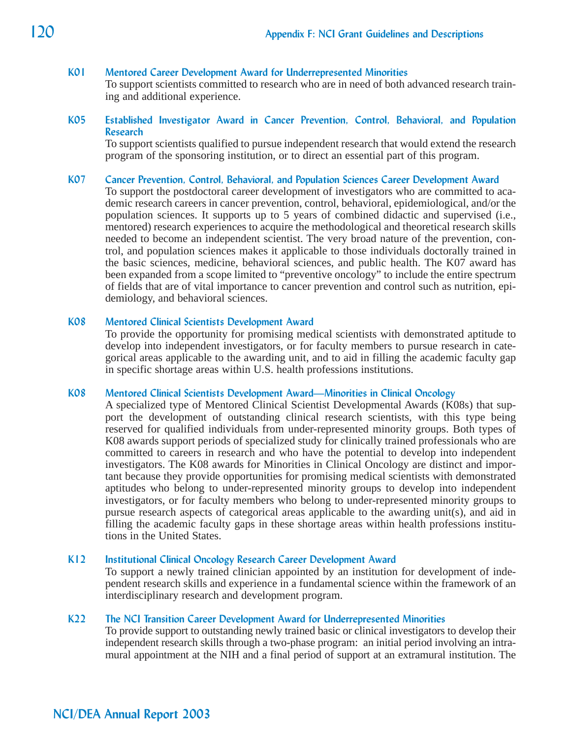### **K01 Mentored Career Development Award for Underrepresented Minorities**

To support scientists committed to research who are in need of both advanced research training and additional experience.

#### **K05 Established Investigator Award in Cancer Prevention, Control, Behavioral, and Population Research**

To support scientists qualified to pursue independent research that would extend the research program of the sponsoring institution, or to direct an essential part of this program.

#### **K07 Cancer Prevention, Control, Behavioral, and Population Sciences Career Development Award**

To support the postdoctoral career development of investigators who are committed to academic research careers in cancer prevention, control, behavioral, epidemiological, and/or the population sciences. It supports up to 5 years of combined didactic and supervised (i.e., mentored) research experiences to acquire the methodological and theoretical research skills needed to become an independent scientist. The very broad nature of the prevention, control, and population sciences makes it applicable to those individuals doctorally trained in the basic sciences, medicine, behavioral sciences, and public health. The K07 award has been expanded from a scope limited to "preventive oncology" to include the entire spectrum of fields that are of vital importance to cancer prevention and control such as nutrition, epidemiology, and behavioral sciences.

#### **K08 Mentored Clinical Scientists Development Award**

To provide the opportunity for promising medical scientists with demonstrated aptitude to develop into independent investigators, or for faculty members to pursue research in categorical areas applicable to the awarding unit, and to aid in filling the academic faculty gap in specific shortage areas within U.S. health professions institutions.

#### **K08 Mentored Clinical Scientists Development Award—Minorities in Clinical Oncology**

A specialized type of Mentored Clinical Scientist Developmental Awards (K08s) that support the development of outstanding clinical research scientists, with this type being reserved for qualified individuals from under-represented minority groups. Both types of K08 awards support periods of specialized study for clinically trained professionals who are committed to careers in research and who have the potential to develop into independent investigators. The K08 awards for Minorities in Clinical Oncology are distinct and important because they provide opportunities for promising medical scientists with demonstrated aptitudes who belong to under-represented minority groups to develop into independent investigators, or for faculty members who belong to under-represented minority groups to pursue research aspects of categorical areas applicable to the awarding unit(s), and aid in filling the academic faculty gaps in these shortage areas within health professions institutions in the United States.

#### **K12 Institutional Clinical Oncology Research Career Development Award**

To support a newly trained clinician appointed by an institution for development of independent research skills and experience in a fundamental science within the framework of an interdisciplinary research and development program.

#### **K22 The NCI Transition Career Development Award for Underrepresented Minorities**

To provide support to outstanding newly trained basic or clinical investigators to develop their independent research skills through a two-phase program: an initial period involving an intramural appointment at the NIH and a final period of support at an extramural institution. The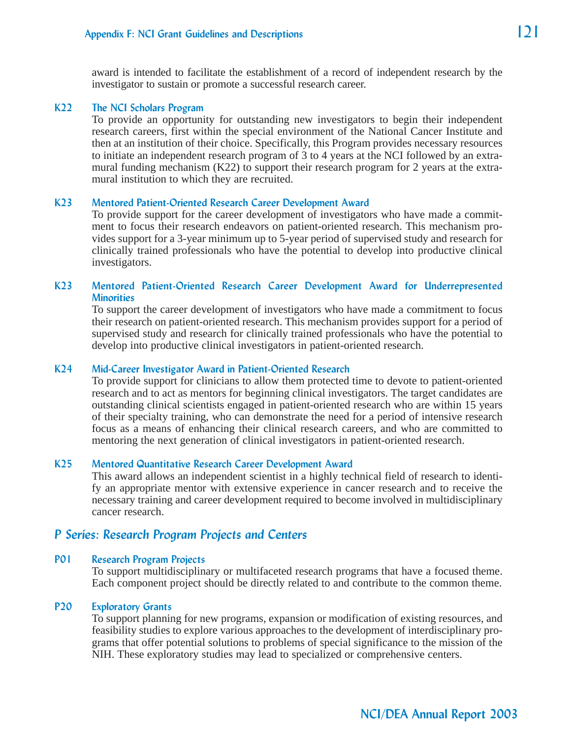award is intended to facilitate the establishment of a record of independent research by the investigator to sustain or promote a successful research career.

## **K22 The NCI Scholars Program**

To provide an opportunity for outstanding new investigators to begin their independent research careers, first within the special environment of the National Cancer Institute and then at an institution of their choice. Specifically, this Program provides necessary resources to initiate an independent research program of 3 to 4 years at the NCI followed by an extramural funding mechanism (K22) to support their research program for 2 years at the extramural institution to which they are recruited.

#### **K23 Mentored Patient-Oriented Research Career Development Award**

To provide support for the career development of investigators who have made a commitment to focus their research endeavors on patient-oriented research. This mechanism provides support for a 3-year minimum up to 5-year period of supervised study and research for clinically trained professionals who have the potential to develop into productive clinical investigators.

## **K23 Mentored Patient-Oriented Research Career Development Award for Underrepresented Minorities**

To support the career development of investigators who have made a commitment to focus their research on patient-oriented research. This mechanism provides support for a period of supervised study and research for clinically trained professionals who have the potential to develop into productive clinical investigators in patient-oriented research.

#### **K24 Mid-Career Investigator Award in Patient-Oriented Research**

To provide support for clinicians to allow them protected time to devote to patient-oriented research and to act as mentors for beginning clinical investigators. The target candidates are outstanding clinical scientists engaged in patient-oriented research who are within 15 years of their specialty training, who can demonstrate the need for a period of intensive research focus as a means of enhancing their clinical research careers, and who are committed to mentoring the next generation of clinical investigators in patient-oriented research.

#### **K25 Mentored Quantitative Research Career Development Award**

This award allows an independent scientist in a highly technical field of research to identify an appropriate mentor with extensive experience in cancer research and to receive the necessary training and career development required to become involved in multidisciplinary cancer research.

## *P Series: Research Program Projects and Centers*

#### **P01 Research Program Projects**

To support multidisciplinary or multifaceted research programs that have a focused theme. Each component project should be directly related to and contribute to the common theme.

#### **P20 Exploratory Grants**

To support planning for new programs, expansion or modification of existing resources, and feasibility studies to explore various approaches to the development of interdisciplinary programs that offer potential solutions to problems of special significance to the mission of the NIH. These exploratory studies may lead to specialized or comprehensive centers.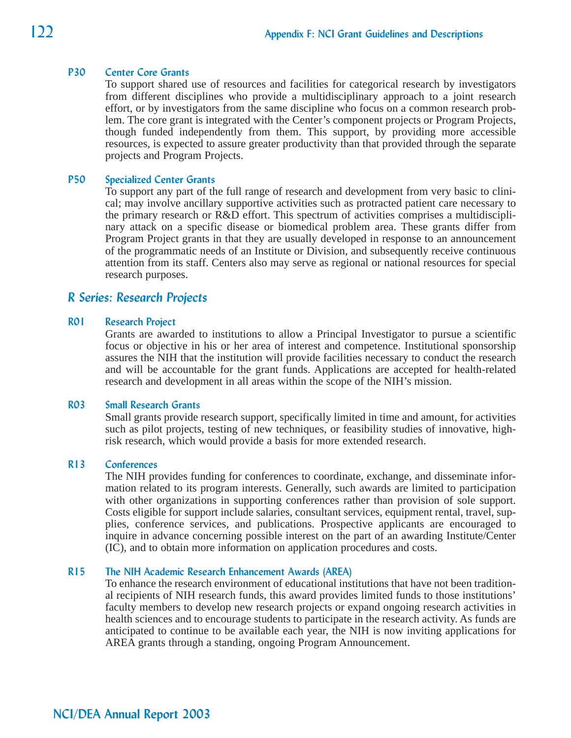#### **P30 Center Core Grants**

To support shared use of resources and facilities for categorical research by investigators from different disciplines who provide a multidisciplinary approach to a joint research effort, or by investigators from the same discipline who focus on a common research problem. The core grant is integrated with the Center's component projects or Program Projects, though funded independently from them. This support, by providing more accessible resources, is expected to assure greater productivity than that provided through the separate projects and Program Projects.

#### **P50 Specialized Center Grants**

To support any part of the full range of research and development from very basic to clinical; may involve ancillary supportive activities such as protracted patient care necessary to the primary research or R&D effort. This spectrum of activities comprises a multidisciplinary attack on a specific disease or biomedical problem area. These grants differ from Program Project grants in that they are usually developed in response to an announcement of the programmatic needs of an Institute or Division, and subsequently receive continuous attention from its staff. Centers also may serve as regional or national resources for special research purposes.

### *R Series: Research Projects*

#### **R01 Research Project**

Grants are awarded to institutions to allow a Principal Investigator to pursue a scientific focus or objective in his or her area of interest and competence. Institutional sponsorship assures the NIH that the institution will provide facilities necessary to conduct the research and will be accountable for the grant funds. Applications are accepted for health-related research and development in all areas within the scope of the NIH's mission.

#### **R03 Small Research Grants**

Small grants provide research support, specifically limited in time and amount, for activities such as pilot projects, testing of new techniques, or feasibility studies of innovative, highrisk research, which would provide a basis for more extended research.

#### **R13 Conferences**

The NIH provides funding for conferences to coordinate, exchange, and disseminate information related to its program interests. Generally, such awards are limited to participation with other organizations in supporting conferences rather than provision of sole support. Costs eligible for support include salaries, consultant services, equipment rental, travel, supplies, conference services, and publications. Prospective applicants are encouraged to inquire in advance concerning possible interest on the part of an awarding Institute/Center (IC), and to obtain more information on application procedures and costs.

#### **R15 The NIH Academic Research Enhancement Awards (AREA)**

To enhance the research environment of educational institutions that have not been traditional recipients of NIH research funds, this award provides limited funds to those institutions' faculty members to develop new research projects or expand ongoing research activities in health sciences and to encourage students to participate in the research activity. As funds are anticipated to continue to be available each year, the NIH is now inviting applications for AREA grants through a standing, ongoing Program Announcement.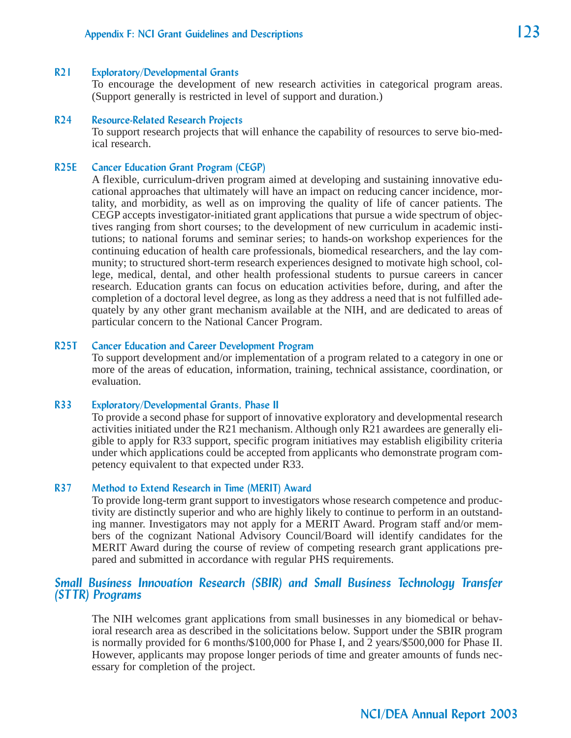### **R21 Exploratory/Developmental Grants**

To encourage the development of new research activities in categorical program areas. (Support generally is restricted in level of support and duration.)

#### **R24 Resource-Related Research Projects**

To support research projects that will enhance the capability of resources to serve bio-medical research.

#### **R25E Cancer Education Grant Program (CEGP)**

A flexible, curriculum-driven program aimed at developing and sustaining innovative educational approaches that ultimately will have an impact on reducing cancer incidence, mortality, and morbidity, as well as on improving the quality of life of cancer patients. The CEGP accepts investigator-initiated grant applications that pursue a wide spectrum of objectives ranging from short courses; to the development of new curriculum in academic institutions; to national forums and seminar series; to hands-on workshop experiences for the continuing education of health care professionals, biomedical researchers, and the lay community; to structured short-term research experiences designed to motivate high school, college, medical, dental, and other health professional students to pursue careers in cancer research. Education grants can focus on education activities before, during, and after the completion of a doctoral level degree, as long as they address a need that is not fulfilled adequately by any other grant mechanism available at the NIH, and are dedicated to areas of particular concern to the National Cancer Program.

#### **R25T Cancer Education and Career Development Program**

To support development and/or implementation of a program related to a category in one or more of the areas of education, information, training, technical assistance, coordination, or evaluation.

#### **R33 Exploratory/Developmental Grants, Phase II**

To provide a second phase for support of innovative exploratory and developmental research activities initiated under the R21 mechanism. Although only R21 awardees are generally eligible to apply for R33 support, specific program initiatives may establish eligibility criteria under which applications could be accepted from applicants who demonstrate program competency equivalent to that expected under R33.

#### **R37 Method to Extend Research in Time (MERIT) Award**

To provide long-term grant support to investigators whose research competence and productivity are distinctly superior and who are highly likely to continue to perform in an outstanding manner. Investigators may not apply for a MERIT Award. Program staff and/or members of the cognizant National Advisory Council/Board will identify candidates for the MERIT Award during the course of review of competing research grant applications prepared and submitted in accordance with regular PHS requirements.

## *Small Business Innovation Research (SBIR) and Small Business Technology Transfer (STTR) Programs*

The NIH welcomes grant applications from small businesses in any biomedical or behavioral research area as described in the solicitations below. Support under the SBIR program is normally provided for 6 months/\$100,000 for Phase I, and 2 years/\$500,000 for Phase II. However, applicants may propose longer periods of time and greater amounts of funds necessary for completion of the project.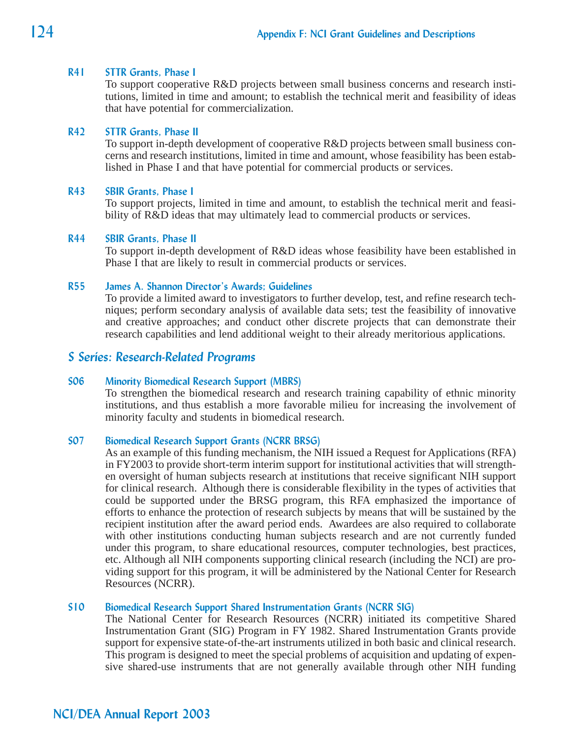#### **R41 STTR Grants, Phase I**

To support cooperative R&D projects between small business concerns and research institutions, limited in time and amount; to establish the technical merit and feasibility of ideas that have potential for commercialization.

#### **R42 STTR Grants, Phase II**

To support in-depth development of cooperative R&D projects between small business concerns and research institutions, limited in time and amount, whose feasibility has been established in Phase I and that have potential for commercial products or services.

#### **R43 SBIR Grants, Phase I**

To support projects, limited in time and amount, to establish the technical merit and feasibility of R&D ideas that may ultimately lead to commercial products or services.

#### **R44 SBIR Grants, Phase II**

To support in-depth development of R&D ideas whose feasibility have been established in Phase I that are likely to result in commercial products or services.

#### **R55 James A. Shannon Director's Awards; Guidelines**

To provide a limited award to investigators to further develop, test, and refine research techniques; perform secondary analysis of available data sets; test the feasibility of innovative and creative approaches; and conduct other discrete projects that can demonstrate their research capabilities and lend additional weight to their already meritorious applications.

#### *S Series: Research-Related Programs*

#### **S06 Minority Biomedical Research Support (MBRS)**

To strengthen the biomedical research and research training capability of ethnic minority institutions, and thus establish a more favorable milieu for increasing the involvement of minority faculty and students in biomedical research.

#### **S07 Biomedical Research Support Grants (NCRR BRSG)**

As an example of this funding mechanism, the NIH issued a Request for Applications (RFA) in FY2003 to provide short-term interim support for institutional activities that will strengthen oversight of human subjects research at institutions that receive significant NIH support for clinical research. Although there is considerable flexibility in the types of activities that could be supported under the BRSG program, this RFA emphasized the importance of efforts to enhance the protection of research subjects by means that will be sustained by the recipient institution after the award period ends. Awardees are also required to collaborate with other institutions conducting human subjects research and are not currently funded under this program, to share educational resources, computer technologies, best practices, etc. Although all NIH components supporting clinical research (including the NCI) are providing support for this program, it will be administered by the National Center for Research Resources (NCRR).

#### **S10 Biomedical Research Support Shared Instrumentation Grants (NCRR SIG)**

The National Center for Research Resources (NCRR) initiated its competitive Shared Instrumentation Grant (SIG) Program in FY 1982. Shared Instrumentation Grants provide support for expensive state-of-the-art instruments utilized in both basic and clinical research. This program is designed to meet the special problems of acquisition and updating of expensive shared-use instruments that are not generally available through other NIH funding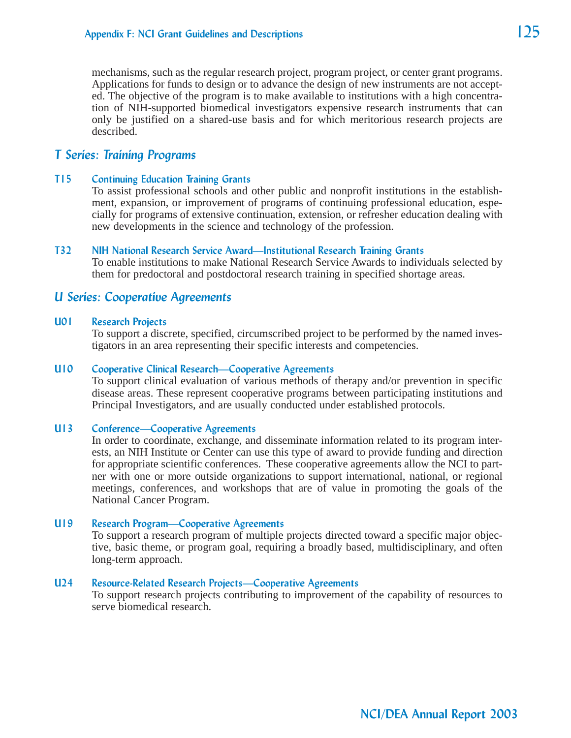mechanisms, such as the regular research project, program project, or center grant programs. Applications for funds to design or to advance the design of new instruments are not accepted. The objective of the program is to make available to institutions with a high concentration of NIH-supported biomedical investigators expensive research instruments that can only be justified on a shared-use basis and for which meritorious research projects are described.

## *T Series: Training Programs*

### **T15 Continuing Education Training Grants**

To assist professional schools and other public and nonprofit institutions in the establishment, expansion, or improvement of programs of continuing professional education, especially for programs of extensive continuation, extension, or refresher education dealing with new developments in the science and technology of the profession.

### **T32 NIH National Research Service Award—Institutional Research Training Grants**

To enable institutions to make National Research Service Awards to individuals selected by them for predoctoral and postdoctoral research training in specified shortage areas.

## *U Series: Cooperative Agreements*

### **U01 Research Projects**

To support a discrete, specified, circumscribed project to be performed by the named investigators in an area representing their specific interests and competencies.

### **U10 Cooperative Clinical Research—Cooperative Agreements**

To support clinical evaluation of various methods of therapy and/or prevention in specific disease areas. These represent cooperative programs between participating institutions and Principal Investigators, and are usually conducted under established protocols.

#### **U13 Conference—Cooperative Agreements**

In order to coordinate, exchange, and disseminate information related to its program interests, an NIH Institute or Center can use this type of award to provide funding and direction for appropriate scientific conferences. These cooperative agreements allow the NCI to partner with one or more outside organizations to support international, national, or regional meetings, conferences, and workshops that are of value in promoting the goals of the National Cancer Program.

#### **U19 Research Program—Cooperative Agreements**

To support a research program of multiple projects directed toward a specific major objective, basic theme, or program goal, requiring a broadly based, multidisciplinary, and often long-term approach.

#### **U24 Resource-Related Research Projects—Cooperative Agreements**

To support research projects contributing to improvement of the capability of resources to serve biomedical research.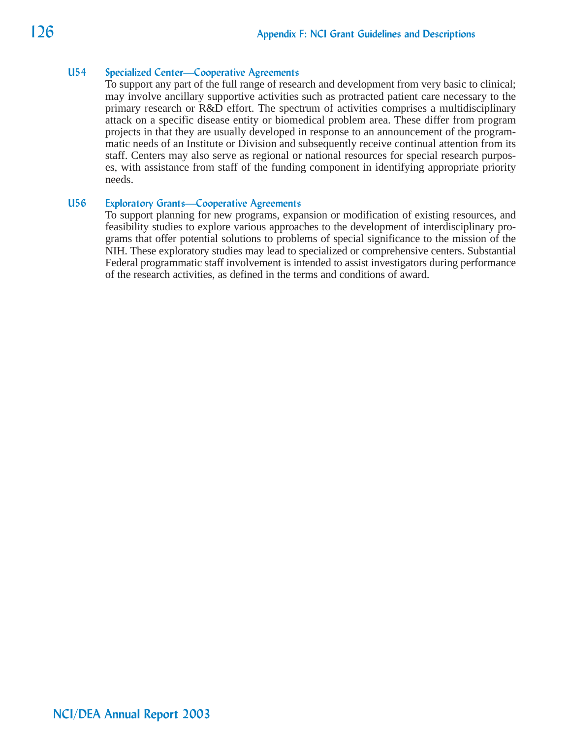## **U54 Specialized Center—Cooperative Agreements**

To support any part of the full range of research and development from very basic to clinical; may involve ancillary supportive activities such as protracted patient care necessary to the primary research or R&D effort. The spectrum of activities comprises a multidisciplinary attack on a specific disease entity or biomedical problem area. These differ from program projects in that they are usually developed in response to an announcement of the programmatic needs of an Institute or Division and subsequently receive continual attention from its staff. Centers may also serve as regional or national resources for special research purposes, with assistance from staff of the funding component in identifying appropriate priority needs.

#### **U56 Exploratory Grants—Cooperative Agreements**

To support planning for new programs, expansion or modification of existing resources, and feasibility studies to explore various approaches to the development of interdisciplinary programs that offer potential solutions to problems of special significance to the mission of the NIH. These exploratory studies may lead to specialized or comprehensive centers. Substantial Federal programmatic staff involvement is intended to assist investigators during performance of the research activities, as defined in the terms and conditions of award.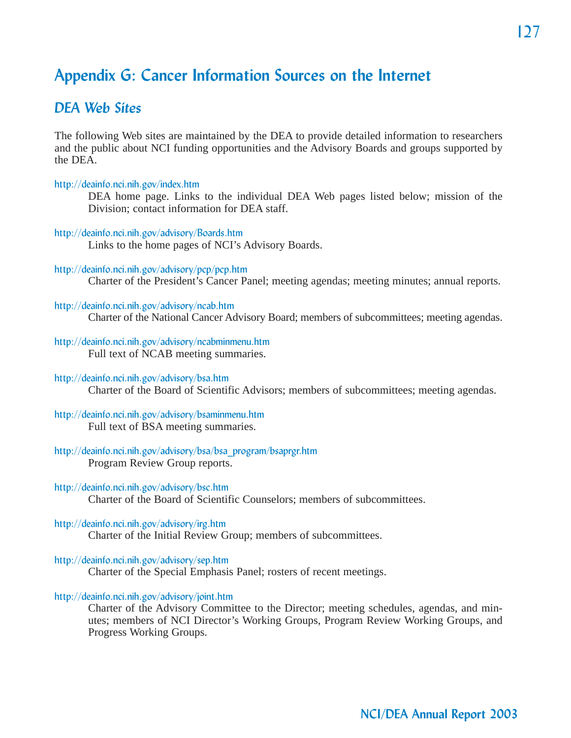# **Appendix G: Cancer Information Sources on the Internet**

## *DEA Web Sites*

The following Web sites are maintained by the DEA to provide detailed information to researchers and the public about NCI funding opportunities and the Advisory Boards and groups supported by the DEA.

## http://deainfo.nci.nih.gov/index.htm

DEA home page. Links to the individual DEA Web pages listed below; mission of the Division; contact information for DEA staff.

http://deainfo.nci.nih.gov/advisory/Boards.htm

Links to the home pages of NCI's Advisory Boards.

http://deainfo.nci.nih.gov/advisory/pcp/pcp.htm

Charter of the President's Cancer Panel; meeting agendas; meeting minutes; annual reports.

http://deainfo.nci.nih.gov/advisory/ncab.htm

Charter of the National Cancer Advisory Board; members of subcommittees; meeting agendas.

## http://deainfo.nci.nih.gov/advisory/ncabminmenu.htm

Full text of NCAB meeting summaries.

## http://deainfo.nci.nih.gov/advisory/bsa.htm

Charter of the Board of Scientific Advisors; members of subcommittees; meeting agendas.

## http://deainfo.nci.nih.gov/advisory/bsaminmenu.htm

Full text of BSA meeting summaries.

## http://deainfo.nci.nih.gov/advisory/bsa/bsa\_program/bsaprgr.htm

Program Review Group reports.

http://deainfo.nci.nih.gov/advisory/bsc.htm

## Charter of the Board of Scientific Counselors; members of subcommittees.

## http://deainfo.nci.nih.gov/advisory/irg.htm

Charter of the Initial Review Group; members of subcommittees.

## http://deainfo.nci.nih.gov/advisory/sep.htm

Charter of the Special Emphasis Panel; rosters of recent meetings.

## http://deainfo.nci.nih.gov/advisory/joint.htm

Charter of the Advisory Committee to the Director; meeting schedules, agendas, and minutes; members of NCI Director's Working Groups, Program Review Working Groups, and Progress Working Groups.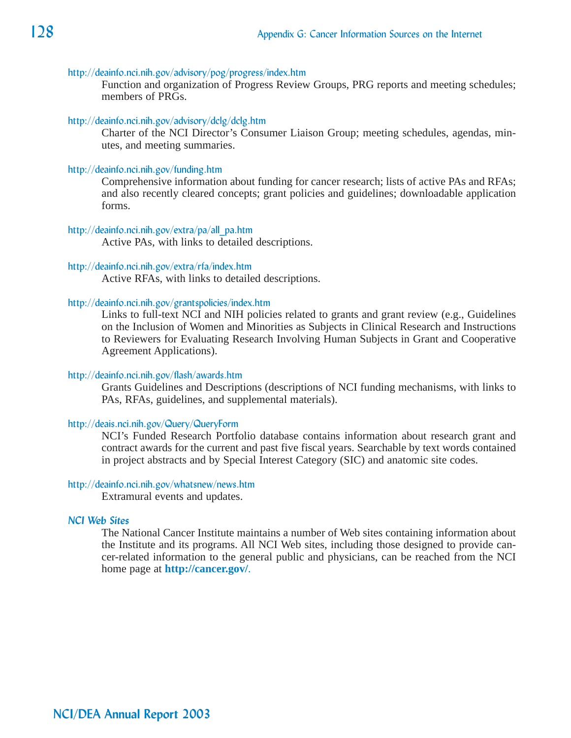#### http://deainfo.nci.nih.gov/advisory/pog/progress/index.htm

Function and organization of Progress Review Groups, PRG reports and meeting schedules; members of PRGs.

#### http://deainfo.nci.nih.gov/advisory/dclg/dclg.htm

Charter of the NCI Director's Consumer Liaison Group; meeting schedules, agendas, minutes, and meeting summaries.

#### http://deainfo.nci.nih.gov/funding.htm

Comprehensive information about funding for cancer research; lists of active PAs and RFAs; and also recently cleared concepts; grant policies and guidelines; downloadable application forms.

#### http://deainfo.nci.nih.gov/extra/pa/all\_pa.htm

Active PAs, with links to detailed descriptions.

#### http://deainfo.nci.nih.gov/extra/rfa/index.htm

Active RFAs, with links to detailed descriptions.

#### http://deainfo.nci.nih.gov/grantspolicies/index.htm

Links to full-text NCI and NIH policies related to grants and grant review (e.g., Guidelines on the Inclusion of Women and Minorities as Subjects in Clinical Research and Instructions to Reviewers for Evaluating Research Involving Human Subjects in Grant and Cooperative Agreement Applications).

#### http://deainfo.nci.nih.gov/flash/awards.htm

Grants Guidelines and Descriptions (descriptions of NCI funding mechanisms, with links to PAs, RFAs, guidelines, and supplemental materials).

#### http://deais.nci.nih.gov/Query/QueryForm

NCI's Funded Research Portfolio database contains information about research grant and contract awards for the current and past five fiscal years. Searchable by text words contained in project abstracts and by Special Interest Category (SIC) and anatomic site codes.

#### http://deainfo.nci.nih.gov/whatsnew/news.htm

Extramural events and updates.

#### *NCI Web Sites*

The National Cancer Institute maintains a number of Web sites containing information about the Institute and its programs. All NCI Web sites, including those designed to provide cancer-related information to the general public and physicians, can be reached from the NCI home page at **http://cancer.gov/**.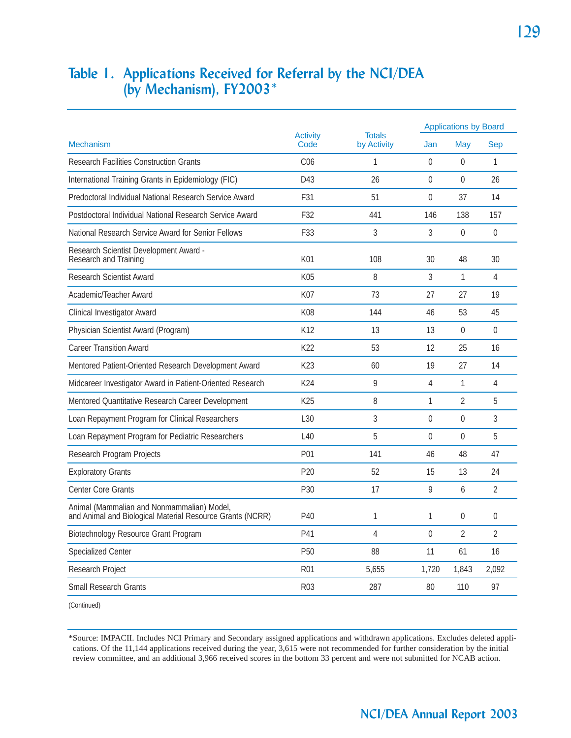## **Table 1. Applications Received for Referral by the NCI/DEA (by Mechanism), FY2003\***

|                                                                                                         |                         |                              | <b>Applications by Board</b> |                |                |  |
|---------------------------------------------------------------------------------------------------------|-------------------------|------------------------------|------------------------------|----------------|----------------|--|
| <b>Mechanism</b>                                                                                        | <b>Activity</b><br>Code | <b>Totals</b><br>by Activity | Jan                          | May            | <b>Sep</b>     |  |
| Research Facilities Construction Grants                                                                 | C <sub>06</sub>         | 1                            | $\Omega$                     | $\Omega$       | 1              |  |
| International Training Grants in Epidemiology (FIC)                                                     | D43                     | 26                           | $\mathbf 0$                  | $\theta$       | 26             |  |
| Predoctoral Individual National Research Service Award                                                  | F31                     | 51                           | 0                            | 37             | 14             |  |
| Postdoctoral Individual National Research Service Award                                                 | F32                     | 441                          | 146                          | 138            | 157            |  |
| National Research Service Award for Senior Fellows                                                      | F33                     | 3                            | 3                            | $\Omega$       | $\Omega$       |  |
| Research Scientist Development Award -<br>Research and Training                                         | K01                     | 108                          | 30                           | 48             | 30             |  |
| <b>Research Scientist Award</b>                                                                         | K05                     | 8                            | 3                            | 1              | 4              |  |
| Academic/Teacher Award                                                                                  | K07                     | 73                           | 27                           | 27             | 19             |  |
| <b>Clinical Investigator Award</b>                                                                      | K08                     | 144                          | 46                           | 53             | 45             |  |
| Physician Scientist Award (Program)                                                                     | K <sub>12</sub>         | 13                           | 13                           | $\theta$       | $\Omega$       |  |
| <b>Career Transition Award</b>                                                                          | K22                     | 53                           | 12                           | 25             | 16             |  |
| Mentored Patient-Oriented Research Development Award                                                    | K23                     | 60                           | 19                           | 27             | 14             |  |
| Midcareer Investigator Award in Patient-Oriented Research                                               | K24                     | 9                            | 4                            | 1              | 4              |  |
| Mentored Quantitative Research Career Development                                                       | K25                     | 8                            | 1                            | $\overline{2}$ | 5              |  |
| Loan Repayment Program for Clinical Researchers                                                         | L30                     | 3                            | $\mathbf 0$                  | $\Omega$       | 3              |  |
| Loan Repayment Program for Pediatric Researchers                                                        | L40                     | 5                            | $\Omega$                     | $\Omega$       | 5              |  |
| Research Program Projects                                                                               | P01                     | 141                          | 46                           | 48             | 47             |  |
| <b>Exploratory Grants</b>                                                                               | P20                     | 52                           | 15                           | 13             | 24             |  |
| <b>Center Core Grants</b>                                                                               | P30                     | 17                           | 9                            | 6              | 2              |  |
| Animal (Mammalian and Nonmammalian) Model,<br>and Animal and Biological Material Resource Grants (NCRR) | P40                     | 1                            | 1                            | $\mathbf 0$    | $\mathbf 0$    |  |
| <b>Biotechnology Resource Grant Program</b>                                                             | P41                     | $\overline{4}$               | $\Omega$                     | $\overline{2}$ | $\overline{2}$ |  |
| <b>Specialized Center</b>                                                                               | P <sub>50</sub>         | 88                           | 11                           | 61             | 16             |  |
| Research Project                                                                                        | R <sub>01</sub>         | 5,655                        | 1.720                        | 1.843          | 2.092          |  |
| Small Research Grants                                                                                   | R <sub>0</sub> 3        | 287                          | 80                           | 110            | 97             |  |

(Continued)

\*Source: IMPACII. Includes NCI Primary and Secondary assigned applications and withdrawn applications. Excludes deleted applications. Of the 11,144 applications received during the year, 3,615 were not recommended for further consideration by the initial review committee, and an additional 3,966 received scores in the bottom 33 percent and were not submitted for NCAB action.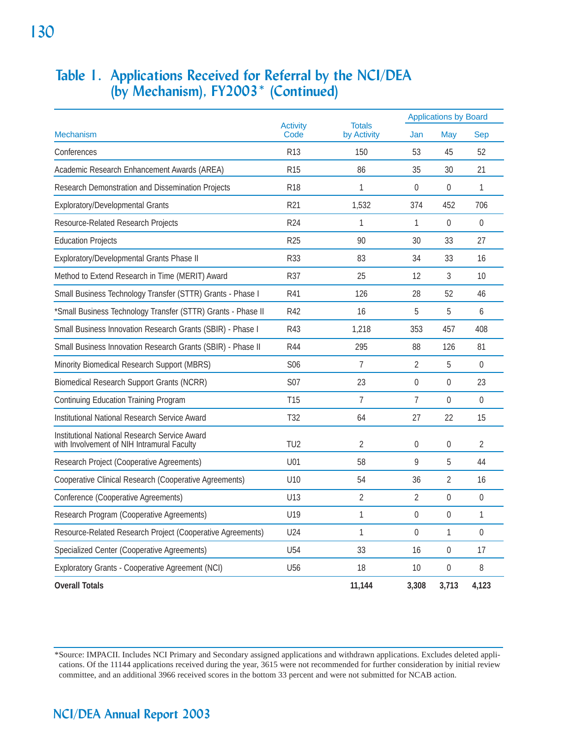## **Table 1. Applications Received for Referral by the NCI/DEA (by Mechanism), FY2003\* (Continued)**

|                                                                                             |                         |                              | <b>Applications by Board</b> |                  |                 |  |
|---------------------------------------------------------------------------------------------|-------------------------|------------------------------|------------------------------|------------------|-----------------|--|
| <b>Mechanism</b>                                                                            | <b>Activity</b><br>Code | <b>Totals</b><br>by Activity | Jan                          | May              | Sep             |  |
| Conferences                                                                                 | R <sub>13</sub>         | 150                          | 53                           | 45               | 52              |  |
| Academic Research Enhancement Awards (AREA)                                                 | R <sub>15</sub>         | 86                           | 35                           | 30               | 21              |  |
| Research Demonstration and Dissemination Projects                                           | <b>R18</b>              | 1                            | 0                            | 0                | 1               |  |
| Exploratory/Developmental Grants                                                            | R <sub>21</sub>         | 1.532                        | 374                          | 452              | 706             |  |
| Resource-Related Research Projects                                                          | R <sub>24</sub>         | 1                            | 1                            | $\Omega$         | $\theta$        |  |
| <b>Education Projects</b>                                                                   | <b>R25</b>              | 90                           | 30                           | 33               | 27              |  |
| Exploratory/Developmental Grants Phase II                                                   | <b>R33</b>              | 83                           | 34                           | 33               | 16              |  |
| Method to Extend Research in Time (MERIT) Award                                             | R37                     | 25                           | 12                           | 3                | 10 <sup>1</sup> |  |
| Small Business Technology Transfer (STTR) Grants - Phase I                                  | R41                     | 126                          | 28                           | 52               | 46              |  |
| *Small Business Technology Transfer (STTR) Grants - Phase II                                | R42                     | 16                           | 5                            | 5                | 6               |  |
| Small Business Innovation Research Grants (SBIR) - Phase I                                  | R43                     | 1,218                        | 353                          | 457              | 408             |  |
| Small Business Innovation Research Grants (SBIR) - Phase II                                 | <b>R44</b>              | 295                          | 88                           | 126              | 81              |  |
| Minority Biomedical Research Support (MBRS)                                                 | S <sub>06</sub>         | $\overline{7}$               | $\overline{2}$               | 5                | 0               |  |
| <b>Biomedical Research Support Grants (NCRR)</b>                                            | <b>S07</b>              | 23                           | 0                            | $\boldsymbol{0}$ | 23              |  |
| Continuing Education Training Program                                                       | T <sub>15</sub>         | $\overline{7}$               | $\overline{7}$               | $\Omega$         | $\Omega$        |  |
| Institutional National Research Service Award                                               | T32                     | 64                           | 27                           | 22               | 15              |  |
| Institutional National Research Service Award<br>with Involvement of NIH Intramural Faculty | TU <sub>2</sub>         | $\overline{2}$               | 0                            | $\overline{0}$   | 2               |  |
| Research Project (Cooperative Agreements)                                                   | U01                     | 58                           | 9                            | 5                | 44              |  |
| Cooperative Clinical Research (Cooperative Agreements)                                      | U10                     | 54                           | 36                           | $\overline{2}$   | 16              |  |
| Conference (Cooperative Agreements)                                                         | U13                     | $\overline{2}$               | $\overline{2}$               | $\Omega$         | $\Omega$        |  |
| Research Program (Cooperative Agreements)                                                   | U19                     | 1                            | $\boldsymbol{0}$             | 0                | 1               |  |
| Resource-Related Research Project (Cooperative Agreements)                                  | U24                     | 1                            | $\mathbf 0$                  | 1                | $\overline{0}$  |  |
| Specialized Center (Cooperative Agreements)                                                 | <b>U54</b>              | 33                           | 16                           | 0                | 17              |  |
| Exploratory Grants - Cooperative Agreement (NCI)                                            | U <sub>56</sub>         | 18                           | 10                           | $\mathbf 0$      | 8               |  |
| <b>Overall Totals</b>                                                                       |                         | 11,144                       | 3,308                        | 3,713            | 4,123           |  |

\*Source: IMPACII. Includes NCI Primary and Secondary assigned applications and withdrawn applications. Excludes deleted applications. Of the 11144 applications received during the year, 3615 were not recommended for further consideration by initial review committee, and an additional 3966 received scores in the bottom 33 percent and were not submitted for NCAB action.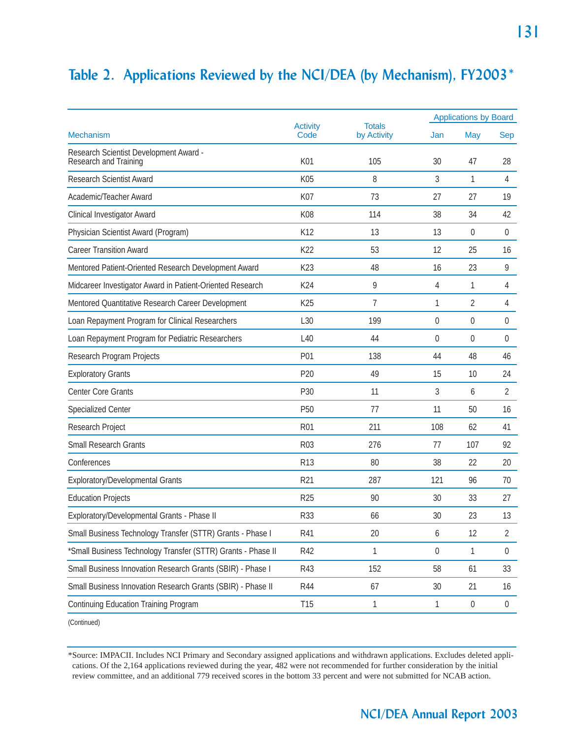# **Table 2. Applications Reviewed by the NCI/DEA (by Mechanism), FY2003\***

|                                                                 |                         |                              |                  | <b>Applications by Board</b> |                  |
|-----------------------------------------------------------------|-------------------------|------------------------------|------------------|------------------------------|------------------|
| <b>Mechanism</b>                                                | <b>Activity</b><br>Code | <b>Totals</b><br>by Activity | Jan              | May                          | <b>Sep</b>       |
| Research Scientist Development Award -<br>Research and Training | K01                     | 105                          | 30               | 47                           | 28               |
| Research Scientist Award                                        | K05                     | 8                            | 3                | 1                            | $\overline{4}$   |
| Academic/Teacher Award                                          | K07                     | 73                           | 27               | 27                           | 19               |
| Clinical Investigator Award                                     | K08                     | 114                          | 38               | 34                           | 42               |
| Physician Scientist Award (Program)                             | K12                     | 13                           | 13               | 0                            | $\boldsymbol{0}$ |
| <b>Career Transition Award</b>                                  | K22                     | 53                           | 12               | 25                           | 16               |
| Mentored Patient-Oriented Research Development Award            | K23                     | 48                           | 16               | 23                           | 9                |
| Midcareer Investigator Award in Patient-Oriented Research       | K24                     | 9                            | 4                | 1                            | 4                |
| Mentored Quantitative Research Career Development               | K25                     | $\overline{7}$               | 1                | 2                            | $\overline{4}$   |
| Loan Repayment Program for Clinical Researchers                 | L30                     | 199                          | 0                | 0                            | $\boldsymbol{0}$ |
| Loan Repayment Program for Pediatric Researchers                | L40                     | 44                           | 0                | 0                            | $\boldsymbol{0}$ |
| Research Program Projects                                       | P01                     | 138                          | 44               | 48                           | 46               |
| <b>Exploratory Grants</b>                                       | P20                     | 49                           | 15               | 10                           | 24               |
| <b>Center Core Grants</b>                                       | P30                     | 11                           | 3                | 6                            | $\overline{2}$   |
| Specialized Center                                              | P <sub>50</sub>         | 77                           | 11               | 50                           | 16               |
| Research Project                                                | <b>R01</b>              | 211                          | 108              | 62                           | 41               |
| <b>Small Research Grants</b>                                    | <b>R03</b>              | 276                          | 77               | 107                          | 92               |
| Conferences                                                     | <b>R13</b>              | 80                           | 38               | 22                           | 20               |
| Exploratory/Developmental Grants                                | R21                     | 287                          | 121              | 96                           | 70               |
| <b>Education Projects</b>                                       | <b>R25</b>              | 90                           | 30               | 33                           | 27               |
| Exploratory/Developmental Grants - Phase II                     | <b>R33</b>              | 66                           | 30               | 23                           | 13               |
| Small Business Technology Transfer (STTR) Grants - Phase I      | R41                     | 20                           | 6                | 12                           | $\overline{2}$   |
| *Small Business Technology Transfer (STTR) Grants - Phase II    | R42                     | 1                            | $\boldsymbol{0}$ | 1                            | $\boldsymbol{0}$ |
| Small Business Innovation Research Grants (SBIR) - Phase I      | <b>R43</b>              | 152                          | 58               | 61                           | 33               |
| Small Business Innovation Research Grants (SBIR) - Phase II     | <b>R44</b>              | 67                           | 30               | 21                           | 16               |
| Continuing Education Training Program                           | <b>T15</b>              | 1                            | 1                | $\boldsymbol{0}$             | $\boldsymbol{0}$ |

(Continued)

\*Source: IMPACII. Includes NCI Primary and Secondary assigned applications and withdrawn applications. Excludes deleted applications. Of the 2,164 applications reviewed during the year, 482 were not recommended for further consideration by the initial review committee, and an additional 779 received scores in the bottom 33 percent and were not submitted for NCAB action.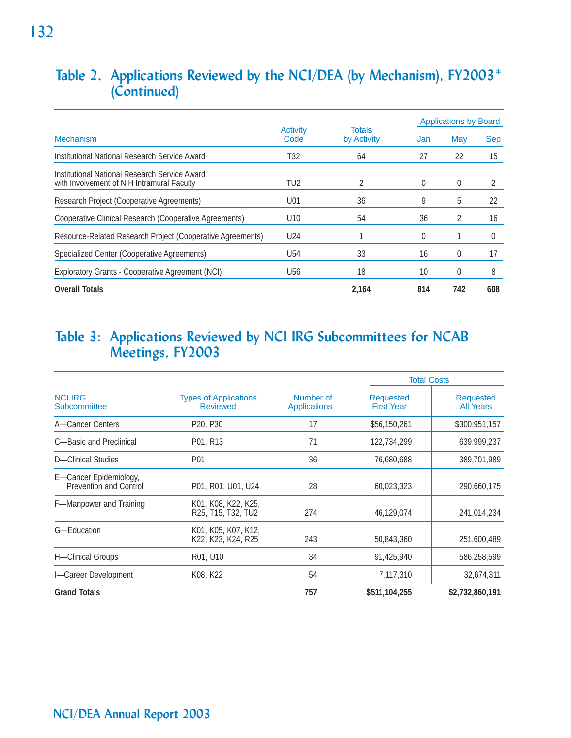## Applications by Board Activity Totals<br>Code by Activity Mechanism Code by Activity Jan May Sep Institutional National Research Service Award T32 64 27 22 15 Institutional National Research Service Award with Involvement of NIH Intramural Faculty **TU2** 2 0 0 2 Research Project (Cooperative Agreements) U01 36 9 5 22 Cooperative Clinical Research (Cooperative Agreements)  $100$  54 36 2 16 Resource-Related Research Project (Cooperative Agreements) U24 1 0 1 0 1 0 Specialized Center (Cooperative Agreements)  $0.17$  U54 33 16 0 17 Exploratory Grants - Cooperative Agreement (NCI) U56 18 10 0 8

**Overall Totals 2,164 814 742 608** 

## **Table 2. Applications Reviewed by the NCI/DEA (by Mechanism), FY2003\* (Continued)**

## **Table 3: Applications Reviewed by NCI IRG Subcommittees for NCAB Meetings, FY2003**

|                                                  |                                                                                              |                                  | <b>Total Costs</b>                    |                                      |
|--------------------------------------------------|----------------------------------------------------------------------------------------------|----------------------------------|---------------------------------------|--------------------------------------|
| <b>NCI IRG</b><br>Subcommittee                   | <b>Types of Applications</b><br><b>Reviewed</b>                                              | Number of<br><b>Applications</b> | <b>Requested</b><br><b>First Year</b> | <b>Requested</b><br><b>All Years</b> |
| A-Cancer Centers                                 | P <sub>20</sub> , P <sub>30</sub>                                                            | 17                               | \$56,150,261                          | \$300,951,157                        |
| C-Basic and Preclinical                          | P01, R13                                                                                     | 71                               | 122,734,299                           | 639,999,237                          |
| D-Clinical Studies                               | P <sub>01</sub>                                                                              | 36                               | 76,680,688                            | 389,701,989                          |
| E-Cancer Epidemiology,<br>Prevention and Control | P01, R01, U01, U24                                                                           | 28                               | 60,023,323                            | 290,660,175                          |
| F-Manpower and Training                          | K01, K08, K22, K25,<br>R <sub>25</sub> , T <sub>15</sub> , T <sub>32</sub> , TU <sub>2</sub> | 274                              | 46,129,074                            | 241,014,234                          |
| G-Education                                      | K01, K05, K07, K12,<br>K22, K23, K24, R25                                                    | 243                              | 50,843,360                            | 251,600,489                          |
| H-Clinical Groups                                | R01, U10                                                                                     | 34                               | 91,425,940                            | 586,258,599                          |
| I-Career Development                             | K08, K22                                                                                     | 54                               | 7,117,310                             | 32,674,311                           |
| <b>Grand Totals</b>                              |                                                                                              | 757                              | \$511,104,255                         | \$2,732,860,191                      |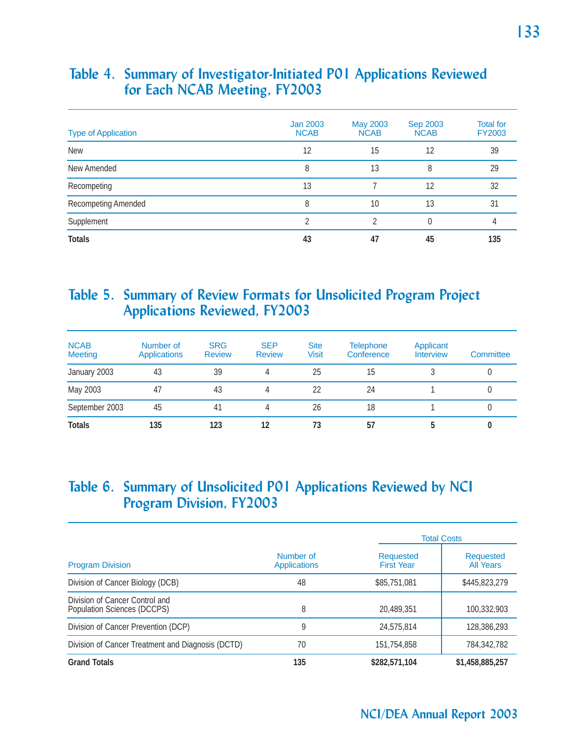## **Table 4. Summary of Investigator-Initiated P01 Applications Reviewed for Each NCAB Meeting, FY2003**

| <b>Type of Application</b> | <b>Jan 2003</b><br><b>NCAB</b> | <b>May 2003</b><br><b>NCAB</b> | Sep 2003<br><b>NCAB</b> | <b>Total for</b><br><b>FY2003</b> |
|----------------------------|--------------------------------|--------------------------------|-------------------------|-----------------------------------|
| <b>New</b>                 | 12                             | 15                             | 12                      | 39                                |
| New Amended                | 8                              | 13                             | 8                       | 29                                |
| Recompeting                | 13                             |                                | 12                      | 32                                |
| Recompeting Amended        | 8                              | 10                             | 13                      | 31                                |
| Supplement                 |                                |                                | 0                       |                                   |
| <b>Totals</b>              | 43                             | 47                             | 45                      | 135                               |

## **Table 5. Summary of Review Formats for Unsolicited Program Project Applications Reviewed, FY2003**

| <b>NCAB</b><br><b>Meeting</b> | Number of<br><b>Applications</b> | <b>SRG</b><br><b>Review</b> | <b>SEP</b><br><b>Review</b> | <b>Site</b><br>Visit | <b>Telephone</b><br>Conference | Applicant<br><b>Interview</b> | Committee |
|-------------------------------|----------------------------------|-----------------------------|-----------------------------|----------------------|--------------------------------|-------------------------------|-----------|
| January 2003                  | 43                               | 39                          | 4                           | 25                   | 15                             |                               | 0         |
| May 2003                      | 47                               | 43                          |                             | 22                   | 24                             |                               | 0         |
| September 2003                | 45                               | 41                          | 4                           | 26                   | 18                             |                               | 0         |
| <b>Totals</b>                 | 135                              | 123                         | 12                          | 73                   | 57                             | 5                             | 0         |

## **Table 6. Summary of Unsolicited P01 Applications Reviewed by NCI Program Division, FY2003**

|                                                                      |                                  | <b>Total Costs</b>             |                                      |  |
|----------------------------------------------------------------------|----------------------------------|--------------------------------|--------------------------------------|--|
| <b>Program Division</b>                                              | Number of<br><b>Applications</b> | Requested<br><b>First Year</b> | <b>Requested</b><br><b>All Years</b> |  |
| Division of Cancer Biology (DCB)                                     | 48                               | \$85,751,081                   | \$445,823,279                        |  |
| Division of Cancer Control and<br><b>Population Sciences (DCCPS)</b> | 8                                | 20,489,351                     | 100,332,903                          |  |
| Division of Cancer Prevention (DCP)                                  | 9                                | 24,575,814                     | 128,386,293                          |  |
| Division of Cancer Treatment and Diagnosis (DCTD)                    | 70                               | 151,754,858                    | 784,342,782                          |  |
| <b>Grand Totals</b>                                                  | 135                              | \$282,571,104                  | \$1,458,885,257                      |  |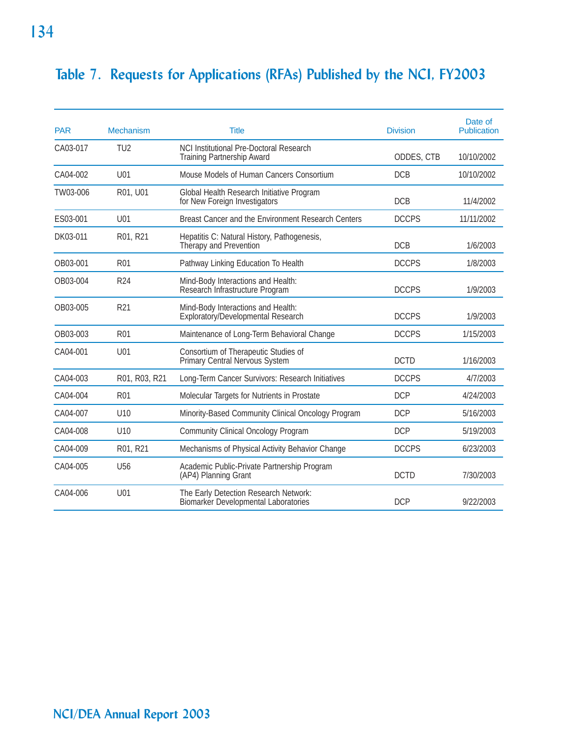# **Table 7. Requests for Applications (RFAs) Published by the NCI, FY2003**

| <b>PAR</b> | Mechanism       | <b>Title</b>                                                                  | <b>Division</b> | Date of<br><b>Publication</b> |
|------------|-----------------|-------------------------------------------------------------------------------|-----------------|-------------------------------|
| CA03-017   | TU <sub>2</sub> | NCI Institutional Pre-Doctoral Research<br><b>Training Partnership Award</b>  | ODDES, CTB      | 10/10/2002                    |
| CA04-002   | 1101            | Mouse Models of Human Cancers Consortium                                      | <b>DCB</b>      | 10/10/2002                    |
| TW03-006   | R01, U01        | Global Health Research Initiative Program<br>for New Foreign Investigators    | <b>DCB</b>      | 11/4/2002                     |
| ES03-001   | U01             | Breast Cancer and the Environment Research Centers                            | <b>DCCPS</b>    | 11/11/2002                    |
| DK03-011   | R01, R21        | Hepatitis C: Natural History, Pathogenesis,<br>Therapy and Prevention         | <b>DCB</b>      | 1/6/2003                      |
| OB03-001   | R <sub>01</sub> | Pathway Linking Education To Health                                           | <b>DCCPS</b>    | 1/8/2003                      |
| OB03-004   | R24             | Mind-Body Interactions and Health:<br>Research Infrastructure Program         | <b>DCCPS</b>    | 1/9/2003                      |
| OB03-005   | R21             | Mind-Body Interactions and Health:<br>Exploratory/Developmental Research      | <b>DCCPS</b>    | 1/9/2003                      |
| OB03-003   | <b>R01</b>      | Maintenance of Long-Term Behavioral Change                                    | <b>DCCPS</b>    | 1/15/2003                     |
| CA04-001   | U01             | Consortium of Therapeutic Studies of<br>Primary Central Nervous System        | <b>DCTD</b>     | 1/16/2003                     |
| CA04-003   | R01, R03, R21   | Long-Term Cancer Survivors: Research Initiatives                              | <b>DCCPS</b>    | 4/7/2003                      |
| CA04-004   | R <sub>01</sub> | Molecular Targets for Nutrients in Prostate                                   | <b>DCP</b>      | 4/24/2003                     |
| CA04-007   | U10             | Minority-Based Community Clinical Oncology Program                            | <b>DCP</b>      | 5/16/2003                     |
| CA04-008   | U10             | <b>Community Clinical Oncology Program</b>                                    | <b>DCP</b>      | 5/19/2003                     |
| CA04-009   | R01, R21        | Mechanisms of Physical Activity Behavior Change                               | <b>DCCPS</b>    | 6/23/2003                     |
| CA04-005   | U <sub>56</sub> | Academic Public-Private Partnership Program<br>(AP4) Planning Grant           | <b>DCTD</b>     | 7/30/2003                     |
| CA04-006   | U01             | The Early Detection Research Network:<br>Biomarker Developmental Laboratories | <b>DCP</b>      | 9/22/2003                     |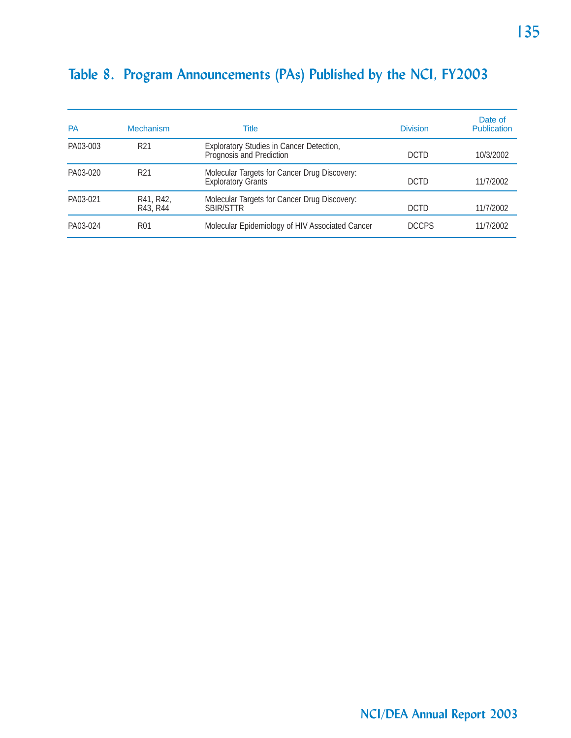| <b>PA</b> | <b>Mechanism</b>      | Title                                                                     | <b>Division</b> | Date of<br><b>Publication</b> |
|-----------|-----------------------|---------------------------------------------------------------------------|-----------------|-------------------------------|
| PA03-003  | R <sub>21</sub>       | Exploratory Studies in Cancer Detection,<br>Prognosis and Prediction      | <b>DCTD</b>     | 10/3/2002                     |
| PA03-020  | R <sub>21</sub>       | Molecular Targets for Cancer Drug Discovery:<br><b>Exploratory Grants</b> | <b>DCTD</b>     | 11/7/2002                     |
| PA03-021  | R41, R42,<br>R43, R44 | Molecular Targets for Cancer Drug Discovery:<br><b>SBIR/STTR</b>          | <b>DCTD</b>     | 11/7/2002                     |
| PA03-024  | R <sub>01</sub>       | Molecular Epidemiology of HIV Associated Cancer                           | <b>DCCPS</b>    | 11/7/2002                     |

# **Table 8. Program Announcements (PAs) Published by the NCI, FY2003**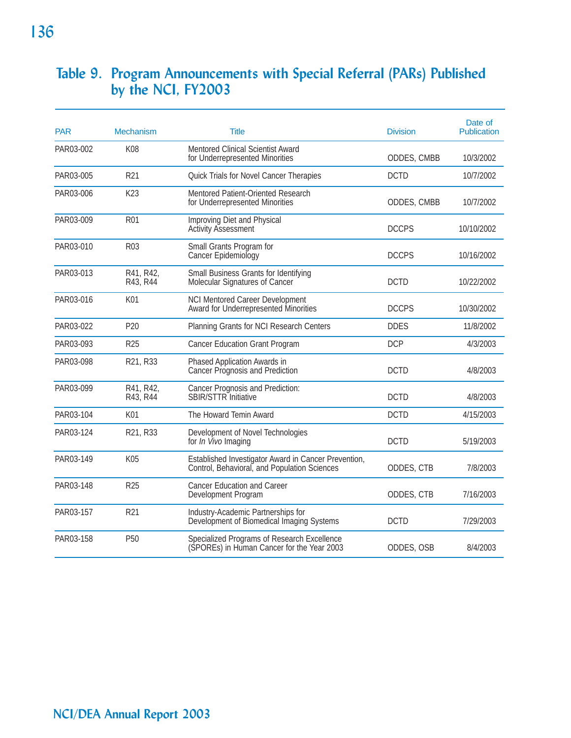## **Table 9. Program Announcements with Special Referral (PARs) Published by the NCI, FY2003**

| <b>PAR</b> | <b>Mechanism</b>      | <b>Title</b>                                                                                         | <b>Division</b> | Date of<br><b>Publication</b> |
|------------|-----------------------|------------------------------------------------------------------------------------------------------|-----------------|-------------------------------|
| PAR03-002  | K08                   | <b>Mentored Clinical Scientist Award</b><br>for Underrepresented Minorities                          | ODDES, CMBB     | 10/3/2002                     |
| PAR03-005  | R21                   | Quick Trials for Novel Cancer Therapies                                                              | <b>DCTD</b>     | 10/7/2002                     |
| PAR03-006  | K23                   | Mentored Patient-Oriented Research<br>for Underrepresented Minorities                                | ODDES, CMBB     | 10/7/2002                     |
| PAR03-009  | <b>R01</b>            | Improving Diet and Physical<br><b>Activity Assessment</b>                                            | <b>DCCPS</b>    | 10/10/2002                    |
| PAR03-010  | R <sub>0</sub> 3      | Small Grants Program for<br>Cancer Epidemiology                                                      | <b>DCCPS</b>    | 10/16/2002                    |
| PAR03-013  | R41, R42,<br>R43, R44 | Small Business Grants for Identifying<br>Molecular Signatures of Cancer                              | <b>DCTD</b>     | 10/22/2002                    |
| PAR03-016  | K01                   | <b>NCI Mentored Career Development</b><br>Award for Underrepresented Minorities                      | <b>DCCPS</b>    | 10/30/2002                    |
| PAR03-022  | P <sub>20</sub>       | Planning Grants for NCI Research Centers                                                             | <b>DDES</b>     | 11/8/2002                     |
| PAR03-093  | R <sub>25</sub>       | Cancer Education Grant Program                                                                       | <b>DCP</b>      | 4/3/2003                      |
| PAR03-098  | R21, R33              | Phased Application Awards in<br>Cancer Prognosis and Prediction                                      | <b>DCTD</b>     | 4/8/2003                      |
| PAR03-099  | R41, R42,<br>R43, R44 | Cancer Prognosis and Prediction:<br>SBIR/STTR Initiative                                             | <b>DCTD</b>     | 4/8/2003                      |
| PAR03-104  | K01                   | The Howard Temin Award                                                                               | <b>DCTD</b>     | 4/15/2003                     |
| PAR03-124  | R21, R33              | Development of Novel Technologies<br>for <i>In Vivo</i> Imaging                                      | <b>DCTD</b>     | 5/19/2003                     |
| PAR03-149  | K05                   | Established Investigator Award in Cancer Prevention,<br>Control, Behavioral, and Population Sciences | ODDES, CTB      | 7/8/2003                      |
| PAR03-148  | <b>R25</b>            | <b>Cancer Education and Career</b><br>Development Program                                            | ODDES, CTB      | 7/16/2003                     |
| PAR03-157  | R <sub>21</sub>       | Industry-Academic Partnerships for<br>Development of Biomedical Imaging Systems                      | <b>DCTD</b>     | 7/29/2003                     |
| PAR03-158  | P <sub>50</sub>       | Specialized Programs of Research Excellence<br>(SPOREs) in Human Cancer for the Year 2003            | ODDES, OSB      | 8/4/2003                      |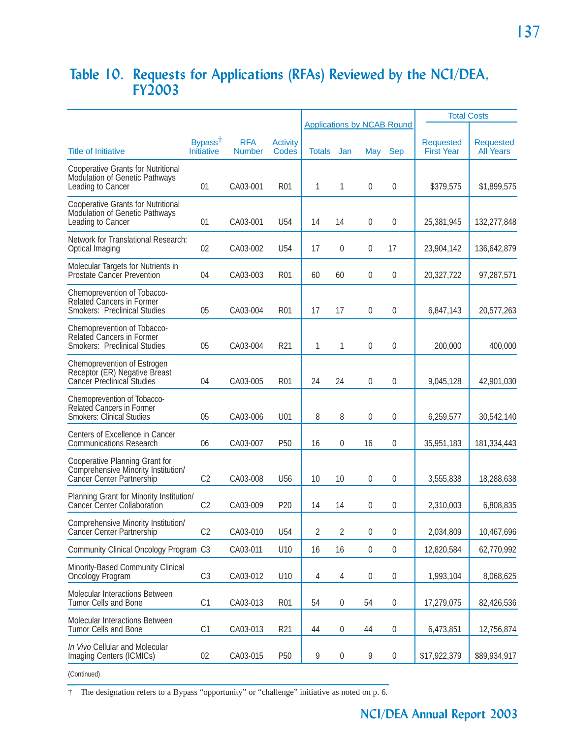## **Table 10. Requests for Applications (RFAs) Reviewed by the NCI/DEA, FY2003**

|                                                                                                    |                                   |                             |                          |               |                  |                                   |                  |                                       | <b>Total Costs</b>                   |
|----------------------------------------------------------------------------------------------------|-----------------------------------|-----------------------------|--------------------------|---------------|------------------|-----------------------------------|------------------|---------------------------------------|--------------------------------------|
|                                                                                                    |                                   |                             |                          |               |                  | <b>Applications by NCAB Round</b> |                  |                                       |                                      |
| <b>Title of Initiative</b>                                                                         | Bypass <sup>†</sup><br>Initiative | <b>RFA</b><br><b>Number</b> | <b>Activity</b><br>Codes | <b>Totals</b> | Jan              | May                               | <b>Sep</b>       | <b>Requested</b><br><b>First Year</b> | <b>Requested</b><br><b>All Years</b> |
| <b>Cooperative Grants for Nutritional</b><br>Modulation of Genetic Pathways<br>Leading to Cancer   | 01                                | CA03-001                    | <b>R01</b>               | 1             | 1                | 0                                 | 0                | \$379,575                             | \$1,899,575                          |
| <b>Cooperative Grants for Nutritional</b><br>Modulation of Genetic Pathways<br>Leading to Cancer   | 01                                | CA03-001                    | U <sub>54</sub>          | 14            | 14               | 0                                 | 0                | 25,381,945                            | 132,277,848                          |
| Network for Translational Research:<br>Optical Imaging                                             | 02                                | CA03-002                    | U <sub>54</sub>          | 17            | $\overline{0}$   | 0                                 | 17               | 23,904,142                            | 136,642,879                          |
| Molecular Targets for Nutrients in<br>Prostate Cancer Prevention                                   | 04                                | CA03-003                    | <b>R01</b>               | 60            | 60               | 0                                 | $\mathbf{0}$     | 20,327,722                            | 97,287,571                           |
| Chemoprevention of Tobacco-<br>Related Cancers in Former<br><b>Smokers: Preclinical Studies</b>    | 05                                | CA03-004                    | <b>R01</b>               | 17            | 17               | 0                                 | 0                | 6,847,143                             | 20,577,263                           |
| Chemoprevention of Tobacco-<br>Related Cancers in Former<br>Smokers: Preclinical Studies           | 05                                | CA03-004                    | R <sub>21</sub>          | 1             | 1                | 0                                 | 0                | 200,000                               | 400,000                              |
| Chemoprevention of Estrogen<br>Receptor (ER) Negative Breast<br><b>Cancer Preclinical Studies</b>  | 04                                | CA03-005                    | <b>R01</b>               | 24            | 24               | 0                                 | 0                | 9,045,128                             | 42,901,030                           |
| Chemoprevention of Tobacco-<br>Related Cancers in Former<br><b>Smokers: Clinical Studies</b>       | 05                                | CA03-006                    | U01                      | 8             | 8                | 0                                 | $\overline{0}$   | 6,259,577                             | 30,542,140                           |
| Centers of Excellence in Cancer<br><b>Communications Research</b>                                  | 06                                | CA03-007                    | P <sub>50</sub>          | 16            | 0                | 16                                | 0                | 35,951,183                            | 181,334,443                          |
| Cooperative Planning Grant for<br>Comprehensive Minority Institution/<br>Cancer Center Partnership | C2                                | CA03-008                    | U <sub>56</sub>          | 10            | 10               | 0                                 | 0                | 3,555,838                             | 18,288,638                           |
| Planning Grant for Minority Institution/<br>Cancer Center Collaboration                            | C <sub>2</sub>                    | CA03-009                    | P <sub>20</sub>          | 14            | 14               | 0                                 | 0                | 2,310,003                             | 6,808,835                            |
| Comprehensive Minority Institution/<br>Cancer Center Partnership                                   | C <sub>2</sub>                    | CA03-010                    | U54                      | 2             | 2                | 0                                 | $\overline{0}$   | 2,034,809                             | 10,467,696                           |
| Community Clinical Oncology Program C3                                                             |                                   | CA03-011                    | U10                      | 16            | 16               | 0                                 | $\boldsymbol{0}$ | 12,820,584                            | 62,770,992                           |
| Minority-Based Community Clinical<br>Oncology Program                                              | C3                                | CA03-012                    | U10                      | 4             | 4                | 0                                 | 0                | 1,993,104                             | 8,068,625                            |
| Molecular Interactions Between<br>Tumor Cells and Bone                                             | C1                                | CA03-013                    | <b>R01</b>               | 54            | $\boldsymbol{0}$ | 54                                | $\boldsymbol{0}$ | 17,279,075                            | 82,426,536                           |
| Molecular Interactions Between<br>Tumor Cells and Bone                                             | C1                                | CA03-013                    | R21                      | 44            | 0                | 44                                | 0                | 6,473,851                             | 12,756,874                           |
| In Vivo Cellular and Molecular<br>Imaging Centers (ICMICs)                                         | 02                                | CA03-015                    | P <sub>50</sub>          | 9             | $\boldsymbol{0}$ | 9                                 | $\boldsymbol{0}$ | \$17,922,379                          | \$89,934,917                         |
| (Continued)                                                                                        |                                   |                             |                          |               |                  |                                   |                  |                                       |                                      |

† The designation refers to a Bypass "opportunity" or "challenge" initiative as noted on p. 6.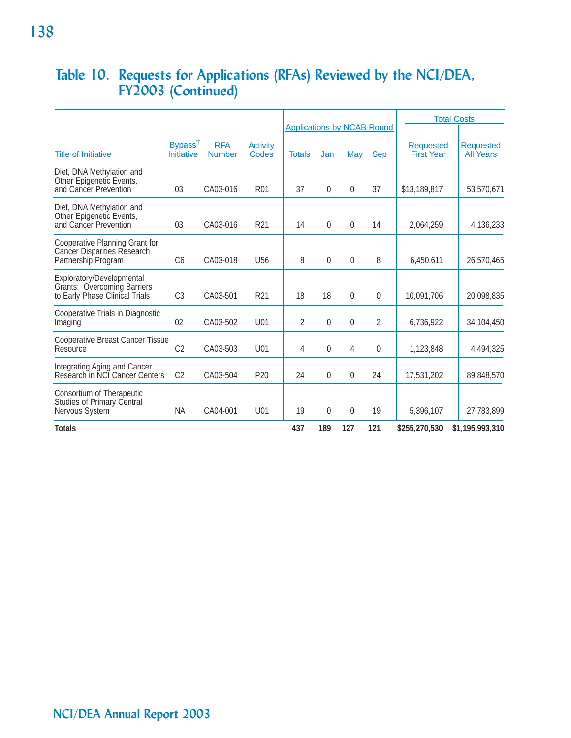|                                                                                            |                                          |                             |                          | <b>Applications by NCAB Round</b> |                |          |                | <b>Total Costs</b>                    |                                      |  |
|--------------------------------------------------------------------------------------------|------------------------------------------|-----------------------------|--------------------------|-----------------------------------|----------------|----------|----------------|---------------------------------------|--------------------------------------|--|
| <b>Title of Initiative</b>                                                                 | Bypass <sup>†</sup><br><b>Initiative</b> | <b>RFA</b><br><b>Number</b> | <b>Activity</b><br>Codes | <b>Totals</b>                     | Jan            | May      | <b>Sep</b>     | <b>Requested</b><br><b>First Year</b> | <b>Requested</b><br><b>All Years</b> |  |
| Diet, DNA Methylation and<br>Other Epigenetic Events,<br>and Cancer Prevention             | 03                                       | CA03-016                    | R <sub>01</sub>          | 37                                | $\theta$       | $\theta$ | 37             | \$13,189,817                          | 53,570,671                           |  |
| Diet, DNA Methylation and<br>Other Epigenetic Events,<br>and Cancer Prevention             | 03                                       | CA03-016                    | R21                      | 14                                | 0              | $\theta$ | 14             | 2,064,259                             | 4,136,233                            |  |
| Cooperative Planning Grant for<br>Cancer Disparities Research<br>Partnership Program       | C <sub>6</sub>                           | CA03-018                    | U <sub>56</sub>          | 8                                 | $\theta$       | $\theta$ | 8              | 6,450,611                             | 26,570,465                           |  |
| Exploratory/Developmental<br>Grants: Overcoming Barriers<br>to Early Phase Clinical Trials | C <sub>3</sub>                           | CA03-501                    | R <sub>21</sub>          | 18                                | 18             | $\theta$ | $\theta$       | 10,091,706                            | 20,098,835                           |  |
| Cooperative Trials in Diagnostic<br>Imaging                                                | 02                                       | CA03-502                    | U01                      | $\overline{2}$                    | $\theta$       | $\theta$ | $\overline{2}$ | 6,736,922                             | 34,104,450                           |  |
| Cooperative Breast Cancer Tissue<br>Resource                                               | C <sub>2</sub>                           | CA03-503                    | U01                      | 4                                 | $\theta$       | 4        | $\theta$       | 1,123,848                             | 4,494,325                            |  |
| Integrating Aging and Cancer<br>Research in NCI Cancer Centers                             | C <sub>2</sub>                           | CA03-504                    | P20                      | 24                                | 0              | 0        | 24             | 17,531,202                            | 89,848,570                           |  |
| Consortium of Therapeutic<br><b>Studies of Primary Central</b><br>Nervous System           | <b>NA</b>                                | CA04-001                    | U01                      | 19                                | $\overline{0}$ | 0        | 19             | 5,396,107                             | 27,783,899                           |  |
| <b>Totals</b>                                                                              |                                          |                             |                          | 437                               | 189            | 127      | 121            | \$255,270,530                         | \$1,195,993,310                      |  |

# **Table 10. Requests for Applications (RFAs) Reviewed by the NCI/DEA, FY2003 (Continued)**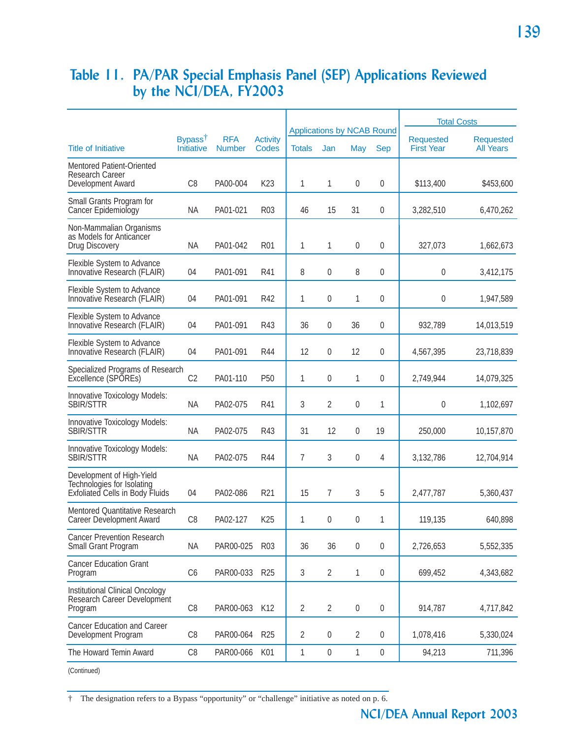## **Table 11. PA/PAR Special Emphasis Panel (SEP) Applications Reviewed by the NCI/DEA, FY2003**

|                                                                                            |                     |               |                 |                                   |                  |                  |                  | <b>Total Costs</b> |                  |
|--------------------------------------------------------------------------------------------|---------------------|---------------|-----------------|-----------------------------------|------------------|------------------|------------------|--------------------|------------------|
|                                                                                            | Bypass <sup>†</sup> | <b>RFA</b>    | <b>Activity</b> | <b>Applications by NCAB Round</b> |                  |                  |                  | <b>Requested</b>   | <b>Requested</b> |
| <b>Title of Initiative</b>                                                                 | <b>Initiative</b>   | <b>Number</b> | Codes           | <b>Totals</b>                     | Jan              | May              | <b>Sep</b>       | <b>First Year</b>  | <b>All Years</b> |
| <b>Mentored Patient-Oriented</b><br>Research Career<br>Development Award                   | C8                  | PA00-004      | K23             | 1                                 | 1                | 0                | $\theta$         | \$113,400          | \$453,600        |
| Small Grants Program for<br>Cancer Epidemiology                                            | <b>NA</b>           | PA01-021      | <b>R03</b>      | 46                                | 15               | 31               | 0                | 3,282,510          | 6,470,262        |
| Non-Mammalian Organisms<br>as Models for Anticancer<br>Drug Discovery                      | <b>NA</b>           | PA01-042      | <b>R01</b>      | 1                                 | 1                | 0                | $\theta$         | 327,073            | 1,662,673        |
| Flexible System to Advance<br>Innovative Research (FLAIR)                                  | 04                  | PA01-091      | R41             | 8                                 | $\theta$         | 8                | $\theta$         | $\overline{0}$     | 3,412,175        |
| Flexible System to Advance<br>Innovative Research (FLAIR)                                  | 04                  | PA01-091      | R42             | 1                                 | $\boldsymbol{0}$ | 1                | $\theta$         | $\overline{0}$     | 1,947,589        |
| Flexible System to Advance<br>Innovative Research (FLAIR)                                  | 04                  | PA01-091      | R43             | 36                                | 0                | 36               | $\boldsymbol{0}$ | 932,789            | 14,013,519       |
| Flexible System to Advance<br>Innovative Research (FLAIR)                                  | 04                  | PA01-091      | R44             | 12                                | $\theta$         | 12               | $\theta$         | 4,567,395          | 23,718,839       |
| Specialized Programs of Research<br>Excellence (SPOREs)                                    | C <sub>2</sub>      | PA01-110      | P <sub>50</sub> | 1                                 | 0                | 1                | 0                | 2,749,944          | 14,079,325       |
| Innovative Toxicology Models:<br><b>SBIR/STTR</b>                                          | <b>NA</b>           | PA02-075      | R41             | 3                                 | 2                | 0                | 1                | $\overline{0}$     | 1,102,697        |
| Innovative Toxicology Models:<br><b>SBIR/STTR</b>                                          | <b>NA</b>           | PA02-075      | R43             | 31                                | 12               | 0                | 19               | 250,000            | 10,157,870       |
| Innovative Toxicology Models:<br>SBIR/STTR                                                 | <b>NA</b>           | PA02-075      | R44             | 7                                 | 3                | 0                | 4                | 3,132,786          | 12,704,914       |
| Development of High-Yield<br>Technologies for Isolating<br>Exfoliated Cells in Body Fluids | 04                  | PA02-086      | R <sub>21</sub> | 15                                | 7                | 3                | 5                | 2,477,787          | 5,360,437        |
| Mentored Quantitative Research<br>Career Development Award                                 | C8                  | PA02-127      | K25             | 1                                 | 0                | 0                | 1                | 119,135            | 640,898          |
| <b>Cancer Prevention Research</b><br>Small Grant Program                                   | <b>NA</b>           | PAR00-025     | <b>R03</b>      | 36                                | 36               | $\boldsymbol{0}$ | $\boldsymbol{0}$ | 2,726,653          | 5,552,335        |
| <b>Cancer Education Grant</b><br>Program                                                   | C6                  | PAR00-033     | <b>R25</b>      | 3                                 | 2                | 1                | $\boldsymbol{0}$ | 699,452            | 4,343,682        |
| Institutional Clinical Oncology<br>Research Career Development<br>Program                  | $\mathbb{C}8$       | PAR00-063     | K12             | $\overline{2}$                    | 2                | $\boldsymbol{0}$ | $\mathbf 0$      | 914,787            | 4,717,842        |
| <b>Cancer Education and Career</b><br>Development Program                                  | C8                  | PAR00-064     | <b>R25</b>      | $\overline{2}$                    | $\mathbf 0$      | $\overline{2}$   | $\boldsymbol{0}$ | 1,078,416          | 5,330,024        |
| The Howard Temin Award                                                                     | C8                  | PAR00-066     | K01             | $\mathbf{1}$                      | $\boldsymbol{0}$ | 1                | $\boldsymbol{0}$ | 94,213             | 711,396          |
| (Continued)                                                                                |                     |               |                 |                                   |                  |                  |                  |                    |                  |

† The designation refers to a Bypass "opportunity" or "challenge" initiative as noted on p. 6.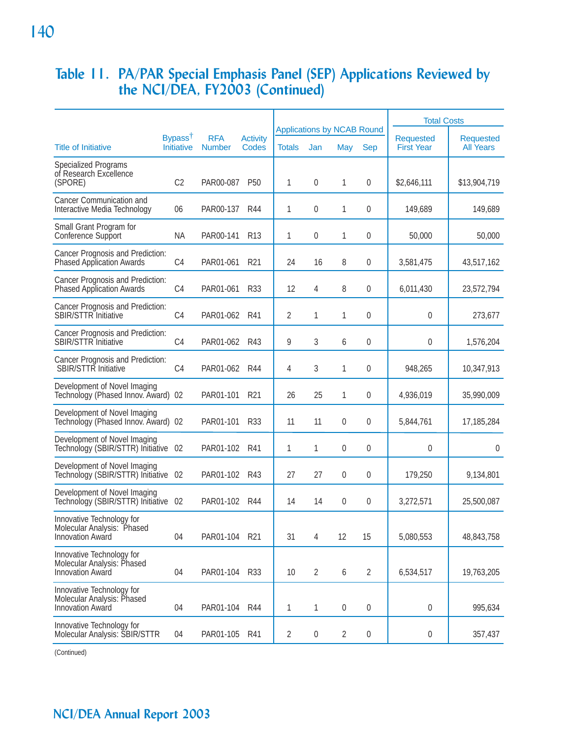|                                                                             |                                                 |                             |                          |                                                    |                |                  |                  | <b>Total Costs</b>                    |                                      |  |
|-----------------------------------------------------------------------------|-------------------------------------------------|-----------------------------|--------------------------|----------------------------------------------------|----------------|------------------|------------------|---------------------------------------|--------------------------------------|--|
| <b>Title of Initiative</b>                                                  | <b>Bypass</b> <sup>†</sup><br><b>Initiative</b> | <b>RFA</b><br><b>Number</b> | <b>Activity</b><br>Codes | <b>Applications by NCAB Round</b><br><b>Totals</b> | Jan            | May              | <b>Sep</b>       | <b>Requested</b><br><b>First Year</b> | <b>Requested</b><br><b>All Years</b> |  |
| <b>Specialized Programs</b><br>of Research Excellence<br>(SPORE)            | C <sub>2</sub>                                  | PAR00-087                   | P <sub>50</sub>          | 1                                                  | $\overline{0}$ | 1                | $\mathbf 0$      | \$2,646,111                           | \$13,904,719                         |  |
| Cancer Communication and<br>Interactive Media Technology                    | 06                                              | PAR00-137                   | <b>R44</b>               | 1                                                  | $\overline{0}$ | 1                | 0                | 149,689                               | 149,689                              |  |
| Small Grant Program for<br>Conference Support                               | <b>NA</b>                                       | PAR00-141                   | <b>R13</b>               | 1                                                  | 0              | 1                | 0                | 50,000                                | 50,000                               |  |
| Cancer Prognosis and Prediction:<br><b>Phased Application Awards</b>        | C <sub>4</sub>                                  | PAR01-061                   | R <sub>21</sub>          | 24                                                 | 16             | 8                | 0                | 3,581,475                             | 43,517,162                           |  |
| Cancer Prognosis and Prediction:<br><b>Phased Application Awards</b>        | C <sub>4</sub>                                  | PAR01-061                   | <b>R33</b>               | 12                                                 | 4              | 8                | 0                | 6,011,430                             | 23,572,794                           |  |
| Cancer Prognosis and Prediction:<br>SBIR/STTR Initiative                    | C <sub>4</sub>                                  | PAR01-062                   | R41                      | $\overline{2}$                                     | 1              | 1                | 0                | 0                                     | 273,677                              |  |
| Cancer Prognosis and Prediction:<br>SBIR/STTR Initiative                    | C <sub>4</sub>                                  | PAR01-062                   | <b>R43</b>               | 9                                                  | 3              | 6                | 0                | 0                                     | 1,576,204                            |  |
| Cancer Prognosis and Prediction:<br>SBIR/STTR Initiative                    | C <sub>4</sub>                                  | PAR01-062                   | <b>R44</b>               | 4                                                  | 3              | 1                | 0                | 948,265                               | 10,347,913                           |  |
| Development of Novel Imaging<br>Technology (Phased Innov. Award) 02         |                                                 | PAR01-101                   | R <sub>21</sub>          | 26                                                 | 25             | 1                | 0                | 4,936,019                             | 35,990,009                           |  |
| Development of Novel Imaging<br>Technology (Phased Innov. Award) 02         |                                                 | PAR01-101                   | <b>R33</b>               | 11                                                 | 11             | 0                | 0                | 5,844,761                             | 17,185,284                           |  |
| Development of Novel Imaging<br>Technology (SBIR/STTR) Initiative 02        |                                                 | PAR01-102                   | R41                      | 1                                                  | 1              | 0                | 0                | 0                                     | $\boldsymbol{0}$                     |  |
| Development of Novel Imaging<br>Technology (SBIR/STTR) Initiative 02        |                                                 | PAR01-102                   | <b>R43</b>               | 27                                                 | 27             | 0                | 0                | 179,250                               | 9,134,801                            |  |
| Development of Novel Imaging<br>Technology (SBIR/STTR) Initiative 02        |                                                 | PAR01-102                   | <b>R44</b>               | 14                                                 | 14             | 0                | 0                | 3,272,571                             | 25,500,087                           |  |
| Innovative Technology for<br>Molecular Analysis: Phased<br>Innovation Award | 04                                              | PAR01-104                   | R21                      | 31                                                 | 4              | 12               | 15               | 5,080,553                             | 48,843,758                           |  |
| Innovative Technology for<br>Molecular Analysis: Phased<br>Innovation Award | 04                                              | PAR01-104                   | <b>R33</b>               | 10                                                 | $\overline{2}$ | 6                | $\overline{2}$   | 6,534,517                             | 19,763,205                           |  |
| Innovative Technology for<br>Molecular Analysis: Phased<br>Innovation Award | 04                                              | PAR01-104                   | R44                      | 1                                                  | 1              | $\boldsymbol{0}$ | $\boldsymbol{0}$ | $\boldsymbol{0}$                      | 995,634                              |  |
| Innovative Technology for<br>Molecular Analysis: SBIR/STTR                  | 04                                              | PAR01-105                   | R41                      | 2                                                  | 0              | 2                | 0                | 0                                     | 357,437                              |  |
|                                                                             |                                                 |                             |                          |                                                    |                |                  |                  |                                       |                                      |  |

# **Table 11. PA/PAR Special Emphasis Panel (SEP) Applications Reviewed by the NCI/DEA, FY2003 (Continued)**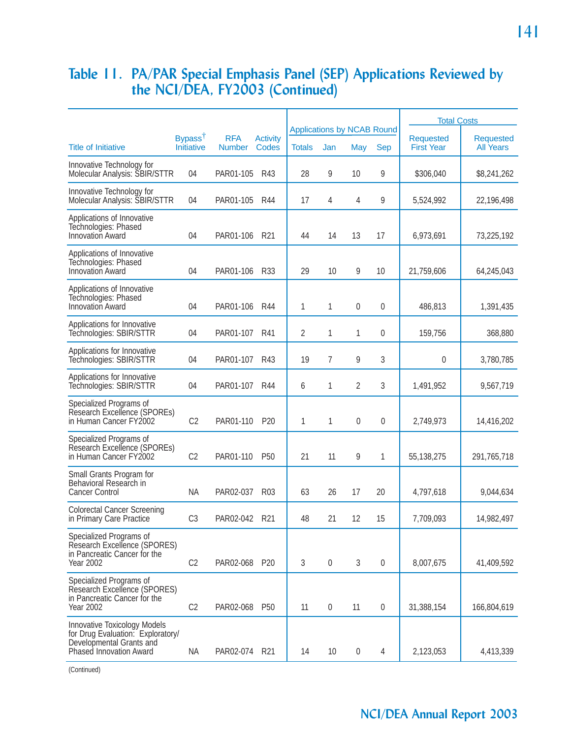# **Table 11. PA/PAR Special Emphasis Panel (SEP) Applications Reviewed by the NCI/DEA, FY2003 (Continued)**

|                                                                                                                          |                                   |                             |                          | <b>Applications by NCAB Round</b> |                  |                  |            | <b>Total Costs</b>                    |                                      |
|--------------------------------------------------------------------------------------------------------------------------|-----------------------------------|-----------------------------|--------------------------|-----------------------------------|------------------|------------------|------------|---------------------------------------|--------------------------------------|
| <b>Title of Initiative</b>                                                                                               | Bypass <sup>†</sup><br>Initiative | <b>RFA</b><br><b>Number</b> | <b>Activity</b><br>Codes | <b>Totals</b>                     | Jan              | May              | <b>Sep</b> | <b>Requested</b><br><b>First Year</b> | <b>Requested</b><br><b>All Years</b> |
| Innovative Technology for<br>Molecular Analysis: SBIR/STTR                                                               | 04                                | PAR01-105                   | R43                      | 28                                | 9                | 10               | 9          | \$306,040                             | \$8,241,262                          |
| Innovative Technology for<br>Molecular Analysis: SBIR/STTR                                                               | 04                                | PAR01-105                   | <b>R44</b>               | 17                                | 4                | 4                | 9          | 5,524,992                             | 22,196,498                           |
| Applications of Innovative<br>Technologies: Phased<br>Innovation Award                                                   | 04                                | PAR01-106                   | R <sub>21</sub>          | 44                                | 14               | 13               | 17         | 6,973,691                             | 73,225,192                           |
| Applications of Innovative<br>Technologies: Phased<br>Innovation Award                                                   | 04                                | PAR01-106                   | <b>R33</b>               | 29                                | 10               | 9                | 10         | 21,759,606                            | 64,245,043                           |
| Applications of Innovative<br>Technologies: Phased<br>Innovation Award                                                   | 04                                | PAR01-106                   | R44                      | 1                                 | 1                | 0                | 0          | 486,813                               | 1,391,435                            |
| Applications for Innovative<br>Technologies: SBIR/STTR                                                                   | 04                                | PAR01-107                   | R41                      | 2                                 | 1                | 1                | $\theta$   | 159,756                               | 368,880                              |
| Applications for Innovative<br>Technologies: SBIR/STTR                                                                   | 04                                | PAR01-107                   | R43                      | 19                                | 7                | 9                | 3          | $\theta$                              | 3,780,785                            |
| Applications for Innovative<br>Technologies: SBIR/STTR                                                                   | 04                                | PAR01-107                   | <b>R44</b>               | 6                                 | 1                | 2                | 3          | 1,491,952                             | 9,567,719                            |
| Specialized Programs of<br>Research Excellence (SPOREs)<br>in Human Cancer FY2002                                        | C <sub>2</sub>                    | PAR01-110                   | P <sub>20</sub>          | 1                                 | 1                | 0                | 0          | 2,749,973                             | 14,416,202                           |
| Specialized Programs of<br>Research Excellence (SPOREs)<br>in Human Cancer FY2002                                        | C <sub>2</sub>                    | PAR01-110                   | P <sub>50</sub>          | 21                                | 11               | 9                | 1          | 55,138,275                            | 291,765,718                          |
| Small Grants Program for<br>Behavioral Research in<br><b>Cancer Control</b>                                              | <b>NA</b>                         | PAR02-037                   | <b>R03</b>               | 63                                | 26               | 17               | 20         | 4,797,618                             | 9,044,634                            |
| <b>Colorectal Cancer Screening</b><br>in Primary Care Practice                                                           | C3                                | PAR02-042                   | R <sub>21</sub>          | 48                                | 21               | 12               | 15         | 7,709,093                             | 14,982,497                           |
| Specialized Programs of<br>Research Excellence (SPORES)<br>in Pancreatic Cancer for the<br>Year 2002                     | C <sub>2</sub>                    | PAR02-068                   | P <sub>20</sub>          | 3                                 | $\mathbf 0$      | 3                | 0          | 8,007,675                             | 41,409,592                           |
| Specialized Programs of<br>Research Excellence (SPORES)<br>in Pancreatic Cancer for the<br>Year 2002                     | C <sub>2</sub>                    | PAR02-068 P50               |                          | 11                                | $\boldsymbol{0}$ | 11               | 0          | 31,388,154                            | 166,804,619                          |
| Innovative Toxicology Models<br>for Drug Evaluation: Exploratory/<br>Developmental Grants and<br>Phased Innovation Award | <b>NA</b>                         | PAR02-074                   | R <sub>21</sub>          | 14                                | 10               | $\boldsymbol{0}$ | 4          | 2,123,053                             | 4,413,339                            |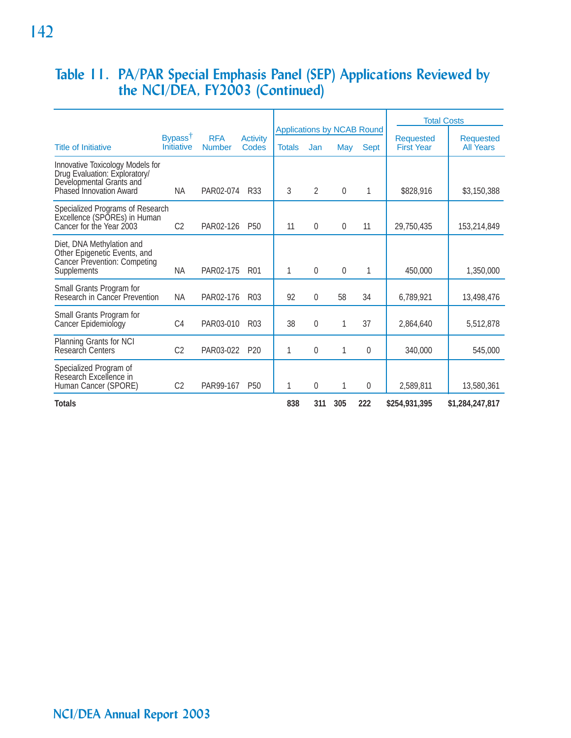# **Table 11. PA/PAR Special Emphasis Panel (SEP) Applications Reviewed by the NCI/DEA, FY2003 (Continued)**

|                                                                                                                          |                     |               |                  |               |                |             |                                   | <b>Total Costs</b> |                  |
|--------------------------------------------------------------------------------------------------------------------------|---------------------|---------------|------------------|---------------|----------------|-------------|-----------------------------------|--------------------|------------------|
|                                                                                                                          | Bypass <sup>†</sup> | <b>RFA</b>    | <b>Activity</b>  |               |                |             | <b>Applications by NCAB Round</b> | <b>Requested</b>   | <b>Requested</b> |
| <b>Title of Initiative</b>                                                                                               | <b>Initiative</b>   | <b>Number</b> | Codes            | <b>Totals</b> | Jan            | May         | <b>Sept</b>                       | <b>First Year</b>  | <b>All Years</b> |
| Innovative Toxicology Models for<br>Drug Evaluation: Exploratory/<br>Developmental Grants and<br>Phased Innovation Award | <b>NA</b>           | PAR02-074     | R33              | 3             | 2              | $\mathbf 0$ | 1                                 | \$828,916          | \$3,150,388      |
| Specialized Programs of Research<br>Excellence (SPOREs) in Human                                                         |                     |               |                  |               |                |             |                                   |                    |                  |
| Cancer for the Year 2003                                                                                                 | C <sub>2</sub>      | PAR02-126     | P <sub>50</sub>  | 11            | $\Omega$       | $\Omega$    | 11                                | 29,750,435         | 153,214,849      |
| Diet, DNA Methylation and<br>Other Epigenetic Events, and<br>Cancer Prevention: Competing<br>Supplements                 | <b>NA</b>           | PAR02-175     | R <sub>01</sub>  | 1             | $\Omega$       | $\Omega$    | 1                                 | 450,000            | 1,350,000        |
| Small Grants Program for<br>Research in Cancer Prevention                                                                | <b>NA</b>           | PAR02-176     | R <sub>0</sub> 3 | 92            | $\Omega$       | 58          | 34                                | 6,789,921          | 13,498,476       |
| Small Grants Program for<br>Cancer Epidemiology                                                                          | C <sub>4</sub>      | PAR03-010     | R <sub>0</sub> 3 | 38            | $\theta$       | 1           | 37                                | 2,864,640          | 5,512,878        |
| Planning Grants for NCI<br>Research Centers                                                                              | C <sub>2</sub>      | PAR03-022     | P <sub>20</sub>  | 1             | $\overline{0}$ | 1           | 0                                 | 340,000            | 545,000          |
| Specialized Program of<br>Research Excellence in<br>Human Cancer (SPORE)                                                 | C <sub>2</sub>      | PAR99-167     | P <sub>50</sub>  | 1             | 0              | 1           | 0                                 | 2,589,811          | 13,580,361       |
| <b>Totals</b>                                                                                                            |                     |               |                  | 838           | 311            | 305         | 222                               | \$254,931,395      | \$1,284,247,817  |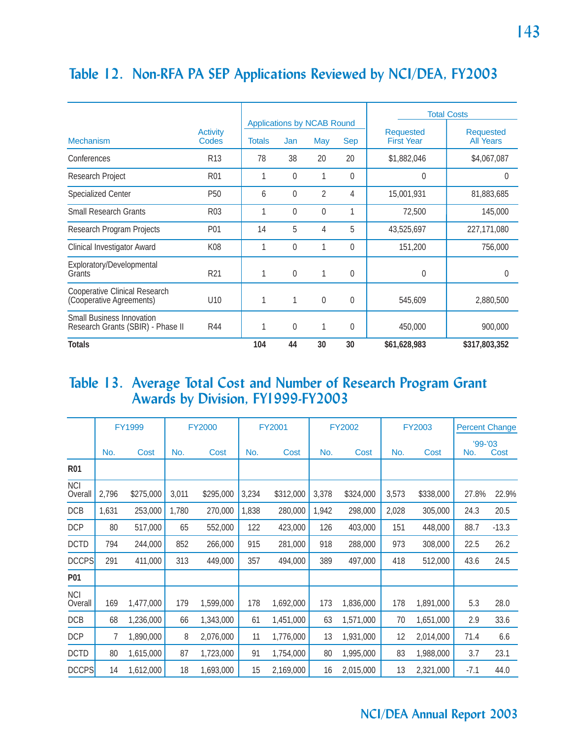|                                                                       |                 |               |          |                                   |          |                   | <b>Total Costs</b> |
|-----------------------------------------------------------------------|-----------------|---------------|----------|-----------------------------------|----------|-------------------|--------------------|
|                                                                       | Activity        |               |          | <b>Applications by NCAB Round</b> |          | <b>Requested</b>  | <b>Requested</b>   |
| <b>Mechanism</b>                                                      | Codes           | <b>Totals</b> | Jan      | May                               | Sep      | <b>First Year</b> | <b>All Years</b>   |
| Conferences                                                           | R <sub>13</sub> | 78            | 38       | 20                                | 20       | \$1,882,046       | \$4,067,087        |
| Research Project                                                      | R <sub>01</sub> | 1             | $\theta$ | 1                                 | $\theta$ | $\theta$          | $\theta$           |
| <b>Specialized Center</b>                                             | P <sub>50</sub> | 6             | $\theta$ | $\overline{2}$                    | 4        | 15,001,931        | 81,883,685         |
| Small Research Grants                                                 | R <sub>03</sub> | 1             | $\Omega$ | $\Omega$                          | 1        | 72,500            | 145,000            |
| Research Program Projects                                             | P01             | 14            | 5        | 4                                 | 5        | 43,525,697        | 227,171,080        |
| Clinical Investigator Award                                           | K08             | 1             | $\theta$ | 1                                 | $\theta$ | 151,200           | 756,000            |
| Exploratory/Developmental<br>Grants                                   | R <sub>21</sub> | 1             | $\Omega$ | 1                                 | $\theta$ | 0                 | $\theta$           |
|                                                                       |                 |               |          |                                   |          |                   |                    |
| Cooperative Clinical Research<br>(Cooperative Agreements)             | U <sub>10</sub> | 1             | 1        | $\overline{0}$                    | $\theta$ | 545,609           | 2,880,500          |
| <b>Small Business Innovation</b><br>Research Grants (SBIR) - Phase II | R44             | 1             | $\Omega$ | 1                                 | $\theta$ | 450,000           | 900,000            |
| <b>Totals</b>                                                         |                 | 104           | 44       | 30                                | 30       | \$61,628,983      | \$317,803,352      |

# **Table 12. Non-RFA PA SEP Applications Reviewed by NCI/DEA, FY2003**

## **Table 13. Average Total Cost and Number of Research Program Grant Awards by Division, FY1999-FY2003**

|                       |       | FY1999    |       | <b>FY2000</b> |       | <b>FY2001</b> |       | <b>FY2002</b> |       | FY2003    | <b>Percent Change</b> |         |
|-----------------------|-------|-----------|-------|---------------|-------|---------------|-------|---------------|-------|-----------|-----------------------|---------|
|                       | No.   | Cost      | No.   | Cost          | No.   | Cost          | No.   | Cost          | No.   | Cost      | $'99-'03$<br>No.      | Cost    |
| <b>R01</b>            |       |           |       |               |       |               |       |               |       |           |                       |         |
| <b>NCI</b><br>Overall | 2,796 | \$275,000 | 3,011 | \$295,000     | 3,234 | \$312,000     | 3,378 | \$324,000     | 3,573 | \$338,000 | 27.8%                 | 22.9%   |
| DCB                   | 1,631 | 253,000   | 1,780 | 270,000       | 1,838 | 280,000       | 1,942 | 298,000       | 2,028 | 305,000   | 24.3                  | 20.5    |
| <b>DCP</b>            | 80    | 517,000   | 65    | 552,000       | 122   | 423,000       | 126   | 403,000       | 151   | 448,000   | 88.7                  | $-13.3$ |
| <b>DCTD</b>           | 794   | 244,000   | 852   | 266,000       | 915   | 281,000       | 918   | 288,000       | 973   | 308,000   | 22.5                  | 26.2    |
| <b>DCCPS</b>          | 291   | 411,000   | 313   | 449,000       | 357   | 494,000       | 389   | 497,000       | 418   | 512,000   | 43.6                  | 24.5    |
| P01                   |       |           |       |               |       |               |       |               |       |           |                       |         |
| <b>NCI</b><br>Overall | 169   | 1,477,000 | 179   | 1,599,000     | 178   | 1,692,000     | 173   | 1,836,000     | 178   | 1,891,000 | 5.3                   | 28.0    |
| DCB                   | 68    | 1,236,000 | 66    | 1,343,000     | 61    | 1,451,000     | 63    | 1,571,000     | 70    | 1,651,000 | 2.9                   | 33.6    |
| <b>DCP</b>            | 7     | 1,890,000 | 8     | 2,076,000     | 11    | 1,776,000     | 13    | 1,931,000     | 12    | 2,014,000 | 71.4                  | 6.6     |
| <b>DCTD</b>           | 80    | 1,615,000 | 87    | 1,723,000     | 91    | 1,754,000     | 80    | 1,995,000     | 83    | 1,988,000 | 3.7                   | 23.1    |
| <b>DCCPS</b>          | 14    | 1,612,000 | 18    | 1,693,000     | 15    | 2,169,000     | 16    | 2,015,000     | 13    | 2,321,000 | $-7.1$                | 44.0    |

#### **NCI/DEA Annual Report 2003**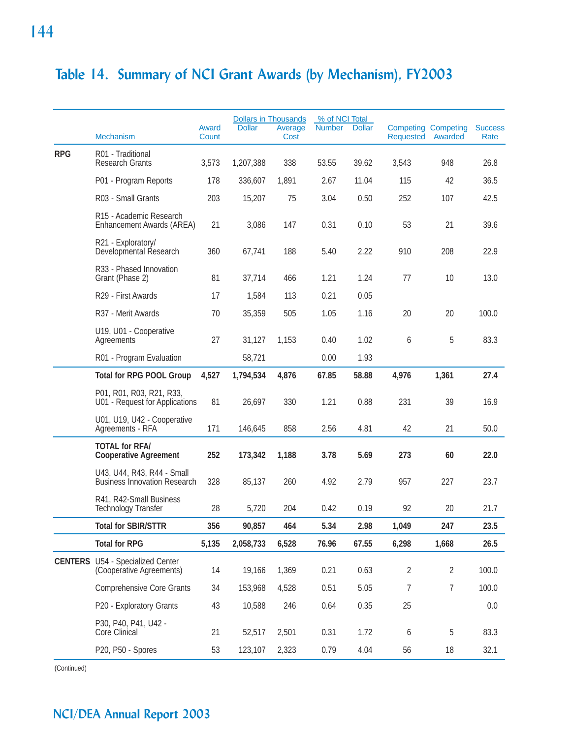# **Table 14. Summary of NCI Grant Awards (by Mechanism), FY2003**

|            |                                                                     | Award | <b>Dollars in Thousands</b><br><b>Dollar</b> | Average | % of NCI Total<br><b>Number</b> | <b>Dollar</b> |                  | <b>Competing Competing</b> | <b>Success</b> |
|------------|---------------------------------------------------------------------|-------|----------------------------------------------|---------|---------------------------------|---------------|------------------|----------------------------|----------------|
|            | <b>Mechanism</b>                                                    | Count |                                              | Cost    |                                 |               | <b>Requested</b> | Awarded                    | Rate           |
| <b>RPG</b> | R01 - Traditional<br><b>Research Grants</b>                         | 3,573 | 1,207,388                                    | 338     | 53.55                           | 39.62         | 3,543            | 948                        | 26.8           |
|            | P01 - Program Reports                                               | 178   | 336,607                                      | 1,891   | 2.67                            | 11.04         | 115              | 42                         | 36.5           |
|            | R03 - Small Grants                                                  | 203   | 15,207                                       | 75      | 3.04                            | 0.50          | 252              | 107                        | 42.5           |
|            | R15 - Academic Research<br>Enhancement Awards (AREA)                | 21    | 3,086                                        | 147     | 0.31                            | 0.10          | 53               | 21                         | 39.6           |
|            | R21 - Exploratory/<br>Developmental Research                        | 360   | 67,741                                       | 188     | 5.40                            | 2.22          | 910              | 208                        | 22.9           |
|            | R33 - Phased Innovation<br>Grant (Phase 2)                          | 81    | 37,714                                       | 466     | 1.21                            | 1.24          | 77               | 10                         | 13.0           |
|            | R29 - First Awards                                                  | 17    | 1,584                                        | 113     | 0.21                            | 0.05          |                  |                            |                |
|            | R37 - Merit Awards                                                  | 70    | 35,359                                       | 505     | 1.05                            | 1.16          | 20               | 20                         | 100.0          |
|            | U19, U01 - Cooperative<br>Agreements                                | 27    | 31,127                                       | 1,153   | 0.40                            | 1.02          | 6                | 5                          | 83.3           |
|            | R01 - Program Evaluation                                            |       | 58,721                                       |         | 0.00                            | 1.93          |                  |                            |                |
|            | <b>Total for RPG POOL Group</b>                                     | 4,527 | 1,794,534                                    | 4,876   | 67.85                           | 58.88         | 4,976            | 1,361                      | 27.4           |
|            | P01, R01, R03, R21, R33,<br>U01 - Request for Applications          | 81    | 26,697                                       | 330     | 1.21                            | 0.88          | 231              | 39                         | 16.9           |
|            | U01, U19, U42 - Cooperative<br>Agreements - RFA                     | 171   | 146,645                                      | 858     | 2.56                            | 4.81          | 42               | 21                         | 50.0           |
|            | <b>TOTAL for RFA/</b><br><b>Cooperative Agreement</b>               | 252   | 173,342                                      | 1,188   | 3.78                            | 5.69          | 273              | 60                         | 22.0           |
|            | U43, U44, R43, R44 - Small<br><b>Business Innovation Research</b>   | 328   | 85,137                                       | 260     | 4.92                            | 2.79          | 957              | 227                        | 23.7           |
|            | R41, R42-Small Business<br>Technology Transfer                      | 28    | 5,720                                        | 204     | 0.42                            | 0.19          | 92               | 20                         | 21.7           |
|            | <b>Total for SBIR/STTR</b>                                          | 356   | 90,857                                       | 464     | 5.34                            | 2.98          | 1,049            | 247                        | 23.5           |
|            | <b>Total for RPG</b>                                                | 5,135 | 2,058,733                                    | 6,528   | 76.96                           | 67.55         | 6,298            | 1,668                      | 26.5           |
|            | <b>CENTERS</b> U54 - Specialized Center<br>(Cooperative Agreements) | 14    | 19,166                                       | 1,369   | 0.21                            | 0.63          | $\overline{2}$   | 2                          | 100.0          |
|            | <b>Comprehensive Core Grants</b>                                    | 34    | 153,968                                      | 4,528   | 0.51                            | 5.05          | 7                | 7                          | 100.0          |
|            | P20 - Exploratory Grants                                            | 43    | 10,588                                       | 246     | 0.64                            | 0.35          | 25               |                            | $0.0\,$        |
|            | P30, P40, P41, U42 -<br>Core Clinical                               | 21    | 52,517                                       | 2,501   | 0.31                            | 1.72          | 6                | 5                          | 83.3           |
|            | P20, P50 - Spores                                                   | 53    | 123,107                                      | 2,323   | 0.79                            | 4.04          | 56               | 18                         | 32.1           |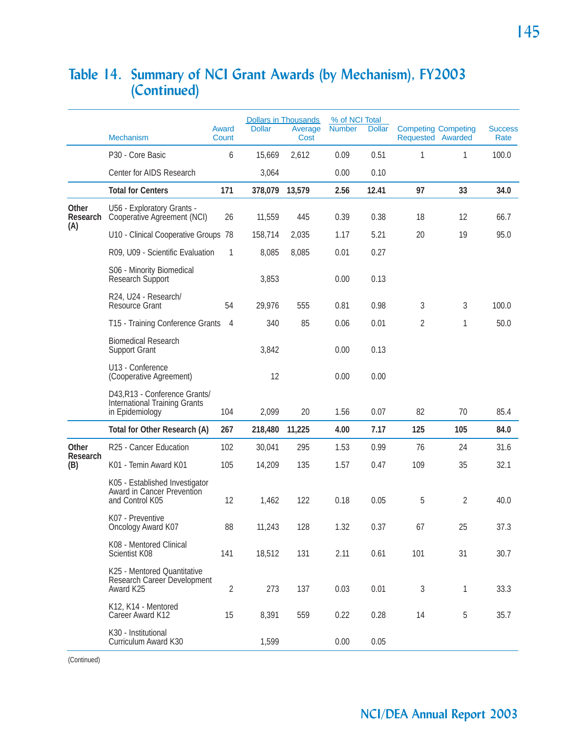|                   |                                                                                          |                |               | <b>Dollars in Thousands</b> | % of NCI Total |               |                                                 |                |                        |
|-------------------|------------------------------------------------------------------------------------------|----------------|---------------|-----------------------------|----------------|---------------|-------------------------------------------------|----------------|------------------------|
|                   | Mechanism                                                                                | Award<br>Count | <b>Dollar</b> | Average<br>Cost             | <b>Number</b>  | <b>Dollar</b> | <b>Competing Competing</b><br>Requested Awarded |                | <b>Success</b><br>Rate |
|                   | P30 - Core Basic                                                                         | 6              | 15,669        | 2,612                       | 0.09           | 0.51          | 1                                               | 1              | 100.0                  |
|                   | Center for AIDS Research                                                                 |                | 3,064         |                             | 0.00           | 0.10          |                                                 |                |                        |
|                   | <b>Total for Centers</b>                                                                 | 171            | 378,079       | 13,579                      | 2.56           | 12.41         | 97                                              | 33             | 34.0                   |
| Other<br>Research | U56 - Exploratory Grants -<br>Cooperative Agreement (NCI)                                | 26             | 11,559        | 445                         | 0.39           | 0.38          | 18                                              | 12             | 66.7                   |
| (A)               | U10 - Clinical Cooperative Groups 78                                                     |                | 158,714       | 2,035                       | 1.17           | 5.21          | 20                                              | 19             | 95.0                   |
|                   | R09, U09 - Scientific Evaluation                                                         | 1              | 8,085         | 8,085                       | 0.01           | 0.27          |                                                 |                |                        |
|                   | S06 - Minority Biomedical<br>Research Support                                            |                | 3,853         |                             | 0.00           | 0.13          |                                                 |                |                        |
|                   | R24, U24 - Research/<br><b>Resource Grant</b>                                            | 54             | 29,976        | 555                         | 0.81           | 0.98          | 3                                               | 3              | 100.0                  |
|                   | T15 - Training Conference Grants                                                         | $\overline{4}$ | 340           | 85                          | 0.06           | 0.01          | 2                                               | 1              | 50.0                   |
|                   | <b>Biomedical Research</b><br>Support Grant                                              | 3,842          |               | 0.00                        | 0.13           |               |                                                 |                |                        |
|                   | U13 - Conference<br>(Cooperative Agreement)                                              |                | 12            |                             | 0.00           | 0.00          |                                                 |                |                        |
|                   | D43, R13 - Conference Grants/<br><b>International Training Grants</b><br>in Epidemiology | 104            | 2,099         | 20                          | 1.56           | 0.07          | 82                                              | 70             | 85.4                   |
|                   | Total for Other Research (A)                                                             | 267            | 218,480       | 11,225                      | 4.00           | 7.17          | 125                                             | 105            | 84.0                   |
| Other             | R25 - Cancer Education                                                                   | 102            | 30,041        | 295                         | 1.53           | 0.99          | 76                                              | 24             | 31.6                   |
| Research<br>(B)   | K01 - Temin Award K01                                                                    | 105            | 14,209        | 135                         | 1.57           | 0.47          | 109                                             | 35             | 32.1                   |
|                   | K05 - Established Investigator<br>Award in Cancer Prevention<br>and Control K05          | 12             | 1,462         | 122                         | 0.18           | 0.05          | 5                                               | $\overline{2}$ | 40.0                   |
|                   | K07 - Preventive<br>Oncology Award K07                                                   | 88             | 11,243        | 128                         | 1.32           | 0.37          | 67                                              | 25             | 37.3                   |
|                   | K08 - Mentored Clinical<br>Scientist K08                                                 | 141            | 18,512        | 131                         | 2.11           | 0.61          | 101                                             | 31             | 30.7                   |
|                   | K25 - Mentored Quantitative<br>Research Career Development<br>Award K25                  | $\overline{2}$ | 273           | 137                         | 0.03           | 0.01          | 3                                               | 1              | 33.3                   |
|                   | K12, K14 - Mentored<br>Career Award K12                                                  | 15             | 8,391         | 559                         | 0.22           | 0.28          | 14                                              | 5              | 35.7                   |
|                   | K30 - Institutional<br>Curriculum Award K30                                              |                | 1,599         |                             | 0.00           | 0.05          |                                                 |                |                        |

#### **Table 14. Summary of NCI Grant Awards (by Mechanism), FY2003 (Continued)**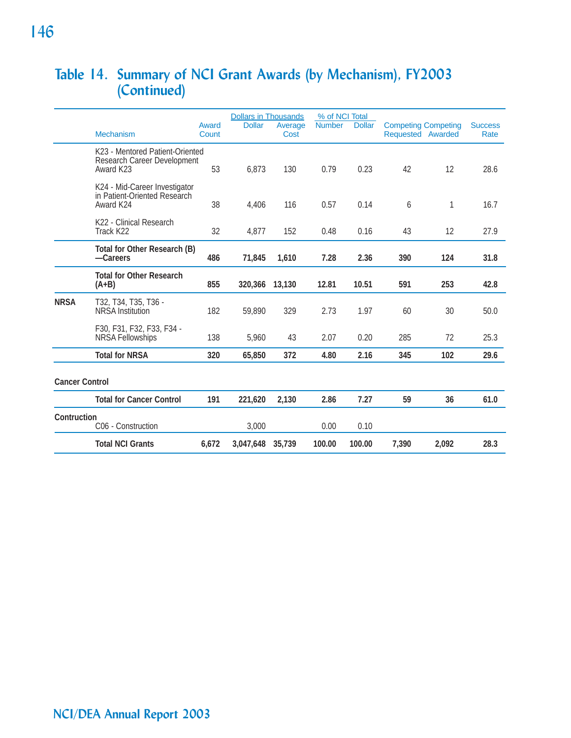# **Table 14. Summary of NCI Grant Awards (by Mechanism), FY2003 (Continued)**

|                       | <b>Mechanism</b>                                                            | Award<br>Count | <b>Dollars in Thousands</b><br><b>Dollar</b> | Average<br>Cost | % of NCI Total<br><b>Number</b> | <b>Dollar</b> | <b>Competing Competing</b><br>Requested Awarded |       | <b>Success</b><br>Rate |
|-----------------------|-----------------------------------------------------------------------------|----------------|----------------------------------------------|-----------------|---------------------------------|---------------|-------------------------------------------------|-------|------------------------|
|                       | K23 - Mentored Patient-Oriented<br>Research Career Development<br>Award K23 | 53             | 6,873                                        | 130             | 0.79                            | 0.23          | 42                                              | 12    | 28.6                   |
|                       | K24 - Mid-Career Investigator<br>in Patient-Oriented Research<br>Award K24  | 38             | 4.406                                        | 116             | 0.57                            | 0.14          | 6                                               | 1     | 16.7                   |
|                       | K22 - Clinical Research<br>Track K22                                        | 32             | 4.877                                        | 152             | 0.48                            | 0.16          | 43                                              | 12    | 27.9                   |
|                       | Total for Other Research (B)<br>-Careers                                    | 486            | 71,845                                       | 1,610           | 7.28                            | 2.36          | 390                                             | 124   | 31.8                   |
|                       | <b>Total for Other Research</b><br>$(A+B)$                                  | 855            | 320,366 13,130                               |                 | 12.81                           | 10.51         | 591                                             | 253   | 42.8                   |
| <b>NRSA</b>           | T32, T34, T35, T36 -<br><b>NRSA</b> Institution                             | 182            | 59,890                                       | 329             | 2.73                            | 1.97          | 60                                              | 30    | 50.0                   |
|                       | F30, F31, F32, F33, F34 -<br><b>NRSA Fellowships</b>                        | 138            | 5,960                                        | 43              | 2.07                            | 0.20          | 285                                             | 72    | 25.3                   |
|                       | <b>Total for NRSA</b>                                                       | 320            | 65,850                                       | 372             | 4.80                            | 2.16          | 345                                             | 102   | 29.6                   |
| <b>Cancer Control</b> |                                                                             |                |                                              |                 |                                 |               |                                                 |       |                        |
|                       | <b>Total for Cancer Control</b>                                             | 191            | 221,620                                      | 2,130           | 2.86                            | 7.27          | 59                                              | 36    | 61.0                   |
| Contruction           | C06 - Construction                                                          |                | 3,000                                        |                 | 0.00                            | 0.10          |                                                 |       |                        |
|                       | <b>Total NCI Grants</b>                                                     | 6.672          | 3.047.648 35.739                             |                 | 100.00                          | 100.00        | 7,390                                           | 2,092 | 28.3                   |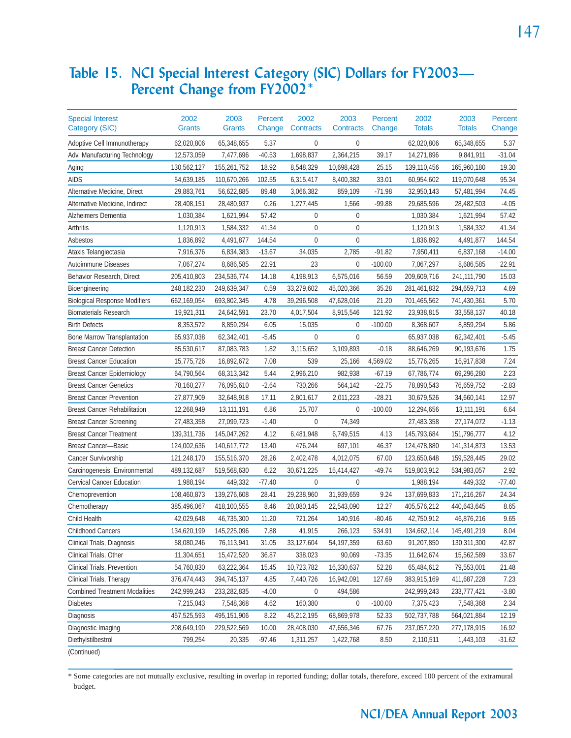#### **Table 15. NCI Special Interest Category (SIC) Dollars for FY2003— Percent Change from FY2002\***

| <b>Special Interest</b><br>Category (SIC) | 2002<br><b>Grants</b> | 2003<br>Grants | Percent<br>Change | 2002<br>Contracts | 2003<br><b>Contracts</b> | Percent<br>Change | 2002<br><b>Totals</b> | 2003<br><b>Totals</b> | Percent<br>Change |
|-------------------------------------------|-----------------------|----------------|-------------------|-------------------|--------------------------|-------------------|-----------------------|-----------------------|-------------------|
| Adoptive Cell Immunotherapy               | 62,020,806            | 65,348,655     | 5.37              | $\overline{0}$    | 0                        |                   | 62,020,806            | 65,348,655            | 5.37              |
| Adv. Manufacturing Technology             | 12,573,059            | 7,477,696      | $-40.53$          | 1,698,837         | 2,364,215                | 39.17             | 14,271,896            | 9,841,911             | $-31.04$          |
| Aging                                     | 130,562,127           | 155,261,752    | 18.92             | 8,548,329         | 10,698,428               | 25.15             | 139,110,456           | 165,960,180           | 19.30             |
| <b>AIDS</b>                               | 54,639,185            | 110,670,266    | 102.55            | 6,315,417         | 8,400,382                | 33.01             | 60,954,602            | 119,070,648           | 95.34             |
| Alternative Medicine, Direct              | 29,883,761            | 56,622,885     | 89.48             | 3,066,382         | 859,109                  | $-71.98$          | 32,950,143            | 57,481,994            | 74.45             |
| Alternative Medicine, Indirect            | 28,408,151            | 28,480,937     | 0.26              | 1,277,445         | 1,566                    | $-99.88$          | 29,685,596            | 28,482,503            | $-4.05$           |
| Alzheimers Dementia                       | 1,030,384             | 1,621,994      | 57.42             | $\boldsymbol{0}$  | 0                        |                   | 1,030,384             | 1,621,994             | 57.42             |
| <b>Arthritis</b>                          | 1,120,913             | 1,584,332      | 41.34             | $\overline{0}$    | 0                        |                   | 1,120,913             | 1,584,332             | 41.34             |
| Asbestos                                  | 1,836,892             | 4,491,877      | 144.54            | $\overline{0}$    | $\boldsymbol{0}$         |                   | 1,836,892             | 4,491,877             | 144.54            |
| Ataxis Telangiectasia                     | 7,916,376             | 6,834,383      | $-13.67$          | 34,035            | 2,785                    | $-91.82$          | 7,950,411             | 6,837,168             | $-14.00$          |
| Autoimmune Diseases                       | 7,067,274             | 8,686,585      | 22.91             | 23                | $\mathbf 0$              | $-100.00$         | 7,067,297             | 8,686,585             | 22.91             |
| Behavior Research, Direct                 | 205,410,803           | 234,536,774    | 14.18             | 4,198,913         | 6,575,016                | 56.59             | 209,609,716           | 241,111,790           | 15.03             |
| Bioengineering                            | 248, 182, 230         | 249,639,347    | 0.59              | 33,279,602        | 45,020,366               | 35.28             | 281,461,832           | 294,659,713           | 4.69              |
| <b>Biological Response Modifiers</b>      | 662,169,054           | 693,802,345    | 4.78              | 39,296,508        | 47,628,016               | 21.20             | 701,465,562           | 741,430,361           | 5.70              |
| <b>Biomaterials Research</b>              | 19,921,311            | 24,642,591     | 23.70             | 4,017,504         | 8,915,546                | 121.92            | 23,938,815            | 33,558,137            | 40.18             |
| <b>Birth Defects</b>                      | 8,353,572             | 8,859,294      | 6.05              | 15,035            | 0                        | $-100.00$         | 8,368,607             | 8,859,294             | 5.86              |
| Bone Marrow Transplantation               | 65,937,038            | 62,342,401     | $-5.45$           | $\boldsymbol{0}$  | 0                        |                   | 65,937,038            | 62,342,401            | $-5.45$           |
| <b>Breast Cancer Detection</b>            | 85,530,617            | 87,083,783     | 1.82              | 3,115,652         | 3,109,893                | $-0.18$           | 88,646,269            | 90,193,676            | 1.75              |
| <b>Breast Cancer Education</b>            | 15,775,726            | 16,892,672     | 7.08              | 539               | 25,166                   | 4,569.02          | 15,776,265            | 16,917,838            | 7.24              |
| <b>Breast Cancer Epidemiology</b>         | 64,790,564            | 68,313,342     | 5.44              | 2,996,210         | 982,938                  | $-67.19$          | 67,786,774            | 69,296,280            | 2.23              |
| <b>Breast Cancer Genetics</b>             | 78,160,277            | 76,095,610     | $-2.64$           | 730,266           | 564,142                  | $-22.75$          | 78,890,543            | 76,659,752            | $-2.83$           |
| <b>Breast Cancer Prevention</b>           | 27,877,909            | 32,648,918     | 17.11             | 2,801,617         | 2,011,223                | $-28.21$          | 30,679,526            | 34,660,141            | 12.97             |
| <b>Breast Cancer Rehabilitation</b>       | 12,268,949            | 13,111,191     | 6.86              | 25,707            | 0                        | $-100.00$         | 12,294,656            | 13,111,191            | 6.64              |
| <b>Breast Cancer Screening</b>            | 27,483,358            | 27,099,723     | $-1.40$           | $\overline{0}$    | 74,349                   |                   | 27,483,358            | 27,174,072            | $-1.13$           |
| <b>Breast Cancer Treatment</b>            | 139,311,736           | 145,047,262    | 4.12              | 6,481,948         | 6,749,515                | 4.13              | 145,793,684           | 151,796,777           | 4.12              |
| <b>Breast Cancer-Basic</b>                | 124,002,636           | 140,617,772    | 13.40             | 476,244           | 697,101                  | 46.37             | 124,478,880           | 141,314,873           | 13.53             |
| Cancer Survivorship                       | 121,248,170           | 155,516,370    | 28.26             | 2,402,478         | 4,012,075                | 67.00             | 123,650,648           | 159,528,445           | 29.02             |
| Carcinogenesis, Environmental             | 489,132,687           | 519,568,630    | 6.22              | 30,671,225        | 15,414,427               | $-49.74$          | 519,803,912           | 534,983,057           | 2.92              |
| Cervical Cancer Education                 | 1,988,194             | 449,332        | $-77.40$          | $\boldsymbol{0}$  | 0                        |                   | 1,988,194             | 449,332               | $-77.40$          |
| Chemoprevention                           | 108,460,873           | 139,276,608    | 28.41             | 29,238,960        | 31,939,659               | 9.24              | 137,699,833           | 171,216,267           | 24.34             |
| Chemotherapy                              | 385,496,067           | 418,100,555    | 8.46              | 20,080,145        | 22,543,090               | 12.27             | 405,576,212           | 440,643,645           | 8.65              |
| Child Health                              | 42,029,648            | 46,735,300     | 11.20             | 721,264           | 140,916                  | $-80.46$          | 42,750,912            | 46,876,216            | 9.65              |
| Childhood Cancers                         | 134,620,199           | 145,225,096    | 7.88              | 41,915            | 266,123                  | 534.91            | 134,662,114           | 145,491,219           | 8.04              |
| Clinical Trials, Diagnosis                | 58,080,246            | 76,113,941     | 31.05             | 33,127,604        | 54,197,359               | 63.60             | 91,207,850            | 130,311,300           | 42.87             |
| Clinical Trials, Other                    | 11,304,651            | 15,472,520     | 36.87             | 338,023           | 90,069                   | $-73.35$          | 11,642,674            | 15,562,589            | 33.67             |
| Clinical Trials, Prevention               | 54,760,830            | 63,222,364     | 15.45             | 10,723,782        | 16,330,637               | 52.28             | 65,484,612            | 79,553,001            | 21.48             |
| Clinical Trials, Therapy                  | 376,474,443           | 394,745,137    | 4.85              | 7,440,726         | 16,942,091               | 127.69            | 383,915,169           | 411,687,228           | 7.23              |
| <b>Combined Treatment Modalities</b>      | 242,999,243           | 233,282,835    | $-4.00$           | $\boldsymbol{0}$  | 494,586                  |                   | 242,999,243           | 233,777,421           | $-3.80$           |
| <b>Diabetes</b>                           | 7,215,043             | 7,548,368      | 4.62              | 160,380           | 0                        | $-100.00$         | 7,375,423             | 7,548,368             | 2.34              |
| Diagnosis                                 | 457,525,593           | 495,151,906    | 8.22              | 45,212,195        | 68,869,978               | 52.33             | 502,737,788           | 564,021,884           | 12.19             |
| Diagnostic Imaging                        | 208,649,190           | 229,522,569    | 10.00             | 28,408,030        | 47,656,346               | 67.76             | 237,057,220           | 277,178,915           | 16.92             |
| Diethylstilbestrol                        | 799,254               | 20,335         | $-97.46$          | 1,311,257         | 1,422,768                | 8.50              | 2,110,511             | 1,443,103             | $-31.62$          |
| (Continued)                               |                       |                |                   |                   |                          |                   |                       |                       |                   |

\* Some categories are not mutually exclusive, resulting in overlap in reported funding; dollar totals, therefore, exceed 100 percent of the extramural budget.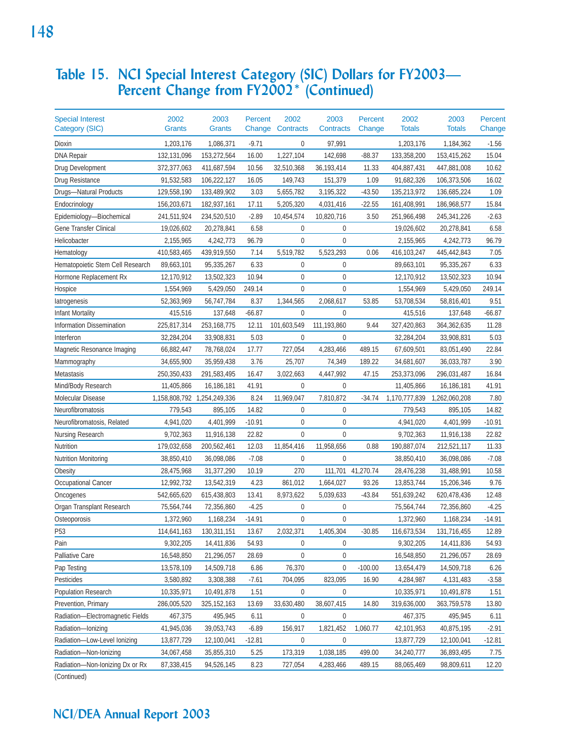#### **Table 15. NCI Special Interest Category (SIC) Dollars for FY2003— Percent Change from FY2002\* (Continued)**

| <b>Special Interest</b><br>Category (SIC) | 2002<br>Grants              | 2003<br><b>Grants</b> | Percent  | 2002<br><b>Change Contracts</b> | 2003<br>Contracts | Percent<br>Change | 2002<br><b>Totals</b> | 2003<br><b>Totals</b> | Percent<br>Change |
|-------------------------------------------|-----------------------------|-----------------------|----------|---------------------------------|-------------------|-------------------|-----------------------|-----------------------|-------------------|
| Dioxin                                    | 1,203,176                   | 1,086,371             | $-9.71$  | 0                               | 97,991            |                   | 1,203,176             | 1,184,362             | $-1.56$           |
| <b>DNA Repair</b>                         | 132,131,096                 | 153,272,564           | 16.00    | 1,227,104                       | 142,698           | $-88.37$          | 133,358,200           | 153,415,262           | 15.04             |
| Drug Development                          | 372,377,063                 | 411,687,594           | 10.56    | 32,510,368                      | 36,193,414        | 11.33             | 404,887,431           | 447,881,008           | 10.62             |
| Drug Resistance                           | 91,532,583                  | 106,222,127           | 16.05    | 149,743                         | 151,379           | 1.09              | 91,682,326            | 106,373,506           | 16.02             |
| Drugs-Natural Products                    | 129,558,190                 | 133,489,902           | 3.03     | 5,655,782                       | 3,195,322         | $-43.50$          | 135,213,972           | 136,685,224           | 1.09              |
| Endocrinology                             | 156,203,671                 | 182,937,161           | 17.11    | 5,205,320                       | 4,031,416         | $-22.55$          | 161,408,991           | 186,968,577           | 15.84             |
| Epidemiology-Biochemical                  | 241,511,924                 | 234,520,510           | $-2.89$  | 10,454,574                      | 10,820,716        | 3.50              | 251,966,498           | 245,341,226           | $-2.63$           |
| Gene Transfer Clinical                    | 19,026,602                  | 20,278,841            | 6.58     | 0                               | 0                 |                   | 19,026,602            | 20,278,841            | 6.58              |
| Helicobacter                              | 2,155,965                   | 4,242,773             | 96.79    | 0                               | $\mathbf 0$       |                   | 2,155,965             | 4,242,773             | 96.79             |
| Hematology                                | 410,583,465                 | 439,919,550           | 7.14     | 5,519,782                       | 5,523,293         | 0.06              | 416, 103, 247         | 445,442,843           | 7.05              |
| Hematopoietic Stem Cell Research          | 89,663,101                  | 95,335,267            | 6.33     | 0                               | 0                 |                   | 89,663,101            | 95,335,267            | 6.33              |
| Hormone Replacement Rx                    | 12,170,912                  | 13,502,323            | 10.94    | 0                               | $\mathbf 0$       |                   | 12,170,912            | 13,502,323            | 10.94             |
| Hospice                                   | 1,554,969                   | 5,429,050             | 249.14   | 0                               | $\mathbf 0$       |                   | 1,554,969             | 5,429,050             | 249.14            |
| latrogenesis                              | 52,363,969                  | 56,747,784            | 8.37     | 1,344,565                       | 2,068,617         | 53.85             | 53,708,534            | 58,816,401            | 9.51              |
| Infant Mortality                          | 415,516                     | 137,648               | $-66.87$ | 0                               | 0                 |                   | 415,516               | 137,648               | $-66.87$          |
| <b>Information Dissemination</b>          | 225,817,314                 | 253, 168, 775         | 12.11    | 101,603,549                     | 111,193,860       | 9.44              | 327,420,863           | 364, 362, 635         | 11.28             |
| Interferon                                | 32,284,204                  | 33,908,831            | 5.03     | 0                               | $\mathbf 0$       |                   | 32,284,204            | 33,908,831            | 5.03              |
| Magnetic Resonance Imaging                | 66,882,447                  | 78,768,024            | 17.77    | 727,054                         | 4,283,466         | 489.15            | 67,609,501            | 83,051,490            | 22.84             |
| Mammography                               | 34,655,900                  | 35,959,438            | 3.76     | 25,707                          | 74,349            | 189.22            | 34,681,607            | 36,033,787            | 3.90              |
| Metastasis                                | 250,350,433                 | 291,583,495           | 16.47    | 3,022,663                       | 4,447,992         | 47.15             | 253,373,096           | 296,031,487           | 16.84             |
| Mind/Body Research                        | 11,405,866                  | 16,186,181            | 41.91    | 0                               | 0                 |                   | 11,405,866            | 16,186,181            | 41.91             |
| Molecular Disease                         | 1,158,808,792 1,254,249,336 |                       | 8.24     | 11,969,047                      | 7,810,872         | $-34.74$          | 1,170,777,839         | 1,262,060,208         | 7.80              |
| Neurofibromatosis                         | 779,543                     | 895,105               | 14.82    | 0                               | 0                 |                   | 779,543               | 895,105               | 14.82             |
| Neurofibromatosis, Related                | 4,941,020                   | 4,401,999             | $-10.91$ | 0                               | $\mathbf 0$       |                   | 4,941,020             | 4,401,999             | $-10.91$          |
| Nursing Research                          | 9,702,363                   | 11,916,138            | 22.82    | 0                               | $\mathbf 0$       |                   | 9,702,363             | 11,916,138            | 22.82             |
| Nutrition                                 | 179,032,658                 | 200,562,461           | 12.03    | 11,854,416                      | 11,958,656        | 0.88              | 190,887,074           | 212,521,117           | 11.33             |
| <b>Nutrition Monitoring</b>               | 38,850,410                  | 36,098,086            | $-7.08$  | 0                               | $\mathbf 0$       |                   | 38,850,410            | 36,098,086            | $-7.08$           |
| Obesity                                   | 28,475,968                  | 31,377,290            | 10.19    | 270                             | 111,701           | 41,270.74         | 28,476,238            | 31,488,991            | 10.58             |
| Occupational Cancer                       | 12,992,732                  | 13,542,319            | 4.23     | 861,012                         | 1,664,027         | 93.26             | 13,853,744            | 15,206,346            | 9.76              |
| Oncogenes                                 | 542,665,620                 | 615,438,803           | 13.41    | 8,973,622                       | 5,039,633         | $-43.84$          | 551,639,242           | 620,478,436           | 12.48             |
| Organ Transplant Research                 | 75,564,744                  | 72,356,860            | $-4.25$  | 0                               | 0                 |                   | 75,564,744            | 72,356,860            | $-4.25$           |
| Osteoporosis                              | 1,372,960                   | 1,168,234             | $-14.91$ | $\overline{0}$                  | $\boldsymbol{0}$  |                   | 1,372,960             | 1,168,234             | $-14.91$          |
| P53                                       | 114,641,163                 | 130, 311, 151         | 13.67    | 2,032,371                       | 1,405,304         | $-30.85$          | 116,673,534           | 131,716,455           | 12.89             |
| Pain                                      | 9,302,205                   | 14,411,836            | 54.93    | 0                               | 0                 |                   | 9,302,205             | 14,411,836            | 54.93             |
| Palliative Care                           | 16,548,850                  | 21,296,057            | 28.69    | 0                               | 0                 |                   | 16,548,850            | 21,296,057            | 28.69             |
| Pap Testing                               | 13,578,109                  | 14,509,718            | 6.86     | 76,370                          | 0                 | $-100.00$         | 13,654,479            | 14,509,718            | 6.26              |
| Pesticides                                | 3,580,892                   | 3,308,388             | $-7.61$  | 704,095                         | 823,095           | 16.90             | 4,284,987             | 4,131,483             | $-3.58$           |
| Population Research                       | 10,335,971                  | 10,491,878            | 1.51     | 0                               | 0                 |                   | 10,335,971            | 10,491,878            | 1.51              |
| Prevention, Primary                       | 286,005,520                 | 325, 152, 163         | 13.69    | 33,630,480                      | 38,607,415        | 14.80             | 319,636,000           | 363,759,578           | 13.80             |
| Radiation-Electromagnetic Fields          | 467,375                     | 495,945               | 6.11     | 0                               | $\boldsymbol{0}$  |                   | 467,375               | 495,945               | 6.11              |
| Radiation-lonizing                        | 41,945,036                  | 39,053,743            | $-6.89$  | 156,917                         | 1,821,452         | 1,060.77          | 42,101,953            | 40,875,195            | $-2.91$           |
| Radiation-Low-Level Ionizing              | 13,877,729                  | 12,100,041            | $-12.81$ | 0                               | $\boldsymbol{0}$  |                   | 13,877,729            | 12,100,041            | -12.81            |
| Radiation-Non-Ionizing                    | 34,067,458                  | 35,855,310            | 5.25     | 173,319                         | 1,038,185         | 499.00            | 34,240,777            | 36,893,495            | 7.75              |
| Radiation-Non-Ionizing Dx or Rx           | 87,338,415                  | 94,526,145            | 8.23     | 727,054                         | 4,283,466         | 489.15            | 88,065,469            | 98,809,611            | 12.20             |
| (Continued)                               |                             |                       |          |                                 |                   |                   |                       |                       |                   |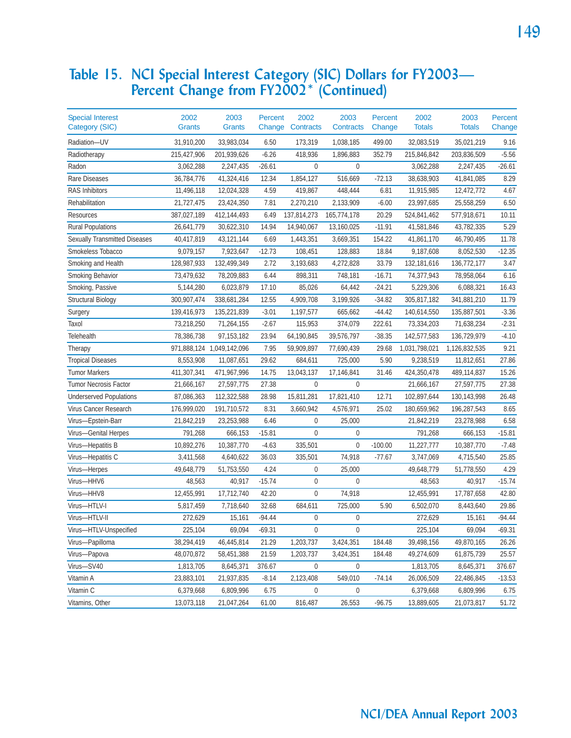# **Table 15. NCI Special Interest Category (SIC) Dollars for FY2003— Percent Change from FY2002\* (Continued)**

| <b>Special Interest</b>        | 2002          | 2003                      | Percent  | 2002             | 2003             | Percent   | 2002          | 2003          | Percent  |
|--------------------------------|---------------|---------------------------|----------|------------------|------------------|-----------|---------------|---------------|----------|
| Category (SIC)                 | <b>Grants</b> | <b>Grants</b>             | Change   | Contracts        | <b>Contracts</b> | Change    | <b>Totals</b> | <b>Totals</b> | Change   |
| Radiation-UV                   | 31,910,200    | 33,983,034                | 6.50     | 173,319          | 1,038,185        | 499.00    | 32,083,519    | 35,021,219    | 9.16     |
| Radiotherapy                   | 215,427,906   | 201,939,626               | $-6.26$  | 418,936          | 1,896,883        | 352.79    | 215,846,842   | 203,836,509   | $-5.56$  |
| Radon                          | 3,062,288     | 2,247,435                 | $-26.61$ | $\boldsymbol{0}$ | $\boldsymbol{0}$ |           | 3,062,288     | 2,247,435     | $-26.61$ |
| Rare Diseases                  | 36,784,776    | 41,324,416                | 12.34    | 1,854,127        | 516,669          | $-72.13$  | 38,638,903    | 41,841,085    | 8.29     |
| RAS Inhibitors                 | 11,496,118    | 12,024,328                | 4.59     | 419,867          | 448,444          | 6.81      | 11,915,985    | 12,472,772    | 4.67     |
| Rehabilitation                 | 21,727,475    | 23,424,350                | 7.81     | 2,270,210        | 2,133,909        | $-6.00$   | 23,997,685    | 25,558,259    | 6.50     |
| Resources                      | 387,027,189   | 412,144,493               | 6.49     | 137,814,273      | 165,774,178      | 20.29     | 524,841,462   | 577,918,671   | 10.11    |
| <b>Rural Populations</b>       | 26,641,779    | 30,622,310                | 14.94    | 14,940,067       | 13,160,025       | $-11.91$  | 41,581,846    | 43,782,335    | 5.29     |
| Sexually Transmitted Diseases  | 40,417,819    | 43,121,144                | 6.69     | 1,443,351        | 3,669,351        | 154.22    | 41,861,170    | 46,790,495    | 11.78    |
| Smokeless Tobacco              | 9,079,157     | 7,923,647                 | $-12.73$ | 108,451          | 128,883          | 18.84     | 9,187,608     | 8,052,530     | $-12.35$ |
| Smoking and Health             | 128,987,933   | 132,499,349               | 2.72     | 3,193,683        | 4,272,828        | 33.79     | 132,181,616   | 136,772,177   | 3.47     |
| Smoking Behavior               | 73,479,632    | 78,209,883                | 6.44     | 898,311          | 748,181          | $-16.71$  | 74,377,943    | 78,958,064    | 6.16     |
| Smoking, Passive               | 5,144,280     | 6,023,879                 | 17.10    | 85,026           | 64,442           | $-24.21$  | 5,229,306     | 6,088,321     | 16.43    |
| Structural Biology             | 300,907,474   | 338,681,284               | 12.55    | 4,909,708        | 3,199,926        | $-34.82$  | 305,817,182   | 341,881,210   | 11.79    |
| Surgery                        | 139,416,973   | 135,221,839               | $-3.01$  | 1,197,577        | 665,662          | $-44.42$  | 140,614,550   | 135,887,501   | $-3.36$  |
| Taxol                          | 73,218,250    | 71,264,155                | $-2.67$  | 115,953          | 374,079          | 222.61    | 73,334,203    | 71,638,234    | $-2.31$  |
| Telehealth                     | 78,386,738    | 97, 153, 182              | 23.94    | 64,190,845       | 39,576,797       | $-38.35$  | 142,577,583   | 136,729,979   | $-4.10$  |
| Therapy                        |               | 971,888,124 1,049,142,096 | 7.95     | 59,909,897       | 77,690,439       | 29.68     | 1,031,798,021 | 1,126,832,535 | 9.21     |
| <b>Tropical Diseases</b>       | 8,553,908     | 11,087,651                | 29.62    | 684,611          | 725.000          | 5.90      | 9,238,519     | 11,812,651    | 27.86    |
| <b>Tumor Markers</b>           | 411,307,341   | 471,967,996               | 14.75    | 13,043,137       | 17,146,841       | 31.46     | 424,350,478   | 489,114,837   | 15.26    |
| <b>Tumor Necrosis Factor</b>   | 21,666,167    | 27,597,775                | 27.38    | $\overline{0}$   | 0                |           | 21,666,167    | 27,597,775    | 27.38    |
| <b>Underserved Populations</b> | 87,086,363    | 112,322,588               | 28.98    | 15,811,281       | 17,821,410       | 12.71     | 102,897,644   | 130,143,998   | 26.48    |
| Virus Cancer Research          | 176,999,020   | 191,710,572               | 8.31     | 3,660,942        | 4,576,971        | 25.02     | 180,659,962   | 196,287,543   | 8.65     |
| Virus-Epstein-Barr             | 21,842,219    | 23,253,988                | 6.46     | $\boldsymbol{0}$ | 25,000           |           | 21,842,219    | 23,278,988    | 6.58     |
| Virus-Genital Herpes           | 791,268       | 666,153                   | $-15.81$ | $\boldsymbol{0}$ | 0                |           | 791,268       | 666,153       | $-15.81$ |
| Virus-Hepatitis B              | 10,892,276    | 10,387,770                | $-4.63$  | 335,501          | $\boldsymbol{0}$ | $-100.00$ | 11,227,777    | 10,387,770    | $-7.48$  |
| Virus-Hepatitis C              | 3,411,568     | 4,640,622                 | 36.03    | 335,501          | 74,918           | $-77.67$  | 3,747,069     | 4,715,540     | 25.85    |
| Virus-Herpes                   | 49,648,779    | 51,753,550                | 4.24     | $\boldsymbol{0}$ | 25,000           |           | 49,648,779    | 51,778,550    | 4.29     |
| Virus-HHV6                     | 48,563        | 40,917                    | $-15.74$ | $\mathbf 0$      | 0                |           | 48,563        | 40,917        | $-15.74$ |
| Virus-HHV8                     | 12,455,991    | 17,712,740                | 42.20    | $\overline{0}$   | 74,918           |           | 12,455,991    | 17,787,658    | 42.80    |
| Virus-HTLV-I                   | 5,817,459     | 7,718,640                 | 32.68    | 684,611          | 725,000          | 5.90      | 6,502,070     | 8,443,640     | 29.86    |
| Virus-HTLV-II                  | 272,629       | 15,161                    | $-94.44$ | $\boldsymbol{0}$ | 0                |           | 272,629       | 15,161        | $-94.44$ |
| Virus-HTLV-Unspecified         | 225,104       | 69,094                    | $-69.31$ | 0                | 0                |           | 225,104       | 69,094        | $-69.31$ |
| Virus-Papilloma                | 38,294,419    | 46,445,814                | 21.29    | 1,203,737        | 3,424,351        | 184.48    | 39,498,156    | 49,870,165    | 26.26    |
| Virus-Papova                   | 48,070,872    | 58,451,388                | 21.59    | 1,203,737        | 3,424,351        | 184.48    | 49,274,609    | 61,875,739    | 25.57    |
| Virus-SV40                     | 1,813,705     | 8,645,371                 | 376.67   | $\boldsymbol{0}$ | 0                |           | 1,813,705     | 8,645,371     | 376.67   |
| Vitamin A                      | 23,883,101    | 21,937,835                | $-8.14$  | 2,123,408        | 549,010          | $-74.14$  | 26,006,509    | 22,486,845    | $-13.53$ |
| Vitamin C                      | 6,379,668     | 6,809,996                 | 6.75     | 0                | 0                |           | 6,379,668     | 6,809,996     | 6.75     |
| Vitamins, Other                | 13,073,118    | 21,047,264                | 61.00    | 816,487          | 26,553           | $-96.75$  | 13,889,605    | 21,073,817    | 51.72    |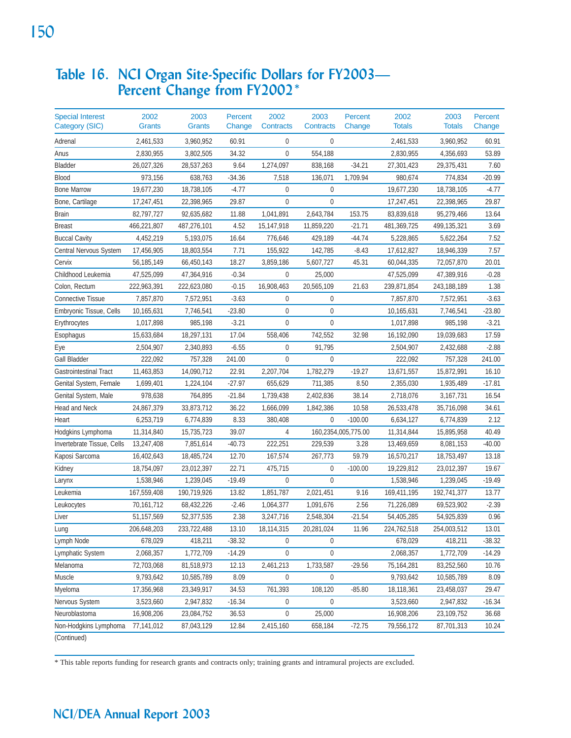## **Table 16. NCI Organ Site-Specific Dollars for FY2003— Percent Change from FY2002\***

| <b>Special Interest</b><br>Category (SIC) | 2002<br><b>Grants</b> | 2003<br>Grants | Percent<br>Change | 2002<br>Contracts | 2003<br><b>Contracts</b> | Percent<br>Change   | 2002<br><b>Totals</b> | 2003<br><b>Totals</b> | Percent<br>Change |
|-------------------------------------------|-----------------------|----------------|-------------------|-------------------|--------------------------|---------------------|-----------------------|-----------------------|-------------------|
| Adrenal                                   | 2,461,533             | 3,960,952      | 60.91             | 0                 | 0                        |                     | 2,461,533             | 3,960,952             | 60.91             |
| Anus                                      | 2,830,955             | 3,802,505      | 34.32             | 0                 | 554,188                  |                     | 2,830,955             | 4,356,693             | 53.89             |
| Bladder                                   | 26,027,326            | 28,537,263     | 9.64              | 1,274,097         | 838.168                  | $-34.21$            | 27,301,423            | 29,375,431            | 7.60              |
| <b>Blood</b>                              | 973,156               | 638,763        | $-34.36$          | 7,518             | 136,071                  | 1,709.94            | 980,674               | 774,834               | $-20.99$          |
| <b>Bone Marrow</b>                        | 19,677,230            | 18,738,105     | $-4.77$           | 0                 | $\mathbf 0$              |                     | 19,677,230            | 18,738,105            | $-4.77$           |
| Bone, Cartilage                           | 17,247,451            | 22,398,965     | 29.87             | 0                 | 0                        |                     | 17,247,451            | 22,398,965            | 29.87             |
| <b>Brain</b>                              | 82,797,727            | 92,635,682     | 11.88             | 1,041,891         | 2,643,784                | 153.75              | 83,839,618            | 95,279,466            | 13.64             |
| <b>Breast</b>                             | 466,221,807           | 487,276,101    | 4.52              | 15,147,918        | 11,859,220               | $-21.71$            | 481,369,725           | 499,135,321           | 3.69              |
| <b>Buccal Cavity</b>                      | 4,452,219             | 5,193,075      | 16.64             | 776,646           | 429,189                  | $-44.74$            | 5,228,865             | 5,622,264             | 7.52              |
| Central Nervous System                    | 17,456,905            | 18,803,554     | 7.71              | 155,922           | 142,785                  | $-8.43$             | 17,612,827            | 18,946,339            | 7.57              |
| Cervix                                    | 56,185,149            | 66,450,143     | 18.27             | 3,859,186         | 5,607,727                | 45.31               | 60,044,335            | 72,057,870            | 20.01             |
| Childhood Leukemia                        | 47,525,099            | 47,364,916     | $-0.34$           | $\mathbf 0$       | 25,000                   |                     | 47,525,099            | 47,389,916            | $-0.28$           |
| Colon, Rectum                             | 222,963,391           | 222,623,080    | $-0.15$           | 16,908,463        | 20,565,109               | 21.63               | 239,871,854           | 243,188,189           | 1.38              |
| <b>Connective Tissue</b>                  | 7,857,870             | 7,572,951      | $-3.63$           | 0                 | 0                        |                     | 7,857,870             | 7,572,951             | $-3.63$           |
| Embryonic Tissue, Cells                   | 10,165,631            | 7,746,541      | $-23.80$          | 0                 | 0                        |                     | 10,165,631            | 7,746,541             | $-23.80$          |
| Erythrocytes                              | 1,017,898             | 985,198        | $-3.21$           | 0                 | 0                        |                     | 1,017,898             | 985,198               | $-3.21$           |
| Esophagus                                 | 15,633,684            | 18,297,131     | 17.04             | 558,406           | 742,552                  | 32.98               | 16,192,090            | 19,039,683            | 17.59             |
| Eye                                       | 2,504,907             | 2,340,893      | $-6.55$           | $\boldsymbol{0}$  | 91,795                   |                     | 2,504,907             | 2,432,688             | $-2.88$           |
| <b>Gall Bladder</b>                       | 222,092               | 757,328        | 241.00            | $\mathbf 0$       | 0                        |                     | 222,092               | 757,328               | 241.00            |
| <b>Gastrointestinal Tract</b>             | 11,463,853            | 14,090,712     | 22.91             | 2,207,704         | 1,782,279                | $-19.27$            | 13,671,557            | 15,872,991            | 16.10             |
| Genital System, Female                    | 1,699,401             | 1,224,104      | $-27.97$          | 655,629           | 711,385                  | 8.50                | 2,355,030             | 1,935,489             | $-17.81$          |
| Genital System, Male                      | 978,638               | 764,895        | $-21.84$          | 1,739,438         | 2,402,836                | 38.14               | 2,718,076             | 3,167,731             | 16.54             |
| Head and Neck                             | 24,867,379            | 33,873,712     | 36.22             | 1,666,099         | 1,842,386                | 10.58               | 26,533,478            | 35,716,098            | 34.61             |
| Heart                                     | 6,253,719             | 6,774,839      | 8.33              | 380,408           | $\Omega$                 | $-100.00$           | 6,634,127             | 6,774,839             | 2.12              |
| Hodgkins Lymphoma                         | 11,314,840            | 15,735,723     | 39.07             | 4                 |                          | 160,2354,005,775.00 | 11,314,844            | 15,895,958            | 40.49             |
| Invertebrate Tissue, Cells                | 13,247,408            | 7,851,614      | $-40.73$          | 222,251           | 229,539                  | 3.28                | 13,469,659            | 8,081,153             | $-40.00$          |
| Kaposi Sarcoma                            | 16,402,643            | 18,485,724     | 12.70             | 167,574           | 267,773                  | 59.79               | 16,570,217            | 18,753,497            | 13.18             |
| Kidney                                    | 18,754,097            | 23,012,397     | 22.71             | 475,715           | 0                        | $-100.00$           | 19,229,812            | 23,012,397            | 19.67             |
| Larynx                                    | 1,538,946             | 1,239,045      | $-19.49$          | $\overline{0}$    | 0                        |                     | 1,538,946             | 1,239,045             | $-19.49$          |
| Leukemia                                  | 167,559,408           | 190,719,926    | 13.82             | 1,851,787         | 2,021,451                | 9.16                | 169,411,195           | 192,741,377           | 13.77             |
| Leukocytes                                | 70,161,712            | 68,432,226     | $-2.46$           | 1,064,377         | 1,091,676                | 2.56                | 71,226,089            | 69,523,902            | $-2.39$           |
| Liver                                     | 51,157,569            | 52,377,535     | 2.38              | 3,247,716         | 2,548,304                | $-21.54$            | 54,405,285            | 54,925,839            | 0.96              |
| Lung                                      | 206,648,203           | 233,722,488    | 13.10             | 18,114,315        | 20,281,024               | 11.96               | 224,762,518           | 254,003,512           | 13.01             |
| Lymph Node                                | 678,029               | 418,211        | $-38.32$          | 0                 | 0                        |                     | 678,029               | 418,211               | $-38.32$          |
| Lymphatic System                          | 2,068,357             | 1,772,709      | $-14.29$          | 0                 | 0                        |                     | 2,068,357             | 1,772,709             | $-14.29$          |
| Melanoma                                  | 72,703,068            | 81,518,973     | 12.13             | 2,461,213         | 1,733,587                | $-29.56$            | 75,164,281            | 83,252,560            | 10.76             |
| Muscle                                    | 9,793,642             | 10,585,789     | 8.09              | 0                 | 0                        |                     | 9,793,642             | 10,585,789            | 8.09              |
| Myeloma                                   | 17,356,968            | 23,349,917     | 34.53             | 761,393           | 108,120                  | $-85.80$            | 18,118,361            | 23,458,037            | 29.47             |
| Nervous System                            | 3,523,660             | 2,947,832      | $-16.34$          | 0                 | 0                        |                     | 3,523,660             | 2,947,832             | $-16.34$          |
| Neuroblastoma                             | 16,908,206            | 23,084,752     | 36.53             | 0                 | 25,000                   |                     | 16,908,206            | 23,109,752            | 36.68             |
| Non-Hodgkins Lymphoma                     | 77,141,012            | 87,043,129     | 12.84             | 2,415,160         | 658,184                  | $-72.75$            | 79,556,172            | 87,701,313            | 10.24             |
| (Continued)                               |                       |                |                   |                   |                          |                     |                       |                       |                   |

\* This table reports funding for research grants and contracts only; training grants and intramural projects are excluded.

#### **NCI/DEA Annual Report 2003**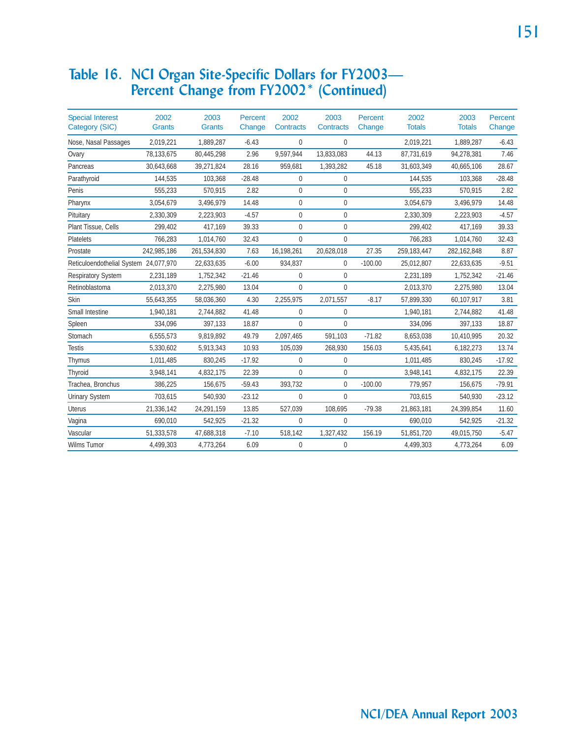# **Table 16. NCI Organ Site-Specific Dollars for FY2003— Percent Change from FY2002\* (Continued)**

| <b>Special Interest</b><br>Category (SIC) | 2002<br><b>Grants</b> | 2003<br>Grants | Percent<br>Change | 2002<br><b>Contracts</b> | 2003<br>Contracts | Percent<br>Change | 2002<br><b>Totals</b> | 2003<br><b>Totals</b> | Percent<br>Change |
|-------------------------------------------|-----------------------|----------------|-------------------|--------------------------|-------------------|-------------------|-----------------------|-----------------------|-------------------|
| Nose, Nasal Passages                      | 2,019,221             | 1,889,287      | $-6.43$           | $\mathbf 0$              | 0                 |                   | 2,019,221             | 1,889,287             | $-6.43$           |
| Ovary                                     | 78,133,675            | 80,445,298     | 2.96              | 9,597,944                | 13,833,083        | 44.13             | 87,731,619            | 94,278,381            | 7.46              |
| Pancreas                                  | 30,643,668            | 39,271,824     | 28.16             | 959,681                  | 1,393,282         | 45.18             | 31,603,349            | 40,665,106            | 28.67             |
| Parathyroid                               | 144,535               | 103,368        | $-28.48$          | $\Omega$                 | $\overline{0}$    |                   | 144,535               | 103,368               | $-28.48$          |
| Penis                                     | 555,233               | 570,915        | 2.82              | $\mathbf 0$              | $\boldsymbol{0}$  |                   | 555,233               | 570,915               | 2.82              |
| Pharynx                                   | 3,054,679             | 3,496,979      | 14.48             | $\mathbf 0$              | 0                 |                   | 3,054,679             | 3,496,979             | 14.48             |
| Pituitary                                 | 2,330,309             | 2,223,903      | $-4.57$           | $\mathbf 0$              | 0                 |                   | 2,330,309             | 2,223,903             | $-4.57$           |
| Plant Tissue, Cells                       | 299,402               | 417,169        | 39.33             | $\Omega$                 | 0                 |                   | 299,402               | 417,169               | 39.33             |
| Platelets                                 | 766,283               | 1,014,760      | 32.43             | 0                        | $\overline{0}$    |                   | 766,283               | 1,014,760             | 32.43             |
| Prostate                                  | 242,985,186           | 261,534,830    | 7.63              | 16,198,261               | 20,628,018        | 27.35             | 259,183,447           | 282, 162, 848         | 8.87              |
| Reticuloendothelial System 24,077,970     |                       | 22,633,635     | $-6.00$           | 934,837                  | $\Omega$          | $-100.00$         | 25,012,807            | 22,633,635            | $-9.51$           |
| <b>Respiratory System</b>                 | 2,231,189             | 1,752,342      | $-21.46$          | 0                        | $\boldsymbol{0}$  |                   | 2,231,189             | 1,752,342             | $-21.46$          |
| Retinoblastoma                            | 2,013,370             | 2,275,980      | 13.04             | $\Omega$                 | 0                 |                   | 2,013,370             | 2,275,980             | 13.04             |
| Skin                                      | 55,643,355            | 58,036,360     | 4.30              | 2,255,975                | 2,071,557         | $-8.17$           | 57,899,330            | 60,107,917            | 3.81              |
| Small Intestine                           | 1,940,181             | 2,744,882      | 41.48             | 0                        | 0                 |                   | 1,940,181             | 2,744,882             | 41.48             |
| Spleen                                    | 334,096               | 397,133        | 18.87             | $\Omega$                 | 0                 |                   | 334,096               | 397,133               | 18.87             |
| Stomach                                   | 6,555,573             | 9,819,892      | 49.79             | 2,097,465                | 591,103           | $-71.82$          | 8,653,038             | 10,410,995            | 20.32             |
| <b>Testis</b>                             | 5,330,602             | 5,913,343      | 10.93             | 105,039                  | 268,930           | 156.03            | 5,435,641             | 6,182,273             | 13.74             |
| Thymus                                    | 1,011,485             | 830,245        | $-17.92$          | $\Omega$                 | 0                 |                   | 1,011,485             | 830,245               | $-17.92$          |
| Thyroid                                   | 3,948,141             | 4,832,175      | 22.39             | $\Omega$                 | $\mathbf 0$       |                   | 3,948,141             | 4,832,175             | 22.39             |
| Trachea, Bronchus                         | 386,225               | 156,675        | $-59.43$          | 393,732                  | 0                 | $-100.00$         | 779,957               | 156,675               | $-79.91$          |
| <b>Urinary System</b>                     | 703.615               | 540,930        | $-23.12$          | $\overline{0}$           | $\overline{0}$    |                   | 703,615               | 540.930               | $-23.12$          |
| <b>Uterus</b>                             | 21,336,142            | 24,291,159     | 13.85             | 527,039                  | 108,695           | $-79.38$          | 21,863,181            | 24,399,854            | 11.60             |
| Vagina                                    | 690,010               | 542,925        | $-21.32$          | $\overline{0}$           | $\mathbf 0$       |                   | 690,010               | 542,925               | $-21.32$          |
| Vascular                                  | 51,333,578            | 47,688,318     | $-7.10$           | 518,142                  | 1,327,432         | 156.19            | 51,851,720            | 49,015,750            | $-5.47$           |
| Wilms Tumor                               | 4,499,303             | 4,773,264      | 6.09              | 0                        | 0                 |                   | 4,499,303             | 4,773,264             | 6.09              |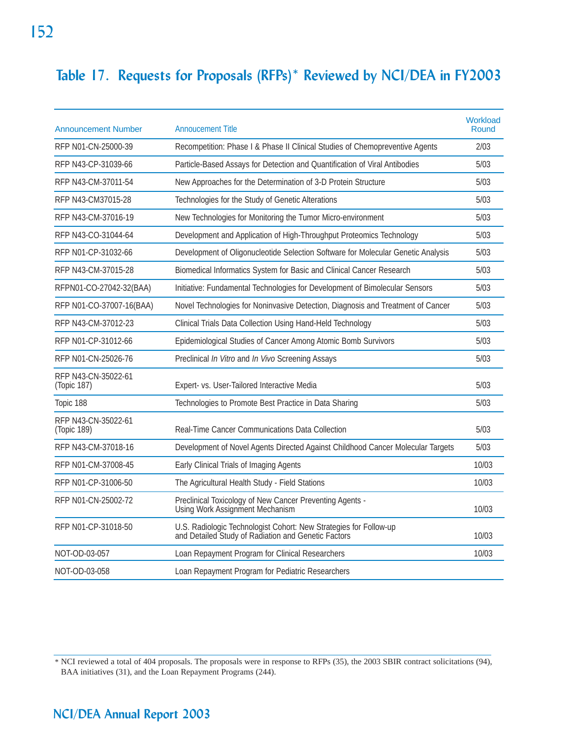# **Table 17. Requests for Proposals (RFPs)\* Reviewed by NCI/DEA in FY2003**

| <b>Announcement Number</b>         | <b>Annoucement Title</b>                                                                                                 | Workload<br>Round |
|------------------------------------|--------------------------------------------------------------------------------------------------------------------------|-------------------|
| RFP N01-CN-25000-39                | Recompetition: Phase I & Phase II Clinical Studies of Chemopreventive Agents                                             | 2/03              |
| RFP N43-CP-31039-66                | Particle-Based Assays for Detection and Quantification of Viral Antibodies                                               | 5/03              |
| RFP N43-CM-37011-54                | New Approaches for the Determination of 3-D Protein Structure                                                            | 5/03              |
| RFP N43-CM37015-28                 | Technologies for the Study of Genetic Alterations                                                                        | 5/03              |
| RFP N43-CM-37016-19                | New Technologies for Monitoring the Tumor Micro-environment                                                              | 5/03              |
| RFP N43-CO-31044-64                | Development and Application of High-Throughput Proteomics Technology                                                     | 5/03              |
| RFP N01-CP-31032-66                | Development of Oligonucleotide Selection Software for Molecular Genetic Analysis                                         | 5/03              |
| RFP N43-CM-37015-28                | Biomedical Informatics System for Basic and Clinical Cancer Research                                                     | 5/03              |
| RFPN01-CO-27042-32(BAA)            | Initiative: Fundamental Technologies for Development of Bimolecular Sensors                                              | 5/03              |
| RFP N01-CO-37007-16(BAA)           | Novel Technologies for Noninvasive Detection, Diagnosis and Treatment of Cancer                                          | 5/03              |
| RFP N43-CM-37012-23                | Clinical Trials Data Collection Using Hand-Held Technology                                                               | 5/03              |
| RFP N01-CP-31012-66                | Epidemiological Studies of Cancer Among Atomic Bomb Survivors                                                            | 5/03              |
| RFP N01-CN-25026-76                | Preclinical In Vitro and In Vivo Screening Assays                                                                        | 5/03              |
| RFP N43-CN-35022-61<br>(Topic 187) | Expert- vs. User-Tailored Interactive Media                                                                              | 5/03              |
| Topic 188                          | Technologies to Promote Best Practice in Data Sharing                                                                    | 5/03              |
| RFP N43-CN-35022-61<br>(Topic 189) | Real-Time Cancer Communications Data Collection                                                                          | 5/03              |
| RFP N43-CM-37018-16                | Development of Novel Agents Directed Against Childhood Cancer Molecular Targets                                          | 5/03              |
| RFP N01-CM-37008-45                | Early Clinical Trials of Imaging Agents                                                                                  | 10/03             |
| RFP N01-CP-31006-50                | The Agricultural Health Study - Field Stations                                                                           | 10/03             |
| RFP N01-CN-25002-72                | Preclinical Toxicology of New Cancer Preventing Agents - Using Work Assignment Mechanism                                 | 10/03             |
| RFP N01-CP-31018-50                | U.S. Radiologic Technologist Cohort: New Strategies for Follow-up<br>and Detailed Study of Radiation and Genetic Factors | 10/03             |
| NOT-OD-03-057                      | Loan Repayment Program for Clinical Researchers                                                                          | 10/03             |
| NOT-OD-03-058                      | Loan Repayment Program for Pediatric Researchers                                                                         |                   |

\* NCI reviewed a total of 404 proposals. The proposals were in response to RFPs (35), the 2003 SBIR contract solicitations (94), BAA initiatives (31), and the Loan Repayment Programs (244).

# **NCI/DEA Annual Report 2003**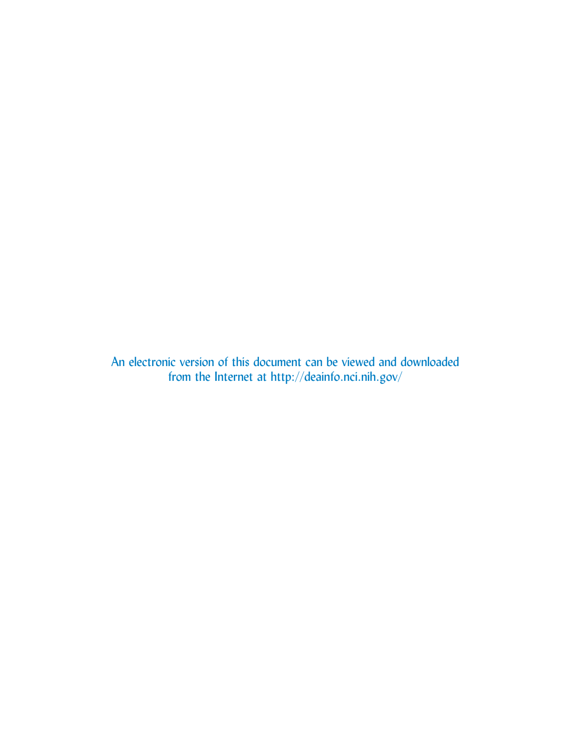An electronic version of this document can be viewed and downloaded from the Internet at http://deainfo.nci.nih.gov/